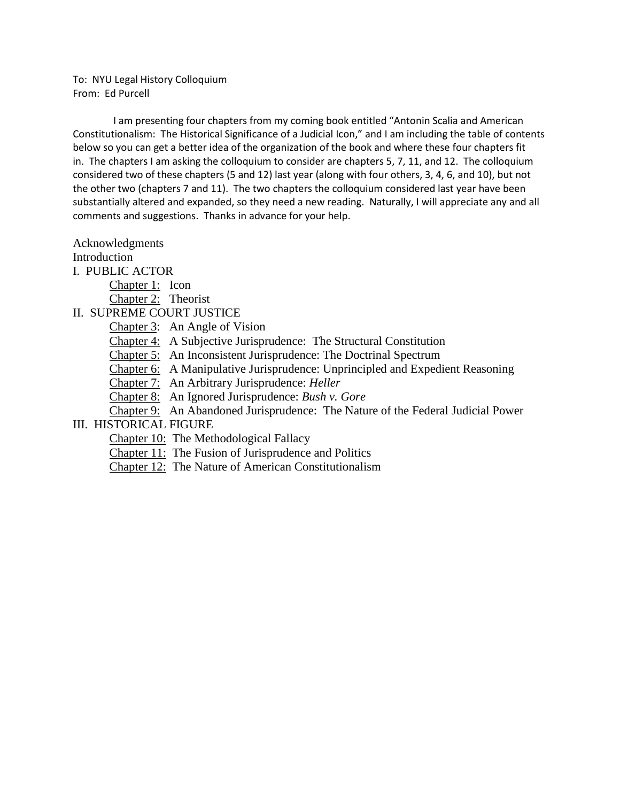To: NYU Legal History Colloquium From: Ed Purcell

 I am presenting four chapters from my coming book entitled "Antonin Scalia and American Constitutionalism: The Historical Significance of a Judicial Icon," and I am including the table of contents below so you can get a better idea of the organization of the book and where these four chapters fit in. The chapters I am asking the colloquium to consider are chapters 5, 7, 11, and 12. The colloquium considered two of these chapters (5 and 12) last year (along with four others, 3, 4, 6, and 10), but not the other two (chapters 7 and 11). The two chapters the colloquium considered last year have been substantially altered and expanded, so they need a new reading. Naturally, I will appreciate any and all comments and suggestions. Thanks in advance for your help.

Acknowledgments

Introduction

I. PUBLIC ACTOR

Chapter 1: Icon

Chapter 2: Theorist

II. SUPREME COURT JUSTICE

Chapter 3: An Angle of Vision

Chapter 4: A Subjective Jurisprudence: The Structural Constitution

Chapter 5: An Inconsistent Jurisprudence: The Doctrinal Spectrum

Chapter 6: A Manipulative Jurisprudence: Unprincipled and Expedient Reasoning

Chapter 7: An Arbitrary Jurisprudence: *Heller*

Chapter 8: An Ignored Jurisprudence: *Bush v. Gore*

Chapter 9: An Abandoned Jurisprudence: The Nature of the Federal Judicial Power

## III. HISTORICAL FIGURE

Chapter 10: The Methodological Fallacy

Chapter 11: The Fusion of Jurisprudence and Politics

Chapter 12: The Nature of American Constitutionalism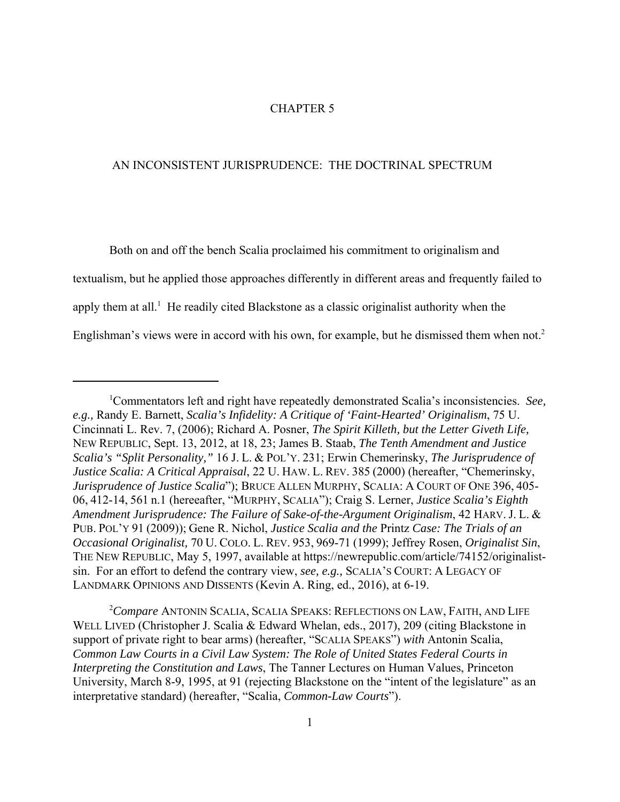## CHAPTER 5

## AN INCONSISTENT JURISPRUDENCE: THE DOCTRINAL SPECTRUM

Both on and off the bench Scalia proclaimed his commitment to originalism and textualism, but he applied those approaches differently in different areas and frequently failed to apply them at all.<sup>1</sup> He readily cited Blackstone as a classic originalist authority when the Englishman's views were in accord with his own, for example, but he dismissed them when not.<sup>2</sup>

<sup>1</sup> Commentators left and right have repeatedly demonstrated Scalia's inconsistencies. *See, e.g.,* Randy E. Barnett, *Scalia's Infidelity: A Critique of 'Faint-Hearted' Originalism*, 75 U. Cincinnati L. Rev. 7, (2006); Richard A. Posner, *The Spirit Killeth, but the Letter Giveth Life,* NEW REPUBLIC, Sept. 13, 2012, at 18, 23; James B. Staab, *The Tenth Amendment and Justice Scalia's "Split Personality,"* 16 J. L. & POL'Y. 231; Erwin Chemerinsky, *The Jurisprudence of Justice Scalia: A Critical Appraisal*, 22 U. HAW. L. REV. 385 (2000) (hereafter, "Chemerinsky, *Jurisprudence of Justice Scalia*"); BRUCE ALLEN MURPHY, SCALIA: A COURT OF ONE 396, 405- 06, 412-14, 561 n.1 (hereeafter, "MURPHY, SCALIA"); Craig S. Lerner, *Justice Scalia's Eighth Amendment Jurisprudence: The Failure of Sake-of-the-Argument Originalism*, 42 HARV. J. L. & PUB. POL'Y 91 (2009)); Gene R. Nichol, *Justice Scalia and the* Printz *Case: The Trials of an Occasional Originalist,* 70 U. COLO. L. REV. 953, 969-71 (1999); Jeffrey Rosen, *Originalist Sin*, THE NEW REPUBLIC, May 5, 1997, available at https://newrepublic.com/article/74152/originalistsin. For an effort to defend the contrary view, *see, e.g.,* SCALIA'S COURT: A LEGACY OF LANDMARK OPINIONS AND DISSENTS (Kevin A. Ring, ed., 2016), at 6-19.

<sup>2</sup> *Compare* ANTONIN SCALIA, SCALIA SPEAKS: REFLECTIONS ON LAW, FAITH, AND LIFE WELL LIVED (Christopher J. Scalia & Edward Whelan, eds., 2017), 209 (citing Blackstone in support of private right to bear arms) (hereafter, "SCALIA SPEAKS") *with* Antonin Scalia, *Common Law Courts in a Civil Law System: The Role of United States Federal Courts in Interpreting the Constitution and Laws*, The Tanner Lectures on Human Values, Princeton University, March 8-9, 1995, at 91 (rejecting Blackstone on the "intent of the legislature" as an interpretative standard) (hereafter, "Scalia, *Common-Law Courts*").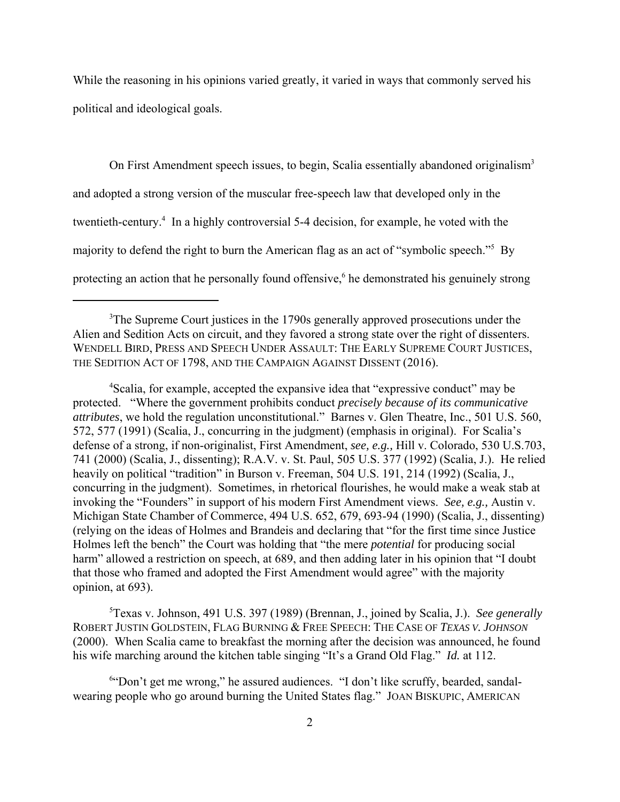While the reasoning in his opinions varied greatly, it varied in ways that commonly served his political and ideological goals.

On First Amendment speech issues, to begin, Scalia essentially abandoned originalism<sup>3</sup> and adopted a strong version of the muscular free-speech law that developed only in the twentieth-century.<sup>4</sup> In a highly controversial 5-4 decision, for example, he voted with the majority to defend the right to burn the American flag as an act of "symbolic speech."5 By protecting an action that he personally found offensive,<sup>6</sup> he demonstrated his genuinely strong

<sup>4</sup>Scalia, for example, accepted the expansive idea that "expressive conduct" may be protected. "Where the government prohibits conduct *precisely because of its communicative attributes*, we hold the regulation unconstitutional." Barnes v. Glen Theatre, Inc., 501 U.S. 560, 572, 577 (1991) (Scalia, J., concurring in the judgment) (emphasis in original). For Scalia's defense of a strong, if non-originalist, First Amendment, *see, e.g.,* Hill v. Colorado, 530 U.S.703, 741 (2000) (Scalia, J., dissenting); R.A.V. v. St. Paul, 505 U.S. 377 (1992) (Scalia, J.). He relied heavily on political "tradition" in Burson v. Freeman, 504 U.S. 191, 214 (1992) (Scalia, J., concurring in the judgment). Sometimes, in rhetorical flourishes, he would make a weak stab at invoking the "Founders" in support of his modern First Amendment views. *See, e.g.,* Austin v. Michigan State Chamber of Commerce, 494 U.S. 652, 679, 693-94 (1990) (Scalia, J., dissenting) (relying on the ideas of Holmes and Brandeis and declaring that "for the first time since Justice Holmes left the bench" the Court was holding that "the mere *potential* for producing social harm" allowed a restriction on speech, at 689, and then adding later in his opinion that "I doubt that those who framed and adopted the First Amendment would agree" with the majority opinion, at 693).

5 Texas v. Johnson, 491 U.S. 397 (1989) (Brennan, J., joined by Scalia, J.). *See generally* ROBERT JUSTIN GOLDSTEIN, FLAG BURNING & FREE SPEECH: THE CASE OF *TEXAS V. JOHNSON* (2000). When Scalia came to breakfast the morning after the decision was announced, he found his wife marching around the kitchen table singing "It's a Grand Old Flag." *Id.* at 112.

6 "Don't get me wrong," he assured audiences. "I don't like scruffy, bearded, sandalwearing people who go around burning the United States flag." JOAN BISKUPIC, AMERICAN

<sup>&</sup>lt;sup>3</sup>The Supreme Court justices in the 1790s generally approved prosecutions under the Alien and Sedition Acts on circuit, and they favored a strong state over the right of dissenters. WENDELL BIRD, PRESS AND SPEECH UNDER ASSAULT: THE EARLY SUPREME COURT JUSTICES, THE SEDITION ACT OF 1798, AND THE CAMPAIGN AGAINST DISSENT (2016).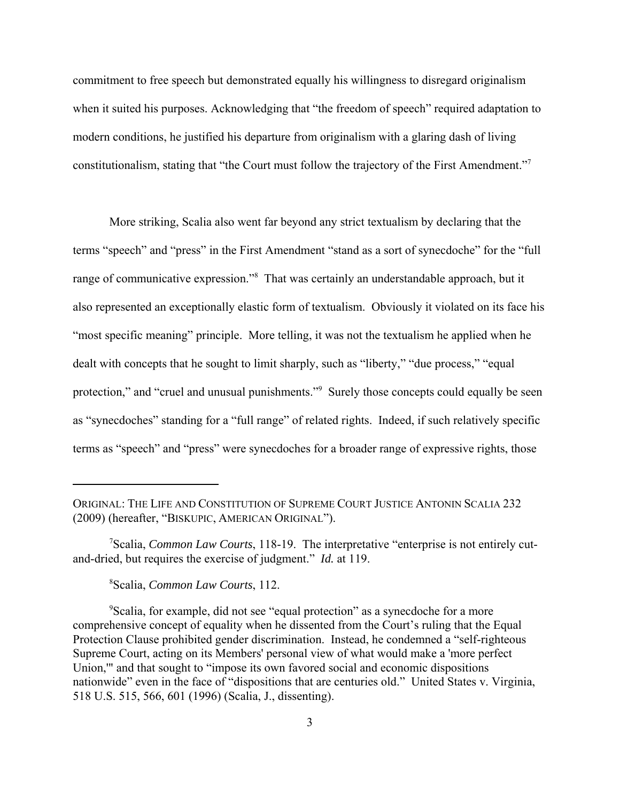commitment to free speech but demonstrated equally his willingness to disregard originalism when it suited his purposes. Acknowledging that "the freedom of speech" required adaptation to modern conditions, he justified his departure from originalism with a glaring dash of living constitutionalism, stating that "the Court must follow the trajectory of the First Amendment."<sup>7</sup>

More striking, Scalia also went far beyond any strict textualism by declaring that the terms "speech" and "press" in the First Amendment "stand as a sort of synecdoche" for the "full range of communicative expression."<sup>8</sup> That was certainly an understandable approach, but it also represented an exceptionally elastic form of textualism. Obviously it violated on its face his "most specific meaning" principle. More telling, it was not the textualism he applied when he dealt with concepts that he sought to limit sharply, such as "liberty," "due process," "equal protection," and "cruel and unusual punishments."<sup>9</sup> Surely those concepts could equally be seen as "synecdoches" standing for a "full range" of related rights. Indeed, if such relatively specific terms as "speech" and "press" were synecdoches for a broader range of expressive rights, those

ORIGINAL: THE LIFE AND CONSTITUTION OF SUPREME COURT JUSTICE ANTONIN SCALIA 232 (2009) (hereafter, "BISKUPIC, AMERICAN ORIGINAL").

<sup>7</sup> Scalia, *Common Law Courts*, 118-19. The interpretative "enterprise is not entirely cutand-dried, but requires the exercise of judgment." *Id.* at 119.

<sup>8</sup> Scalia, *Common Law Courts*, 112.

<sup>&</sup>lt;sup>9</sup>Scalia, for example, did not see "equal protection" as a synecdoche for a more comprehensive concept of equality when he dissented from the Court's ruling that the Equal Protection Clause prohibited gender discrimination. Instead, he condemned a "self-righteous Supreme Court, acting on its Members' personal view of what would make a 'more perfect Union,'" and that sought to "impose its own favored social and economic dispositions nationwide" even in the face of "dispositions that are centuries old." United States v. Virginia, 518 U.S. 515, 566, 601 (1996) (Scalia, J., dissenting).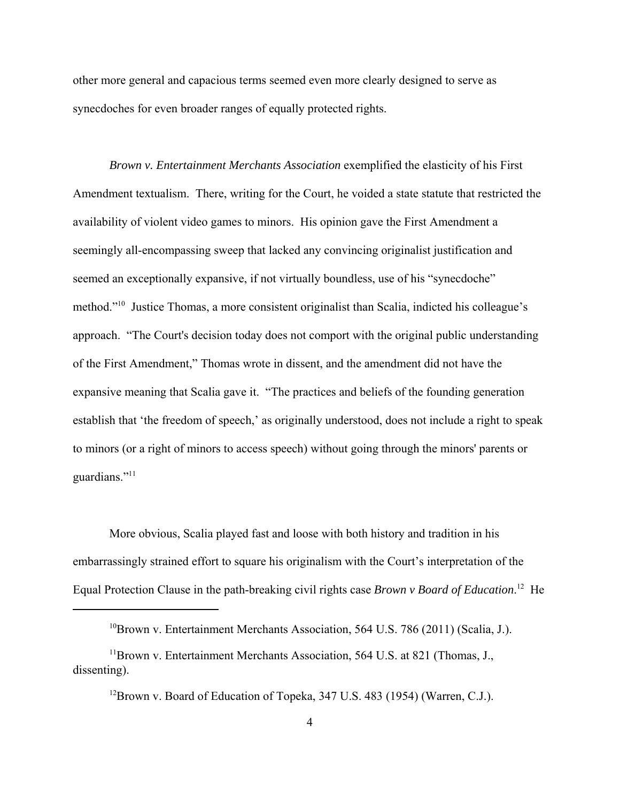other more general and capacious terms seemed even more clearly designed to serve as synecdoches for even broader ranges of equally protected rights.

*Brown v. Entertainment Merchants Association* exemplified the elasticity of his First Amendment textualism. There, writing for the Court, he voided a state statute that restricted the availability of violent video games to minors. His opinion gave the First Amendment a seemingly all-encompassing sweep that lacked any convincing originalist justification and seemed an exceptionally expansive, if not virtually boundless, use of his "synecdoche" method."10 Justice Thomas, a more consistent originalist than Scalia, indicted his colleague's approach. "The Court's decision today does not comport with the original public understanding of the First Amendment," Thomas wrote in dissent, and the amendment did not have the expansive meaning that Scalia gave it. "The practices and beliefs of the founding generation establish that 'the freedom of speech,' as originally understood, does not include a right to speak to minors (or a right of minors to access speech) without going through the minors' parents or guardians."<sup>11</sup>

More obvious, Scalia played fast and loose with both history and tradition in his embarrassingly strained effort to square his originalism with the Court's interpretation of the Equal Protection Clause in the path-breaking civil rights case *Brown v Board of Education*. 12 He

<sup>&</sup>lt;sup>10</sup>Brown v. Entertainment Merchants Association, 564 U.S. 786 (2011) (Scalia, J.).

 $11$ Brown v. Entertainment Merchants Association, 564 U.S. at 821 (Thomas, J., dissenting).

<sup>&</sup>lt;sup>12</sup>Brown v. Board of Education of Topeka, 347 U.S. 483 (1954) (Warren, C.J.).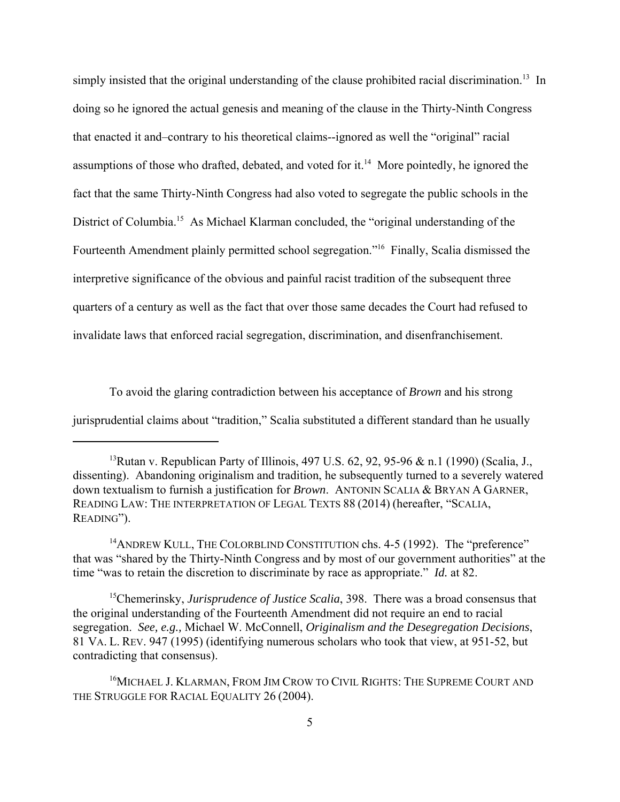simply insisted that the original understanding of the clause prohibited racial discrimination.<sup>13</sup> In doing so he ignored the actual genesis and meaning of the clause in the Thirty-Ninth Congress that enacted it and–contrary to his theoretical claims--ignored as well the "original" racial assumptions of those who drafted, debated, and voted for it.<sup>14</sup> More pointedly, he ignored the fact that the same Thirty-Ninth Congress had also voted to segregate the public schools in the District of Columbia.<sup>15</sup> As Michael Klarman concluded, the "original understanding of the Fourteenth Amendment plainly permitted school segregation."16 Finally, Scalia dismissed the interpretive significance of the obvious and painful racist tradition of the subsequent three quarters of a century as well as the fact that over those same decades the Court had refused to invalidate laws that enforced racial segregation, discrimination, and disenfranchisement.

To avoid the glaring contradiction between his acceptance of *Brown* and his strong jurisprudential claims about "tradition," Scalia substituted a different standard than he usually

<sup>&</sup>lt;sup>13</sup>Rutan v. Republican Party of Illinois, 497 U.S. 62, 92, 95-96 & n.1 (1990) (Scalia, J., dissenting). Abandoning originalism and tradition, he subsequently turned to a severely watered down textualism to furnish a justification for *Brown*. ANTONIN SCALIA & BRYAN A GARNER, READING LAW: THE INTERPRETATION OF LEGAL TEXTS 88 (2014) (hereafter, "SCALIA, READING").

<sup>&</sup>lt;sup>14</sup>ANDREW KULL, THE COLORBLIND CONSTITUTION chs. 4-5 (1992). The "preference" that was "shared by the Thirty-Ninth Congress and by most of our government authorities" at the time "was to retain the discretion to discriminate by race as appropriate." *Id.* at 82.

<sup>&</sup>lt;sup>15</sup>Chemerinsky, *Jurisprudence of Justice Scalia*, 398. There was a broad consensus that the original understanding of the Fourteenth Amendment did not require an end to racial segregation. *See, e.g.,* Michael W. McConnell, *Originalism and the Desegregation Decisions*, 81 VA. L. REV. 947 (1995) (identifying numerous scholars who took that view, at 951-52, but contradicting that consensus).

<sup>&</sup>lt;sup>16</sup>MICHAEL J. KLARMAN, FROM JIM CROW TO CIVIL RIGHTS: THE SUPREME COURT AND THE STRUGGLE FOR RACIAL EQUALITY 26 (2004).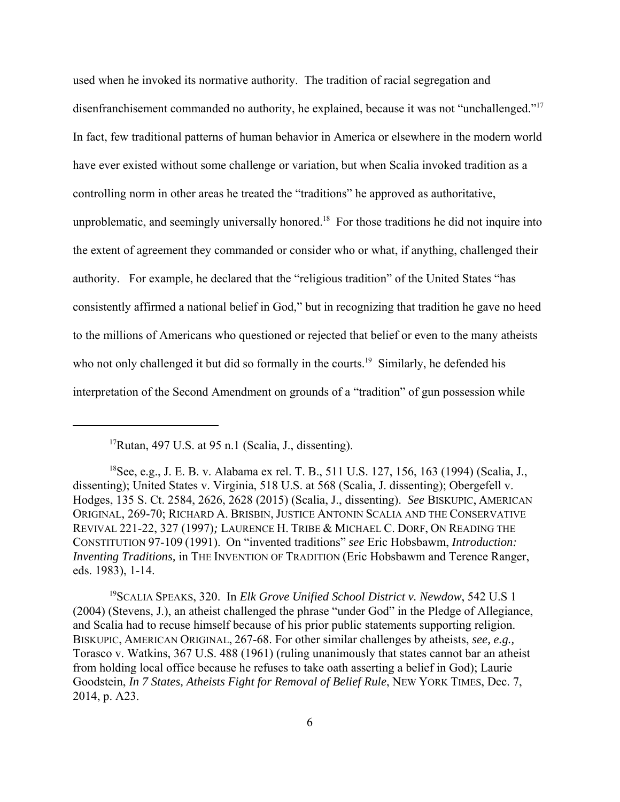used when he invoked its normative authority. The tradition of racial segregation and disenfranchisement commanded no authority, he explained, because it was not "unchallenged."<sup>17</sup> In fact, few traditional patterns of human behavior in America or elsewhere in the modern world have ever existed without some challenge or variation, but when Scalia invoked tradition as a controlling norm in other areas he treated the "traditions" he approved as authoritative, unproblematic, and seemingly universally honored.<sup>18</sup> For those traditions he did not inquire into the extent of agreement they commanded or consider who or what, if anything, challenged their authority. For example, he declared that the "religious tradition" of the United States "has consistently affirmed a national belief in God," but in recognizing that tradition he gave no heed to the millions of Americans who questioned or rejected that belief or even to the many atheists who not only challenged it but did so formally in the courts.<sup>19</sup> Similarly, he defended his interpretation of the Second Amendment on grounds of a "tradition" of gun possession while

19SCALIA SPEAKS, 320. In *Elk Grove Unified School District v. Newdow*, 542 U.S 1 (2004) (Stevens, J.), an atheist challenged the phrase "under God" in the Pledge of Allegiance, and Scalia had to recuse himself because of his prior public statements supporting religion. BISKUPIC, AMERICAN ORIGINAL, 267-68. For other similar challenges by atheists, *see, e.g.,* Torasco v. Watkins, 367 U.S. 488 (1961) (ruling unanimously that states cannot bar an atheist from holding local office because he refuses to take oath asserting a belief in God); Laurie Goodstein, *In 7 States, Atheists Fight for Removal of Belief Rule*, NEW YORK TIMES, Dec. 7, 2014, p. A23.

 $17$ Rutan, 497 U.S. at 95 n.1 (Scalia, J., dissenting).

<sup>18</sup>See, e.g., J. E. B. v. Alabama ex rel. T. B., 511 U.S. 127, 156, 163 (1994) (Scalia, J., dissenting); United States v. Virginia, 518 U.S. at 568 (Scalia, J. dissenting); Obergefell v. Hodges, 135 S. Ct. 2584, 2626, 2628 (2015) (Scalia, J., dissenting). *See* BISKUPIC, AMERICAN ORIGINAL, 269-70; RICHARD A. BRISBIN, JUSTICE ANTONIN SCALIA AND THE CONSERVATIVE REVIVAL 221-22, 327 (1997)*;* LAURENCE H. TRIBE & MICHAEL C. DORF, ON READING THE CONSTITUTION 97-109 (1991). On "invented traditions" *see* Eric Hobsbawm, *Introduction: Inventing Traditions,* in THE INVENTION OF TRADITION (Eric Hobsbawm and Terence Ranger, eds. 1983), 1-14.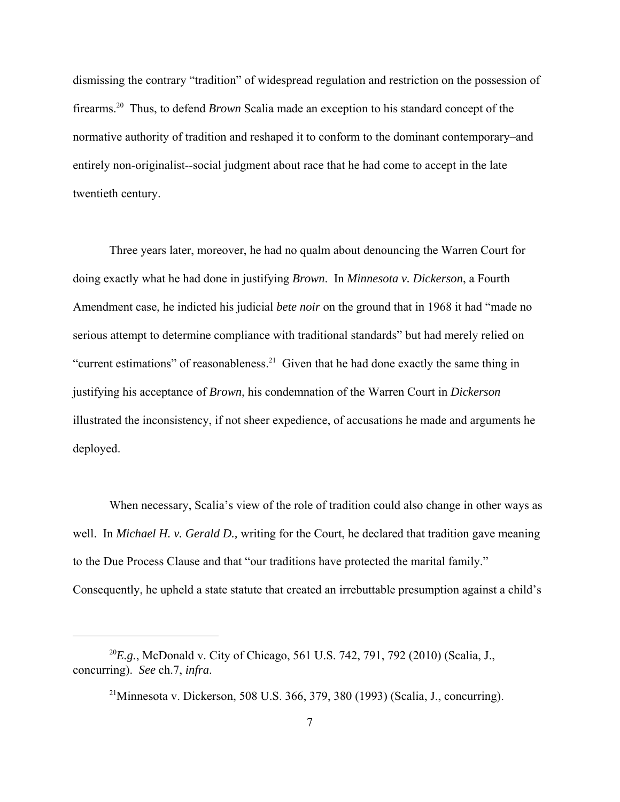dismissing the contrary "tradition" of widespread regulation and restriction on the possession of firearms.20 Thus, to defend *Brown* Scalia made an exception to his standard concept of the normative authority of tradition and reshaped it to conform to the dominant contemporary–and entirely non-originalist--social judgment about race that he had come to accept in the late twentieth century.

Three years later, moreover, he had no qualm about denouncing the Warren Court for doing exactly what he had done in justifying *Brown*. In *Minnesota v. Dickerson*, a Fourth Amendment case, he indicted his judicial *bete noir* on the ground that in 1968 it had "made no serious attempt to determine compliance with traditional standards" but had merely relied on "current estimations" of reasonableness.<sup>21</sup> Given that he had done exactly the same thing in justifying his acceptance of *Brown*, his condemnation of the Warren Court in *Dickerson* illustrated the inconsistency, if not sheer expedience, of accusations he made and arguments he deployed.

When necessary, Scalia's view of the role of tradition could also change in other ways as well. In *Michael H. v. Gerald D.,* writing for the Court, he declared that tradition gave meaning to the Due Process Clause and that "our traditions have protected the marital family." Consequently, he upheld a state statute that created an irrebuttable presumption against a child's

<sup>20</sup>*E.g.*, McDonald v. City of Chicago, 561 U.S. 742, 791, 792 (2010) (Scalia, J., concurring). *See* ch.7, *infra*.

<sup>&</sup>lt;sup>21</sup>Minnesota v. Dickerson, 508 U.S. 366, 379, 380 (1993) (Scalia, J., concurring).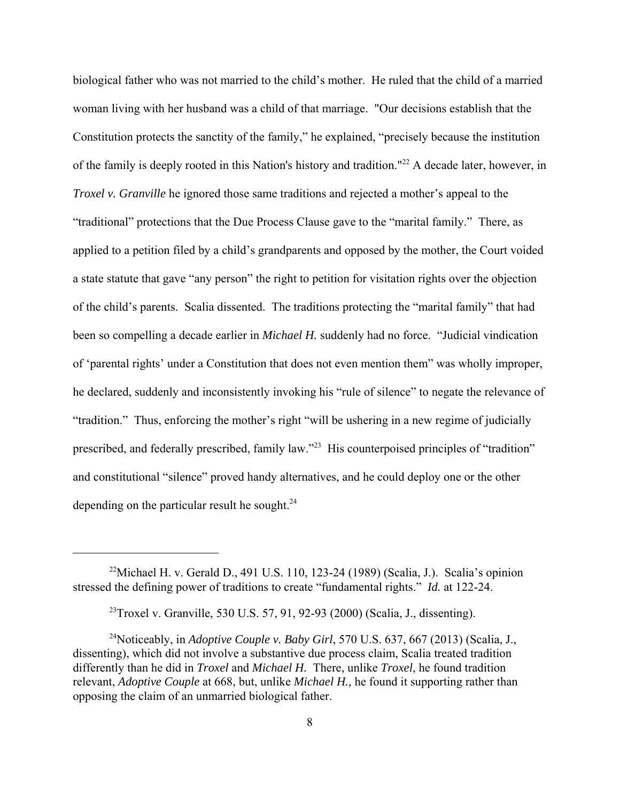biological father who was not married to the child's mother. He ruled that the child of a married woman living with her husband was a child of that marriage. "Our decisions establish that the Constitution protects the sanctity of the family," he explained, "precisely because the institution of the family is deeply rooted in this Nation's history and tradition."<sup>22</sup> A decade later, however, in *Troxel v. Granville* he ignored those same traditions and rejected a mother's appeal to the "traditional" protections that the Due Process Clause gave to the "marital family." There, as applied to a petition filed by a child's grandparents and opposed by the mother, the Court voided a state statute that gave "any person" the right to petition for visitation rights over the objection of the child's parents. Scalia dissented. The traditions protecting the "marital family" that had been so compelling a decade earlier in *Michael H.* suddenly had no force. "Judicial vindication of 'parental rights' under a Constitution that does not even mention them" was wholly improper, he declared, suddenly and inconsistently invoking his "rule of silence" to negate the relevance of "tradition." Thus, enforcing the mother's right "will be ushering in a new regime of judicially prescribed, and federally prescribed, family law."23 His counterpoised principles of "tradition" and constitutional "silence" proved handy alternatives, and he could deploy one or the other depending on the particular result he sought. $^{24}$ 

<sup>&</sup>lt;sup>22</sup>Michael H. v. Gerald D., 491 U.S. 110, 123-24 (1989) (Scalia, J.). Scalia's opinion stressed the defining power of traditions to create "fundamental rights." *Id.* at 122-24.

<sup>&</sup>lt;sup>23</sup>Troxel v. Granville, 530 U.S. 57, 91, 92-93 (2000) (Scalia, J., dissenting).

<sup>&</sup>lt;sup>24</sup>Noticeably, in *Adoptive Couple v. Baby Girl*, 570 U.S. 637, 667 (2013) (Scalia, J., dissenting), which did not involve a substantive due process claim, Scalia treated tradition differently than he did in *Troxel* and *Michael H.* There, unlike *Troxel*, he found tradition relevant, *Adoptive Couple* at 668, but, unlike *Michael H.,* he found it supporting rather than opposing the claim of an unmarried biological father.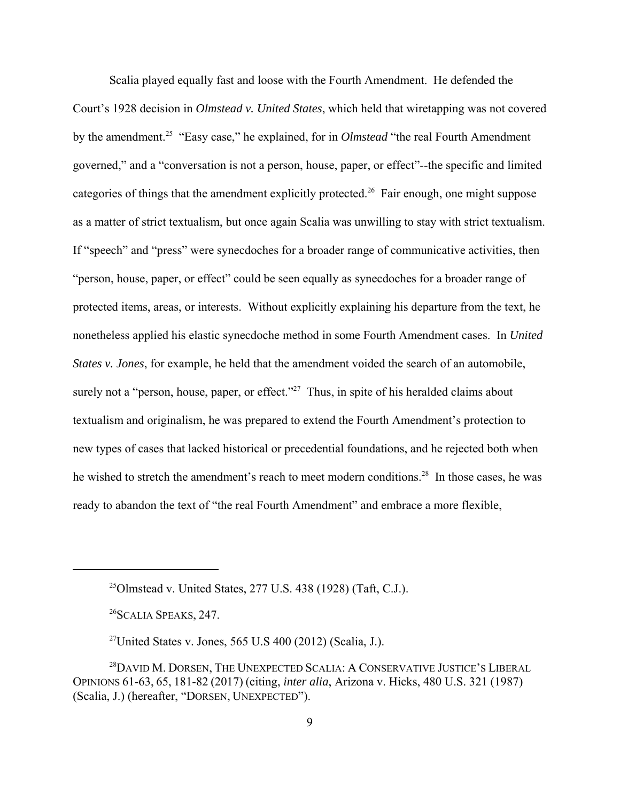Scalia played equally fast and loose with the Fourth Amendment. He defended the Court's 1928 decision in *Olmstead v. United States*, which held that wiretapping was not covered by the amendment.25 "Easy case," he explained, for in *Olmstead* "the real Fourth Amendment governed," and a "conversation is not a person, house, paper, or effect"--the specific and limited categories of things that the amendment explicitly protected.<sup>26</sup> Fair enough, one might suppose as a matter of strict textualism, but once again Scalia was unwilling to stay with strict textualism. If "speech" and "press" were synecdoches for a broader range of communicative activities, then "person, house, paper, or effect" could be seen equally as synecdoches for a broader range of protected items, areas, or interests. Without explicitly explaining his departure from the text, he nonetheless applied his elastic synecdoche method in some Fourth Amendment cases. In *United States v. Jones*, for example, he held that the amendment voided the search of an automobile, surely not a "person, house, paper, or effect."<sup>27</sup> Thus, in spite of his heralded claims about textualism and originalism, he was prepared to extend the Fourth Amendment's protection to new types of cases that lacked historical or precedential foundations, and he rejected both when he wished to stretch the amendment's reach to meet modern conditions.<sup>28</sup> In those cases, he was ready to abandon the text of "the real Fourth Amendment" and embrace a more flexible,

 $^{25}$ Olmstead v. United States, 277 U.S. 438 (1928) (Taft, C.J.).

<sup>26</sup>SCALIA SPEAKS, 247.

<sup>&</sup>lt;sup>27</sup>United States v. Jones, 565 U.S 400 (2012) (Scalia, J.).

<sup>&</sup>lt;sup>28</sup>DAVID M. DORSEN, THE UNEXPECTED SCALIA: A CONSERVATIVE JUSTICE'S LIBERAL OPINIONS 61-63, 65, 181-82 (2017) (citing, *inter alia*, Arizona v. Hicks, 480 U.S. 321 (1987) (Scalia, J.) (hereafter, "DORSEN, UNEXPECTED").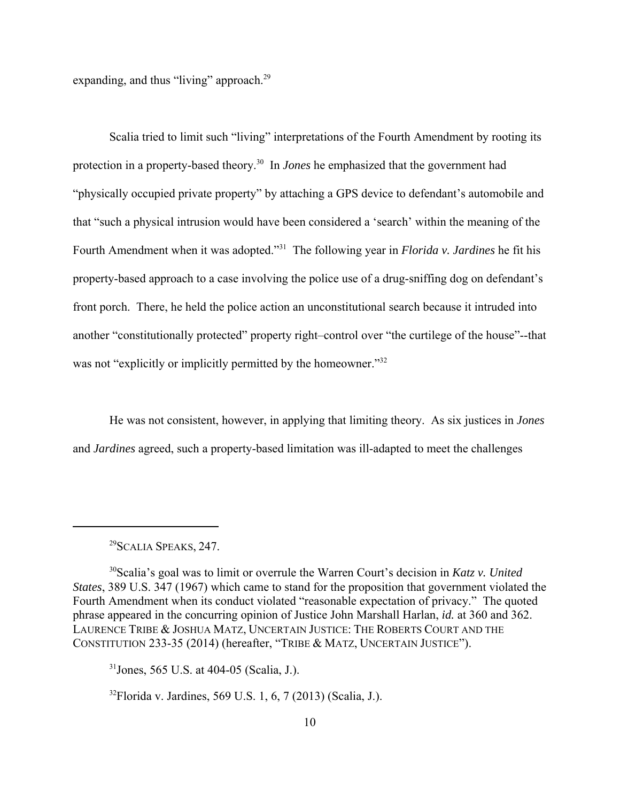expanding, and thus "living" approach.<sup>29</sup>

Scalia tried to limit such "living" interpretations of the Fourth Amendment by rooting its protection in a property-based theory.30 In *Jones* he emphasized that the government had "physically occupied private property" by attaching a GPS device to defendant's automobile and that "such a physical intrusion would have been considered a 'search' within the meaning of the Fourth Amendment when it was adopted."31 The following year in *Florida v. Jardines* he fit his property-based approach to a case involving the police use of a drug-sniffing dog on defendant's front porch. There, he held the police action an unconstitutional search because it intruded into another "constitutionally protected" property right–control over "the curtilege of the house"--that was not "explicitly or implicitly permitted by the homeowner."<sup>32</sup>

He was not consistent, however, in applying that limiting theory. As six justices in *Jones* and *Jardines* agreed, such a property-based limitation was ill-adapted to meet the challenges

30Scalia's goal was to limit or overrule the Warren Court's decision in *Katz v. United States*, 389 U.S. 347 (1967) which came to stand for the proposition that government violated the Fourth Amendment when its conduct violated "reasonable expectation of privacy." The quoted phrase appeared in the concurring opinion of Justice John Marshall Harlan, *id.* at 360 and 362. LAURENCE TRIBE & JOSHUA MATZ, UNCERTAIN JUSTICE: THE ROBERTS COURT AND THE CONSTITUTION 233-35 (2014) (hereafter, "TRIBE & MATZ, UNCERTAIN JUSTICE").

 $31$ Jones, 565 U.S. at 404-05 (Scalia, J.).

 $32$ Florida v. Jardines, 569 U.S. 1, 6, 7 (2013) (Scalia, J.).

<sup>29</sup>SCALIA SPEAKS, 247.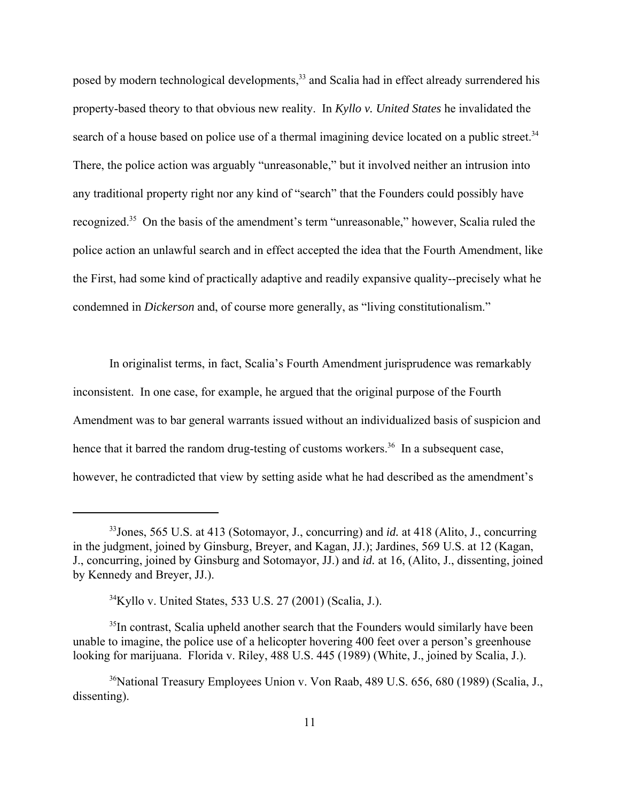posed by modern technological developments,<sup>33</sup> and Scalia had in effect already surrendered his property-based theory to that obvious new reality. In *Kyllo v. United States* he invalidated the search of a house based on police use of a thermal imagining device located on a public street.<sup>34</sup> There, the police action was arguably "unreasonable," but it involved neither an intrusion into any traditional property right nor any kind of "search" that the Founders could possibly have recognized.<sup>35</sup> On the basis of the amendment's term "unreasonable," however, Scalia ruled the police action an unlawful search and in effect accepted the idea that the Fourth Amendment, like the First, had some kind of practically adaptive and readily expansive quality--precisely what he condemned in *Dickerson* and, of course more generally, as "living constitutionalism."

In originalist terms, in fact, Scalia's Fourth Amendment jurisprudence was remarkably inconsistent. In one case, for example, he argued that the original purpose of the Fourth Amendment was to bar general warrants issued without an individualized basis of suspicion and hence that it barred the random drug-testing of customs workers.<sup>36</sup> In a subsequent case, however, he contradicted that view by setting aside what he had described as the amendment's

<sup>33</sup>Jones, 565 U.S. at 413 (Sotomayor, J., concurring) and *id.* at 418 (Alito, J., concurring in the judgment, joined by Ginsburg, Breyer, and Kagan, JJ.); Jardines, 569 U.S. at 12 (Kagan, J., concurring, joined by Ginsburg and Sotomayor, JJ.) and *id.* at 16, (Alito, J., dissenting, joined by Kennedy and Breyer, JJ.).

 $34$ Kyllo v. United States, 533 U.S. 27 (2001) (Scalia, J.).

<sup>&</sup>lt;sup>35</sup>In contrast, Scalia upheld another search that the Founders would similarly have been unable to imagine, the police use of a helicopter hovering 400 feet over a person's greenhouse looking for marijuana. Florida v. Riley, 488 U.S. 445 (1989) (White, J., joined by Scalia, J.).

<sup>&</sup>lt;sup>36</sup>National Treasury Employees Union v. Von Raab, 489 U.S. 656, 680 (1989) (Scalia, J., dissenting).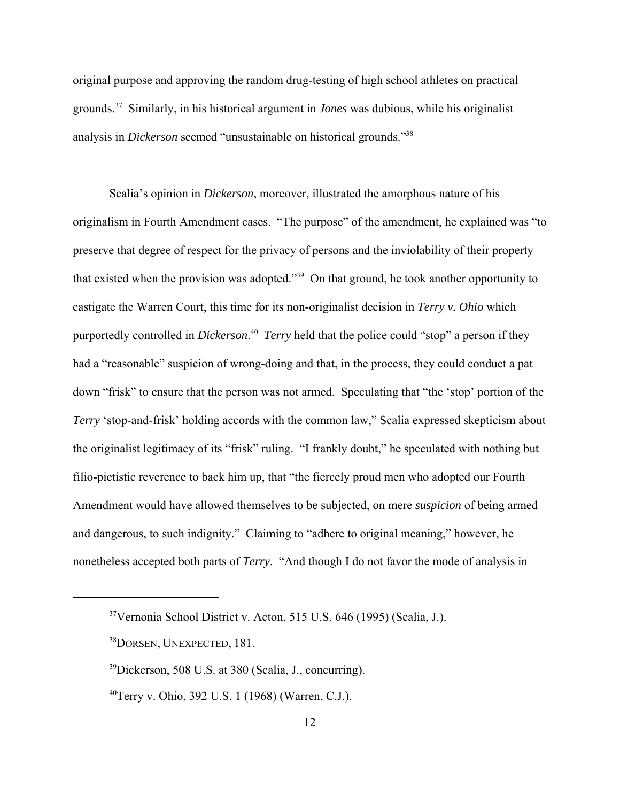original purpose and approving the random drug-testing of high school athletes on practical grounds.37 Similarly, in his historical argument in *Jones* was dubious, while his originalist analysis in *Dickerson* seemed "unsustainable on historical grounds."38

Scalia's opinion in *Dickerson*, moreover, illustrated the amorphous nature of his originalism in Fourth Amendment cases. "The purpose" of the amendment, he explained was "to preserve that degree of respect for the privacy of persons and the inviolability of their property that existed when the provision was adopted."39 On that ground, he took another opportunity to castigate the Warren Court, this time for its non-originalist decision in *Terry v. Ohio* which purportedly controlled in *Dickerson*. 40 *Terry* held that the police could "stop" a person if they had a "reasonable" suspicion of wrong-doing and that, in the process, they could conduct a pat down "frisk" to ensure that the person was not armed. Speculating that "the 'stop' portion of the *Terry* 'stop-and-frisk' holding accords with the common law," Scalia expressed skepticism about the originalist legitimacy of its "frisk" ruling. "I frankly doubt," he speculated with nothing but filio-pietistic reverence to back him up, that "the fiercely proud men who adopted our Fourth Amendment would have allowed themselves to be subjected, on mere *suspicion* of being armed and dangerous, to such indignity." Claiming to "adhere to original meaning," however, he nonetheless accepted both parts of *Terry*. "And though I do not favor the mode of analysis in

<sup>37</sup>Vernonia School District v. Acton, 515 U.S. 646 (1995) (Scalia, J.).

<sup>&</sup>lt;sup>38</sup>DORSEN, UNEXPECTED, 181.

<sup>39</sup>Dickerson, 508 U.S. at 380 (Scalia, J., concurring).

 $^{40}$ Terry v. Ohio, 392 U.S. 1 (1968) (Warren, C.J.).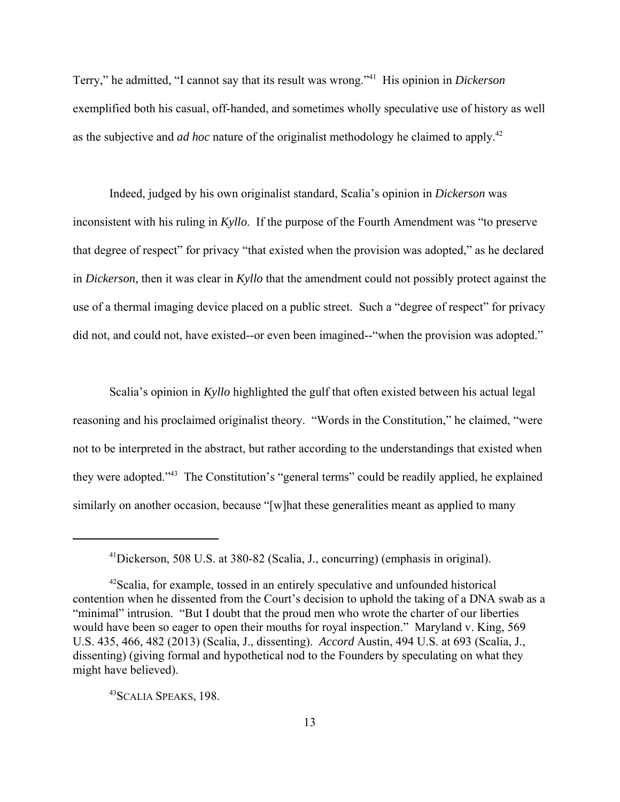Terry," he admitted, "I cannot say that its result was wrong."41 His opinion in *Dickerson* exemplified both his casual, off-handed, and sometimes wholly speculative use of history as well as the subjective and *ad hoc* nature of the originalist methodology he claimed to apply.42

Indeed, judged by his own originalist standard, Scalia's opinion in *Dickerson* was inconsistent with his ruling in *Kyllo*. If the purpose of the Fourth Amendment was "to preserve that degree of respect" for privacy "that existed when the provision was adopted," as he declared in *Dickerson,* then it was clear in *Kyllo* that the amendment could not possibly protect against the use of a thermal imaging device placed on a public street. Such a "degree of respect" for privacy did not, and could not, have existed--or even been imagined--"when the provision was adopted."

Scalia's opinion in *Kyllo* highlighted the gulf that often existed between his actual legal reasoning and his proclaimed originalist theory. "Words in the Constitution," he claimed, "were not to be interpreted in the abstract, but rather according to the understandings that existed when they were adopted."43 The Constitution's "general terms" could be readily applied, he explained similarly on another occasion, because "[w]hat these generalities meant as applied to many

43SCALIA SPEAKS, 198.

<sup>41</sup>Dickerson, 508 U.S. at 380-82 (Scalia, J., concurring) (emphasis in original).

 $42$ Scalia, for example, tossed in an entirely speculative and unfounded historical contention when he dissented from the Court's decision to uphold the taking of a DNA swab as a "minimal" intrusion. "But I doubt that the proud men who wrote the charter of our liberties would have been so eager to open their mouths for royal inspection." Maryland v. King, 569 U.S. 435, 466, 482 (2013) (Scalia, J., dissenting). *Accord* Austin, 494 U.S. at 693 (Scalia, J., dissenting) (giving formal and hypothetical nod to the Founders by speculating on what they might have believed).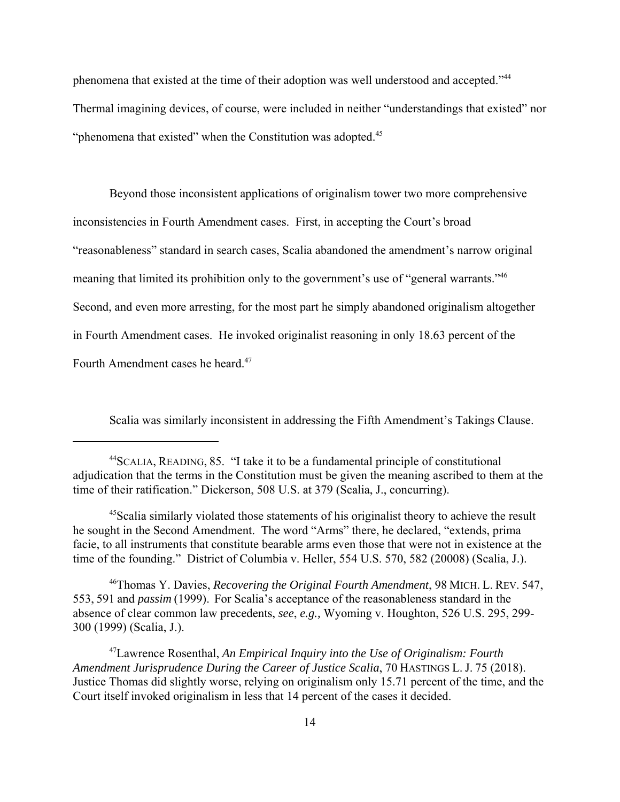phenomena that existed at the time of their adoption was well understood and accepted."44 Thermal imagining devices, of course, were included in neither "understandings that existed" nor "phenomena that existed" when the Constitution was adopted.<sup>45</sup>

Beyond those inconsistent applications of originalism tower two more comprehensive inconsistencies in Fourth Amendment cases. First, in accepting the Court's broad "reasonableness" standard in search cases, Scalia abandoned the amendment's narrow original meaning that limited its prohibition only to the government's use of "general warrants."<sup>46</sup> Second, and even more arresting, for the most part he simply abandoned originalism altogether in Fourth Amendment cases. He invoked originalist reasoning in only 18.63 percent of the Fourth Amendment cases he heard.<sup>47</sup>

Scalia was similarly inconsistent in addressing the Fifth Amendment's Takings Clause.

46Thomas Y. Davies, *Recovering the Original Fourth Amendment*, 98 MICH. L. REV. 547, 553, 591 and *passim* (1999). For Scalia's acceptance of the reasonableness standard in the absence of clear common law precedents, *see*, *e.g.,* Wyoming v. Houghton, 526 U.S. 295, 299- 300 (1999) (Scalia, J.).

47Lawrence Rosenthal, *An Empirical Inquiry into the Use of Originalism: Fourth Amendment Jurisprudence During the Career of Justice Scalia*, 70 HASTINGS L. J. 75 (2018). Justice Thomas did slightly worse, relying on originalism only 15.71 percent of the time, and the Court itself invoked originalism in less that 14 percent of the cases it decided.

<sup>44</sup>SCALIA, READING, 85. "I take it to be a fundamental principle of constitutional adjudication that the terms in the Constitution must be given the meaning ascribed to them at the time of their ratification." Dickerson, 508 U.S. at 379 (Scalia, J., concurring).

<sup>45</sup>Scalia similarly violated those statements of his originalist theory to achieve the result he sought in the Second Amendment. The word "Arms" there, he declared, "extends, prima facie, to all instruments that constitute bearable arms even those that were not in existence at the time of the founding." District of Columbia v. Heller, 554 U.S. 570, 582 (20008) (Scalia, J.).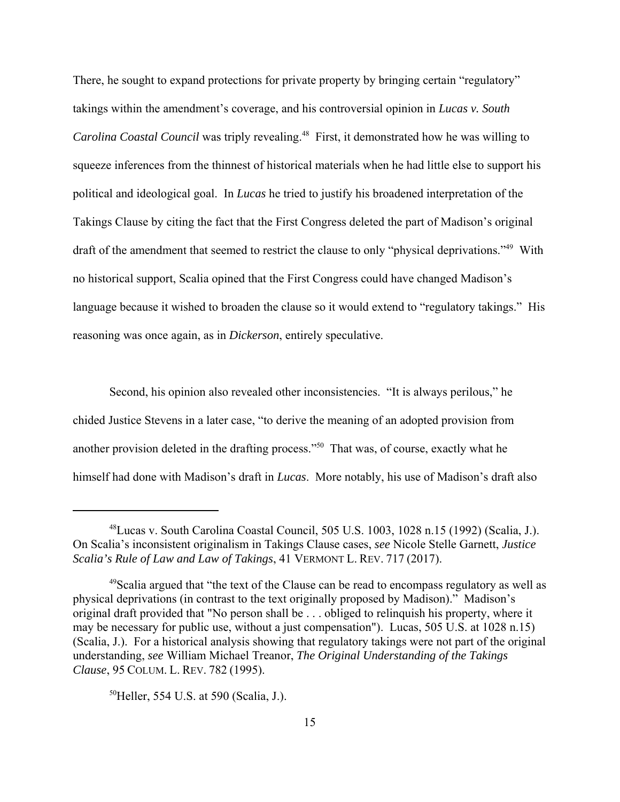There, he sought to expand protections for private property by bringing certain "regulatory" takings within the amendment's coverage, and his controversial opinion in *Lucas v. South Carolina Coastal Council* was triply revealing.<sup>48</sup> First, it demonstrated how he was willing to squeeze inferences from the thinnest of historical materials when he had little else to support his political and ideological goal. In *Lucas* he tried to justify his broadened interpretation of the Takings Clause by citing the fact that the First Congress deleted the part of Madison's original draft of the amendment that seemed to restrict the clause to only "physical deprivations."<sup>49</sup> With no historical support, Scalia opined that the First Congress could have changed Madison's language because it wished to broaden the clause so it would extend to "regulatory takings." His reasoning was once again, as in *Dickerson*, entirely speculative.

Second, his opinion also revealed other inconsistencies. "It is always perilous," he chided Justice Stevens in a later case, "to derive the meaning of an adopted provision from another provision deleted in the drafting process."50 That was, of course, exactly what he himself had done with Madison's draft in *Lucas*. More notably, his use of Madison's draft also

<sup>48</sup>Lucas v. South Carolina Coastal Council, 505 U.S. 1003, 1028 n.15 (1992) (Scalia, J.). On Scalia's inconsistent originalism in Takings Clause cases, *see* Nicole Stelle Garnett, *Justice Scalia's Rule of Law and Law of Takings*, 41 VERMONT L. REV. 717 (2017).

<sup>&</sup>lt;sup>49</sup>Scalia argued that "the text of the Clause can be read to encompass regulatory as well as physical deprivations (in contrast to the text originally proposed by Madison)." Madison's original draft provided that "No person shall be . . . obliged to relinquish his property, where it may be necessary for public use, without a just compensation"). Lucas, 505 U.S. at 1028 n.15) (Scalia, J.). For a historical analysis showing that regulatory takings were not part of the original understanding, *see* William Michael Treanor, *The Original Understanding of the Takings Clause*, 95 COLUM. L. REV. 782 (1995).

<sup>50</sup>Heller, 554 U.S. at 590 (Scalia, J.).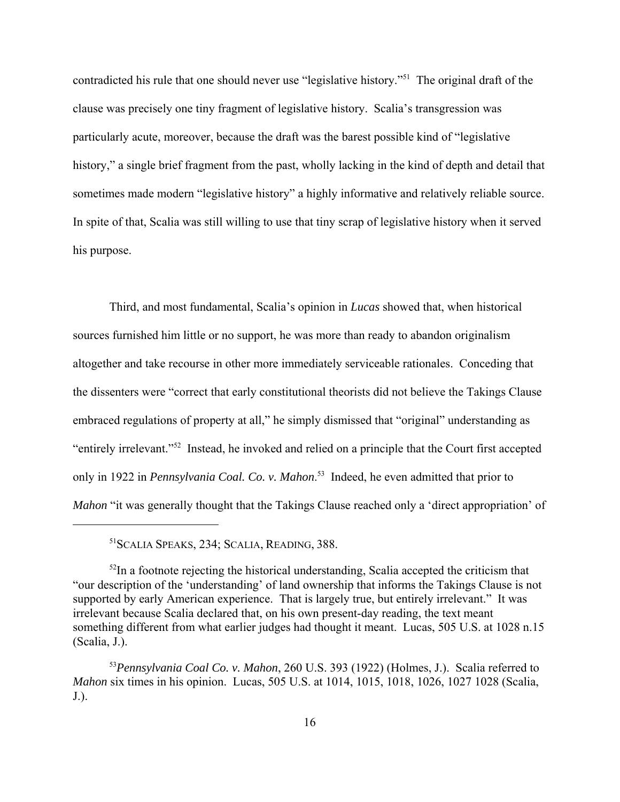contradicted his rule that one should never use "legislative history."51 The original draft of the clause was precisely one tiny fragment of legislative history. Scalia's transgression was particularly acute, moreover, because the draft was the barest possible kind of "legislative history," a single brief fragment from the past, wholly lacking in the kind of depth and detail that sometimes made modern "legislative history" a highly informative and relatively reliable source. In spite of that, Scalia was still willing to use that tiny scrap of legislative history when it served his purpose.

Third, and most fundamental, Scalia's opinion in *Lucas* showed that, when historical sources furnished him little or no support, he was more than ready to abandon originalism altogether and take recourse in other more immediately serviceable rationales. Conceding that the dissenters were "correct that early constitutional theorists did not believe the Takings Clause embraced regulations of property at all," he simply dismissed that "original" understanding as "entirely irrelevant."52 Instead, he invoked and relied on a principle that the Court first accepted only in 1922 in *Pennsylvania Coal. Co. v. Mahon*. 53 Indeed, he even admitted that prior to *Mahon* "it was generally thought that the Takings Clause reached only a 'direct appropriation' of

51SCALIA SPEAKS, 234; SCALIA, READING, 388.

 $52$ In a footnote rejecting the historical understanding, Scalia accepted the criticism that "our description of the 'understanding' of land ownership that informs the Takings Clause is not supported by early American experience. That is largely true, but entirely irrelevant." It was irrelevant because Scalia declared that, on his own present-day reading, the text meant something different from what earlier judges had thought it meant. Lucas, 505 U.S. at 1028 n.15 (Scalia, J.).

<sup>53</sup>*Pennsylvania Coal Co. v. Mahon*, 260 U.S. 393 (1922) (Holmes, J.). Scalia referred to *Mahon* six times in his opinion. Lucas, 505 U.S. at 1014, 1015, 1018, 1026, 1027 1028 (Scalia, J.).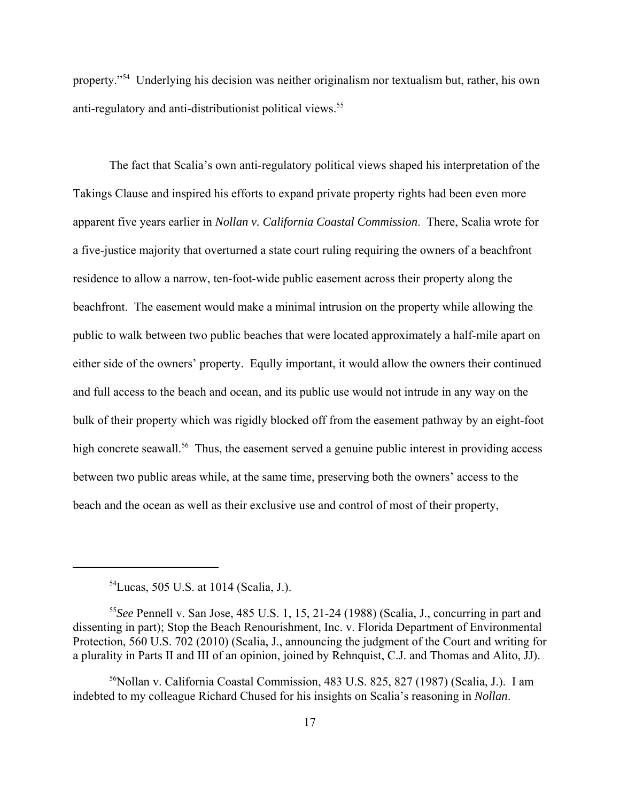property."54 Underlying his decision was neither originalism nor textualism but, rather, his own anti-regulatory and anti-distributionist political views.55

The fact that Scalia's own anti-regulatory political views shaped his interpretation of the Takings Clause and inspired his efforts to expand private property rights had been even more apparent five years earlier in *Nollan v. California Coastal Commission*. There, Scalia wrote for a five-justice majority that overturned a state court ruling requiring the owners of a beachfront residence to allow a narrow, ten-foot-wide public easement across their property along the beachfront. The easement would make a minimal intrusion on the property while allowing the public to walk between two public beaches that were located approximately a half-mile apart on either side of the owners' property. Eqully important, it would allow the owners their continued and full access to the beach and ocean, and its public use would not intrude in any way on the bulk of their property which was rigidly blocked off from the easement pathway by an eight-foot high concrete seawall.<sup>56</sup> Thus, the easement served a genuine public interest in providing access between two public areas while, at the same time, preserving both the owners' access to the beach and the ocean as well as their exclusive use and control of most of their property,

<sup>54</sup>Lucas, 505 U.S. at 1014 (Scalia, J.).

<sup>55</sup>*See* Pennell v. San Jose, 485 U.S. 1, 15, 21-24 (1988) (Scalia, J., concurring in part and dissenting in part); Stop the Beach Renourishment, Inc. v. Florida Department of Environmental Protection, 560 U.S. 702 (2010) (Scalia, J., announcing the judgment of the Court and writing for a plurality in Parts II and III of an opinion, joined by Rehnquist, C.J. and Thomas and Alito, JJ).

 $56$ Nollan v. California Coastal Commission, 483 U.S. 825, 827 (1987) (Scalia, J.). I am indebted to my colleague Richard Chused for his insights on Scalia's reasoning in *Nollan*.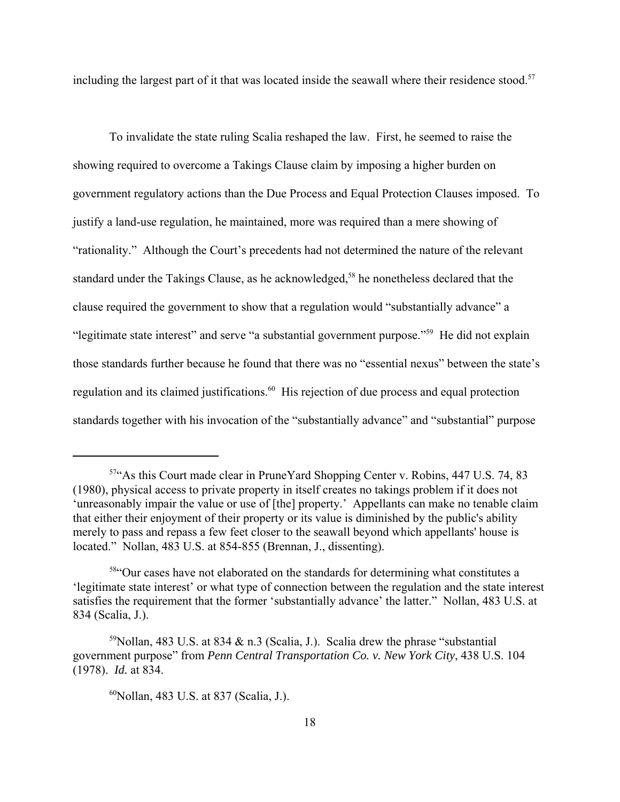including the largest part of it that was located inside the seawall where their residence stood.<sup>57</sup>

To invalidate the state ruling Scalia reshaped the law. First, he seemed to raise the showing required to overcome a Takings Clause claim by imposing a higher burden on government regulatory actions than the Due Process and Equal Protection Clauses imposed. To justify a land-use regulation, he maintained, more was required than a mere showing of "rationality." Although the Court's precedents had not determined the nature of the relevant standard under the Takings Clause, as he acknowledged,<sup>58</sup> he nonetheless declared that the clause required the government to show that a regulation would "substantially advance" a "legitimate state interest" and serve "a substantial government purpose."59 He did not explain those standards further because he found that there was no "essential nexus" between the state's regulation and its claimed justifications.<sup>60</sup> His rejection of due process and equal protection standards together with his invocation of the "substantially advance" and "substantial" purpose

<sup>57&</sup>quot;As this Court made clear in PruneYard Shopping Center v. Robins, 447 U.S. 74, 83 (1980), physical access to private property in itself creates no takings problem if it does not 'unreasonably impair the value or use of [the] property.' Appellants can make no tenable claim that either their enjoyment of their property or its value is diminished by the public's ability merely to pass and repass a few feet closer to the seawall beyond which appellants' house is located." Nollan, 483 U.S. at 854-855 (Brennan, J., dissenting).

<sup>58&</sup>quot;Our cases have not elaborated on the standards for determining what constitutes a 'legitimate state interest' or what type of connection between the regulation and the state interest satisfies the requirement that the former 'substantially advance' the latter." Nollan, 483 U.S. at 834 (Scalia, J.).

<sup>&</sup>lt;sup>59</sup>Nollan, 483 U.S. at 834 & n.3 (Scalia, J.). Scalia drew the phrase "substantial" government purpose" from *Penn Central Transportation Co. v. New York City*, 438 U.S. 104 (1978). *Id.* at 834.

<sup>60</sup>Nollan, 483 U.S. at 837 (Scalia, J.).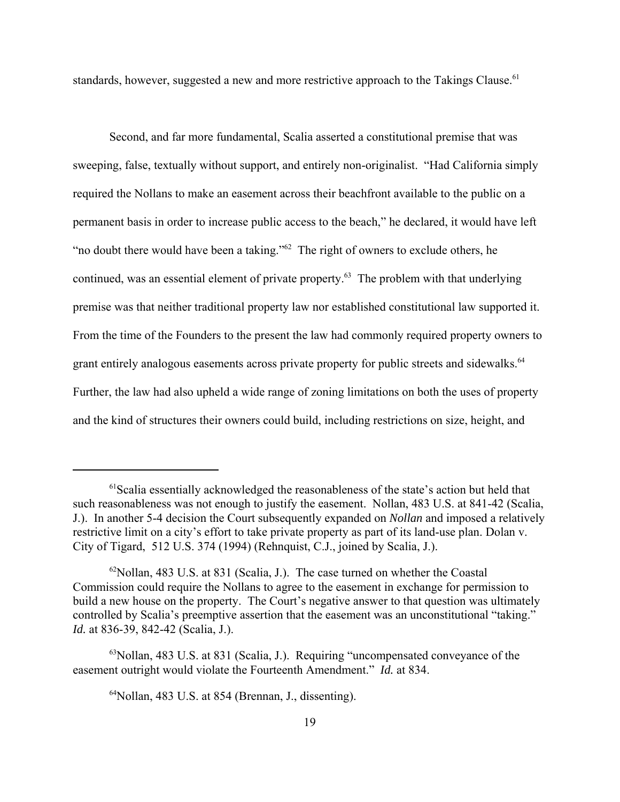standards, however, suggested a new and more restrictive approach to the Takings Clause.<sup>61</sup>

Second, and far more fundamental, Scalia asserted a constitutional premise that was sweeping, false, textually without support, and entirely non-originalist. "Had California simply required the Nollans to make an easement across their beachfront available to the public on a permanent basis in order to increase public access to the beach," he declared, it would have left "no doubt there would have been a taking."<sup>62</sup> The right of owners to exclude others, he continued, was an essential element of private property.<sup>63</sup> The problem with that underlying premise was that neither traditional property law nor established constitutional law supported it. From the time of the Founders to the present the law had commonly required property owners to grant entirely analogous easements across private property for public streets and sidewalks.<sup>64</sup> Further, the law had also upheld a wide range of zoning limitations on both the uses of property and the kind of structures their owners could build, including restrictions on size, height, and

 $<sup>61</sup>$ Scalia essentially acknowledged the reasonableness of the state's action but held that</sup> such reasonableness was not enough to justify the easement. Nollan, 483 U.S. at 841-42 (Scalia, J.). In another 5-4 decision the Court subsequently expanded on *Nollan* and imposed a relatively restrictive limit on a city's effort to take private property as part of its land-use plan. Dolan v. City of Tigard, 512 U.S. 374 (1994) (Rehnquist, C.J., joined by Scalia, J.).

 $62$ Nollan, 483 U.S. at 831 (Scalia, J.). The case turned on whether the Coastal Commission could require the Nollans to agree to the easement in exchange for permission to build a new house on the property. The Court's negative answer to that question was ultimately controlled by Scalia's preemptive assertion that the easement was an unconstitutional "taking." *Id.* at 836-39, 842-42 (Scalia, J.).

 $63$ Nollan, 483 U.S. at 831 (Scalia, J.). Requiring "uncompensated conveyance of the easement outright would violate the Fourteenth Amendment." *Id.* at 834.

<sup>64</sup>Nollan, 483 U.S. at 854 (Brennan, J., dissenting).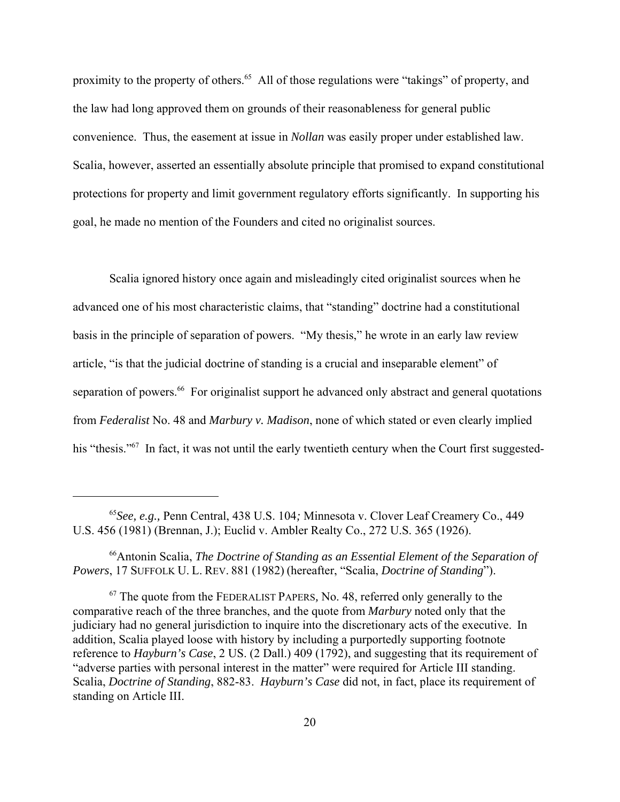proximity to the property of others.<sup>65</sup> All of those regulations were "takings" of property, and the law had long approved them on grounds of their reasonableness for general public convenience. Thus, the easement at issue in *Nollan* was easily proper under established law. Scalia, however, asserted an essentially absolute principle that promised to expand constitutional protections for property and limit government regulatory efforts significantly. In supporting his goal, he made no mention of the Founders and cited no originalist sources.

Scalia ignored history once again and misleadingly cited originalist sources when he advanced one of his most characteristic claims, that "standing" doctrine had a constitutional basis in the principle of separation of powers. "My thesis," he wrote in an early law review article, "is that the judicial doctrine of standing is a crucial and inseparable element" of separation of powers.<sup>66</sup> For originalist support he advanced only abstract and general quotations from *Federalist* No. 48 and *Marbury v. Madison*, none of which stated or even clearly implied his "thesis."<sup>67</sup> In fact, it was not until the early twentieth century when the Court first suggested-

66Antonin Scalia, *The Doctrine of Standing as an Essential Element of the Separation of Powers*, 17 SUFFOLK U. L. REV. 881 (1982) (hereafter, "Scalia, *Doctrine of Standing*").

67 The quote from the FEDERALIST PAPERS*,* No. 48, referred only generally to the comparative reach of the three branches, and the quote from *Marbury* noted only that the judiciary had no general jurisdiction to inquire into the discretionary acts of the executive. In addition, Scalia played loose with history by including a purportedly supporting footnote reference to *Hayburn's Case*, 2 US. (2 Dall.) 409 (1792), and suggesting that its requirement of "adverse parties with personal interest in the matter" were required for Article III standing. Scalia, *Doctrine of Standing*, 882-83. *Hayburn's Case* did not, in fact, place its requirement of standing on Article III.

<sup>65</sup>*See, e.g.,* Penn Central, 438 U.S. 104*;* Minnesota v. Clover Leaf Creamery Co., 449 U.S. 456 (1981) (Brennan, J.); Euclid v. Ambler Realty Co., 272 U.S. 365 (1926).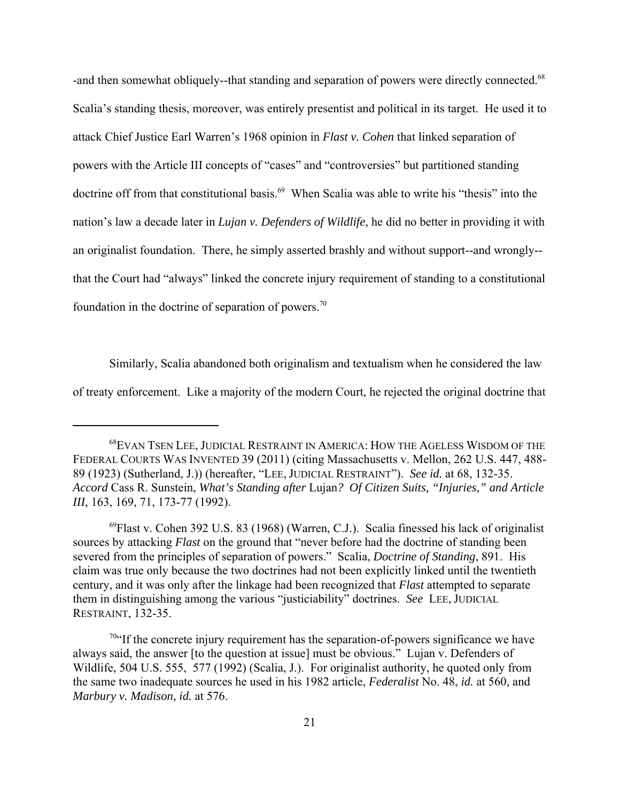-and then somewhat obliquely--that standing and separation of powers were directly connected.<sup>68</sup> Scalia's standing thesis, moreover, was entirely presentist and political in its target. He used it to attack Chief Justice Earl Warren's 1968 opinion in *Flast v. Cohen* that linked separation of powers with the Article III concepts of "cases" and "controversies" but partitioned standing doctrine off from that constitutional basis.<sup>69</sup> When Scalia was able to write his "thesis" into the nation's law a decade later in *Lujan v. Defenders of Wildlife*, he did no better in providing it with an originalist foundation. There, he simply asserted brashly and without support--and wrongly- that the Court had "always" linked the concrete injury requirement of standing to a constitutional foundation in the doctrine of separation of powers.<sup>70</sup>

Similarly, Scalia abandoned both originalism and textualism when he considered the law of treaty enforcement. Like a majority of the modern Court, he rejected the original doctrine that

<sup>68</sup>EVAN TSEN LEE, JUDICIAL RESTRAINT IN AMERICA: HOW THE AGELESS WISDOM OF THE FEDERAL COURTS WAS INVENTED 39 (2011) (citing Massachusetts v. Mellon, 262 U.S. 447, 488- 89 (1923) (Sutherland, J.)) (hereafter, "LEE, JUDICIAL RESTRAINT"). *See id.* at 68, 132-35. *Accord* Cass R. Sunstein, *What's Standing after* Lujan*? Of Citizen Suits, "Injuries," and Article III*, 163, 169, 71, 173-77 (1992).

 $^{69}$ Flast v. Cohen 392 U.S. 83 (1968) (Warren, C.J.). Scalia finessed his lack of originalist sources by attacking *Flast* on the ground that "never before had the doctrine of standing been severed from the principles of separation of powers." Scalia, *Doctrine of Standing*, 891. His claim was true only because the two doctrines had not been explicitly linked until the twentieth century, and it was only after the linkage had been recognized that *Flast* attempted to separate them in distinguishing among the various "justiciability" doctrines. *See* LEE, JUDICIAL RESTRAINT, 132-35.

 $70$ "If the concrete injury requirement has the separation-of-powers significance we have always said, the answer [to the question at issue] must be obvious." Lujan v. Defenders of Wildlife, 504 U.S. 555, 577 (1992) (Scalia, J.). For originalist authority, he quoted only from the same two inadequate sources he used in his 1982 article, *Federalist* No. 48, *id.* at 560, and *Marbury v. Madison, id.* at 576.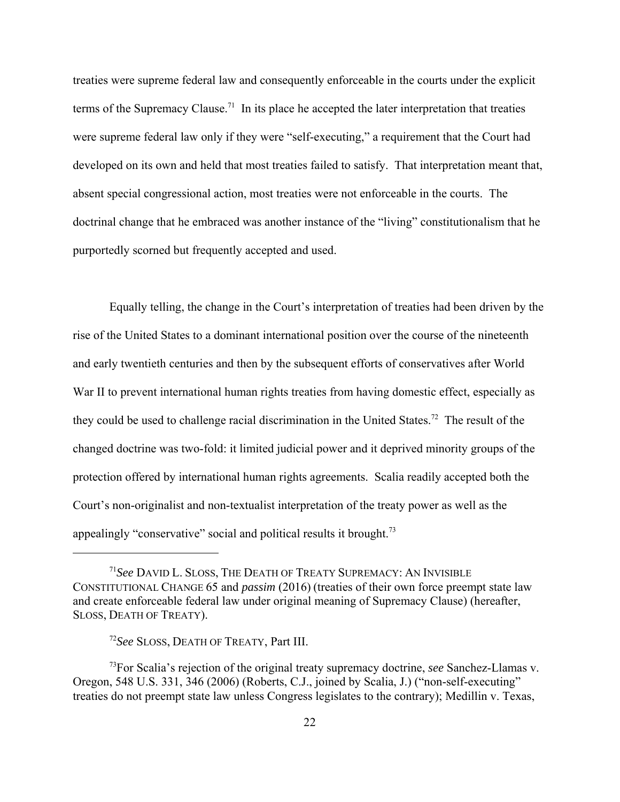treaties were supreme federal law and consequently enforceable in the courts under the explicit terms of the Supremacy Clause.<sup>71</sup> In its place he accepted the later interpretation that treaties were supreme federal law only if they were "self-executing," a requirement that the Court had developed on its own and held that most treaties failed to satisfy. That interpretation meant that, absent special congressional action, most treaties were not enforceable in the courts. The doctrinal change that he embraced was another instance of the "living" constitutionalism that he purportedly scorned but frequently accepted and used.

Equally telling, the change in the Court's interpretation of treaties had been driven by the rise of the United States to a dominant international position over the course of the nineteenth and early twentieth centuries and then by the subsequent efforts of conservatives after World War II to prevent international human rights treaties from having domestic effect, especially as they could be used to challenge racial discrimination in the United States.<sup>72</sup> The result of the changed doctrine was two-fold: it limited judicial power and it deprived minority groups of the protection offered by international human rights agreements. Scalia readily accepted both the Court's non-originalist and non-textualist interpretation of the treaty power as well as the appealingly "conservative" social and political results it brought. $^{73}$ 

<sup>71</sup>*See* DAVID L. SLOSS, THE DEATH OF TREATY SUPREMACY: AN INVISIBLE CONSTITUTIONAL CHANGE 65 and *passim* (2016) (treaties of their own force preempt state law and create enforceable federal law under original meaning of Supremacy Clause) (hereafter, SLOSS, DEATH OF TREATY).

<sup>72</sup>*See* SLOSS, DEATH OF TREATY, Part III.

<sup>73</sup>For Scalia's rejection of the original treaty supremacy doctrine, *see* Sanchez-Llamas v. Oregon, 548 U.S. 331, 346 (2006) (Roberts, C.J., joined by Scalia, J.) ("non-self-executing" treaties do not preempt state law unless Congress legislates to the contrary); Medillin v. Texas,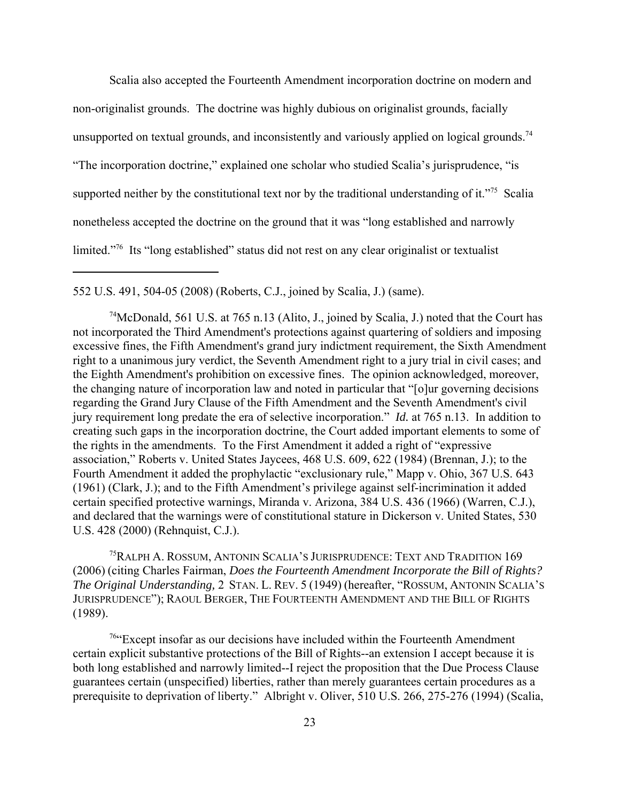Scalia also accepted the Fourteenth Amendment incorporation doctrine on modern and non-originalist grounds. The doctrine was highly dubious on originalist grounds, facially unsupported on textual grounds, and inconsistently and variously applied on logical grounds.<sup>74</sup> "The incorporation doctrine," explained one scholar who studied Scalia's jurisprudence, "is supported neither by the constitutional text nor by the traditional understanding of it."<sup>75</sup> Scalia nonetheless accepted the doctrine on the ground that it was "long established and narrowly limited."76 Its "long established" status did not rest on any clear originalist or textualist

552 U.S. 491, 504-05 (2008) (Roberts, C.J., joined by Scalia, J.) (same).

<sup>74</sup>McDonald, 561 U.S. at 765 n.13 (Alito, J., joined by Scalia, J.) noted that the Court has not incorporated the Third Amendment's protections against quartering of soldiers and imposing excessive fines, the Fifth Amendment's grand jury indictment requirement, the Sixth Amendment right to a unanimous jury verdict, the Seventh Amendment right to a jury trial in civil cases; and the Eighth Amendment's prohibition on excessive fines. The opinion acknowledged, moreover, the changing nature of incorporation law and noted in particular that "[o]ur governing decisions regarding the Grand Jury Clause of the Fifth Amendment and the Seventh Amendment's civil jury requirement long predate the era of selective incorporation." *Id.* at 765 n.13. In addition to creating such gaps in the incorporation doctrine, the Court added important elements to some of the rights in the amendments. To the First Amendment it added a right of "expressive association," Roberts v. United States Jaycees, 468 U.S. 609, 622 (1984) (Brennan, J.); to the Fourth Amendment it added the prophylactic "exclusionary rule," Mapp v. Ohio, 367 U.S. 643 (1961) (Clark, J.); and to the Fifth Amendment's privilege against self-incrimination it added certain specified protective warnings, Miranda v. Arizona, 384 U.S. 436 (1966) (Warren, C.J.), and declared that the warnings were of constitutional stature in Dickerson v. United States, 530 U.S. 428 (2000) (Rehnquist, C.J.).

<sup>75</sup>RALPH A. ROSSUM, ANTONIN SCALIA'S JURISPRUDENCE: TEXT AND TRADITION 169 (2006) (citing Charles Fairman, *Does the Fourteenth Amendment Incorporate the Bill of Rights? The Original Understanding,* 2 STAN. L. REV. 5 (1949) (hereafter, "ROSSUM, ANTONIN SCALIA'S JURISPRUDENCE"); RAOUL BERGER, THE FOURTEENTH AMENDMENT AND THE BILL OF RIGHTS (1989).

76"Except insofar as our decisions have included within the Fourteenth Amendment certain explicit substantive protections of the Bill of Rights--an extension I accept because it is both long established and narrowly limited--I reject the proposition that the Due Process Clause guarantees certain (unspecified) liberties, rather than merely guarantees certain procedures as a prerequisite to deprivation of liberty." Albright v. Oliver, 510 U.S. 266, 275-276 (1994) (Scalia,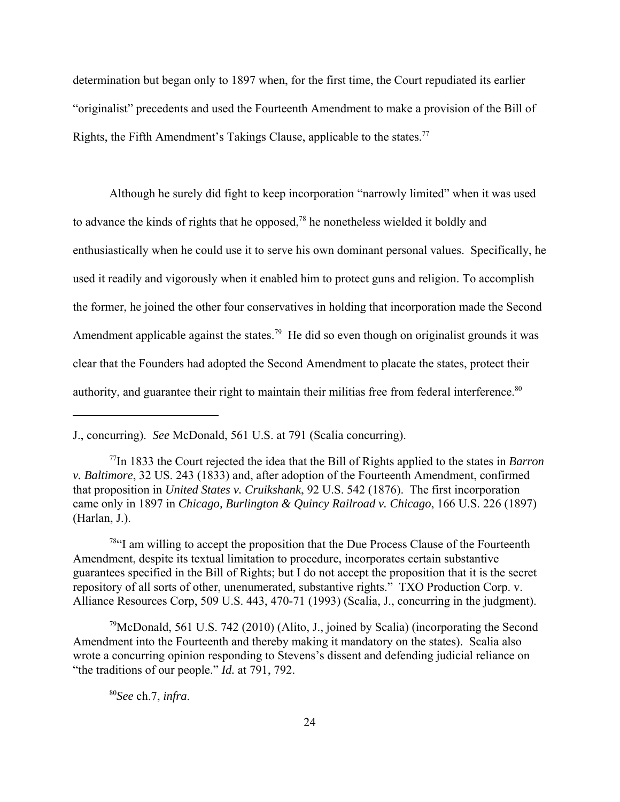determination but began only to 1897 when, for the first time, the Court repudiated its earlier "originalist" precedents and used the Fourteenth Amendment to make a provision of the Bill of Rights, the Fifth Amendment's Takings Clause, applicable to the states.<sup>77</sup>

Although he surely did fight to keep incorporation "narrowly limited" when it was used to advance the kinds of rights that he opposed,<sup>78</sup> he nonetheless wielded it boldly and enthusiastically when he could use it to serve his own dominant personal values. Specifically, he used it readily and vigorously when it enabled him to protect guns and religion. To accomplish the former, he joined the other four conservatives in holding that incorporation made the Second Amendment applicable against the states.<sup>79</sup> He did so even though on originalist grounds it was clear that the Founders had adopted the Second Amendment to placate the states, protect their authority, and guarantee their right to maintain their militias free from federal interference.<sup>80</sup>

<sup>78"</sup>I am willing to accept the proposition that the Due Process Clause of the Fourteenth Amendment, despite its textual limitation to procedure, incorporates certain substantive guarantees specified in the Bill of Rights; but I do not accept the proposition that it is the secret repository of all sorts of other, unenumerated, substantive rights." TXO Production Corp. v. Alliance Resources Corp, 509 U.S. 443, 470-71 (1993) (Scalia, J., concurring in the judgment).

 $79$ McDonald, 561 U.S. 742 (2010) (Alito, J., joined by Scalia) (incorporating the Second Amendment into the Fourteenth and thereby making it mandatory on the states). Scalia also wrote a concurring opinion responding to Stevens's dissent and defending judicial reliance on "the traditions of our people." *Id.* at 791, 792.

<sup>80</sup>*See* ch.7, *infra*.

J., concurring). *See* McDonald, 561 U.S. at 791 (Scalia concurring).

<sup>77</sup>In 1833 the Court rejected the idea that the Bill of Rights applied to the states in *Barron v. Baltimore*, 32 US. 243 (1833) and, after adoption of the Fourteenth Amendment, confirmed that proposition in *United States v. Cruikshank*, 92 U.S. 542 (1876). The first incorporation came only in 1897 in *Chicago, Burlington & Quincy Railroad v. Chicago*, 166 U.S. 226 (1897) (Harlan, J.).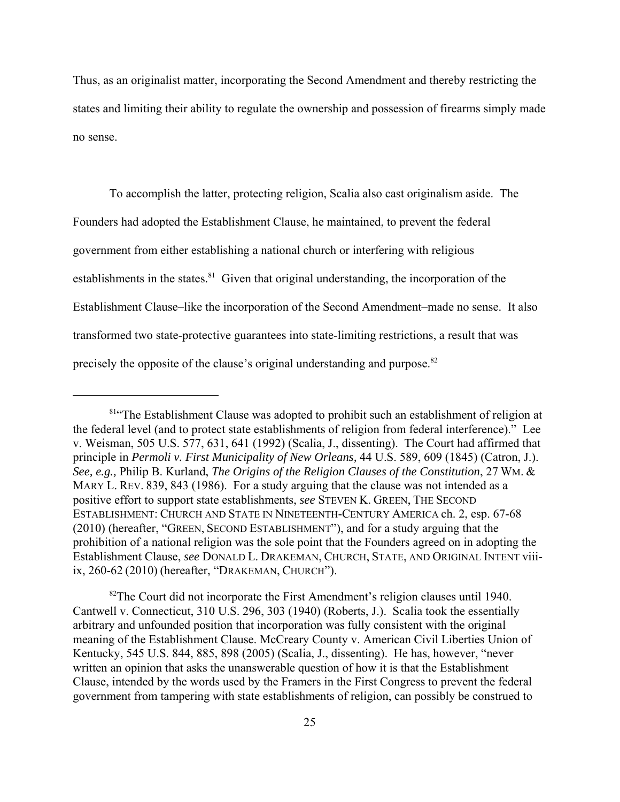Thus, as an originalist matter, incorporating the Second Amendment and thereby restricting the states and limiting their ability to regulate the ownership and possession of firearms simply made no sense.

To accomplish the latter, protecting religion, Scalia also cast originalism aside. The Founders had adopted the Establishment Clause, he maintained, to prevent the federal government from either establishing a national church or interfering with religious establishments in the states. $81$  Given that original understanding, the incorporation of the Establishment Clause–like the incorporation of the Second Amendment–made no sense. It also transformed two state-protective guarantees into state-limiting restrictions, a result that was precisely the opposite of the clause's original understanding and purpose.<sup>82</sup>

<sup>82</sup>The Court did not incorporate the First Amendment's religion clauses until 1940. Cantwell v. Connecticut, 310 U.S. 296, 303 (1940) (Roberts, J.). Scalia took the essentially arbitrary and unfounded position that incorporation was fully consistent with the original meaning of the Establishment Clause. McCreary County v. American Civil Liberties Union of Kentucky, 545 U.S. 844, 885, 898 (2005) (Scalia, J., dissenting). He has, however, "never written an opinion that asks the unanswerable question of how it is that the Establishment Clause, intended by the words used by the Framers in the First Congress to prevent the federal government from tampering with state establishments of religion, can possibly be construed to

<sup>&</sup>lt;sup>81</sup>"The Establishment Clause was adopted to prohibit such an establishment of religion at the federal level (and to protect state establishments of religion from federal interference)." Lee v. Weisman, 505 U.S. 577, 631, 641 (1992) (Scalia, J., dissenting). The Court had affirmed that principle in *Permoli v. First Municipality of New Orleans,* 44 U.S. 589, 609 (1845) (Catron, J.). *See, e.g.,* Philip B. Kurland, *The Origins of the Religion Clauses of the Constitution*, 27 WM. & MARY L. REV. 839, 843 (1986). For a study arguing that the clause was not intended as a positive effort to support state establishments, *see* STEVEN K. GREEN, THE SECOND ESTABLISHMENT: CHURCH AND STATE IN NINETEENTH-CENTURY AMERICA ch. 2, esp. 67-68 (2010) (hereafter, "GREEN, SECOND ESTABLISHMENT"), and for a study arguing that the prohibition of a national religion was the sole point that the Founders agreed on in adopting the Establishment Clause, *see* DONALD L. DRAKEMAN, CHURCH, STATE, AND ORIGINAL INTENT viiiix, 260-62 (2010) (hereafter, "DRAKEMAN, CHURCH").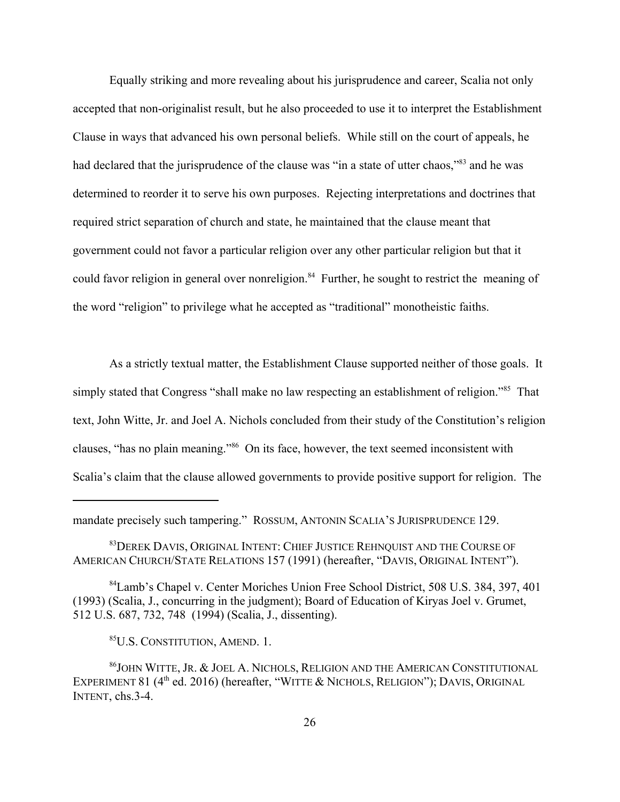Equally striking and more revealing about his jurisprudence and career, Scalia not only accepted that non-originalist result, but he also proceeded to use it to interpret the Establishment Clause in ways that advanced his own personal beliefs. While still on the court of appeals, he had declared that the jurisprudence of the clause was "in a state of utter chaos,"83 and he was determined to reorder it to serve his own purposes. Rejecting interpretations and doctrines that required strict separation of church and state, he maintained that the clause meant that government could not favor a particular religion over any other particular religion but that it could favor religion in general over nonreligion.<sup>84</sup> Further, he sought to restrict the meaning of the word "religion" to privilege what he accepted as "traditional" monotheistic faiths.

As a strictly textual matter, the Establishment Clause supported neither of those goals. It simply stated that Congress "shall make no law respecting an establishment of religion."<sup>85</sup> That text, John Witte, Jr. and Joel A. Nichols concluded from their study of the Constitution's religion clauses, "has no plain meaning."86 On its face, however, the text seemed inconsistent with Scalia's claim that the clause allowed governments to provide positive support for religion. The

mandate precisely such tampering." ROSSUM, ANTONIN SCALIA'S JURISPRUDENCE 129.

<sup>83</sup>DEREK DAVIS, ORIGINAL INTENT: CHIEF JUSTICE REHNQUIST AND THE COURSE OF AMERICAN CHURCH/STATE RELATIONS 157 (1991) (hereafter, "DAVIS, ORIGINAL INTENT").

84Lamb's Chapel v. Center Moriches Union Free School District, 508 U.S. 384, 397, 401 (1993) (Scalia, J., concurring in the judgment); Board of Education of Kiryas Joel v. Grumet, 512 U.S. 687, 732, 748 (1994) (Scalia, J., dissenting).

85U.S. CONSTITUTION, AMEND. 1.

86JOHN WITTE, JR. & JOEL A. NICHOLS, RELIGION AND THE AMERICAN CONSTITUTIONAL EXPERIMENT 81 ( $4<sup>th</sup>$  ed. 2016) (hereafter, "WITTE & NICHOLS, RELIGION"); DAVIS, ORIGINAL INTENT, chs.3-4.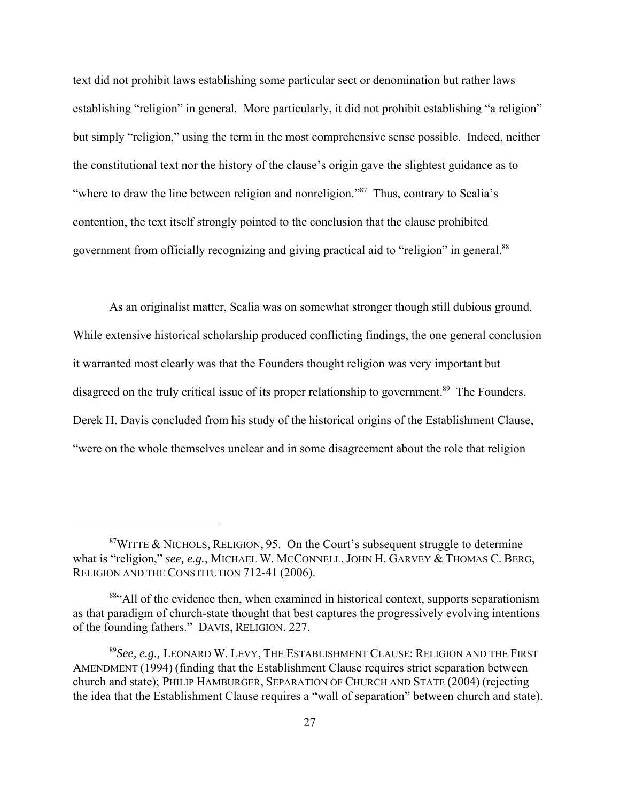text did not prohibit laws establishing some particular sect or denomination but rather laws establishing "religion" in general. More particularly, it did not prohibit establishing "a religion" but simply "religion," using the term in the most comprehensive sense possible. Indeed, neither the constitutional text nor the history of the clause's origin gave the slightest guidance as to "where to draw the line between religion and nonreligion."<sup>87</sup> Thus, contrary to Scalia's contention, the text itself strongly pointed to the conclusion that the clause prohibited government from officially recognizing and giving practical aid to "religion" in general.<sup>88</sup>

As an originalist matter, Scalia was on somewhat stronger though still dubious ground. While extensive historical scholarship produced conflicting findings, the one general conclusion it warranted most clearly was that the Founders thought religion was very important but disagreed on the truly critical issue of its proper relationship to government.<sup>89</sup> The Founders, Derek H. Davis concluded from his study of the historical origins of the Establishment Clause, "were on the whole themselves unclear and in some disagreement about the role that religion

 $87$ WITTE & NICHOLS, RELIGION, 95. On the Court's subsequent struggle to determine what is "religion," *see, e.g.,* MICHAEL W. MCCONNELL, JOHN H. GARVEY & THOMAS C. BERG, RELIGION AND THE CONSTITUTION 712-41 (2006).

<sup>&</sup>lt;sup>884</sup>All of the evidence then, when examined in historical context, supports separationism as that paradigm of church-state thought that best captures the progressively evolving intentions of the founding fathers." DAVIS, RELIGION. 227.

<sup>89</sup>*See, e.g.,* LEONARD W. LEVY, THE ESTABLISHMENT CLAUSE: RELIGION AND THE FIRST AMENDMENT (1994) (finding that the Establishment Clause requires strict separation between church and state); PHILIP HAMBURGER, SEPARATION OF CHURCH AND STATE (2004) (rejecting the idea that the Establishment Clause requires a "wall of separation" between church and state).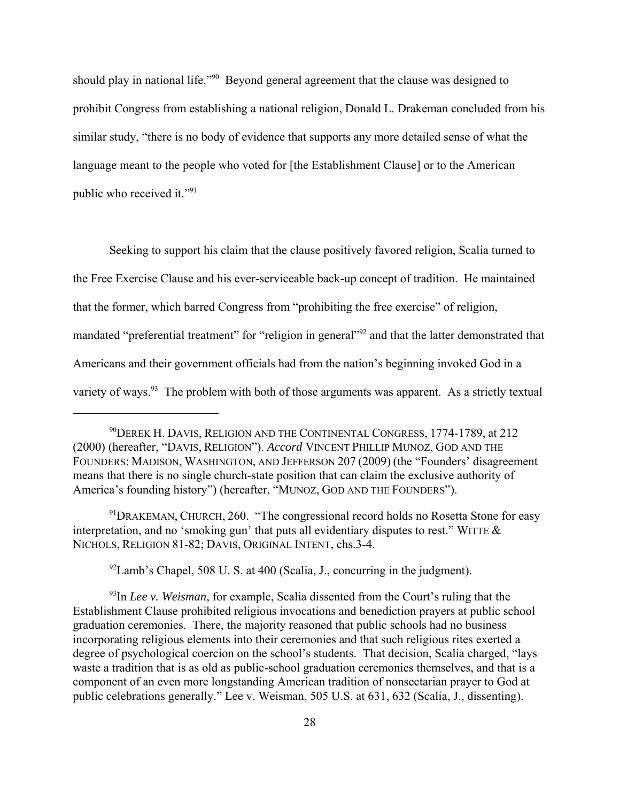should play in national life."<sup>90</sup> Beyond general agreement that the clause was designed to prohibit Congress from establishing a national religion, Donald L. Drakeman concluded from his similar study, "there is no body of evidence that supports any more detailed sense of what the language meant to the people who voted for [the Establishment Clause] or to the American public who received it."91

Seeking to support his claim that the clause positively favored religion, Scalia turned to the Free Exercise Clause and his ever-serviceable back-up concept of tradition. He maintained that the former, which barred Congress from "prohibiting the free exercise" of religion, mandated "preferential treatment" for "religion in general"<sup>92</sup> and that the latter demonstrated that Americans and their government officials had from the nation's beginning invoked God in a variety of ways.<sup>93</sup> The problem with both of those arguments was apparent. As a strictly textual

 $91$ DRAKEMAN, CHURCH, 260. "The congressional record holds no Rosetta Stone for easy interpretation, and no 'smoking gun' that puts all evidentiary disputes to rest." WITTE & NICHOLS, RELIGION 81-82; DAVIS, ORIGINAL INTENT, chs.3-4.

 $^{92}$ Lamb's Chapel, 508 U. S. at 400 (Scalia, J., concurring in the judgment).

<sup>93</sup>In *Lee v. Weisman*, for example, Scalia dissented from the Court's ruling that the Establishment Clause prohibited religious invocations and benediction prayers at public school graduation ceremonies. There, the majority reasoned that public schools had no business incorporating religious elements into their ceremonies and that such religious rites exerted a degree of psychological coercion on the school's students. That decision, Scalia charged, "lays waste a tradition that is as old as public-school graduation ceremonies themselves, and that is a component of an even more longstanding American tradition of nonsectarian prayer to God at public celebrations generally." Lee v. Weisman, 505 U.S. at 631, 632 (Scalia, J., dissenting).

 $^{90}$ Derek H. Davis, Religion and the Continental Congress, 1774-1789, at 212 (2000) (hereafter, "DAVIS, RELIGION"). *Accord* VINCENT PHILLIP MUNOZ, GOD AND THE FOUNDERS: MADISON, WASHINGTON, AND JEFFERSON 207 (2009) (the "Founders' disagreement means that there is no single church-state position that can claim the exclusive authority of America's founding history") (hereafter, "MUNOZ, GOD AND THE FOUNDERS").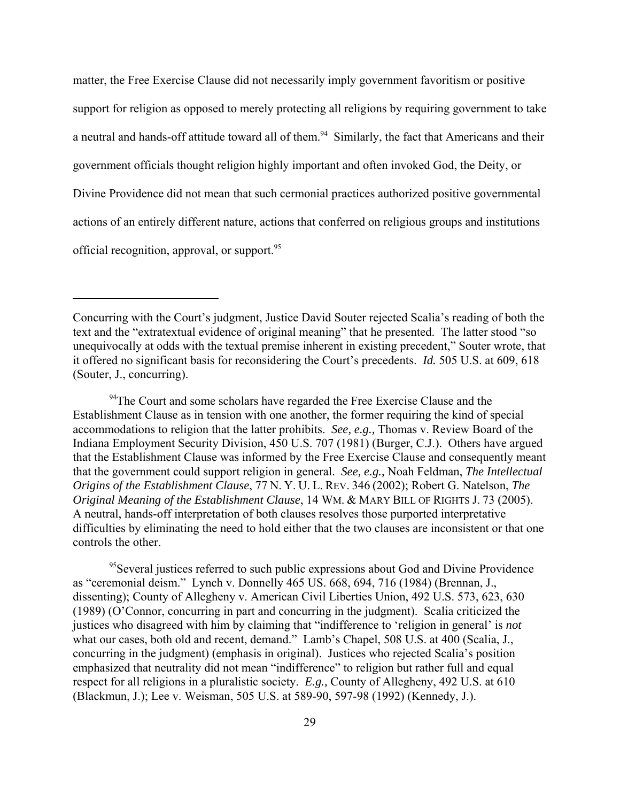matter, the Free Exercise Clause did not necessarily imply government favoritism or positive support for religion as opposed to merely protecting all religions by requiring government to take a neutral and hands-off attitude toward all of them.<sup>94</sup> Similarly, the fact that Americans and their government officials thought religion highly important and often invoked God, the Deity, or Divine Providence did not mean that such cermonial practices authorized positive governmental actions of an entirely different nature, actions that conferred on religious groups and institutions official recognition, approval, or support.95

 $94$ The Court and some scholars have regarded the Free Exercise Clause and the Establishment Clause as in tension with one another, the former requiring the kind of special accommodations to religion that the latter prohibits. *See, e.g.,* Thomas v. Review Board of the Indiana Employment Security Division, 450 U.S. 707 (1981) (Burger, C.J.). Others have argued that the Establishment Clause was informed by the Free Exercise Clause and consequently meant that the government could support religion in general. *See, e.g.,* Noah Feldman, *The Intellectual Origins of the Establishment Clause*, 77 N. Y. U. L. REV. 346 (2002); Robert G. Natelson, *The Original Meaning of the Establishment Clause*, 14 WM. & MARY BILL OF RIGHTS J. 73 (2005). A neutral, hands-off interpretation of both clauses resolves those purported interpretative difficulties by eliminating the need to hold either that the two clauses are inconsistent or that one controls the other.

<sup>95</sup>Several justices referred to such public expressions about God and Divine Providence as "ceremonial deism." Lynch v. Donnelly 465 US. 668, 694, 716 (1984) (Brennan, J., dissenting); County of Allegheny v. American Civil Liberties Union, 492 U.S. 573, 623, 630 (1989) (O'Connor, concurring in part and concurring in the judgment). Scalia criticized the justices who disagreed with him by claiming that "indifference to 'religion in general' is *not* what our cases, both old and recent, demand." Lamb's Chapel, 508 U.S. at 400 (Scalia, J., concurring in the judgment) (emphasis in original). Justices who rejected Scalia's position emphasized that neutrality did not mean "indifference" to religion but rather full and equal respect for all religions in a pluralistic society. *E.g.,* County of Allegheny, 492 U.S. at 610 (Blackmun, J.); Lee v. Weisman, 505 U.S. at 589-90, 597-98 (1992) (Kennedy, J.).

Concurring with the Court's judgment, Justice David Souter rejected Scalia's reading of both the text and the "extratextual evidence of original meaning" that he presented. The latter stood "so unequivocally at odds with the textual premise inherent in existing precedent," Souter wrote, that it offered no significant basis for reconsidering the Court's precedents. *Id.* 505 U.S. at 609, 618 (Souter, J., concurring).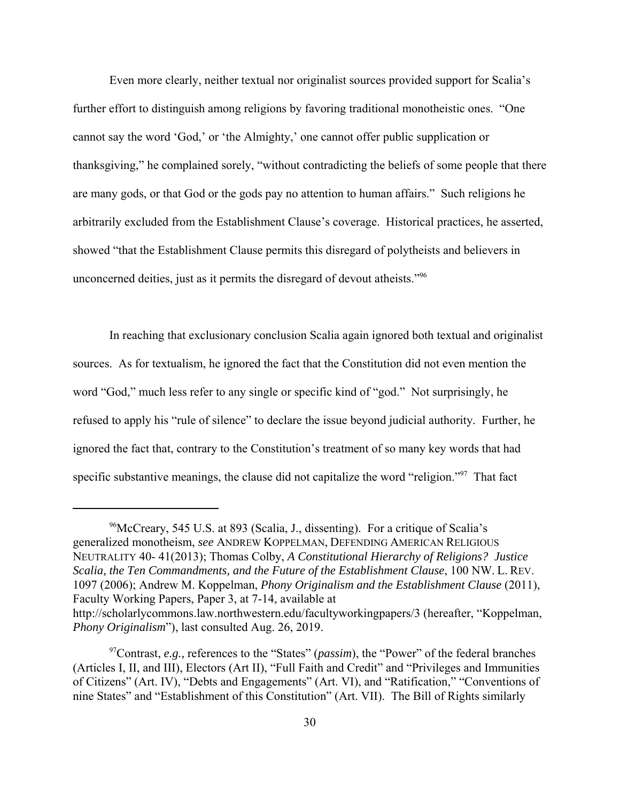Even more clearly, neither textual nor originalist sources provided support for Scalia's further effort to distinguish among religions by favoring traditional monotheistic ones. "One cannot say the word 'God,' or 'the Almighty,' one cannot offer public supplication or thanksgiving," he complained sorely, "without contradicting the beliefs of some people that there are many gods, or that God or the gods pay no attention to human affairs." Such religions he arbitrarily excluded from the Establishment Clause's coverage. Historical practices, he asserted, showed "that the Establishment Clause permits this disregard of polytheists and believers in unconcerned deities, just as it permits the disregard of devout atheists."<sup>96</sup>

In reaching that exclusionary conclusion Scalia again ignored both textual and originalist sources. As for textualism, he ignored the fact that the Constitution did not even mention the word "God," much less refer to any single or specific kind of "god." Not surprisingly, he refused to apply his "rule of silence" to declare the issue beyond judicial authority. Further, he ignored the fact that, contrary to the Constitution's treatment of so many key words that had specific substantive meanings, the clause did not capitalize the word "religion."<sup>97</sup> That fact

<sup>96</sup>McCreary, 545 U.S. at 893 (Scalia, J., dissenting). For a critique of Scalia's generalized monotheism, *see* ANDREW KOPPELMAN, DEFENDING AMERICAN RELIGIOUS NEUTRALITY 40- 41(2013); Thomas Colby, *A Constitutional Hierarchy of Religions? Justice Scalia, the Ten Commandments, and the Future of the Establishment Clause*, 100 NW. L. REV. 1097 (2006); Andrew M. Koppelman, *Phony Originalism and the Establishment Clause* (2011), Faculty Working Papers, Paper 3, at 7-14, available at

http://scholarlycommons.law.northwestern.edu/facultyworkingpapers/3 (hereafter, "Koppelman, *Phony Originalism*"), last consulted Aug. 26, 2019.

<sup>97</sup>Contrast, *e.g.,* references to the "States" (*passim*), the "Power" of the federal branches (Articles I, II, and III), Electors (Art II), "Full Faith and Credit" and "Privileges and Immunities of Citizens" (Art. IV), "Debts and Engagements" (Art. VI), and "Ratification," "Conventions of nine States" and "Establishment of this Constitution" (Art. VII). The Bill of Rights similarly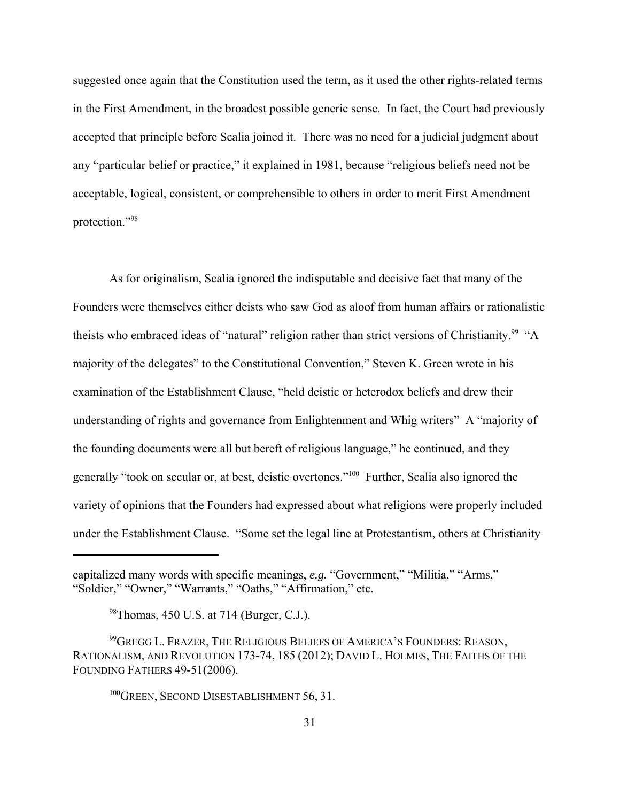suggested once again that the Constitution used the term, as it used the other rights-related terms in the First Amendment, in the broadest possible generic sense. In fact, the Court had previously accepted that principle before Scalia joined it. There was no need for a judicial judgment about any "particular belief or practice," it explained in 1981, because "religious beliefs need not be acceptable, logical, consistent, or comprehensible to others in order to merit First Amendment protection."98

As for originalism, Scalia ignored the indisputable and decisive fact that many of the Founders were themselves either deists who saw God as aloof from human affairs or rationalistic theists who embraced ideas of "natural" religion rather than strict versions of Christianity.<sup>99</sup> "A majority of the delegates" to the Constitutional Convention," Steven K. Green wrote in his examination of the Establishment Clause, "held deistic or heterodox beliefs and drew their understanding of rights and governance from Enlightenment and Whig writers" A "majority of the founding documents were all but bereft of religious language," he continued, and they generally "took on secular or, at best, deistic overtones."100 Further, Scalia also ignored the variety of opinions that the Founders had expressed about what religions were properly included under the Establishment Clause. "Some set the legal line at Protestantism, others at Christianity

<sup>100</sup>GREEN, SECOND DISESTABLISHMENT 56, 31.

capitalized many words with specific meanings, *e.g.* "Government," "Militia," "Arms," "Soldier," "Owner," "Warrants," "Oaths," "Affirmation," etc.

<sup>98</sup>Thomas, 450 U.S. at 714 (Burger, C.J.).

<sup>99</sup>GREGG L. FRAZER, THE RELIGIOUS BELIEFS OF AMERICA'S FOUNDERS: REASON, RATIONALISM, AND REVOLUTION 173-74, 185 (2012); DAVID L. HOLMES, THE FAITHS OF THE FOUNDING FATHERS 49-51(2006).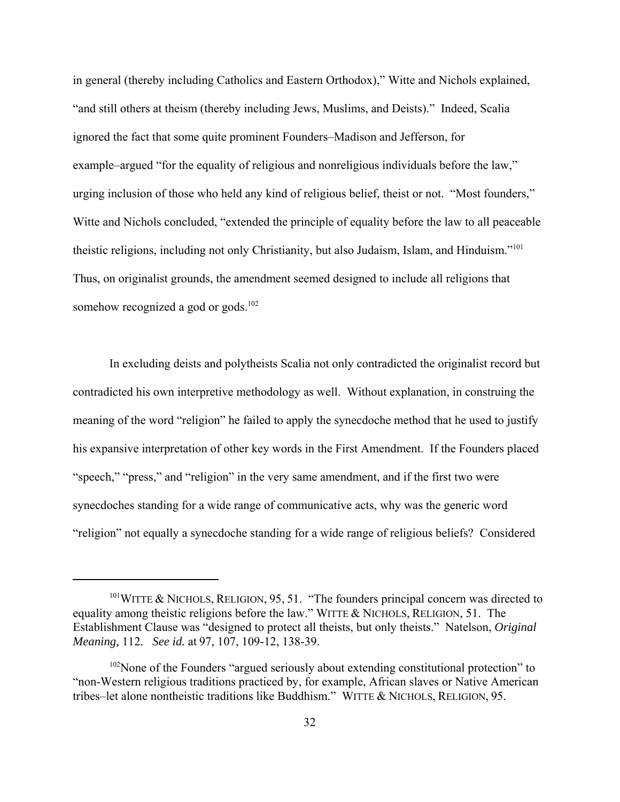in general (thereby including Catholics and Eastern Orthodox)," Witte and Nichols explained, "and still others at theism (thereby including Jews, Muslims, and Deists)." Indeed, Scalia ignored the fact that some quite prominent Founders–Madison and Jefferson, for example–argued "for the equality of religious and nonreligious individuals before the law," urging inclusion of those who held any kind of religious belief, theist or not. "Most founders," Witte and Nichols concluded, "extended the principle of equality before the law to all peaceable theistic religions, including not only Christianity, but also Judaism, Islam, and Hinduism."101 Thus, on originalist grounds, the amendment seemed designed to include all religions that somehow recognized a god or gods. $102$ 

In excluding deists and polytheists Scalia not only contradicted the originalist record but contradicted his own interpretive methodology as well. Without explanation, in construing the meaning of the word "religion" he failed to apply the synecdoche method that he used to justify his expansive interpretation of other key words in the First Amendment. If the Founders placed "speech," "press," and "religion" in the very same amendment, and if the first two were synecdoches standing for a wide range of communicative acts, why was the generic word "religion" not equally a synecdoche standing for a wide range of religious beliefs? Considered

 $101$ WITTE & NICHOLS, RELIGION, 95, 51. "The founders principal concern was directed to equality among theistic religions before the law." WITTE & NICHOLS, RELIGION, 51. The Establishment Clause was "designed to protect all theists, but only theists." Natelson, *Original Meaning,* 112*. See id.* at 97, 107, 109-12, 138-39.

 $102$ None of the Founders "argued seriously about extending constitutional protection" to "non-Western religious traditions practiced by, for example, African slaves or Native American tribes–let alone nontheistic traditions like Buddhism." WITTE & NICHOLS, RELIGION, 95.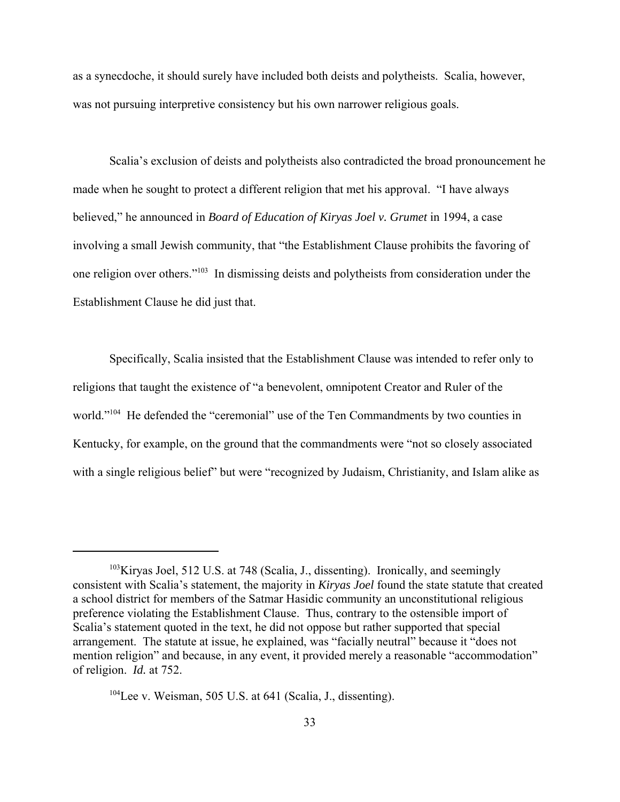as a synecdoche, it should surely have included both deists and polytheists. Scalia, however, was not pursuing interpretive consistency but his own narrower religious goals.

Scalia's exclusion of deists and polytheists also contradicted the broad pronouncement he made when he sought to protect a different religion that met his approval. "I have always believed," he announced in *Board of Education of Kiryas Joel v. Grumet* in 1994, a case involving a small Jewish community, that "the Establishment Clause prohibits the favoring of one religion over others."103 In dismissing deists and polytheists from consideration under the Establishment Clause he did just that.

Specifically, Scalia insisted that the Establishment Clause was intended to refer only to religions that taught the existence of "a benevolent, omnipotent Creator and Ruler of the world."<sup>104</sup> He defended the "ceremonial" use of the Ten Commandments by two counties in Kentucky, for example, on the ground that the commandments were "not so closely associated with a single religious belief" but were "recognized by Judaism, Christianity, and Islam alike as

<sup>&</sup>lt;sup>103</sup>Kiryas Joel, 512 U.S. at 748 (Scalia, J., dissenting). Ironically, and seemingly consistent with Scalia's statement, the majority in *Kiryas Joel* found the state statute that created a school district for members of the Satmar Hasidic community an unconstitutional religious preference violating the Establishment Clause. Thus, contrary to the ostensible import of Scalia's statement quoted in the text, he did not oppose but rather supported that special arrangement. The statute at issue, he explained, was "facially neutral" because it "does not mention religion" and because, in any event, it provided merely a reasonable "accommodation" of religion. *Id.* at 752.

 $104$ Lee v. Weisman, 505 U.S. at 641 (Scalia, J., dissenting).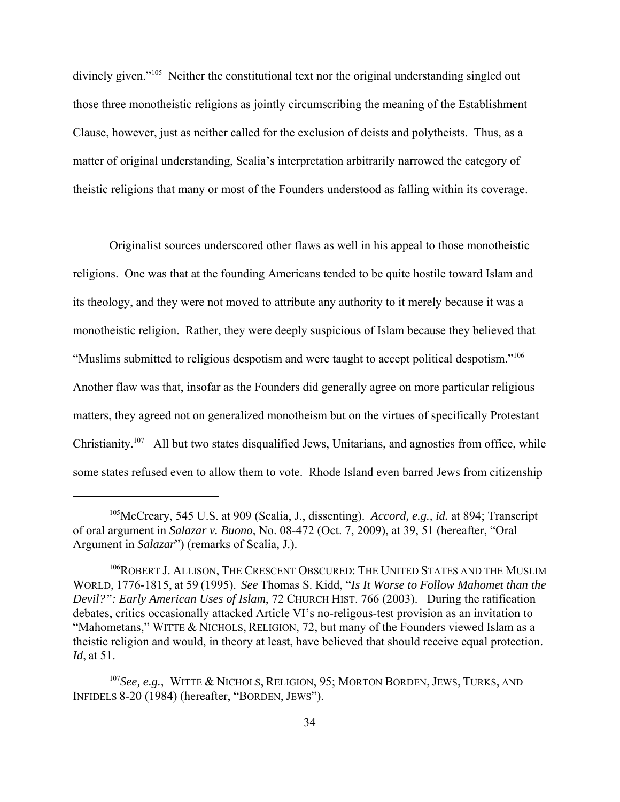divinely given."<sup>105</sup> Neither the constitutional text nor the original understanding singled out those three monotheistic religions as jointly circumscribing the meaning of the Establishment Clause, however, just as neither called for the exclusion of deists and polytheists. Thus, as a matter of original understanding, Scalia's interpretation arbitrarily narrowed the category of theistic religions that many or most of the Founders understood as falling within its coverage.

Originalist sources underscored other flaws as well in his appeal to those monotheistic religions. One was that at the founding Americans tended to be quite hostile toward Islam and its theology, and they were not moved to attribute any authority to it merely because it was a monotheistic religion. Rather, they were deeply suspicious of Islam because they believed that "Muslims submitted to religious despotism and were taught to accept political despotism."106 Another flaw was that, insofar as the Founders did generally agree on more particular religious matters, they agreed not on generalized monotheism but on the virtues of specifically Protestant Christianity.<sup>107</sup> All but two states disqualified Jews, Unitarians, and agnostics from office, while some states refused even to allow them to vote. Rhode Island even barred Jews from citizenship

<sup>105</sup>McCreary, 545 U.S. at 909 (Scalia, J., dissenting). *Accord, e.g., id.* at 894; Transcript of oral argument in *Salazar v. Buono*, No. 08-472 (Oct. 7, 2009), at 39, 51 (hereafter, "Oral Argument in *Salazar*") (remarks of Scalia, J.).

<sup>&</sup>lt;sup>106</sup>ROBERT J. ALLISON, THE CRESCENT OBSCURED: THE UNITED STATES AND THE MUSLIM WORLD, 1776-1815, at 59 (1995). *See* Thomas S. Kidd, "*Is It Worse to Follow Mahomet than the Devil?": Early American Uses of Islam*, 72 CHURCH HIST. 766 (2003). During the ratification debates, critics occasionally attacked Article VI's no-religous-test provision as an invitation to "Mahometans," WITTE & NICHOLS, RELIGION, 72, but many of the Founders viewed Islam as a theistic religion and would, in theory at least, have believed that should receive equal protection. *Id*, at 51.

<sup>107</sup>*See, e.g.,* WITTE & NICHOLS, RELIGION, 95; MORTON BORDEN, JEWS, TURKS, AND INFIDELS 8-20 (1984) (hereafter, "BORDEN, JEWS").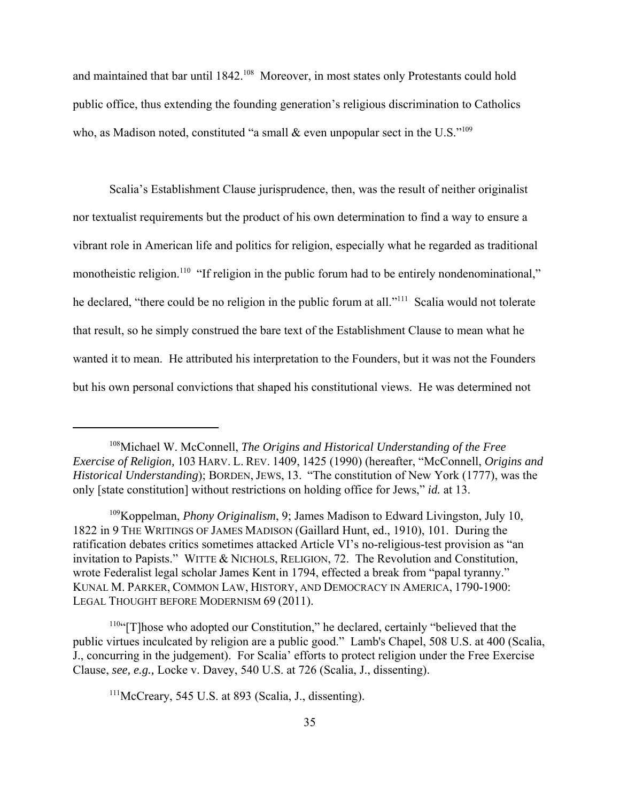and maintained that bar until 1842.<sup>108</sup> Moreover, in most states only Protestants could hold public office, thus extending the founding generation's religious discrimination to Catholics who, as Madison noted, constituted "a small & even unpopular sect in the U.S."<sup>109</sup>

Scalia's Establishment Clause jurisprudence, then, was the result of neither originalist nor textualist requirements but the product of his own determination to find a way to ensure a vibrant role in American life and politics for religion, especially what he regarded as traditional monotheistic religion.<sup>110</sup> "If religion in the public forum had to be entirely nondenominational," he declared, "there could be no religion in the public forum at all."<sup>111</sup> Scalia would not tolerate that result, so he simply construed the bare text of the Establishment Clause to mean what he wanted it to mean. He attributed his interpretation to the Founders, but it was not the Founders but his own personal convictions that shaped his constitutional views. He was determined not

<sup>108</sup>Michael W. McConnell, *The Origins and Historical Understanding of the Free Exercise of Religion,* 103 HARV. L. REV. 1409, 1425 (1990) (hereafter, "McConnell, *Origins and Historical Understanding*); BORDEN, JEWS, 13. "The constitution of New York (1777), was the only [state constitution] without restrictions on holding office for Jews," *id.* at 13.

<sup>109</sup>Koppelman, *Phony Originalism*, 9; James Madison to Edward Livingston, July 10, 1822 in 9 THE WRITINGS OF JAMES MADISON (Gaillard Hunt, ed., 1910), 101. During the ratification debates critics sometimes attacked Article VI's no-religious-test provision as "an invitation to Papists." WITTE & NICHOLS, RELIGION, 72. The Revolution and Constitution, wrote Federalist legal scholar James Kent in 1794, effected a break from "papal tyranny." KUNAL M. PARKER, COMMON LAW, HISTORY, AND DEMOCRACY IN AMERICA, 1790-1900: LEGAL THOUGHT BEFORE MODERNISM 69 (2011).

<sup>110&</sup>quot;[T]hose who adopted our Constitution," he declared, certainly "believed that the public virtues inculcated by religion are a public good." Lamb's Chapel, 508 U.S. at 400 (Scalia, J., concurring in the judgement). For Scalia' efforts to protect religion under the Free Exercise Clause, *see, e.g.,* Locke v. Davey, 540 U.S. at 726 (Scalia, J., dissenting).

 $111$ McCreary, 545 U.S. at 893 (Scalia, J., dissenting).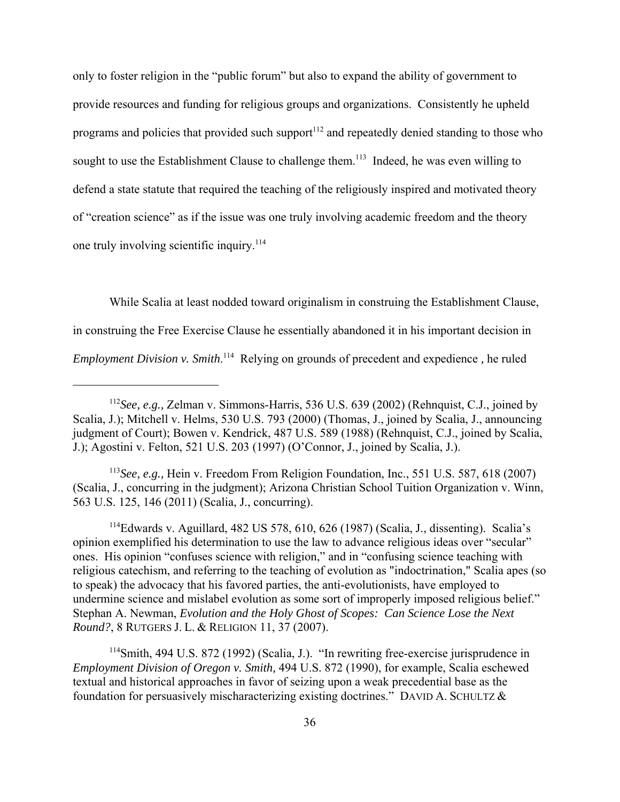only to foster religion in the "public forum" but also to expand the ability of government to provide resources and funding for religious groups and organizations. Consistently he upheld programs and policies that provided such support<sup>112</sup> and repeatedly denied standing to those who sought to use the Establishment Clause to challenge them.<sup>113</sup> Indeed, he was even willing to defend a state statute that required the teaching of the religiously inspired and motivated theory of "creation science" as if the issue was one truly involving academic freedom and the theory one truly involving scientific inquiry.<sup>114</sup>

While Scalia at least nodded toward originalism in construing the Establishment Clause, in construing the Free Exercise Clause he essentially abandoned it in his important decision in *Employment Division v. Smith*. 114 Relying on grounds of precedent and expedience *,* he ruled

<sup>113</sup>*See, e.g.,* Hein v. Freedom From Religion Foundation, Inc., 551 U.S. 587, 618 (2007) (Scalia, J., concurring in the judgment); Arizona Christian School Tuition Organization v. Winn, 563 U.S. 125, 146 (2011) (Scalia, J., concurring).

114Edwards v. Aguillard, 482 US 578, 610, 626 (1987) (Scalia, J., dissenting). Scalia's opinion exemplified his determination to use the law to advance religious ideas over "secular" ones. His opinion "confuses science with religion," and in "confusing science teaching with religious catechism, and referring to the teaching of evolution as "indoctrination," Scalia apes (so to speak) the advocacy that his favored parties, the anti-evolutionists, have employed to undermine science and mislabel evolution as some sort of improperly imposed religious belief." Stephan A. Newman, *Evolution and the Holy Ghost of Scopes: Can Science Lose the Next Round?*, 8 RUTGERS J. L. & RELIGION 11, 37 (2007).

114Smith, 494 U.S. 872 (1992) (Scalia, J.). "In rewriting free-exercise jurisprudence in *Employment Division of Oregon v. Smith,* 494 U.S. 872 (1990), for example, Scalia eschewed textual and historical approaches in favor of seizing upon a weak precedential base as the foundation for persuasively mischaracterizing existing doctrines." DAVID A. SCHULTZ &

<sup>112</sup>*See, e.g.,* Zelman v. Simmons-Harris, 536 U.S. 639 (2002) (Rehnquist, C.J., joined by Scalia, J.); Mitchell v. Helms, 530 U.S. 793 (2000) (Thomas, J., joined by Scalia, J., announcing judgment of Court); Bowen v. Kendrick, 487 U.S. 589 (1988) (Rehnquist, C.J., joined by Scalia, J.); Agostini v. Felton, 521 U.S. 203 (1997) (O'Connor, J., joined by Scalia, J.).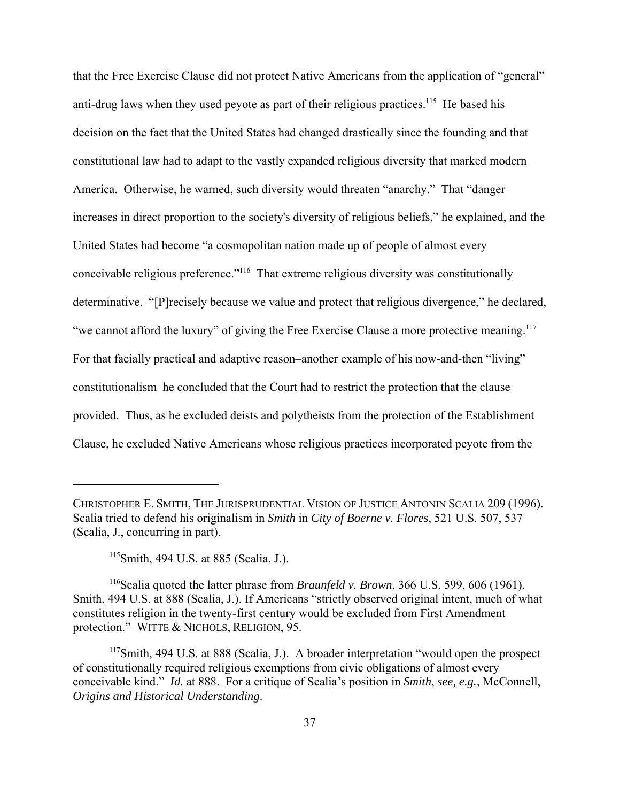that the Free Exercise Clause did not protect Native Americans from the application of "general" anti-drug laws when they used peyote as part of their religious practices.<sup>115</sup> He based his decision on the fact that the United States had changed drastically since the founding and that constitutional law had to adapt to the vastly expanded religious diversity that marked modern America. Otherwise, he warned, such diversity would threaten "anarchy." That "danger increases in direct proportion to the society's diversity of religious beliefs," he explained, and the United States had become "a cosmopolitan nation made up of people of almost every conceivable religious preference."116 That extreme religious diversity was constitutionally determinative. "[P]recisely because we value and protect that religious divergence," he declared, "we cannot afford the luxury" of giving the Free Exercise Clause a more protective meaning.<sup>117</sup> For that facially practical and adaptive reason–another example of his now-and-then "living" constitutionalism–he concluded that the Court had to restrict the protection that the clause provided. Thus, as he excluded deists and polytheists from the protection of the Establishment Clause, he excluded Native Americans whose religious practices incorporated peyote from the

CHRISTOPHER E. SMITH, THE JURISPRUDENTIAL VISION OF JUSTICE ANTONIN SCALIA 209 (1996). Scalia tried to defend his originalism in *Smith* in *City of Boerne v. Flores*, 521 U.S. 507, 537 (Scalia, J., concurring in part).

 $115$ Smith, 494 U.S. at 885 (Scalia, J.).

<sup>116</sup>Scalia quoted the latter phrase from *Braunfeld v. Brown*, 366 U.S. 599, 606 (1961). Smith, 494 U.S. at 888 (Scalia, J.). If Americans "strictly observed original intent, much of what constitutes religion in the twenty-first century would be excluded from First Amendment protection." WITTE & NICHOLS, RELIGION, 95.

<sup>&</sup>lt;sup>117</sup>Smith, 494 U.S. at 888 (Scalia, J.). A broader interpretation "would open the prospect of constitutionally required religious exemptions from civic obligations of almost every conceivable kind." *Id.* at 888. For a critique of Scalia's position in *Smith*, *see, e.g.,* McConnell, *Origins and Historical Understanding*.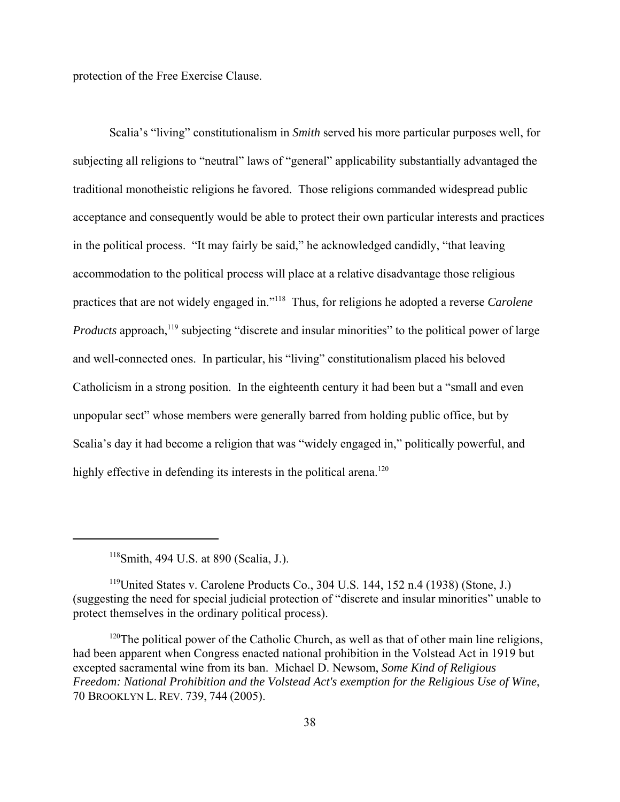protection of the Free Exercise Clause.

Scalia's "living" constitutionalism in *Smith* served his more particular purposes well, for subjecting all religions to "neutral" laws of "general" applicability substantially advantaged the traditional monotheistic religions he favored. Those religions commanded widespread public acceptance and consequently would be able to protect their own particular interests and practices in the political process. "It may fairly be said," he acknowledged candidly, "that leaving accommodation to the political process will place at a relative disadvantage those religious practices that are not widely engaged in."118 Thus, for religions he adopted a reverse *Carolene Products* approach,<sup>119</sup> subjecting "discrete and insular minorities" to the political power of large and well-connected ones. In particular, his "living" constitutionalism placed his beloved Catholicism in a strong position. In the eighteenth century it had been but a "small and even unpopular sect" whose members were generally barred from holding public office, but by Scalia's day it had become a religion that was "widely engaged in," politically powerful, and highly effective in defending its interests in the political arena.<sup>120</sup>

 $118$ Smith, 494 U.S. at 890 (Scalia, J.).

 $119$ United States v. Carolene Products Co., 304 U.S. 144, 152 n.4 (1938) (Stone, J.) (suggesting the need for special judicial protection of "discrete and insular minorities" unable to protect themselves in the ordinary political process).

 $120$ The political power of the Catholic Church, as well as that of other main line religions, had been apparent when Congress enacted national prohibition in the Volstead Act in 1919 but excepted sacramental wine from its ban. Michael D. Newsom, *Some Kind of Religious Freedom: National Prohibition and the Volstead Act's exemption for the Religious Use of Wine*, 70 BROOKLYN L. REV. 739, 744 (2005).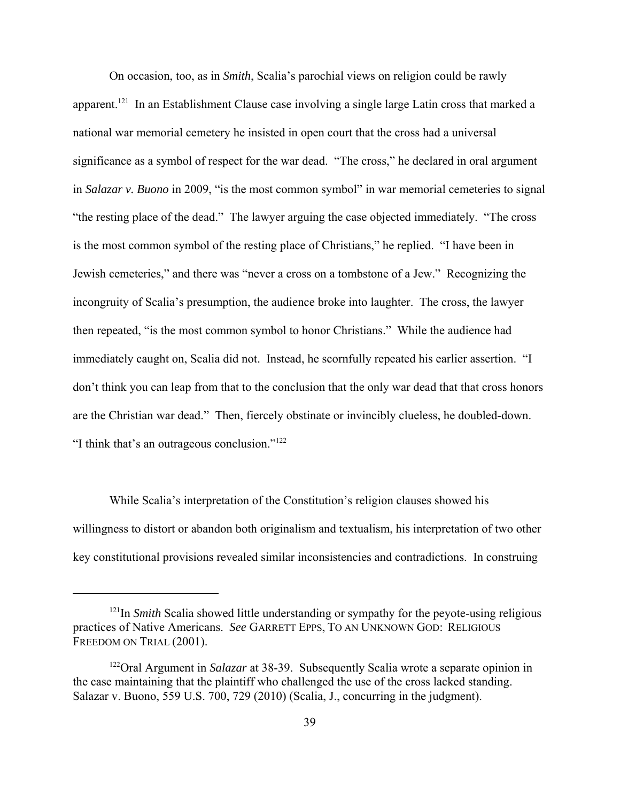On occasion, too, as in *Smith*, Scalia's parochial views on religion could be rawly apparent.<sup>121</sup> In an Establishment Clause case involving a single large Latin cross that marked a national war memorial cemetery he insisted in open court that the cross had a universal significance as a symbol of respect for the war dead. "The cross," he declared in oral argument in *Salazar v. Buono* in 2009, "is the most common symbol" in war memorial cemeteries to signal "the resting place of the dead." The lawyer arguing the case objected immediately. "The cross is the most common symbol of the resting place of Christians," he replied. "I have been in Jewish cemeteries," and there was "never a cross on a tombstone of a Jew." Recognizing the incongruity of Scalia's presumption, the audience broke into laughter. The cross, the lawyer then repeated, "is the most common symbol to honor Christians." While the audience had immediately caught on, Scalia did not. Instead, he scornfully repeated his earlier assertion. "I don't think you can leap from that to the conclusion that the only war dead that that cross honors are the Christian war dead." Then, fiercely obstinate or invincibly clueless, he doubled-down. "I think that's an outrageous conclusion."122

While Scalia's interpretation of the Constitution's religion clauses showed his willingness to distort or abandon both originalism and textualism, his interpretation of two other key constitutional provisions revealed similar inconsistencies and contradictions. In construing

<sup>&</sup>lt;sup>121</sup>In *Smith* Scalia showed little understanding or sympathy for the peyote-using religious practices of Native Americans. *See* GARRETT EPPS, TO AN UNKNOWN GOD: RELIGIOUS FREEDOM ON TRIAL (2001).

<sup>122</sup>Oral Argument in *Salazar* at 38-39. Subsequently Scalia wrote a separate opinion in the case maintaining that the plaintiff who challenged the use of the cross lacked standing. Salazar v. Buono, 559 U.S. 700, 729 (2010) (Scalia, J., concurring in the judgment).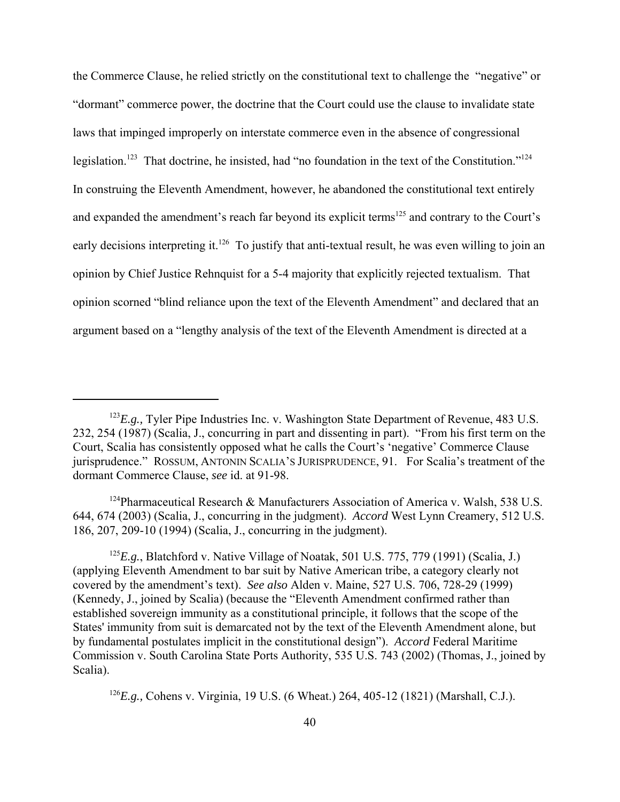the Commerce Clause, he relied strictly on the constitutional text to challenge the "negative" or "dormant" commerce power, the doctrine that the Court could use the clause to invalidate state laws that impinged improperly on interstate commerce even in the absence of congressional legislation.<sup>123</sup> That doctrine, he insisted, had "no foundation in the text of the Constitution."<sup>124</sup> In construing the Eleventh Amendment, however, he abandoned the constitutional text entirely and expanded the amendment's reach far beyond its explicit terms<sup>125</sup> and contrary to the Court's early decisions interpreting it.<sup>126</sup> To justify that anti-textual result, he was even willing to join an opinion by Chief Justice Rehnquist for a 5-4 majority that explicitly rejected textualism. That opinion scorned "blind reliance upon the text of the Eleventh Amendment" and declared that an argument based on a "lengthy analysis of the text of the Eleventh Amendment is directed at a

<sup>&</sup>lt;sup>123</sup>E.g., Tyler Pipe Industries Inc. v. Washington State Department of Revenue, 483 U.S. 232, 254 (1987) (Scalia, J., concurring in part and dissenting in part). "From his first term on the Court, Scalia has consistently opposed what he calls the Court's 'negative' Commerce Clause jurisprudence." ROSSUM, ANTONIN SCALIA'S JURISPRUDENCE, 91. For Scalia's treatment of the dormant Commerce Clause, *see* id. at 91-98.

<sup>&</sup>lt;sup>124</sup>Pharmaceutical Research & Manufacturers Association of America v. Walsh, 538 U.S. 644, 674 (2003) (Scalia, J., concurring in the judgment). *Accord* West Lynn Creamery, 512 U.S. 186, 207, 209-10 (1994) (Scalia, J., concurring in the judgment).

<sup>125</sup>*E.g.*, Blatchford v. Native Village of Noatak, 501 U.S. 775, 779 (1991) (Scalia, J.) (applying Eleventh Amendment to bar suit by Native American tribe, a category clearly not covered by the amendment's text). *See also* Alden v. Maine, 527 U.S. 706, 728-29 (1999) (Kennedy, J., joined by Scalia) (because the "Eleventh Amendment confirmed rather than established sovereign immunity as a constitutional principle, it follows that the scope of the States' immunity from suit is demarcated not by the text of the Eleventh Amendment alone, but by fundamental postulates implicit in the constitutional design"). *Accord* Federal Maritime Commission v. South Carolina State Ports Authority, 535 U.S. 743 (2002) (Thomas, J., joined by Scalia).

<sup>126</sup>*E.g.,* Cohens v. Virginia, 19 U.S. (6 Wheat.) 264, 405-12 (1821) (Marshall, C.J.).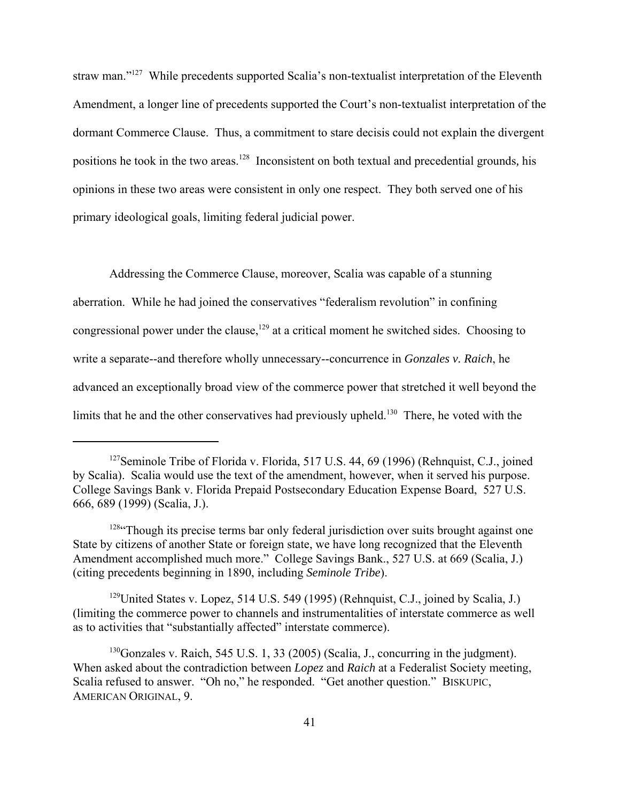straw man."127 While precedents supported Scalia's non-textualist interpretation of the Eleventh Amendment, a longer line of precedents supported the Court's non-textualist interpretation of the dormant Commerce Clause. Thus, a commitment to stare decisis could not explain the divergent positions he took in the two areas.128 Inconsistent on both textual and precedential grounds*,* his opinions in these two areas were consistent in only one respect. They both served one of his primary ideological goals, limiting federal judicial power.

Addressing the Commerce Clause, moreover, Scalia was capable of a stunning aberration. While he had joined the conservatives "federalism revolution" in confining congressional power under the clause, $129$  at a critical moment he switched sides. Choosing to write a separate--and therefore wholly unnecessary--concurrence in *Gonzales v. Raich*, he advanced an exceptionally broad view of the commerce power that stretched it well beyond the limits that he and the other conservatives had previously upheld.<sup>130</sup> There, he voted with the

<sup>129</sup>United States v. Lopez, 514 U.S. 549 (1995) (Rehnquist, C.J., joined by Scalia, J.) (limiting the commerce power to channels and instrumentalities of interstate commerce as well as to activities that "substantially affected" interstate commerce).

<sup>&</sup>lt;sup>127</sup>Seminole Tribe of Florida v. Florida, 517 U.S. 44, 69 (1996) (Rehnquist, C.J., joined by Scalia). Scalia would use the text of the amendment, however, when it served his purpose. College Savings Bank v. Florida Prepaid Postsecondary Education Expense Board, 527 U.S. 666, 689 (1999) (Scalia, J.).

<sup>&</sup>lt;sup>128</sup> Though its precise terms bar only federal jurisdiction over suits brought against one State by citizens of another State or foreign state, we have long recognized that the Eleventh Amendment accomplished much more." College Savings Bank., 527 U.S. at 669 (Scalia, J.) (citing precedents beginning in 1890, including *Seminole Tribe*).

 $130$ Gonzales v. Raich, 545 U.S. 1, 33 (2005) (Scalia, J., concurring in the judgment). When asked about the contradiction between *Lopez* and *Raich* at a Federalist Society meeting, Scalia refused to answer. "Oh no," he responded. "Get another question." BISKUPIC, AMERICAN ORIGINAL, 9.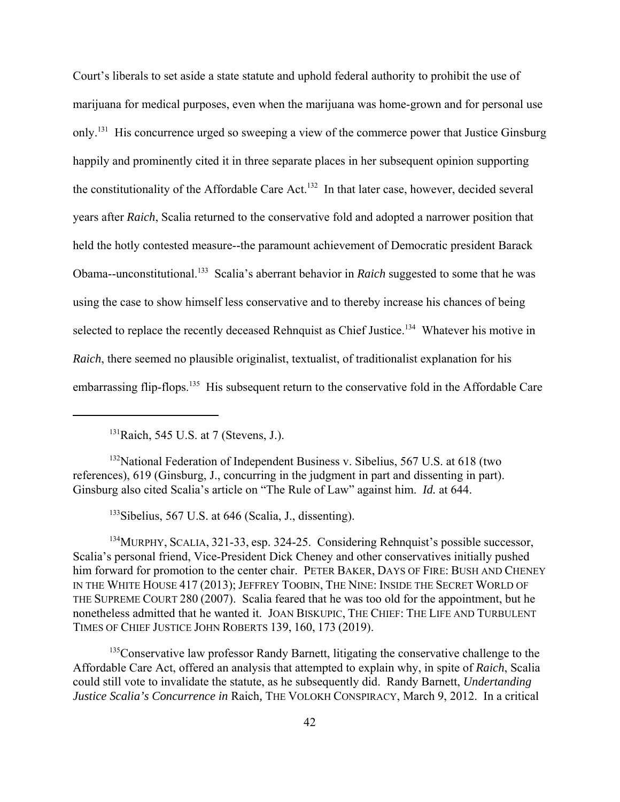Court's liberals to set aside a state statute and uphold federal authority to prohibit the use of marijuana for medical purposes, even when the marijuana was home-grown and for personal use only.<sup>131</sup> His concurrence urged so sweeping a view of the commerce power that Justice Ginsburg happily and prominently cited it in three separate places in her subsequent opinion supporting the constitutionality of the Affordable Care Act.<sup>132</sup> In that later case, however, decided several years after *Raich*, Scalia returned to the conservative fold and adopted a narrower position that held the hotly contested measure--the paramount achievement of Democratic president Barack Obama--unconstitutional.133 Scalia's aberrant behavior in *Raich* suggested to some that he was using the case to show himself less conservative and to thereby increase his chances of being selected to replace the recently deceased Rehnquist as Chief Justice.<sup>134</sup> Whatever his motive in *Raich*, there seemed no plausible originalist, textualist, of traditionalist explanation for his embarrassing flip-flops.<sup>135</sup> His subsequent return to the conservative fold in the Affordable Care

<sup>132</sup>National Federation of Independent Business v. Sibelius, 567 U.S. at 618 (two references), 619 (Ginsburg, J., concurring in the judgment in part and dissenting in part). Ginsburg also cited Scalia's article on "The Rule of Law" against him. *Id.* at 644.

133Sibelius, 567 U.S. at 646 (Scalia, J., dissenting).

<sup>134</sup>MURPHY, SCALIA, 321-33, esp. 324-25. Considering Rehnquist's possible successor, Scalia's personal friend, Vice-President Dick Cheney and other conservatives initially pushed him forward for promotion to the center chair. PETER BAKER, DAYS OF FIRE: BUSH AND CHENEY IN THE WHITE HOUSE 417 (2013); JEFFREY TOOBIN, THE NINE: INSIDE THE SECRET WORLD OF THE SUPREME COURT 280 (2007). Scalia feared that he was too old for the appointment, but he nonetheless admitted that he wanted it. JOAN BISKUPIC, THE CHIEF: THE LIFE AND TURBULENT TIMES OF CHIEF JUSTICE JOHN ROBERTS 139, 160, 173 (2019).

 $135$ Conservative law professor Randy Barnett, litigating the conservative challenge to the Affordable Care Act, offered an analysis that attempted to explain why, in spite of *Raich*, Scalia could still vote to invalidate the statute, as he subsequently did. Randy Barnett, *Undertanding Justice Scalia's Concurrence in Raich*, THE VOLOKH CONSPIRACY, March 9, 2012. In a critical

 $131$ Raich, 545 U.S. at 7 (Stevens, J.).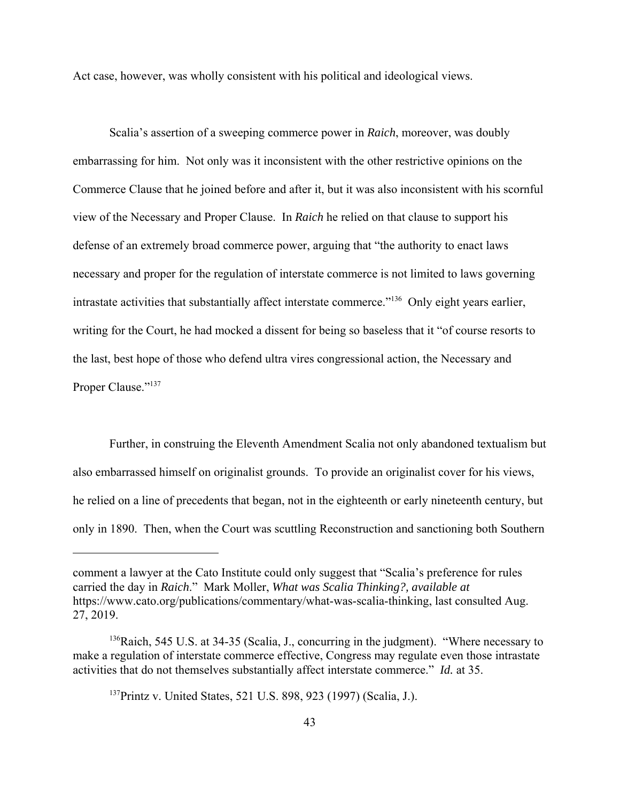Act case, however, was wholly consistent with his political and ideological views.

Scalia's assertion of a sweeping commerce power in *Raich*, moreover, was doubly embarrassing for him. Not only was it inconsistent with the other restrictive opinions on the Commerce Clause that he joined before and after it, but it was also inconsistent with his scornful view of the Necessary and Proper Clause. In *Raich* he relied on that clause to support his defense of an extremely broad commerce power, arguing that "the authority to enact laws necessary and proper for the regulation of interstate commerce is not limited to laws governing intrastate activities that substantially affect interstate commerce."<sup>136</sup> Only eight years earlier, writing for the Court, he had mocked a dissent for being so baseless that it "of course resorts to the last, best hope of those who defend ultra vires congressional action, the Necessary and Proper Clause."<sup>137</sup>

Further, in construing the Eleventh Amendment Scalia not only abandoned textualism but also embarrassed himself on originalist grounds. To provide an originalist cover for his views, he relied on a line of precedents that began, not in the eighteenth or early nineteenth century, but only in 1890. Then, when the Court was scuttling Reconstruction and sanctioning both Southern

comment a lawyer at the Cato Institute could only suggest that "Scalia's preference for rules carried the day in *Raich*." Mark Moller, *What was Scalia Thinking?, available at* https://www.cato.org/publications/commentary/what-was-scalia-thinking, last consulted Aug. 27, 2019.

<sup>&</sup>lt;sup>136</sup>Raich, 545 U.S. at 34-35 (Scalia, J., concurring in the judgment). "Where necessary to make a regulation of interstate commerce effective, Congress may regulate even those intrastate activities that do not themselves substantially affect interstate commerce." *Id.* at 35.

<sup>137</sup>Printz v. United States, 521 U.S. 898, 923 (1997) (Scalia, J.).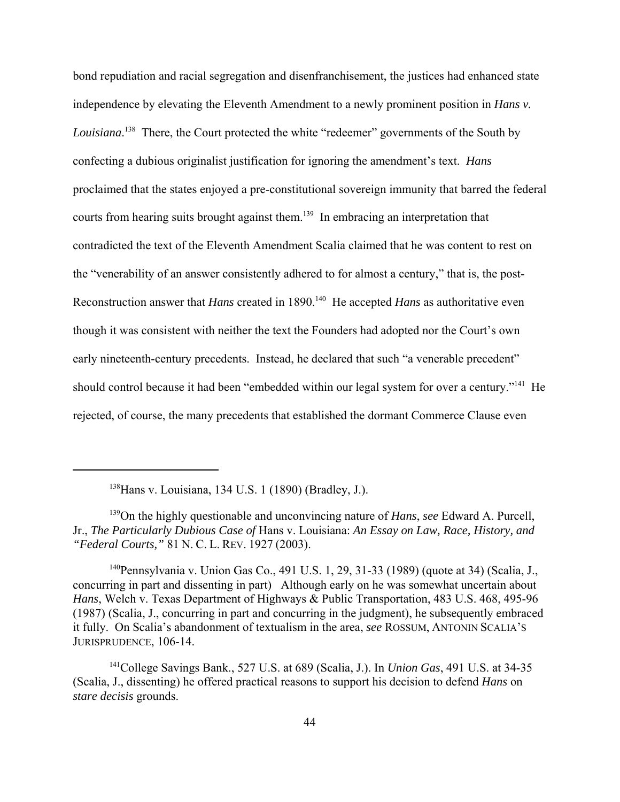bond repudiation and racial segregation and disenfranchisement, the justices had enhanced state independence by elevating the Eleventh Amendment to a newly prominent position in *Hans v. Louisiana*. 138 There, the Court protected the white "redeemer" governments of the South by confecting a dubious originalist justification for ignoring the amendment's text. *Hans* proclaimed that the states enjoyed a pre-constitutional sovereign immunity that barred the federal courts from hearing suits brought against them.<sup>139</sup> In embracing an interpretation that contradicted the text of the Eleventh Amendment Scalia claimed that he was content to rest on the "venerability of an answer consistently adhered to for almost a century," that is, the post-Reconstruction answer that *Hans* created in 1890.<sup>140</sup> He accepted *Hans* as authoritative even though it was consistent with neither the text the Founders had adopted nor the Court's own early nineteenth-century precedents. Instead, he declared that such "a venerable precedent" should control because it had been "embedded within our legal system for over a century."<sup>141</sup> He rejected, of course, the many precedents that established the dormant Commerce Clause even

138Hans v. Louisiana, 134 U.S. 1 (1890) (Bradley, J.).

<sup>139</sup>On the highly questionable and unconvincing nature of *Hans*, *see* Edward A. Purcell, Jr., *The Particularly Dubious Case of* Hans v. Louisiana: *An Essay on Law, Race, History, and "Federal Courts,"* 81 N. C. L. REV. 1927 (2003).

<sup>140</sup>Pennsylvania v. Union Gas Co., 491 U.S. 1, 29, 31-33 (1989) (quote at 34) (Scalia, J., concurring in part and dissenting in part) Although early on he was somewhat uncertain about *Hans*, Welch v. Texas Department of Highways & Public Transportation, 483 U.S. 468, 495-96 (1987) (Scalia, J., concurring in part and concurring in the judgment), he subsequently embraced it fully. On Scalia's abandonment of textualism in the area, *see* ROSSUM, ANTONIN SCALIA'S JURISPRUDENCE, 106-14.

<sup>141</sup>College Savings Bank., 527 U.S. at 689 (Scalia, J.). In *Union Gas*, 491 U.S. at 34-35 (Scalia, J., dissenting) he offered practical reasons to support his decision to defend *Hans* on *stare decisis* grounds.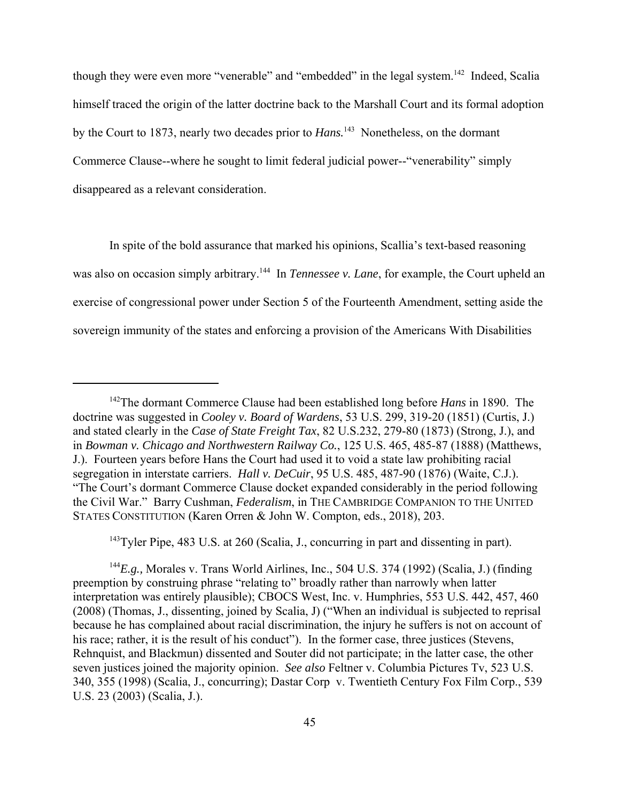though they were even more "venerable" and "embedded" in the legal system.<sup>142</sup> Indeed, Scalia himself traced the origin of the latter doctrine back to the Marshall Court and its formal adoption by the Court to 1873, nearly two decades prior to *Hans*.<sup>143</sup> Nonetheless, on the dormant Commerce Clause--where he sought to limit federal judicial power--"venerability" simply disappeared as a relevant consideration.

In spite of the bold assurance that marked his opinions, Scallia's text-based reasoning was also on occasion simply arbitrary.<sup>144</sup> In *Tennessee v. Lane*, for example, the Court upheld an exercise of congressional power under Section 5 of the Fourteenth Amendment, setting aside the sovereign immunity of the states and enforcing a provision of the Americans With Disabilities

 $143$ Tyler Pipe, 483 U.S. at 260 (Scalia, J., concurring in part and dissenting in part).

<sup>144</sup>*E.g.,* Morales v. Trans World Airlines, Inc., 504 U.S. 374 (1992) (Scalia, J.) (finding preemption by construing phrase "relating to" broadly rather than narrowly when latter interpretation was entirely plausible); CBOCS West, Inc. v. Humphries, 553 U.S. 442, 457, 460 (2008) (Thomas, J., dissenting, joined by Scalia, J) ("When an individual is subjected to reprisal because he has complained about racial discrimination, the injury he suffers is not on account of his race; rather, it is the result of his conduct"). In the former case, three justices (Stevens, Rehnquist, and Blackmun) dissented and Souter did not participate; in the latter case, the other seven justices joined the majority opinion. *See also* Feltner v. Columbia Pictures Tv, 523 U.S. 340, 355 (1998) (Scalia, J., concurring); Dastar Corp v. Twentieth Century Fox Film Corp., 539 U.S. 23 (2003) (Scalia, J.).

<sup>142</sup>The dormant Commerce Clause had been established long before *Hans* in 1890. The doctrine was suggested in *Cooley v. Board of Wardens*, 53 U.S. 299, 319-20 (1851) (Curtis, J.) and stated clearly in the *Case of State Freight Tax*, 82 U.S.232, 279-80 (1873) (Strong, J.), and in *Bowman v. Chicago and Northwestern Railway Co.*, 125 U.S. 465, 485-87 (1888) (Matthews, J.). Fourteen years before Hans the Court had used it to void a state law prohibiting racial segregation in interstate carriers. *Hall v. DeCuir*, 95 U.S. 485, 487-90 (1876) (Waite, C.J.). "The Court's dormant Commerce Clause docket expanded considerably in the period following the Civil War." Barry Cushman, *Federalism*, in THE CAMBRIDGE COMPANION TO THE UNITED STATES CONSTITUTION (Karen Orren & John W. Compton, eds., 2018), 203.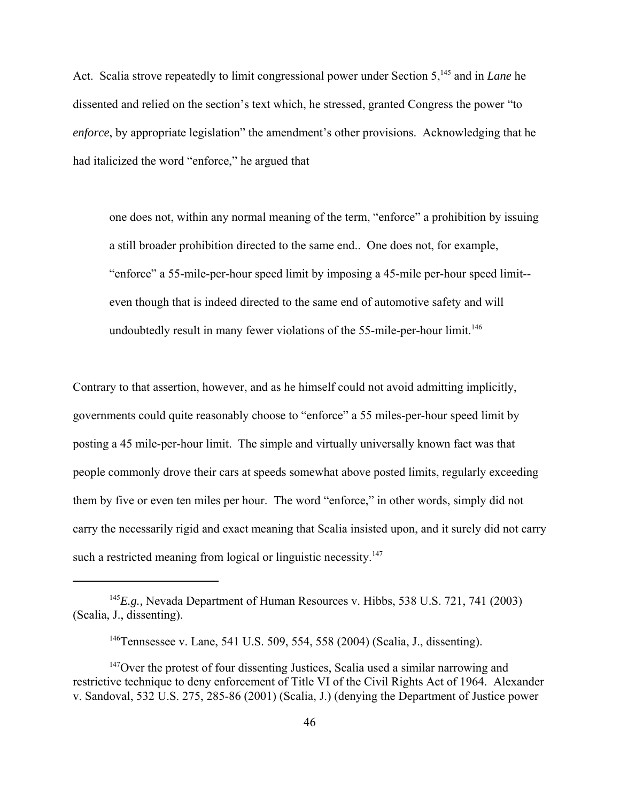Act. Scalia strove repeatedly to limit congressional power under Section 5,<sup>145</sup> and in *Lane* he dissented and relied on the section's text which, he stressed, granted Congress the power "to *enforce*, by appropriate legislation" the amendment's other provisions. Acknowledging that he had italicized the word "enforce," he argued that

one does not, within any normal meaning of the term, "enforce" a prohibition by issuing a still broader prohibition directed to the same end.. One does not, for example, "enforce" a 55-mile-per-hour speed limit by imposing a 45-mile per-hour speed limit- even though that is indeed directed to the same end of automotive safety and will undoubtedly result in many fewer violations of the  $55$ -mile-per-hour limit.<sup>146</sup>

Contrary to that assertion, however, and as he himself could not avoid admitting implicitly, governments could quite reasonably choose to "enforce" a 55 miles-per-hour speed limit by posting a 45 mile-per-hour limit. The simple and virtually universally known fact was that people commonly drove their cars at speeds somewhat above posted limits, regularly exceeding them by five or even ten miles per hour. The word "enforce," in other words, simply did not carry the necessarily rigid and exact meaning that Scalia insisted upon, and it surely did not carry such a restricted meaning from logical or linguistic necessity. $147$ 

<sup>145</sup>*E.g.,* Nevada Department of Human Resources v. Hibbs, 538 U.S. 721, 741 (2003) (Scalia, J., dissenting).

<sup>146</sup>Tennsessee v. Lane, 541 U.S. 509, 554, 558 (2004) (Scalia, J., dissenting).

 $147$ Over the protest of four dissenting Justices, Scalia used a similar narrowing and restrictive technique to deny enforcement of Title VI of the Civil Rights Act of 1964. Alexander v. Sandoval, 532 U.S. 275, 285-86 (2001) (Scalia, J.) (denying the Department of Justice power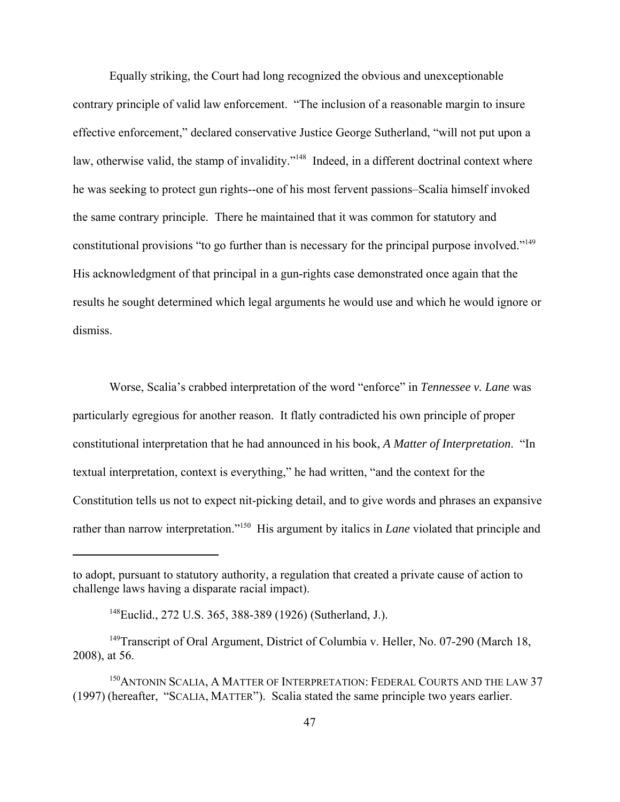Equally striking, the Court had long recognized the obvious and unexceptionable contrary principle of valid law enforcement. "The inclusion of a reasonable margin to insure effective enforcement," declared conservative Justice George Sutherland, "will not put upon a law, otherwise valid, the stamp of invalidity."<sup>148</sup> Indeed, in a different doctrinal context where he was seeking to protect gun rights--one of his most fervent passions–Scalia himself invoked the same contrary principle. There he maintained that it was common for statutory and constitutional provisions "to go further than is necessary for the principal purpose involved."<sup>149</sup> His acknowledgment of that principal in a gun-rights case demonstrated once again that the results he sought determined which legal arguments he would use and which he would ignore or dismiss.

Worse, Scalia's crabbed interpretation of the word "enforce" in *Tennessee v. Lane* was particularly egregious for another reason. It flatly contradicted his own principle of proper constitutional interpretation that he had announced in his book, *A Matter of Interpretation*. "In textual interpretation, context is everything," he had written, "and the context for the Constitution tells us not to expect nit-picking detail, and to give words and phrases an expansive rather than narrow interpretation."150 His argument by italics in *Lane* violated that principle and

to adopt, pursuant to statutory authority, a regulation that created a private cause of action to challenge laws having a disparate racial impact).

<sup>148</sup>Euclid., 272 U.S. 365, 388-389 (1926) (Sutherland, J.).

<sup>&</sup>lt;sup>149</sup>Transcript of Oral Argument, District of Columbia v. Heller, No. 07-290 (March 18, 2008), at 56.

<sup>&</sup>lt;sup>150</sup>ANTONIN SCALIA, A MATTER OF INTERPRETATION: FEDERAL COURTS AND THE LAW 37 (1997) (hereafter, "SCALIA, MATTER"). Scalia stated the same principle two years earlier.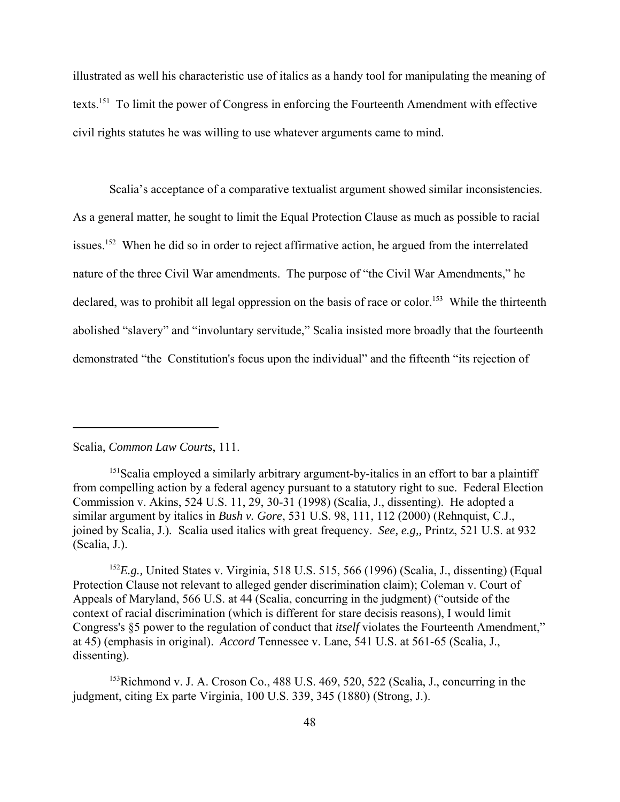illustrated as well his characteristic use of italics as a handy tool for manipulating the meaning of texts.151 To limit the power of Congress in enforcing the Fourteenth Amendment with effective civil rights statutes he was willing to use whatever arguments came to mind.

Scalia's acceptance of a comparative textualist argument showed similar inconsistencies. As a general matter, he sought to limit the Equal Protection Clause as much as possible to racial issues.<sup>152</sup> When he did so in order to reject affirmative action, he argued from the interrelated nature of the three Civil War amendments. The purpose of "the Civil War Amendments," he declared, was to prohibit all legal oppression on the basis of race or color.<sup>153</sup> While the thirteenth abolished "slavery" and "involuntary servitude," Scalia insisted more broadly that the fourteenth demonstrated "the Constitution's focus upon the individual" and the fifteenth "its rejection of

## Scalia, *Common Law Courts*, 111.

<sup>152</sup>E.g., United States v. Virginia, 518 U.S. 515, 566 (1996) (Scalia, J., dissenting) (Equal Protection Clause not relevant to alleged gender discrimination claim); Coleman v. Court of Appeals of Maryland, 566 U.S. at 44 (Scalia, concurring in the judgment) ("outside of the context of racial discrimination (which is different for stare decisis reasons), I would limit Congress's §5 power to the regulation of conduct that *itself* violates the Fourteenth Amendment," at 45) (emphasis in original). *Accord* Tennessee v. Lane, 541 U.S. at 561-65 (Scalia, J., dissenting).

<sup>153</sup>Richmond v. J. A. Croson Co., 488 U.S. 469, 520, 522 (Scalia, J., concurring in the judgment, citing Ex parte Virginia, 100 U.S. 339, 345 (1880) (Strong, J.).

<sup>&</sup>lt;sup>151</sup>Scalia employed a similarly arbitrary argument-by-italics in an effort to bar a plaintiff from compelling action by a federal agency pursuant to a statutory right to sue. Federal Election Commission v. Akins, 524 U.S. 11, 29, 30-31 (1998) (Scalia, J., dissenting). He adopted a similar argument by italics in *Bush v. Gore*, 531 U.S. 98, 111, 112 (2000) (Rehnquist, C.J., joined by Scalia, J.)*.* Scalia used italics with great frequency. *See, e.g,,* Printz, 521 U.S. at 932 (Scalia, J.).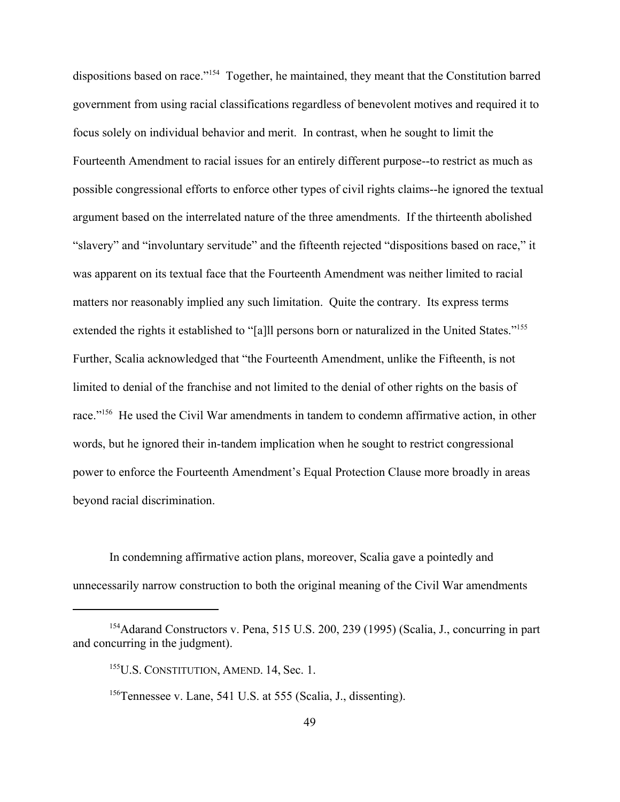dispositions based on race."<sup>154</sup> Together, he maintained, they meant that the Constitution barred government from using racial classifications regardless of benevolent motives and required it to focus solely on individual behavior and merit. In contrast, when he sought to limit the Fourteenth Amendment to racial issues for an entirely different purpose--to restrict as much as possible congressional efforts to enforce other types of civil rights claims--he ignored the textual argument based on the interrelated nature of the three amendments. If the thirteenth abolished "slavery" and "involuntary servitude" and the fifteenth rejected "dispositions based on race," it was apparent on its textual face that the Fourteenth Amendment was neither limited to racial matters nor reasonably implied any such limitation. Quite the contrary. Its express terms extended the rights it established to "[a]ll persons born or naturalized in the United States."<sup>155</sup> Further, Scalia acknowledged that "the Fourteenth Amendment, unlike the Fifteenth, is not limited to denial of the franchise and not limited to the denial of other rights on the basis of race."<sup>156</sup> He used the Civil War amendments in tandem to condemn affirmative action, in other words, but he ignored their in-tandem implication when he sought to restrict congressional power to enforce the Fourteenth Amendment's Equal Protection Clause more broadly in areas beyond racial discrimination.

In condemning affirmative action plans, moreover, Scalia gave a pointedly and unnecessarily narrow construction to both the original meaning of the Civil War amendments

<sup>&</sup>lt;sup>154</sup>Adarand Constructors v. Pena, 515 U.S. 200, 239 (1995) (Scalia, J., concurring in part and concurring in the judgment).

<sup>&</sup>lt;sup>155</sup>U.S. CONSTITUTION, AMEND. 14, Sec. 1.

<sup>156</sup>Tennessee v. Lane, 541 U.S. at 555 (Scalia, J., dissenting).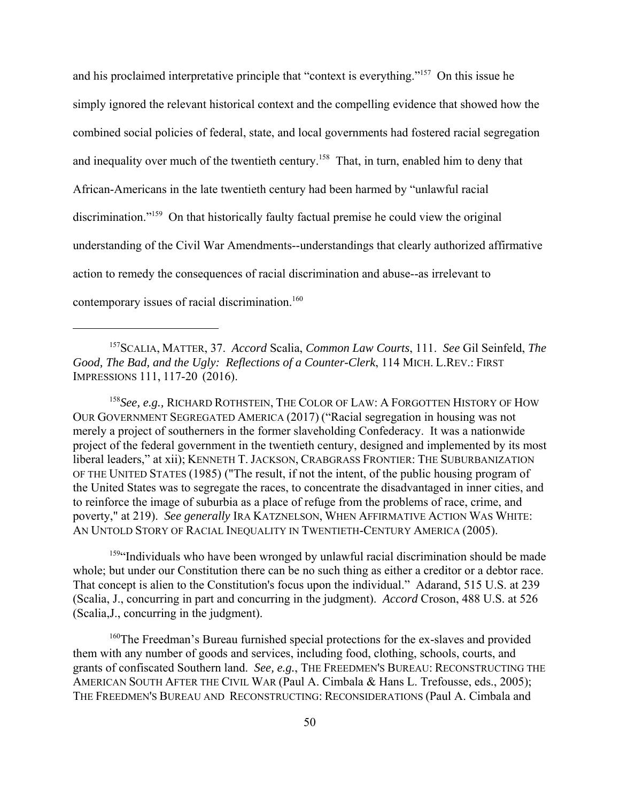and his proclaimed interpretative principle that "context is everything."157 On this issue he simply ignored the relevant historical context and the compelling evidence that showed how the combined social policies of federal, state, and local governments had fostered racial segregation and inequality over much of the twentieth century.<sup>158</sup> That, in turn, enabled him to deny that African-Americans in the late twentieth century had been harmed by "unlawful racial discrimination."<sup>159</sup> On that historically faulty factual premise he could view the original understanding of the Civil War Amendments--understandings that clearly authorized affirmative action to remedy the consequences of racial discrimination and abuse--as irrelevant to contemporary issues of racial discrimination.<sup>160</sup>

157SCALIA, MATTER, 37. *Accord* Scalia, *Common Law Courts*, 111. *See* Gil Seinfeld, *The Good, The Bad, and the Ugly: Reflections of a Counter-Clerk*, 114 MICH. L.REV.: FIRST IMPRESSIONS 111, 117-20 (2016).

<sup>158</sup>*See, e.g.,* RICHARD ROTHSTEIN, THE COLOR OF LAW: A FORGOTTEN HISTORY OF HOW OUR GOVERNMENT SEGREGATED AMERICA (2017) ("Racial segregation in housing was not merely a project of southerners in the former slaveholding Confederacy. It was a nationwide project of the federal government in the twentieth century, designed and implemented by its most liberal leaders," at xii); KENNETH T. JACKSON, CRABGRASS FRONTIER: THE SUBURBANIZATION OF THE UNITED STATES (1985) ("The result, if not the intent, of the public housing program of the United States was to segregate the races, to concentrate the disadvantaged in inner cities, and to reinforce the image of suburbia as a place of refuge from the problems of race, crime, and poverty," at 219). *See generally* IRA KATZNELSON, WHEN AFFIRMATIVE ACTION WAS WHITE: AN UNTOLD STORY OF RACIAL INEQUALITY IN TWENTIETH-CENTURY AMERICA (2005).

<sup>159</sup>"Individuals who have been wronged by unlawful racial discrimination should be made whole; but under our Constitution there can be no such thing as either a creditor or a debtor race. That concept is alien to the Constitution's focus upon the individual." Adarand, 515 U.S. at 239 (Scalia, J., concurring in part and concurring in the judgment). *Accord* Croson, 488 U.S. at 526 (Scalia,J., concurring in the judgment).

<sup>160</sup>The Freedman's Bureau furnished special protections for the ex-slaves and provided them with any number of goods and services, including food, clothing, schools, courts, and grants of confiscated Southern land. *See, e.g.*, THE FREEDMEN'S BUREAU: RECONSTRUCTING THE AMERICAN SOUTH AFTER THE CIVIL WAR (Paul A. Cimbala & Hans L. Trefousse, eds., 2005); THE FREEDMEN'S BUREAU AND RECONSTRUCTING: RECONSIDERATIONS (Paul A. Cimbala and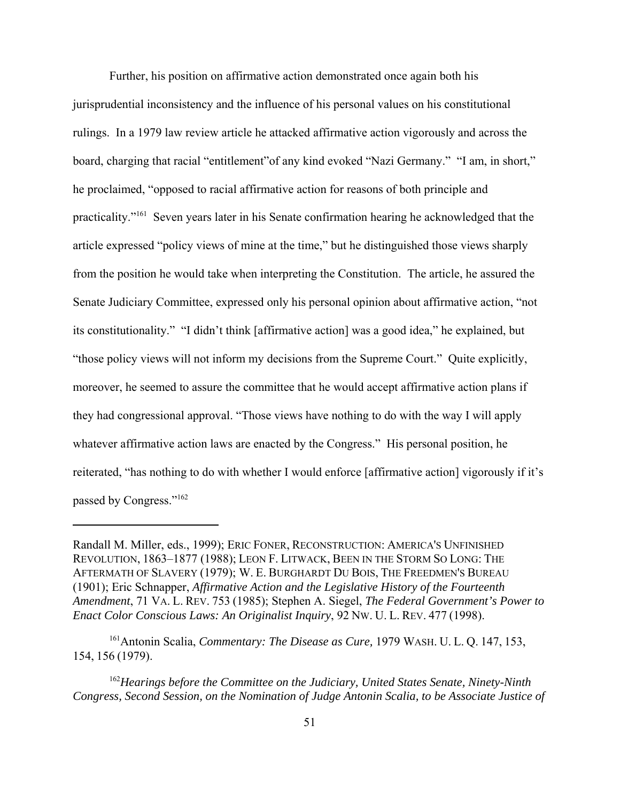Further, his position on affirmative action demonstrated once again both his jurisprudential inconsistency and the influence of his personal values on his constitutional rulings. In a 1979 law review article he attacked affirmative action vigorously and across the board, charging that racial "entitlement"of any kind evoked "Nazi Germany." "I am, in short," he proclaimed, "opposed to racial affirmative action for reasons of both principle and practicality."161 Seven years later in his Senate confirmation hearing he acknowledged that the article expressed "policy views of mine at the time," but he distinguished those views sharply from the position he would take when interpreting the Constitution. The article, he assured the Senate Judiciary Committee, expressed only his personal opinion about affirmative action, "not its constitutionality." "I didn't think [affirmative action] was a good idea," he explained, but "those policy views will not inform my decisions from the Supreme Court." Quite explicitly, moreover, he seemed to assure the committee that he would accept affirmative action plans if they had congressional approval. "Those views have nothing to do with the way I will apply whatever affirmative action laws are enacted by the Congress." His personal position, he reiterated, "has nothing to do with whether I would enforce [affirmative action] vigorously if it's passed by Congress."162

Randall M. Miller, eds., 1999); ERIC FONER, RECONSTRUCTION: AMERICA'S UNFINISHED REVOLUTION, 1863–1877 (1988); LEON F. LITWACK, BEEN IN THE STORM SO LONG: THE AFTERMATH OF SLAVERY (1979); W. E. BURGHARDT DU BOIS, THE FREEDMEN'S BUREAU (1901); Eric Schnapper, *Affirmative Action and the Legislative History of the Fourteenth Amendment*, 71 VA. L. REV. 753 (1985); Stephen A. Siegel, *The Federal Government's Power to Enact Color Conscious Laws: An Originalist Inquiry*, 92 NW. U. L. REV. 477 (1998).

<sup>161</sup>Antonin Scalia, *Commentary: The Disease as Cure,* 1979 WASH. U. L. Q. 147, 153, 154, 156 (1979).

<sup>162</sup>*Hearings before the Committee on the Judiciary, United States Senate, Ninety-Ninth Congress, Second Session, on the Nomination of Judge Antonin Scalia, to be Associate Justice of*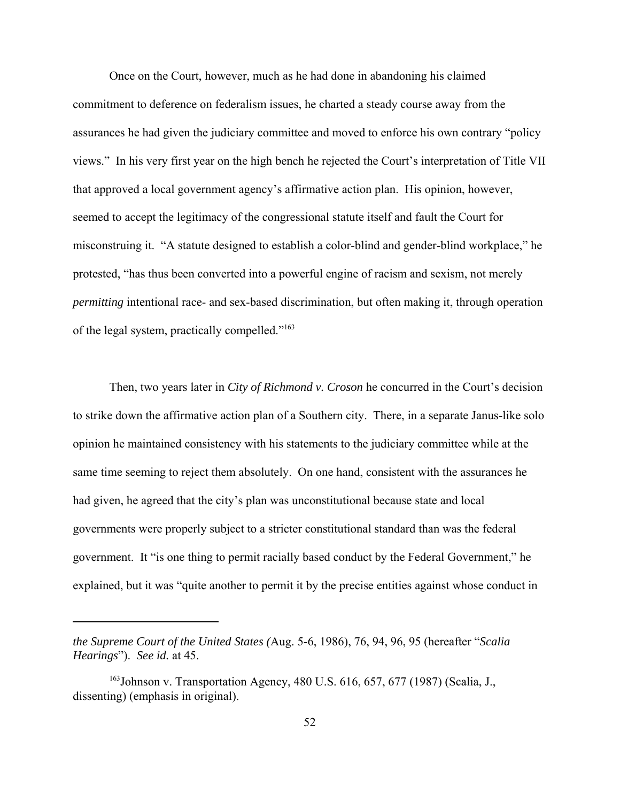Once on the Court, however, much as he had done in abandoning his claimed commitment to deference on federalism issues, he charted a steady course away from the assurances he had given the judiciary committee and moved to enforce his own contrary "policy views." In his very first year on the high bench he rejected the Court's interpretation of Title VII that approved a local government agency's affirmative action plan. His opinion, however, seemed to accept the legitimacy of the congressional statute itself and fault the Court for misconstruing it. "A statute designed to establish a color-blind and gender-blind workplace," he protested, "has thus been converted into a powerful engine of racism and sexism, not merely *permitting* intentional race- and sex-based discrimination, but often making it, through operation of the legal system, practically compelled."163

Then, two years later in *City of Richmond v. Croson* he concurred in the Court's decision to strike down the affirmative action plan of a Southern city. There, in a separate Janus-like solo opinion he maintained consistency with his statements to the judiciary committee while at the same time seeming to reject them absolutely. On one hand, consistent with the assurances he had given, he agreed that the city's plan was unconstitutional because state and local governments were properly subject to a stricter constitutional standard than was the federal government. It "is one thing to permit racially based conduct by the Federal Government," he explained, but it was "quite another to permit it by the precise entities against whose conduct in

*the Supreme Court of the United States (*Aug. 5-6, 1986), 76, 94, 96, 95 (hereafter "*Scalia Hearings*"). *See id.* at 45.

<sup>&</sup>lt;sup>163</sup>Johnson v. Transportation Agency, 480 U.S.  $616, 657, 677$  (1987) (Scalia, J., dissenting) (emphasis in original).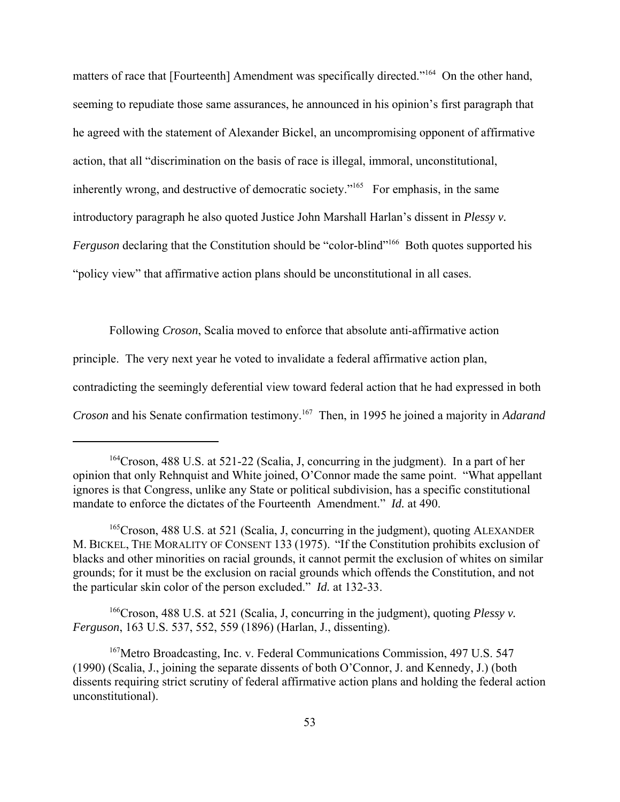matters of race that [Fourteenth] Amendment was specifically directed."<sup>164</sup> On the other hand, seeming to repudiate those same assurances, he announced in his opinion's first paragraph that he agreed with the statement of Alexander Bickel, an uncompromising opponent of affirmative action, that all "discrimination on the basis of race is illegal, immoral, unconstitutional, inherently wrong, and destructive of democratic society."<sup>165</sup> For emphasis, in the same introductory paragraph he also quoted Justice John Marshall Harlan's dissent in *Plessy v. Ferguson* declaring that the Constitution should be "color-blind"<sup>166</sup> Both quotes supported his "policy view" that affirmative action plans should be unconstitutional in all cases.

Following *Croson*, Scalia moved to enforce that absolute anti-affirmative action principle. The very next year he voted to invalidate a federal affirmative action plan, contradicting the seemingly deferential view toward federal action that he had expressed in both *Croson* and his Senate confirmation testimony.<sup>167</sup> Then, in 1995 he joined a majority in *Adarand* 

166Croson, 488 U.S. at 521 (Scalia, J, concurring in the judgment), quoting *Plessy v. Ferguson*, 163 U.S. 537, 552, 559 (1896) (Harlan, J., dissenting).

<sup>164</sup>Croson, 488 U.S. at 521-22 (Scalia, J, concurring in the judgment). In a part of her opinion that only Rehnquist and White joined, O'Connor made the same point. "What appellant ignores is that Congress, unlike any State or political subdivision, has a specific constitutional mandate to enforce the dictates of the Fourteenth Amendment." *Id.* at 490.

<sup>&</sup>lt;sup>165</sup>Croson, 488 U.S. at 521 (Scalia, J. concurring in the judgment), quoting ALEXANDER M. BICKEL, THE MORALITY OF CONSENT 133 (1975). "If the Constitution prohibits exclusion of blacks and other minorities on racial grounds, it cannot permit the exclusion of whites on similar grounds; for it must be the exclusion on racial grounds which offends the Constitution, and not the particular skin color of the person excluded." *Id.* at 132-33.

<sup>167</sup>Metro Broadcasting, Inc. v. Federal Communications Commission, 497 U.S. 547 (1990) (Scalia, J., joining the separate dissents of both O'Connor, J. and Kennedy, J.) (both dissents requiring strict scrutiny of federal affirmative action plans and holding the federal action unconstitutional).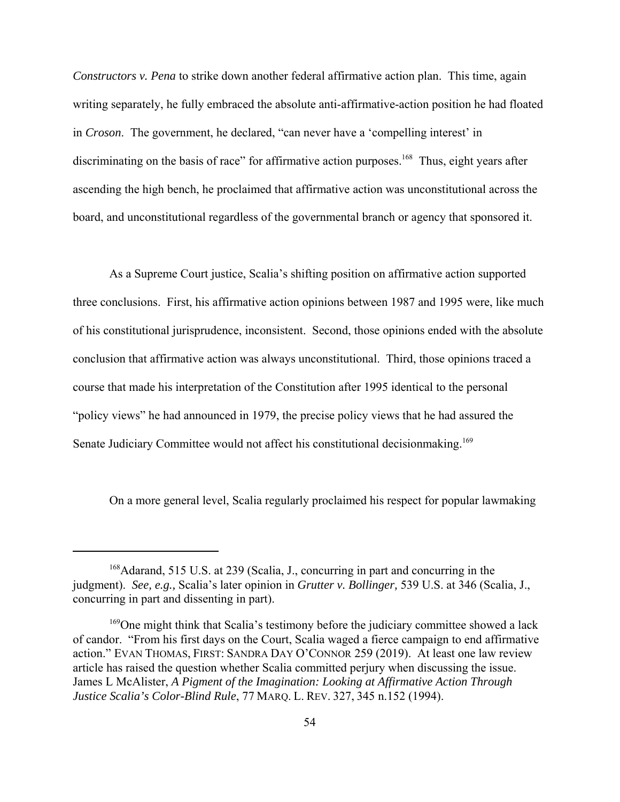*Constructors v. Pena* to strike down another federal affirmative action plan. This time, again writing separately, he fully embraced the absolute anti-affirmative-action position he had floated in *Croson*. The government, he declared, "can never have a 'compelling interest' in discriminating on the basis of race" for affirmative action purposes.<sup>168</sup> Thus, eight years after ascending the high bench, he proclaimed that affirmative action was unconstitutional across the board, and unconstitutional regardless of the governmental branch or agency that sponsored it.

As a Supreme Court justice, Scalia's shifting position on affirmative action supported three conclusions. First, his affirmative action opinions between 1987 and 1995 were, like much of his constitutional jurisprudence, inconsistent. Second, those opinions ended with the absolute conclusion that affirmative action was always unconstitutional. Third, those opinions traced a course that made his interpretation of the Constitution after 1995 identical to the personal "policy views" he had announced in 1979, the precise policy views that he had assured the Senate Judiciary Committee would not affect his constitutional decisionmaking.<sup>169</sup>

On a more general level, Scalia regularly proclaimed his respect for popular lawmaking

<sup>168</sup>Adarand, 515 U.S. at 239 (Scalia, J., concurring in part and concurring in the judgment). *See, e.g.,* Scalia's later opinion in *Grutter v. Bollinger,* 539 U.S. at 346 (Scalia, J., concurring in part and dissenting in part).

<sup>&</sup>lt;sup>169</sup>One might think that Scalia's testimony before the judiciary committee showed a lack of candor. "From his first days on the Court, Scalia waged a fierce campaign to end affirmative action." EVAN THOMAS, FIRST: SANDRA DAY O'CONNOR 259 (2019). At least one law review article has raised the question whether Scalia committed perjury when discussing the issue. James L McAlister, *A Pigment of the Imagination: Looking at Affirmative Action Through Justice Scalia's Color-Blind Rule*, 77 MARQ. L. REV. 327, 345 n.152 (1994).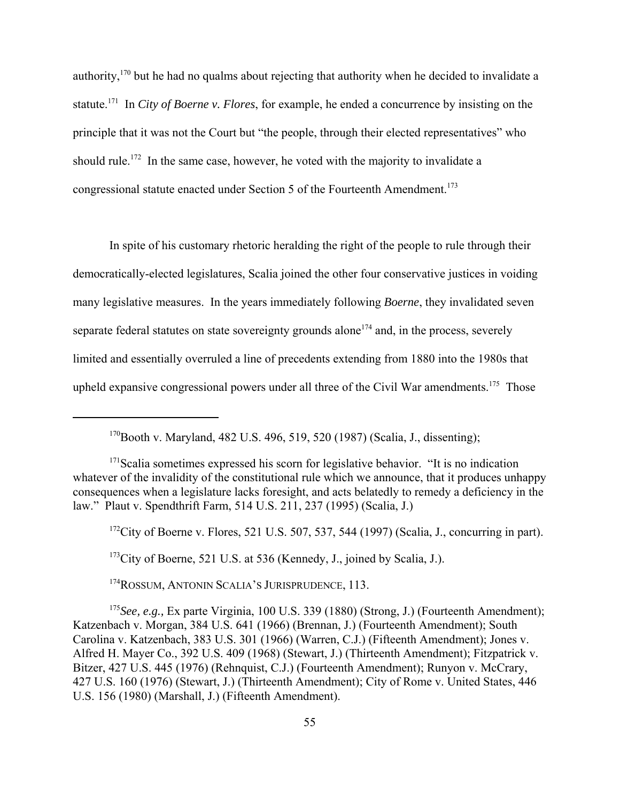authority,170 but he had no qualms about rejecting that authority when he decided to invalidate a statute.171 In *City of Boerne v. Flores*, for example, he ended a concurrence by insisting on the principle that it was not the Court but "the people, through their elected representatives" who should rule.<sup>172</sup> In the same case, however, he voted with the majority to invalidate a congressional statute enacted under Section 5 of the Fourteenth Amendment.<sup>173</sup>

In spite of his customary rhetoric heralding the right of the people to rule through their democratically-elected legislatures, Scalia joined the other four conservative justices in voiding many legislative measures. In the years immediately following *Boerne*, they invalidated seven separate federal statutes on state sovereignty grounds alone<sup> $174$ </sup> and, in the process, severely limited and essentially overruled a line of precedents extending from 1880 into the 1980s that upheld expansive congressional powers under all three of the Civil War amendments.<sup>175</sup> Those

 $172$ City of Boerne v. Flores, 521 U.S. 507, 537, 544 (1997) (Scalia, J., concurring in part).

<sup>173</sup>City of Boerne, 521 U.S. at 536 (Kennedy, J., joined by Scalia, J.).

<sup>174</sup>ROSSUM, ANTONIN SCALIA'S JURISPRUDENCE, 113.

<sup>175</sup>*See, e.g.,* Ex parte Virginia, 100 U.S. 339 (1880) (Strong, J.) (Fourteenth Amendment); Katzenbach v. Morgan, 384 U.S. 641 (1966) (Brennan, J.) (Fourteenth Amendment); South Carolina v. Katzenbach, 383 U.S. 301 (1966) (Warren, C.J.) (Fifteenth Amendment); Jones v. Alfred H. Mayer Co., 392 U.S. 409 (1968) (Stewart, J.) (Thirteenth Amendment); Fitzpatrick v. Bitzer, 427 U.S. 445 (1976) (Rehnquist, C.J.) (Fourteenth Amendment); Runyon v. McCrary, 427 U.S. 160 (1976) (Stewart, J.) (Thirteenth Amendment); City of Rome v. United States, 446 U.S. 156 (1980) (Marshall, J.) (Fifteenth Amendment).

<sup>170</sup>Booth v. Maryland, 482 U.S. 496, 519, 520 (1987) (Scalia, J., dissenting);

<sup>&</sup>lt;sup>171</sup>Scalia sometimes expressed his scorn for legislative behavior. "It is no indication whatever of the invalidity of the constitutional rule which we announce, that it produces unhappy consequences when a legislature lacks foresight, and acts belatedly to remedy a deficiency in the law." Plaut v. Spendthrift Farm, 514 U.S. 211, 237 (1995) (Scalia, J.)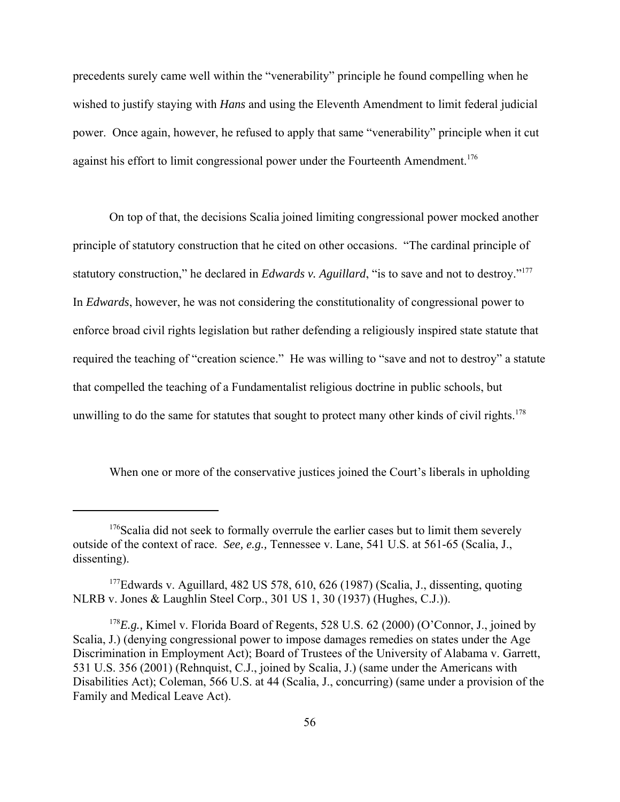precedents surely came well within the "venerability" principle he found compelling when he wished to justify staying with *Hans* and using the Eleventh Amendment to limit federal judicial power. Once again, however, he refused to apply that same "venerability" principle when it cut against his effort to limit congressional power under the Fourteenth Amendment.<sup>176</sup>

On top of that, the decisions Scalia joined limiting congressional power mocked another principle of statutory construction that he cited on other occasions. "The cardinal principle of statutory construction," he declared in *Edwards v. Aguillard*, "is to save and not to destroy."177 In *Edwards*, however, he was not considering the constitutionality of congressional power to enforce broad civil rights legislation but rather defending a religiously inspired state statute that required the teaching of "creation science." He was willing to "save and not to destroy" a statute that compelled the teaching of a Fundamentalist religious doctrine in public schools, but unwilling to do the same for statutes that sought to protect many other kinds of civil rights.<sup>178</sup>

When one or more of the conservative justices joined the Court's liberals in upholding

 $176$ Scalia did not seek to formally overrule the earlier cases but to limit them severely outside of the context of race. *See, e.g.,* Tennessee v. Lane, 541 U.S. at 561-65 (Scalia, J., dissenting).

<sup>&</sup>lt;sup>177</sup>Edwards v. Aguillard, 482 US 578, 610, 626 (1987) (Scalia, J., dissenting, quoting NLRB v. Jones & Laughlin Steel Corp., 301 US 1, 30 (1937) (Hughes, C.J.)).

<sup>&</sup>lt;sup>178</sup>*E.g.*, Kimel v. Florida Board of Regents, 528 U.S. 62 (2000) (O'Connor, J., joined by Scalia, J.) (denying congressional power to impose damages remedies on states under the Age Discrimination in Employment Act); Board of Trustees of the University of Alabama v. Garrett, 531 U.S. 356 (2001) (Rehnquist, C.J., joined by Scalia, J.) (same under the Americans with Disabilities Act); Coleman, 566 U.S. at 44 (Scalia, J., concurring) (same under a provision of the Family and Medical Leave Act).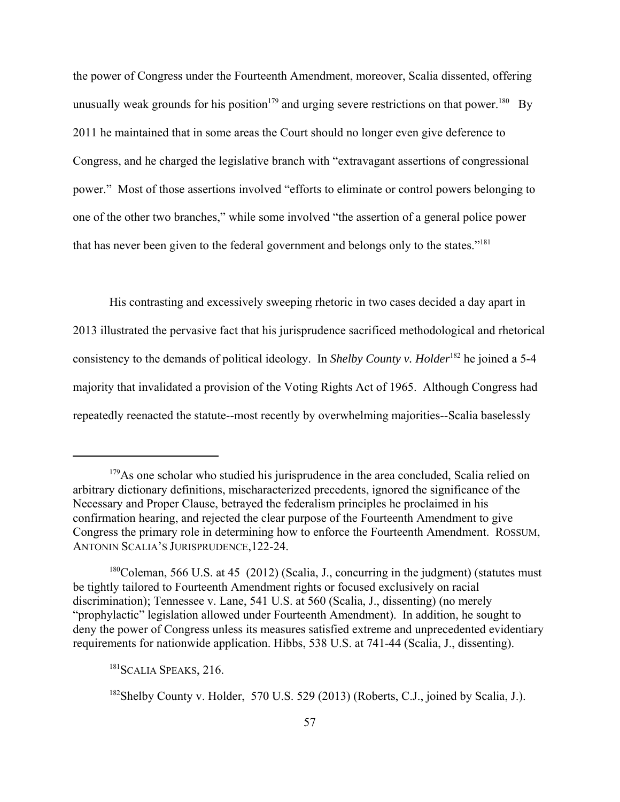the power of Congress under the Fourteenth Amendment, moreover, Scalia dissented, offering unusually weak grounds for his position<sup>179</sup> and urging severe restrictions on that power.<sup>180</sup> By 2011 he maintained that in some areas the Court should no longer even give deference to Congress, and he charged the legislative branch with "extravagant assertions of congressional power." Most of those assertions involved "efforts to eliminate or control powers belonging to one of the other two branches," while some involved "the assertion of a general police power that has never been given to the federal government and belongs only to the states."181

His contrasting and excessively sweeping rhetoric in two cases decided a day apart in 2013 illustrated the pervasive fact that his jurisprudence sacrificed methodological and rhetorical consistency to the demands of political ideology. In *Shelby County v. Holder*<sup>182</sup> he joined a 5-4 majority that invalidated a provision of the Voting Rights Act of 1965. Although Congress had repeatedly reenacted the statute--most recently by overwhelming majorities--Scalia baselessly

 $179\text{As}$  one scholar who studied his jurisprudence in the area concluded, Scalia relied on arbitrary dictionary definitions, mischaracterized precedents, ignored the significance of the Necessary and Proper Clause, betrayed the federalism principles he proclaimed in his confirmation hearing, and rejected the clear purpose of the Fourteenth Amendment to give Congress the primary role in determining how to enforce the Fourteenth Amendment. ROSSUM, ANTONIN SCALIA'S JURISPRUDENCE,122-24.

<sup>&</sup>lt;sup>180</sup>Coleman, 566 U.S. at 45 (2012) (Scalia, J., concurring in the judgment) (statutes must be tightly tailored to Fourteenth Amendment rights or focused exclusively on racial discrimination); Tennessee v. Lane, 541 U.S. at 560 (Scalia, J., dissenting) (no merely "prophylactic" legislation allowed under Fourteenth Amendment). In addition, he sought to deny the power of Congress unless its measures satisfied extreme and unprecedented evidentiary requirements for nationwide application. Hibbs, 538 U.S. at 741-44 (Scalia, J., dissenting).

<sup>&</sup>lt;sup>181</sup>SCALIA SPEAKS, 216.

<sup>&</sup>lt;sup>182</sup>Shelby County v. Holder, 570 U.S. 529 (2013) (Roberts, C.J., joined by Scalia, J.).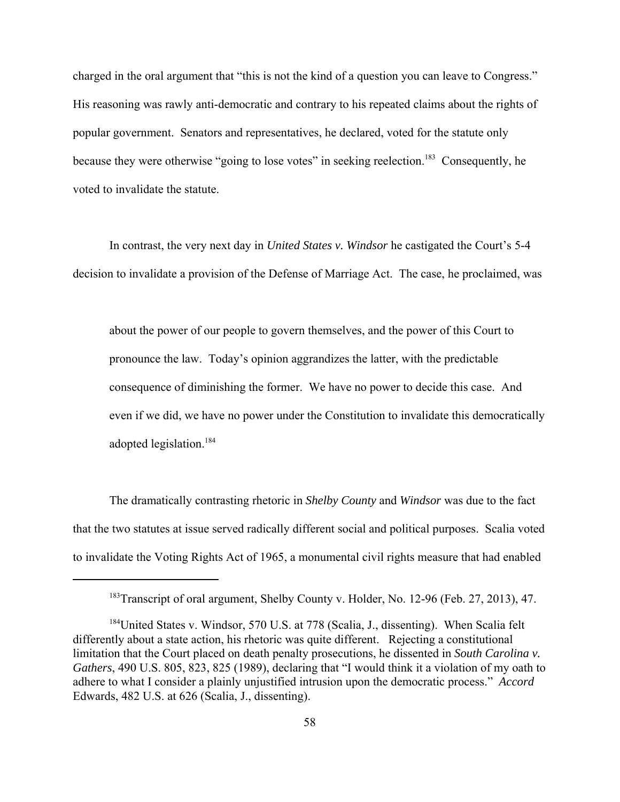charged in the oral argument that "this is not the kind of a question you can leave to Congress." His reasoning was rawly anti-democratic and contrary to his repeated claims about the rights of popular government. Senators and representatives, he declared, voted for the statute only because they were otherwise "going to lose votes" in seeking reelection.<sup>183</sup> Consequently, he voted to invalidate the statute.

In contrast, the very next day in *United States v. Windsor* he castigated the Court's 5-4 decision to invalidate a provision of the Defense of Marriage Act. The case, he proclaimed, was

about the power of our people to govern themselves, and the power of this Court to pronounce the law. Today's opinion aggrandizes the latter, with the predictable consequence of diminishing the former. We have no power to decide this case. And even if we did, we have no power under the Constitution to invalidate this democratically adopted legislation.<sup>184</sup>

The dramatically contrasting rhetoric in *Shelby County* and *Windsor* was due to the fact that the two statutes at issue served radically different social and political purposes. Scalia voted to invalidate the Voting Rights Act of 1965, a monumental civil rights measure that had enabled

<sup>&</sup>lt;sup>183</sup>Transcript of oral argument, Shelby County v. Holder, No. 12-96 (Feb. 27, 2013), 47.

<sup>&</sup>lt;sup>184</sup>United States v. Windsor, 570 U.S. at 778 (Scalia, J., dissenting). When Scalia felt differently about a state action, his rhetoric was quite different. Rejecting a constitutional limitation that the Court placed on death penalty prosecutions, he dissented in *South Carolina v. Gathers*, 490 U.S. 805, 823, 825 (1989), declaring that "I would think it a violation of my oath to adhere to what I consider a plainly unjustified intrusion upon the democratic process." *Accord* Edwards, 482 U.S. at 626 (Scalia, J., dissenting).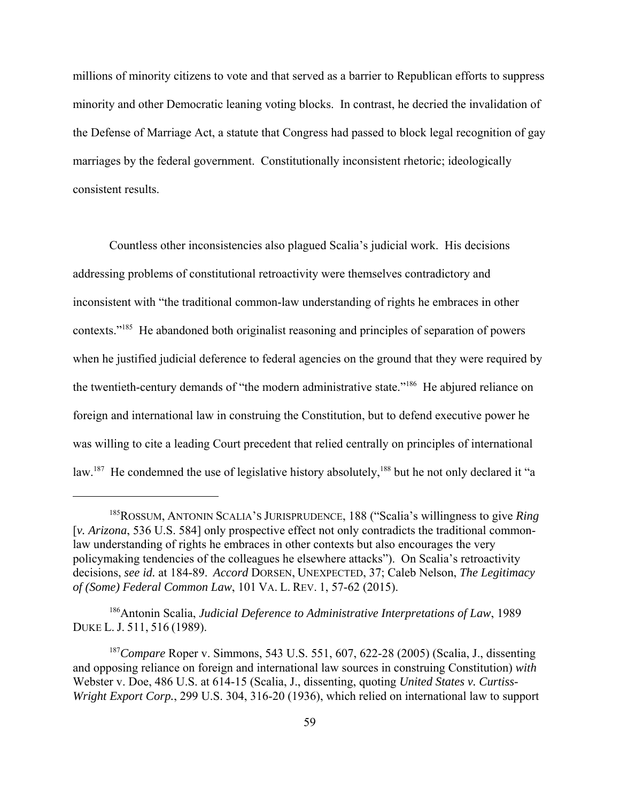millions of minority citizens to vote and that served as a barrier to Republican efforts to suppress minority and other Democratic leaning voting blocks. In contrast, he decried the invalidation of the Defense of Marriage Act, a statute that Congress had passed to block legal recognition of gay marriages by the federal government. Constitutionally inconsistent rhetoric; ideologically consistent results.

Countless other inconsistencies also plagued Scalia's judicial work. His decisions addressing problems of constitutional retroactivity were themselves contradictory and inconsistent with "the traditional common-law understanding of rights he embraces in other contexts."<sup>185</sup> He abandoned both originalist reasoning and principles of separation of powers when he justified judicial deference to federal agencies on the ground that they were required by the twentieth-century demands of "the modern administrative state."<sup>186</sup> He abjured reliance on foreign and international law in construing the Constitution, but to defend executive power he was willing to cite a leading Court precedent that relied centrally on principles of international law.<sup>187</sup> He condemned the use of legislative history absolutely,<sup>188</sup> but he not only declared it "a

<sup>185</sup>ROSSUM, ANTONIN SCALIA'S JURISPRUDENCE, 188 ("Scalia's willingness to give *Ring* [*v. Arizona*, 536 U.S. 584] only prospective effect not only contradicts the traditional commonlaw understanding of rights he embraces in other contexts but also encourages the very policymaking tendencies of the colleagues he elsewhere attacks"). On Scalia's retroactivity decisions, *see id.* at 184-89. *Accord* DORSEN, UNEXPECTED, 37; Caleb Nelson, *The Legitimacy of (Some) Federal Common Law*, 101 VA. L. REV. 1, 57-62 (2015).

<sup>186</sup>Antonin Scalia, *Judicial Deference to Administrative Interpretations of Law*, 1989 DUKE L. J. 511, 516 (1989).

<sup>187</sup>*Compare* Roper v. Simmons, 543 U.S. 551, 607, 622-28 (2005) (Scalia, J., dissenting and opposing reliance on foreign and international law sources in construing Constitution) *with* Webster v. Doe, 486 U.S. at 614-15 (Scalia, J., dissenting, quoting *United States v. Curtiss-Wright Export Corp.*, 299 U.S. 304, 316-20 (1936), which relied on international law to support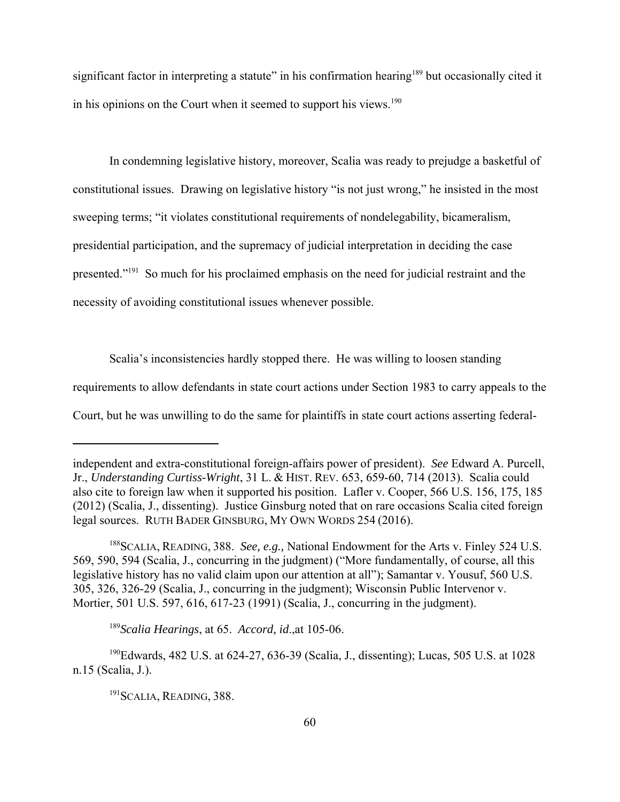significant factor in interpreting a statute" in his confirmation hearing<sup>189</sup> but occasionally cited it in his opinions on the Court when it seemed to support his views.<sup>190</sup>

In condemning legislative history, moreover, Scalia was ready to prejudge a basketful of constitutional issues. Drawing on legislative history "is not just wrong," he insisted in the most sweeping terms; "it violates constitutional requirements of nondelegability, bicameralism, presidential participation, and the supremacy of judicial interpretation in deciding the case presented."191 So much for his proclaimed emphasis on the need for judicial restraint and the necessity of avoiding constitutional issues whenever possible.

Scalia's inconsistencies hardly stopped there. He was willing to loosen standing requirements to allow defendants in state court actions under Section 1983 to carry appeals to the Court, but he was unwilling to do the same for plaintiffs in state court actions asserting federal-

independent and extra-constitutional foreign-affairs power of president). *See* Edward A. Purcell, Jr., *Understanding Curtiss-Wright*, 31 L. & HIST. REV. 653, 659-60, 714 (2013). Scalia could also cite to foreign law when it supported his position. Lafler v. Cooper, 566 U.S. 156, 175, 185 (2012) (Scalia, J., dissenting). Justice Ginsburg noted that on rare occasions Scalia cited foreign legal sources. RUTH BADER GINSBURG, MY OWN WORDS 254 (2016).

<sup>188</sup>SCALIA, READING, 388. *See, e.g.,* National Endowment for the Arts v. Finley 524 U.S. 569, 590, 594 (Scalia, J., concurring in the judgment) ("More fundamentally, of course, all this legislative history has no valid claim upon our attention at all"); Samantar v. Yousuf, 560 U.S. 305, 326, 326-29 (Scalia, J., concurring in the judgment); Wisconsin Public Intervenor v. Mortier, 501 U.S. 597, 616, 617-23 (1991) (Scalia, J., concurring in the judgment).

<sup>189</sup>*Scalia Hearings*, at 65. *Accord, id*.,at 105-06.

<sup>190</sup>Edwards, 482 U.S. at 624-27, 636-39 (Scalia, J., dissenting); Lucas, 505 U.S. at 1028 n.15 (Scalia, J.).

<sup>&</sup>lt;sup>191</sup>SCALIA, READING, 388.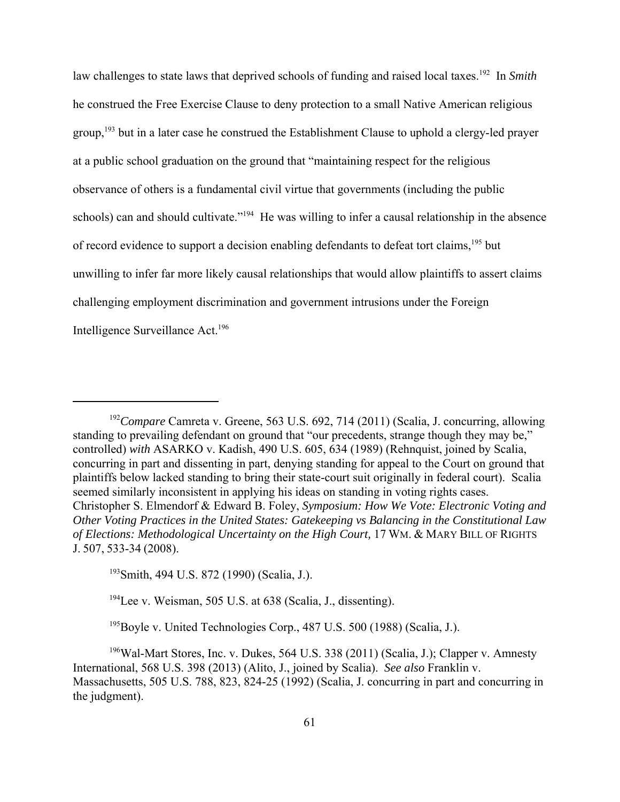law challenges to state laws that deprived schools of funding and raised local taxes.<sup>192</sup> In *Smith* he construed the Free Exercise Clause to deny protection to a small Native American religious group,<sup>193</sup> but in a later case he construed the Establishment Clause to uphold a clergy-led prayer at a public school graduation on the ground that "maintaining respect for the religious observance of others is a fundamental civil virtue that governments (including the public schools) can and should cultivate."<sup>194</sup> He was willing to infer a causal relationship in the absence of record evidence to support a decision enabling defendants to defeat tort claims,<sup>195</sup> but unwilling to infer far more likely causal relationships that would allow plaintiffs to assert claims challenging employment discrimination and government intrusions under the Foreign Intelligence Surveillance Act.196

<sup>192</sup>*Compare* Camreta v. Greene, 563 U.S. 692, 714 (2011) (Scalia, J. concurring, allowing standing to prevailing defendant on ground that "our precedents, strange though they may be," controlled) *with* ASARKO v. Kadish, 490 U.S. 605, 634 (1989) (Rehnquist, joined by Scalia, concurring in part and dissenting in part, denying standing for appeal to the Court on ground that plaintiffs below lacked standing to bring their state-court suit originally in federal court). Scalia seemed similarly inconsistent in applying his ideas on standing in voting rights cases. Christopher S. Elmendorf & Edward B. Foley, *Symposium: How We Vote: Electronic Voting and Other Voting Practices in the United States: Gatekeeping vs Balancing in the Constitutional Law of Elections: Methodological Uncertainty on the High Court,* 17 WM. & MARY BILL OF RIGHTS J. 507, 533-34 (2008).

<sup>193</sup>Smith, 494 U.S. 872 (1990) (Scalia, J.).

<sup>&</sup>lt;sup>194</sup>Lee v. Weisman, 505 U.S. at 638 (Scalia, J., dissenting).

<sup>195</sup>Boyle v. United Technologies Corp., 487 U.S. 500 (1988) (Scalia, J.).

 $196$ Wal-Mart Stores, Inc. v. Dukes, 564 U.S. 338 (2011) (Scalia, J.); Clapper v. Amnesty International, 568 U.S. 398 (2013) (Alito, J., joined by Scalia). *See also* Franklin v. Massachusetts, 505 U.S. 788, 823, 824-25 (1992) (Scalia, J. concurring in part and concurring in the judgment).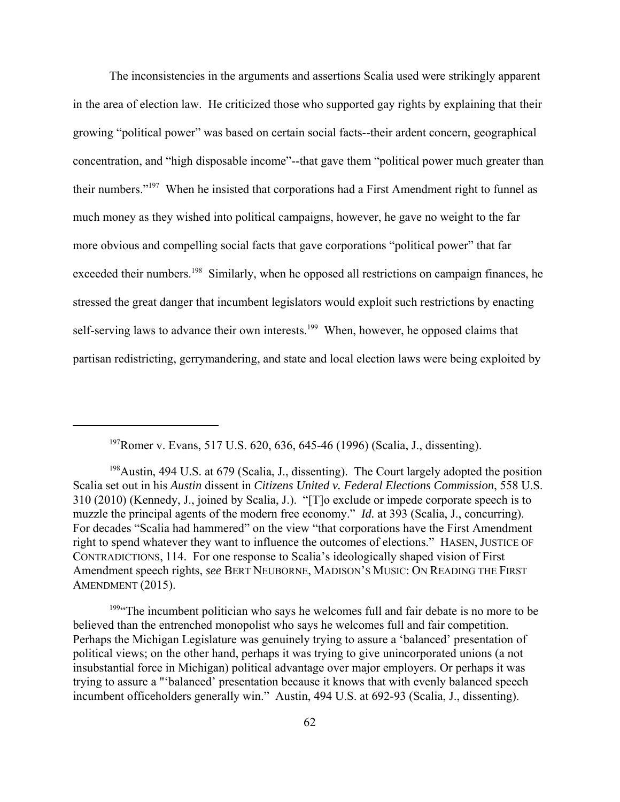The inconsistencies in the arguments and assertions Scalia used were strikingly apparent in the area of election law. He criticized those who supported gay rights by explaining that their growing "political power" was based on certain social facts--their ardent concern, geographical concentration, and "high disposable income"--that gave them "political power much greater than their numbers."197 When he insisted that corporations had a First Amendment right to funnel as much money as they wished into political campaigns, however, he gave no weight to the far more obvious and compelling social facts that gave corporations "political power" that far exceeded their numbers.<sup>198</sup> Similarly, when he opposed all restrictions on campaign finances, he stressed the great danger that incumbent legislators would exploit such restrictions by enacting self-serving laws to advance their own interests.<sup>199</sup> When, however, he opposed claims that partisan redistricting, gerrymandering, and state and local election laws were being exploited by

197Romer v. Evans, 517 U.S. 620, 636, 645-46 (1996) (Scalia, J., dissenting).

<sup>199</sup> The incumbent politician who says he welcomes full and fair debate is no more to be believed than the entrenched monopolist who says he welcomes full and fair competition. Perhaps the Michigan Legislature was genuinely trying to assure a 'balanced' presentation of political views; on the other hand, perhaps it was trying to give unincorporated unions (a not insubstantial force in Michigan) political advantage over major employers. Or perhaps it was trying to assure a "'balanced' presentation because it knows that with evenly balanced speech incumbent officeholders generally win." Austin, 494 U.S. at 692-93 (Scalia, J., dissenting).

<sup>&</sup>lt;sup>198</sup>Austin, 494 U.S. at 679 (Scalia, J., dissenting). The Court largely adopted the position Scalia set out in his *Austin* dissent in *Citizens United v. Federal Elections Commission*, 558 U.S. 310 (2010) (Kennedy, J., joined by Scalia, J.). "[T]o exclude or impede corporate speech is to muzzle the principal agents of the modern free economy." *Id.* at 393 (Scalia, J., concurring). For decades "Scalia had hammered" on the view "that corporations have the First Amendment right to spend whatever they want to influence the outcomes of elections." HASEN, JUSTICE OF CONTRADICTIONS, 114. For one response to Scalia's ideologically shaped vision of First Amendment speech rights, *see* BERT NEUBORNE, MADISON'S MUSIC: ON READING THE FIRST AMENDMENT (2015).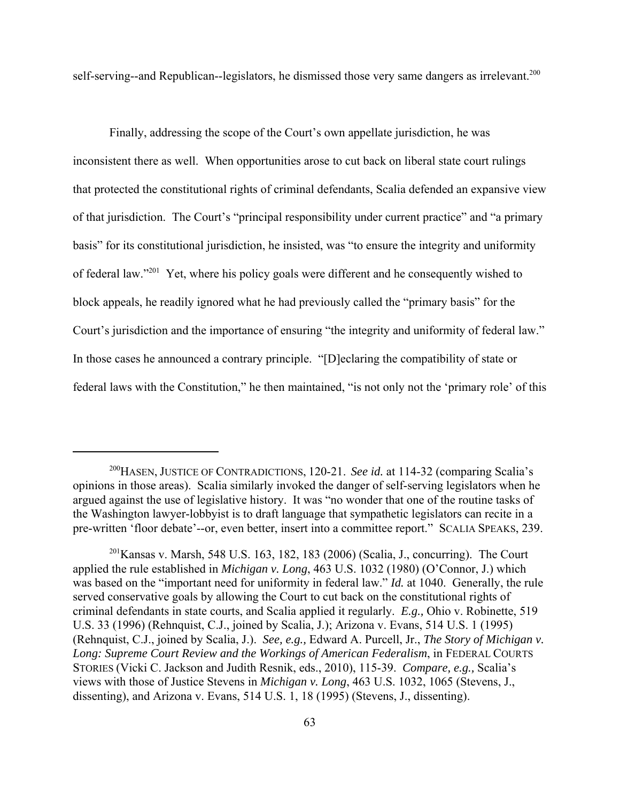self-serving--and Republican--legislators, he dismissed those very same dangers as irrelevant.<sup>200</sup>

Finally, addressing the scope of the Court's own appellate jurisdiction, he was inconsistent there as well. When opportunities arose to cut back on liberal state court rulings that protected the constitutional rights of criminal defendants, Scalia defended an expansive view of that jurisdiction. The Court's "principal responsibility under current practice" and "a primary basis" for its constitutional jurisdiction, he insisted, was "to ensure the integrity and uniformity of federal law."201 Yet, where his policy goals were different and he consequently wished to block appeals, he readily ignored what he had previously called the "primary basis" for the Court's jurisdiction and the importance of ensuring "the integrity and uniformity of federal law." In those cases he announced a contrary principle. "[D]eclaring the compatibility of state or federal laws with the Constitution," he then maintained, "is not only not the 'primary role' of this

<sup>200</sup>HASEN, JUSTICE OF CONTRADICTIONS, 120-21. *See id.* at 114-32 (comparing Scalia's opinions in those areas). Scalia similarly invoked the danger of self-serving legislators when he argued against the use of legislative history. It was "no wonder that one of the routine tasks of the Washington lawyer-lobbyist is to draft language that sympathetic legislators can recite in a pre-written 'floor debate'--or, even better, insert into a committee report." SCALIA SPEAKS, 239.

 $^{201}$ Kansas v. Marsh, 548 U.S. 163, 182, 183 (2006) (Scalia, J., concurring). The Court applied the rule established in *Michigan v. Long*, 463 U.S. 1032 (1980) (O'Connor, J.) which was based on the "important need for uniformity in federal law." *Id.* at 1040. Generally, the rule served conservative goals by allowing the Court to cut back on the constitutional rights of criminal defendants in state courts, and Scalia applied it regularly. *E.g.,* Ohio v. Robinette, 519 U.S. 33 (1996) (Rehnquist, C.J., joined by Scalia, J.); Arizona v. Evans, 514 U.S. 1 (1995) (Rehnquist, C.J., joined by Scalia, J.). *See, e.g.,* Edward A. Purcell, Jr., *The Story of Michigan v. Long: Supreme Court Review and the Workings of American Federalism*, in FEDERAL COURTS STORIES (Vicki C. Jackson and Judith Resnik, eds., 2010), 115-39. *Compare, e.g.,* Scalia's views with those of Justice Stevens in *Michigan v. Long*, 463 U.S. 1032, 1065 (Stevens, J., dissenting), and Arizona v. Evans, 514 U.S. 1, 18 (1995) (Stevens, J., dissenting).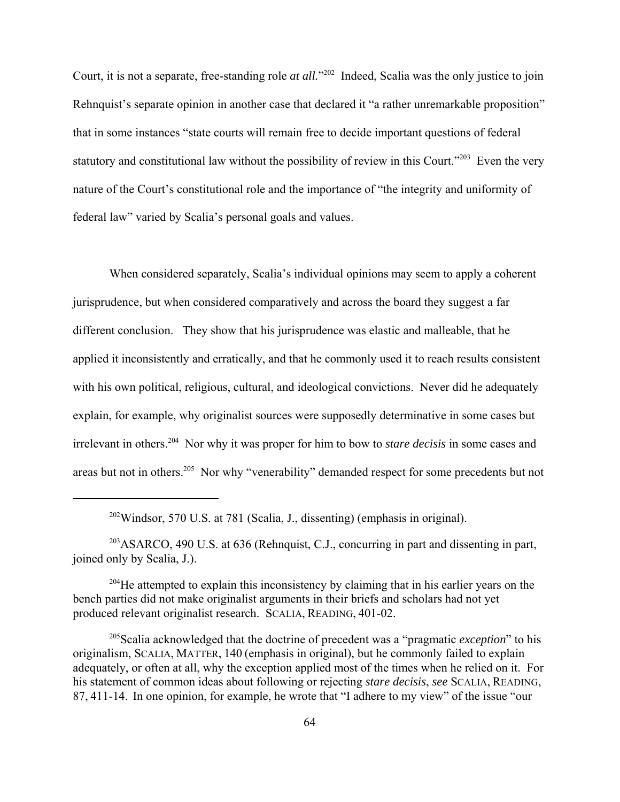Court, it is not a separate, free-standing role *at all*."<sup>202</sup> Indeed, Scalia was the only justice to join Rehnquist's separate opinion in another case that declared it "a rather unremarkable proposition" that in some instances "state courts will remain free to decide important questions of federal statutory and constitutional law without the possibility of review in this Court."<sup>203</sup> Even the very nature of the Court's constitutional role and the importance of "the integrity and uniformity of federal law" varied by Scalia's personal goals and values.

When considered separately, Scalia's individual opinions may seem to apply a coherent jurisprudence, but when considered comparatively and across the board they suggest a far different conclusion. They show that his jurisprudence was elastic and malleable, that he applied it inconsistently and erratically, and that he commonly used it to reach results consistent with his own political, religious, cultural, and ideological convictions. Never did he adequately explain, for example, why originalist sources were supposedly determinative in some cases but irrelevant in others.204 Nor why it was proper for him to bow to *stare decisis* in some cases and areas but not in others.205 Nor why "venerability" demanded respect for some precedents but not

 $203$ ASARCO, 490 U.S. at 636 (Rehnquist, C.J., concurring in part and dissenting in part, joined only by Scalia, J.).

<sup>202</sup>Windsor, 570 U.S. at 781 (Scalia, J., dissenting) (emphasis in original).

 $204$ He attempted to explain this inconsistency by claiming that in his earlier years on the bench parties did not make originalist arguments in their briefs and scholars had not yet produced relevant originalist research. SCALIA, READING, 401-02.

<sup>205</sup>Scalia acknowledged that the doctrine of precedent was a "pragmatic *exception*" to his originalism, SCALIA, MATTER, 140 (emphasis in original), but he commonly failed to explain adequately, or often at all, why the exception applied most of the times when he relied on it. For his statement of common ideas about following or rejecting *stare decisis*, *see* SCALIA, READING, 87, 411-14. In one opinion, for example, he wrote that "I adhere to my view" of the issue "our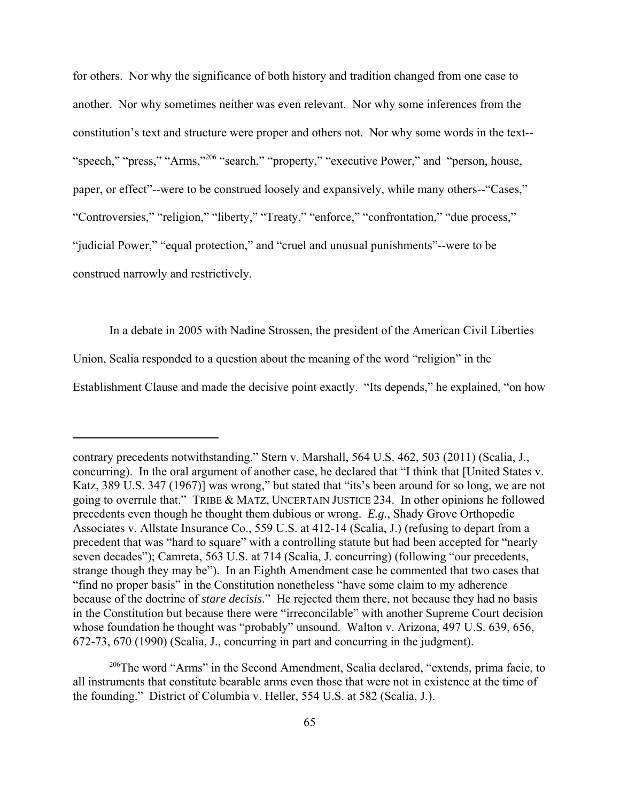for others. Nor why the significance of both history and tradition changed from one case to another. Nor why sometimes neither was even relevant. Nor why some inferences from the constitution's text and structure were proper and others not. Nor why some words in the text-- "speech," "press," "Arms,"<sup>206</sup> "search," "property," "executive Power," and "person, house, paper, or effect"--were to be construed loosely and expansively, while many others--"Cases," "Controversies," "religion," "liberty," "Treaty," "enforce," "confrontation," "due process," "judicial Power," "equal protection," and "cruel and unusual punishments"--were to be construed narrowly and restrictively.

In a debate in 2005 with Nadine Strossen, the president of the American Civil Liberties

Union, Scalia responded to a question about the meaning of the word "religion" in the

Establishment Clause and made the decisive point exactly. "Its depends," he explained, "on how

<sup>206</sup>The word "Arms" in the Second Amendment, Scalia declared, "extends, prima facie, to all instruments that constitute bearable arms even those that were not in existence at the time of the founding." District of Columbia v. Heller, 554 U.S. at 582 (Scalia, J.).

contrary precedents notwithstanding." Stern v. Marshall, 564 U.S. 462, 503 (2011) (Scalia, J., concurring). In the oral argument of another case, he declared that "I think that [United States v. Katz, 389 U.S. 347 (1967)] was wrong," but stated that "its's been around for so long, we are not going to overrule that." TRIBE & MATZ, UNCERTAIN JUSTICE 234. In other opinions he followed precedents even though he thought them dubious or wrong. *E.g.*, Shady Grove Orthopedic Associates v. Allstate Insurance Co., 559 U.S. at 412-14 (Scalia, J.) (refusing to depart from a precedent that was "hard to square" with a controlling statute but had been accepted for "nearly seven decades"); Camreta, 563 U.S. at 714 (Scalia, J. concurring) (following "our precedents, strange though they may be"). In an Eighth Amendment case he commented that two cases that "find no proper basis" in the Constitution nonetheless "have some claim to my adherence because of the doctrine of *stare decisis*." He rejected them there, not because they had no basis in the Constitution but because there were "irreconcilable" with another Supreme Court decision whose foundation he thought was "probably" unsound. Walton v. Arizona, 497 U.S. 639, 656, 672-73, 670 (1990) (Scalia, J., concurring in part and concurring in the judgment).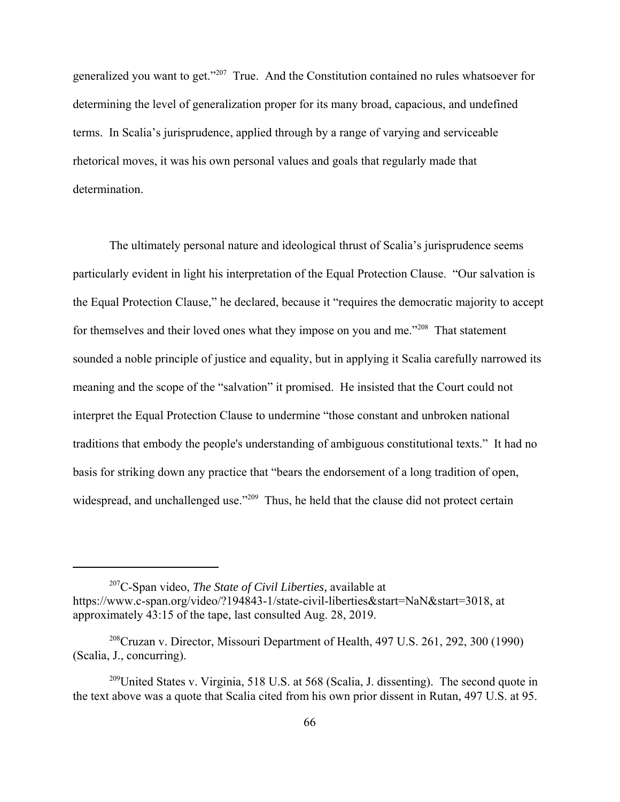generalized you want to get."207 True. And the Constitution contained no rules whatsoever for determining the level of generalization proper for its many broad, capacious, and undefined terms. In Scalia's jurisprudence, applied through by a range of varying and serviceable rhetorical moves, it was his own personal values and goals that regularly made that determination.

The ultimately personal nature and ideological thrust of Scalia's jurisprudence seems particularly evident in light his interpretation of the Equal Protection Clause. "Our salvation is the Equal Protection Clause," he declared, because it "requires the democratic majority to accept for themselves and their loved ones what they impose on you and me."<sup>208</sup> That statement sounded a noble principle of justice and equality, but in applying it Scalia carefully narrowed its meaning and the scope of the "salvation" it promised. He insisted that the Court could not interpret the Equal Protection Clause to undermine "those constant and unbroken national traditions that embody the people's understanding of ambiguous constitutional texts." It had no basis for striking down any practice that "bears the endorsement of a long tradition of open, widespread, and unchallenged use."<sup>209</sup> Thus, he held that the clause did not protect certain

<sup>207</sup>C-Span video, *The State of Civil Liberties,* available at https://www.c-span.org/video/?194843-1/state-civil-liberties&start=NaN&start=3018, at approximately 43:15 of the tape, last consulted Aug. 28, 2019.

 $208$ Cruzan v. Director, Missouri Department of Health, 497 U.S. 261, 292, 300 (1990) (Scalia, J., concurring).

 $^{209}$ United States v. Virginia, 518 U.S. at 568 (Scalia, J. dissenting). The second quote in the text above was a quote that Scalia cited from his own prior dissent in Rutan, 497 U.S. at 95.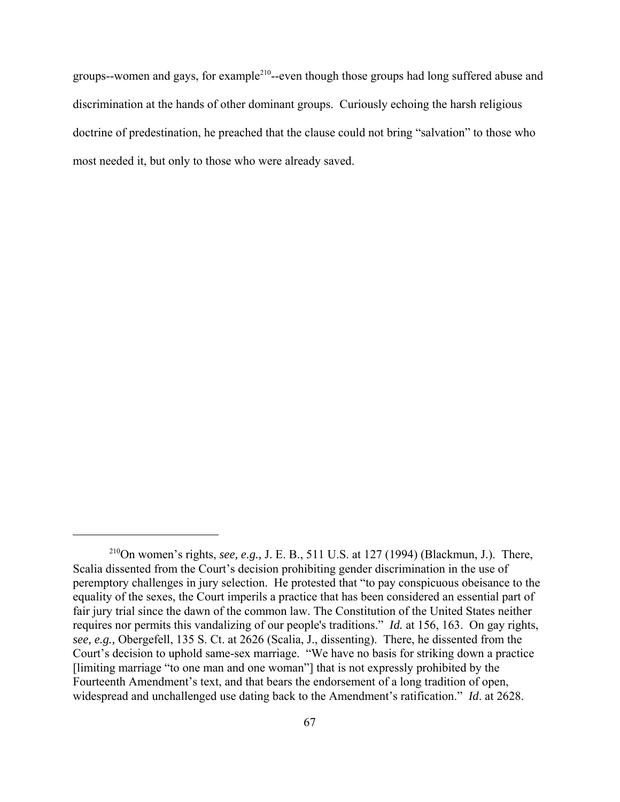groups--women and gays, for example<sup>210</sup>--even though those groups had long suffered abuse and discrimination at the hands of other dominant groups. Curiously echoing the harsh religious doctrine of predestination, he preached that the clause could not bring "salvation" to those who most needed it, but only to those who were already saved.

<sup>210</sup>On women's rights, *see, e.g.,* J. E. B., 511 U.S. at 127 (1994) (Blackmun, J.). There, Scalia dissented from the Court's decision prohibiting gender discrimination in the use of peremptory challenges in jury selection. He protested that "to pay conspicuous obeisance to the equality of the sexes, the Court imperils a practice that has been considered an essential part of fair jury trial since the dawn of the common law. The Constitution of the United States neither requires nor permits this vandalizing of our people's traditions." *Id.* at 156, 163. On gay rights, *see, e.g.,* Obergefell, 135 S. Ct. at 2626 (Scalia, J., dissenting). There, he dissented from the Court's decision to uphold same-sex marriage. "We have no basis for striking down a practice [limiting marriage "to one man and one woman"] that is not expressly prohibited by the Fourteenth Amendment's text, and that bears the endorsement of a long tradition of open, widespread and unchallenged use dating back to the Amendment's ratification." *Id*. at 2628.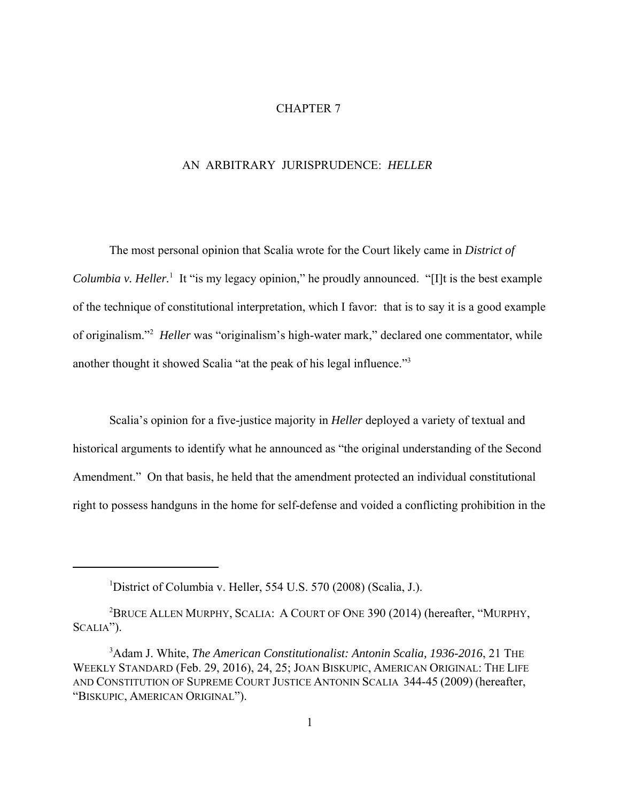## CHAPTER 7

## AN ARBITRARY JURISPRUDENCE: *HELLER*

The most personal opinion that Scalia wrote for the Court likely came in *District of* Columbia v. Heller.<sup>1</sup> It "is my legacy opinion," he proudly announced. "[I]t is the best example of the technique of constitutional interpretation, which I favor: that is to say it is a good example of originalism."<sup>2</sup> Heller was "originalism's high-water mark," declared one commentator, while another thought it showed Scalia "at the peak of his legal influence."3

Scalia's opinion for a five-justice majority in *Heller* deployed a variety of textual and historical arguments to identify what he announced as "the original understanding of the Second Amendment." On that basis, he held that the amendment protected an individual constitutional right to possess handguns in the home for self-defense and voided a conflicting prohibition in the

<sup>&</sup>lt;sup>1</sup>District of Columbia v. Heller, 554 U.S. 570 (2008) (Scalia, J.).

 $^2$ Bruce Allen Murphy, Scalia: A Court of One 390 (2014) (hereafter, "Murphy, SCALIA").

<sup>&</sup>lt;sup>3</sup> Adam J. White, *The American Constitutionalist: Antonin Scalia, 1936-2016*, 21 THE WEEKLY STANDARD (Feb. 29, 2016), 24, 25; JOAN BISKUPIC, AMERICAN ORIGINAL: THE LIFE AND CONSTITUTION OF SUPREME COURT JUSTICE ANTONIN SCALIA 344-45 (2009) (hereafter, "BISKUPIC, AMERICAN ORIGINAL").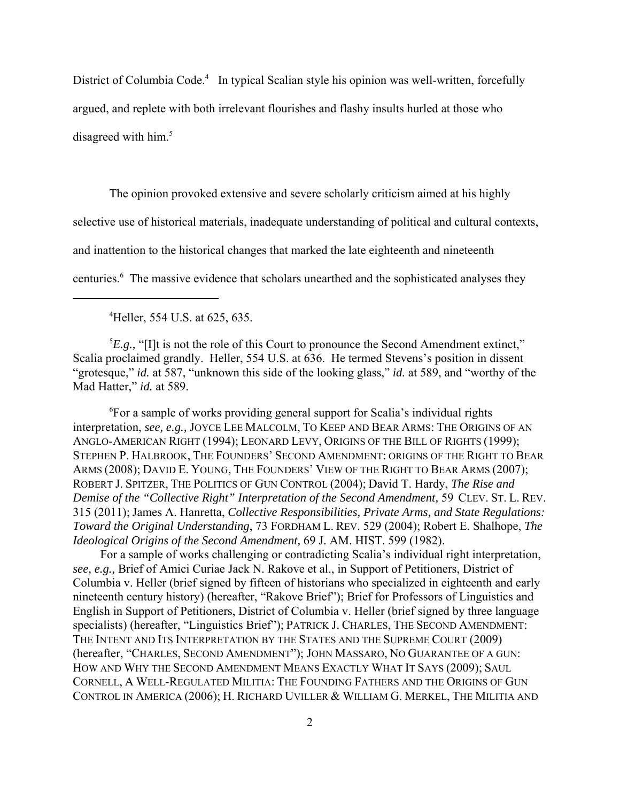District of Columbia Code.<sup>4</sup> In typical Scalian style his opinion was well-written, forcefully argued, and replete with both irrelevant flourishes and flashy insults hurled at those who disagreed with him.<sup>5</sup>

The opinion provoked extensive and severe scholarly criticism aimed at his highly selective use of historical materials, inadequate understanding of political and cultural contexts, and inattention to the historical changes that marked the late eighteenth and nineteenth centuries.<sup>6</sup> The massive evidence that scholars unearthed and the sophisticated analyses they

4 Heller, 554 U.S. at 625, 635.

 ${}^{5}E.g.,$  "[I]t is not the role of this Court to pronounce the Second Amendment extinct," Scalia proclaimed grandly. Heller, 554 U.S. at 636. He termed Stevens's position in dissent "grotesque," *id.* at 587, "unknown this side of the looking glass," *id.* at 589, and "worthy of the Mad Hatter," *id.* at 589.

6 For a sample of works providing general support for Scalia's individual rights interpretation, *see, e.g.,* JOYCE LEE MALCOLM, TO KEEP AND BEAR ARMS: THE ORIGINS OF AN ANGLO-AMERICAN RIGHT (1994); LEONARD LEVY, ORIGINS OF THE BILL OF RIGHTS (1999); STEPHEN P. HALBROOK, THE FOUNDERS' SECOND AMENDMENT: ORIGINS OF THE RIGHT TO BEAR ARMS (2008); DAVID E. YOUNG, THE FOUNDERS' VIEW OF THE RIGHT TO BEAR ARMS (2007); ROBERT J. SPITZER, THE POLITICS OF GUN CONTROL (2004); David T. Hardy, *The Rise and Demise of the "Collective Right" Interpretation of the Second Amendment,* 59 CLEV. ST. L. REV. 315 (2011); James A. Hanretta, *Collective Responsibilities, Private Arms, and State Regulations: Toward the Original Understanding*, 73 FORDHAM L. REV. 529 (2004); Robert E. Shalhope, *The Ideological Origins of the Second Amendment,* 69 J. AM. HIST. 599 (1982).

 For a sample of works challenging or contradicting Scalia's individual right interpretation, *see, e.g.,* Brief of Amici Curiae Jack N. Rakove et al., in Support of Petitioners, District of Columbia v. Heller (brief signed by fifteen of historians who specialized in eighteenth and early nineteenth century history) (hereafter, "Rakove Brief"); Brief for Professors of Linguistics and English in Support of Petitioners, District of Columbia v. Heller (brief signed by three language specialists) (hereafter, "Linguistics Brief"); PATRICK J. CHARLES, THE SECOND AMENDMENT: THE INTENT AND ITS INTERPRETATION BY THE STATES AND THE SUPREME COURT (2009) (hereafter, "CHARLES, SECOND AMENDMENT"); JOHN MASSARO, NO GUARANTEE OF A GUN: HOW AND WHY THE SECOND AMENDMENT MEANS EXACTLY WHAT IT SAYS (2009); SAUL CORNELL, A WELL-REGULATED MILITIA: THE FOUNDING FATHERS AND THE ORIGINS OF GUN CONTROL IN AMERICA (2006); H. RICHARD UVILLER & WILLIAM G. MERKEL, THE MILITIA AND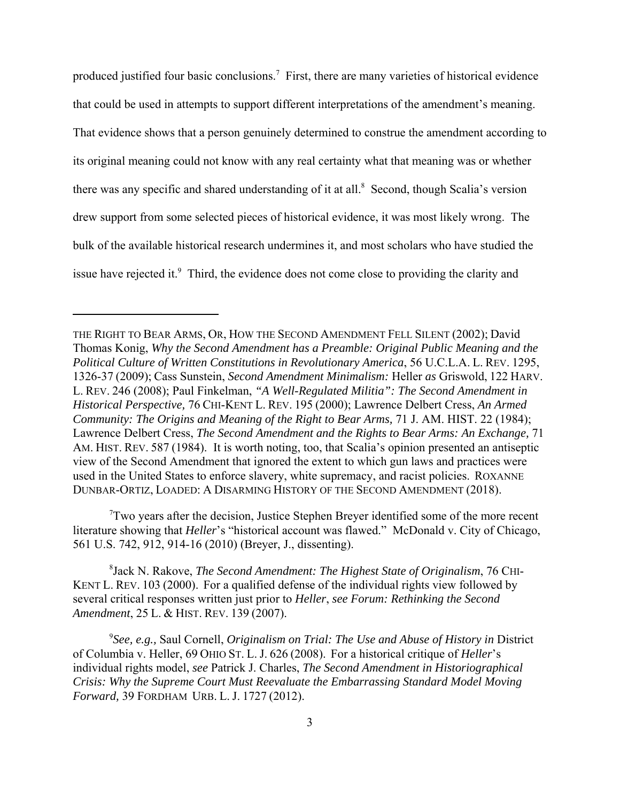produced justified four basic conclusions.<sup>7</sup> First, there are many varieties of historical evidence that could be used in attempts to support different interpretations of the amendment's meaning. That evidence shows that a person genuinely determined to construe the amendment according to its original meaning could not know with any real certainty what that meaning was or whether there was any specific and shared understanding of it at all.<sup>8</sup> Second, though Scalia's version drew support from some selected pieces of historical evidence, it was most likely wrong. The bulk of the available historical research undermines it, and most scholars who have studied the issue have rejected it. $9$  Third, the evidence does not come close to providing the clarity and

 $7$ Two years after the decision, Justice Stephen Breyer identified some of the more recent literature showing that *Heller*'s "historical account was flawed." McDonald v. City of Chicago, 561 U.S. 742, 912, 914-16 (2010) (Breyer, J., dissenting).

8 Jack N. Rakove, *The Second Amendment: The Highest State of Originalism*, 76 CHI-KENT L. REV. 103 (2000). For a qualified defense of the individual rights view followed by several critical responses written just prior to *Heller*, *see Forum: Rethinking the Second Amendment*, 25 L. & HIST. REV. 139 (2007).

<sup>9</sup>See, e.g., Saul Cornell, *Originalism on Trial: The Use and Abuse of History in District* of Columbia v. Heller, 69 OHIO ST. L. J. 626 (2008). For a historical critique of *Heller*'s individual rights model, *see* Patrick J. Charles, *The Second Amendment in Historiographical Crisis: Why the Supreme Court Must Reevaluate the Embarrassing Standard Model Moving Forward,* 39 FORDHAM URB. L. J. 1727 (2012).

THE RIGHT TO BEAR ARMS, OR, HOW THE SECOND AMENDMENT FELL SILENT (2002); David Thomas Konig, *Why the Second Amendment has a Preamble: Original Public Meaning and the Political Culture of Written Constitutions in Revolutionary America*, 56 U.C.L.A. L. REV. 1295, 1326-37 (2009); Cass Sunstein, *Second Amendment Minimalism:* Heller *as* Griswold, 122 HARV. L. REV. 246 (2008); Paul Finkelman, *"A Well-Regulated Militia": The Second Amendment in Historical Perspective,* 76 CHI-KENT L. REV. 195 (2000); Lawrence Delbert Cress, *An Armed Community: The Origins and Meaning of the Right to Bear Arms,* 71 J. AM. HIST. 22 (1984); Lawrence Delbert Cress, *The Second Amendment and the Rights to Bear Arms: An Exchange,* 71 AM. HIST. REV. 587 (1984). It is worth noting, too, that Scalia's opinion presented an antiseptic view of the Second Amendment that ignored the extent to which gun laws and practices were used in the United States to enforce slavery, white supremacy, and racist policies. ROXANNE DUNBAR-ORTIZ, LOADED: A DISARMING HISTORY OF THE SECOND AMENDMENT (2018).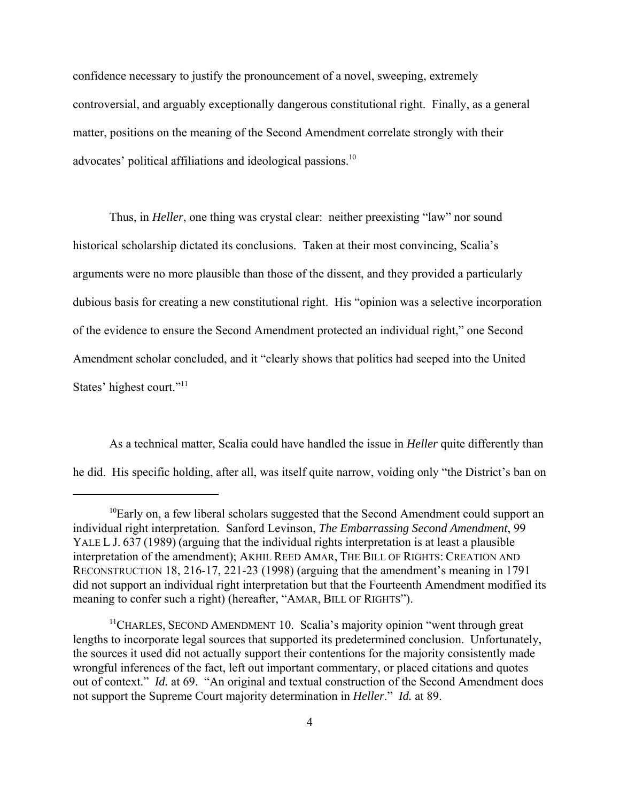confidence necessary to justify the pronouncement of a novel, sweeping, extremely controversial, and arguably exceptionally dangerous constitutional right. Finally, as a general matter, positions on the meaning of the Second Amendment correlate strongly with their advocates' political affiliations and ideological passions.<sup>10</sup>

Thus, in *Heller*, one thing was crystal clear: neither preexisting "law" nor sound historical scholarship dictated its conclusions. Taken at their most convincing, Scalia's arguments were no more plausible than those of the dissent, and they provided a particularly dubious basis for creating a new constitutional right. His "opinion was a selective incorporation of the evidence to ensure the Second Amendment protected an individual right," one Second Amendment scholar concluded, and it "clearly shows that politics had seeped into the United States' highest court."<sup>11</sup>

As a technical matter, Scalia could have handled the issue in *Heller* quite differently than he did. His specific holding, after all, was itself quite narrow, voiding only "the District's ban on

 $10$ Early on, a few liberal scholars suggested that the Second Amendment could support an individual right interpretation. Sanford Levinson, *The Embarrassing Second Amendment*, 99 YALE L J. 637 (1989) (arguing that the individual rights interpretation is at least a plausible interpretation of the amendment); AKHIL REED AMAR, THE BILL OF RIGHTS: CREATION AND RECONSTRUCTION 18, 216-17, 221-23 (1998) (arguing that the amendment's meaning in 1791 did not support an individual right interpretation but that the Fourteenth Amendment modified its meaning to confer such a right) (hereafter, "AMAR, BILL OF RIGHTS").

<sup>&</sup>lt;sup>11</sup>CHARLES, SECOND AMENDMENT 10. Scalia's majority opinion "went through great lengths to incorporate legal sources that supported its predetermined conclusion. Unfortunately, the sources it used did not actually support their contentions for the majority consistently made wrongful inferences of the fact, left out important commentary, or placed citations and quotes out of context." *Id.* at 69. "An original and textual construction of the Second Amendment does not support the Supreme Court majority determination in *Heller*." *Id.* at 89.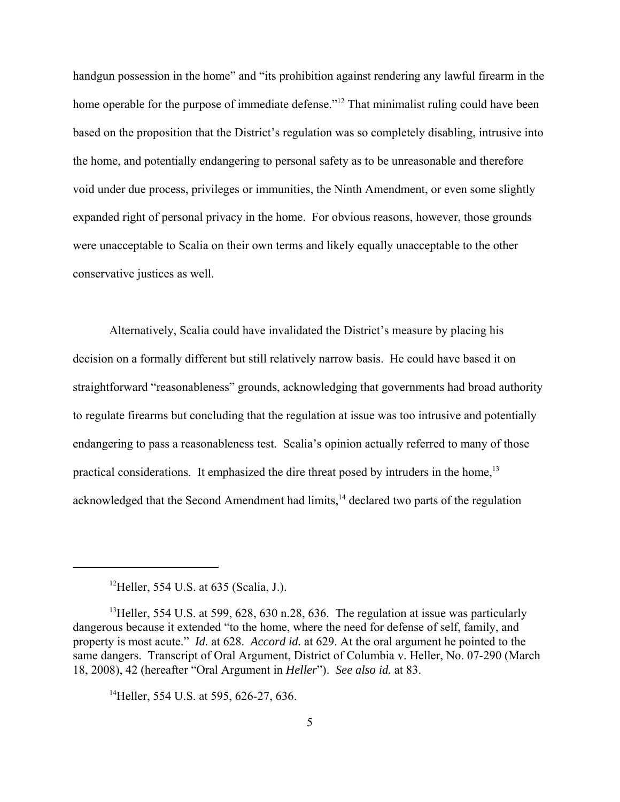handgun possession in the home" and "its prohibition against rendering any lawful firearm in the home operable for the purpose of immediate defense."<sup>12</sup> That minimalist ruling could have been based on the proposition that the District's regulation was so completely disabling, intrusive into the home, and potentially endangering to personal safety as to be unreasonable and therefore void under due process, privileges or immunities, the Ninth Amendment, or even some slightly expanded right of personal privacy in the home. For obvious reasons, however, those grounds were unacceptable to Scalia on their own terms and likely equally unacceptable to the other conservative justices as well.

Alternatively, Scalia could have invalidated the District's measure by placing his decision on a formally different but still relatively narrow basis. He could have based it on straightforward "reasonableness" grounds, acknowledging that governments had broad authority to regulate firearms but concluding that the regulation at issue was too intrusive and potentially endangering to pass a reasonableness test. Scalia's opinion actually referred to many of those practical considerations. It emphasized the dire threat posed by intruders in the home, $13$ acknowledged that the Second Amendment had limits,<sup>14</sup> declared two parts of the regulation

<sup>14</sup>Heller, 554 U.S. at 595, 626-27, 636.

<sup>&</sup>lt;sup>12</sup>Heller, 554 U.S. at 635 (Scalia, J.).

<sup>&</sup>lt;sup>13</sup>Heller, 554 U.S. at 599, 628, 630 n.28, 636. The regulation at issue was particularly dangerous because it extended "to the home, where the need for defense of self, family, and property is most acute." *Id.* at 628. *Accord id.* at 629. At the oral argument he pointed to the same dangers. Transcript of Oral Argument, District of Columbia v. Heller, No. 07-290 (March 18, 2008), 42 (hereafter "Oral Argument in *Heller*"). *See also id.* at 83.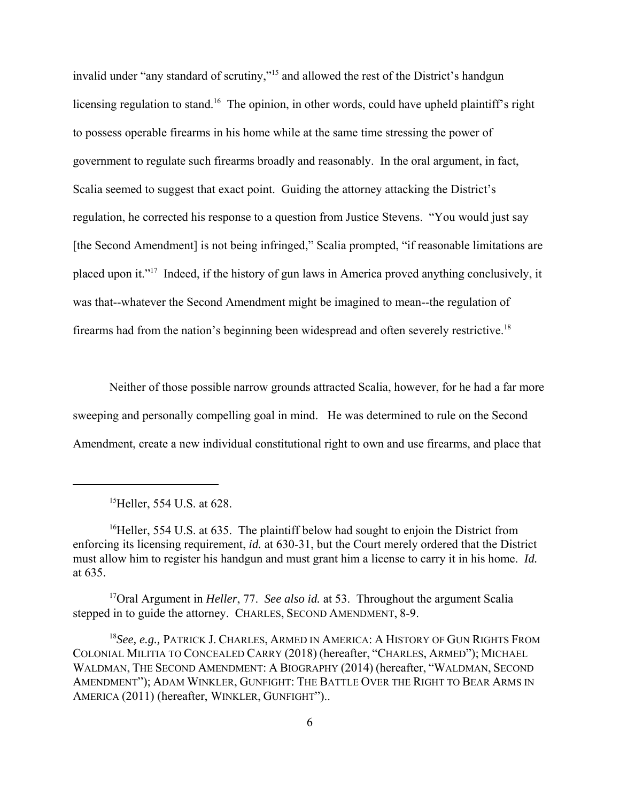invalid under "any standard of scrutiny,"15 and allowed the rest of the District's handgun licensing regulation to stand.<sup>16</sup> The opinion, in other words, could have upheld plaintiff's right to possess operable firearms in his home while at the same time stressing the power of government to regulate such firearms broadly and reasonably. In the oral argument, in fact, Scalia seemed to suggest that exact point. Guiding the attorney attacking the District's regulation, he corrected his response to a question from Justice Stevens. "You would just say [the Second Amendment] is not being infringed," Scalia prompted, "if reasonable limitations are placed upon it."17 Indeed, if the history of gun laws in America proved anything conclusively, it was that--whatever the Second Amendment might be imagined to mean--the regulation of firearms had from the nation's beginning been widespread and often severely restrictive.<sup>18</sup>

Neither of those possible narrow grounds attracted Scalia, however, for he had a far more sweeping and personally compelling goal in mind. He was determined to rule on the Second Amendment, create a new individual constitutional right to own and use firearms, and place that

17Oral Argument in *Heller*, 77. *See also id.* at 53. Throughout the argument Scalia stepped in to guide the attorney. CHARLES, SECOND AMENDMENT, 8-9.

<sup>&</sup>lt;sup>15</sup>Heller, 554 U.S. at 628.

<sup>&</sup>lt;sup>16</sup>Heller, 554 U.S. at 635. The plaintiff below had sought to enjoin the District from enforcing its licensing requirement, *id.* at 630-31, but the Court merely ordered that the District must allow him to register his handgun and must grant him a license to carry it in his home. *Id.* at 635.

<sup>18</sup>*See, e.g.,* PATRICK J. CHARLES, ARMED IN AMERICA: A HISTORY OF GUN RIGHTS FROM COLONIAL MILITIA TO CONCEALED CARRY (2018) (hereafter, "CHARLES, ARMED"); MICHAEL WALDMAN, THE SECOND AMENDMENT: A BIOGRAPHY (2014) (hereafter, "WALDMAN, SECOND AMENDMENT"); ADAM WINKLER, GUNFIGHT: THE BATTLE OVER THE RIGHT TO BEAR ARMS IN AMERICA (2011) (hereafter, WINKLER, GUNFIGHT")..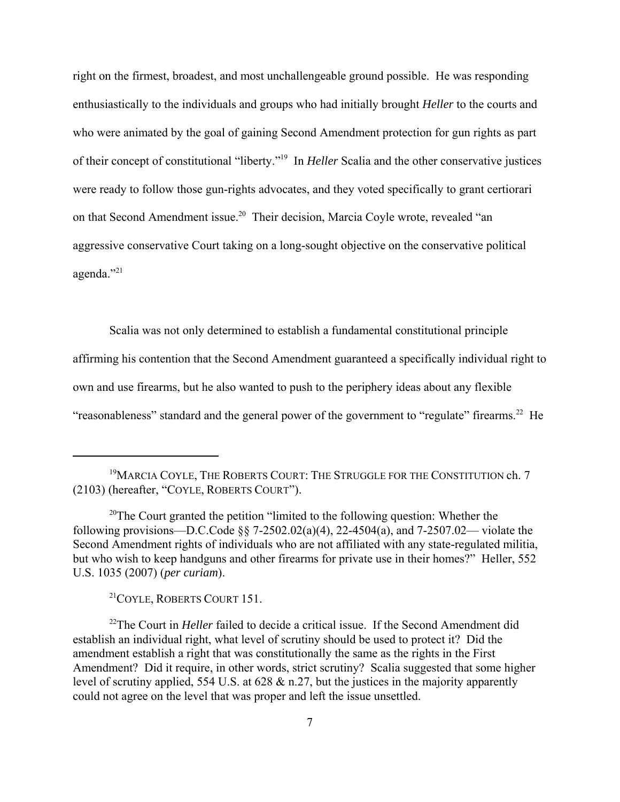right on the firmest, broadest, and most unchallengeable ground possible. He was responding enthusiastically to the individuals and groups who had initially brought *Heller* to the courts and who were animated by the goal of gaining Second Amendment protection for gun rights as part of their concept of constitutional "liberty."19 In *Heller* Scalia and the other conservative justices were ready to follow those gun-rights advocates, and they voted specifically to grant certiorari on that Second Amendment issue.<sup>20</sup> Their decision, Marcia Coyle wrote, revealed "an aggressive conservative Court taking on a long-sought objective on the conservative political agenda."21

Scalia was not only determined to establish a fundamental constitutional principle affirming his contention that the Second Amendment guaranteed a specifically individual right to own and use firearms, but he also wanted to push to the periphery ideas about any flexible "reasonableness" standard and the general power of the government to "regulate" firearms.<sup>22</sup> He

<sup>20</sup>The Court granted the petition "limited to the following question: Whether the following provisions—D.C.Code  $\frac{8}{9}$  7-2502.02(a)(4), 22-4504(a), and 7-2507.02— violate the Second Amendment rights of individuals who are not affiliated with any state-regulated militia, but who wish to keep handguns and other firearms for private use in their homes?" Heller, 552 U.S. 1035 (2007) (*per curiam*).

21COYLE, ROBERTS COURT 151.

<sup>22</sup>The Court in *Heller* failed to decide a critical issue. If the Second Amendment did establish an individual right, what level of scrutiny should be used to protect it? Did the amendment establish a right that was constitutionally the same as the rights in the First Amendment? Did it require, in other words, strict scrutiny? Scalia suggested that some higher level of scrutiny applied, 554 U.S. at 628 & n.27, but the justices in the majority apparently could not agree on the level that was proper and left the issue unsettled.

<sup>&</sup>lt;sup>19</sup>MARCIA COYLE, THE ROBERTS COURT: THE STRUGGLE FOR THE CONSTITUTION ch. 7 (2103) (hereafter, "COYLE, ROBERTS COURT").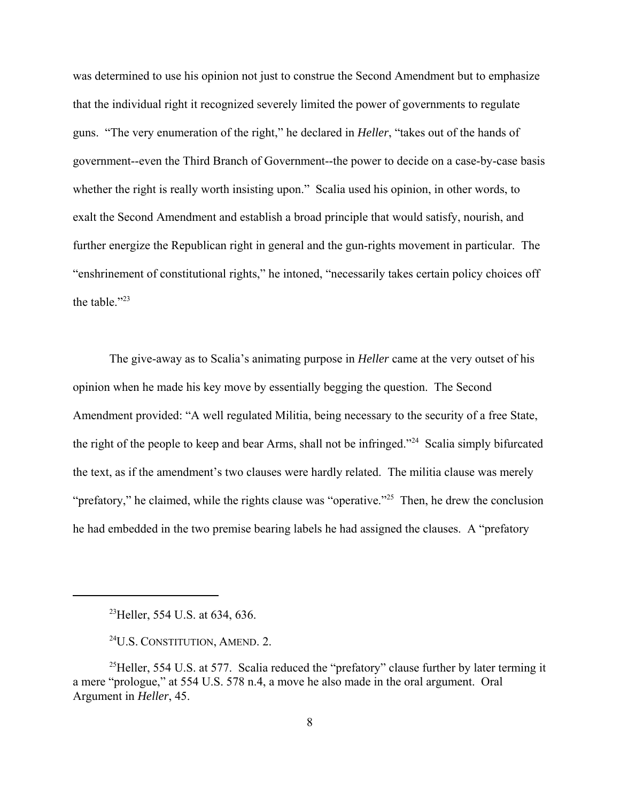was determined to use his opinion not just to construe the Second Amendment but to emphasize that the individual right it recognized severely limited the power of governments to regulate guns. "The very enumeration of the right," he declared in *Heller*, "takes out of the hands of government--even the Third Branch of Government--the power to decide on a case-by-case basis whether the right is really worth insisting upon." Scalia used his opinion, in other words, to exalt the Second Amendment and establish a broad principle that would satisfy, nourish, and further energize the Republican right in general and the gun-rights movement in particular. The "enshrinement of constitutional rights," he intoned, "necessarily takes certain policy choices off the table."<sup>23</sup>

The give-away as to Scalia's animating purpose in *Heller* came at the very outset of his opinion when he made his key move by essentially begging the question. The Second Amendment provided: "A well regulated Militia, being necessary to the security of a free State, the right of the people to keep and bear Arms, shall not be infringed."24 Scalia simply bifurcated the text, as if the amendment's two clauses were hardly related. The militia clause was merely "prefatory," he claimed, while the rights clause was "operative."<sup>25</sup> Then, he drew the conclusion he had embedded in the two premise bearing labels he had assigned the clauses. A "prefatory

<sup>&</sup>lt;sup>23</sup>Heller, 554 U.S. at 634, 636.

<sup>24</sup>U.S. CONSTITUTION, AMEND. 2.

<sup>&</sup>lt;sup>25</sup>Heller, 554 U.S. at 577. Scalia reduced the "prefatory" clause further by later terming it a mere "prologue," at 554 U.S. 578 n.4, a move he also made in the oral argument. Oral Argument in *Heller*, 45.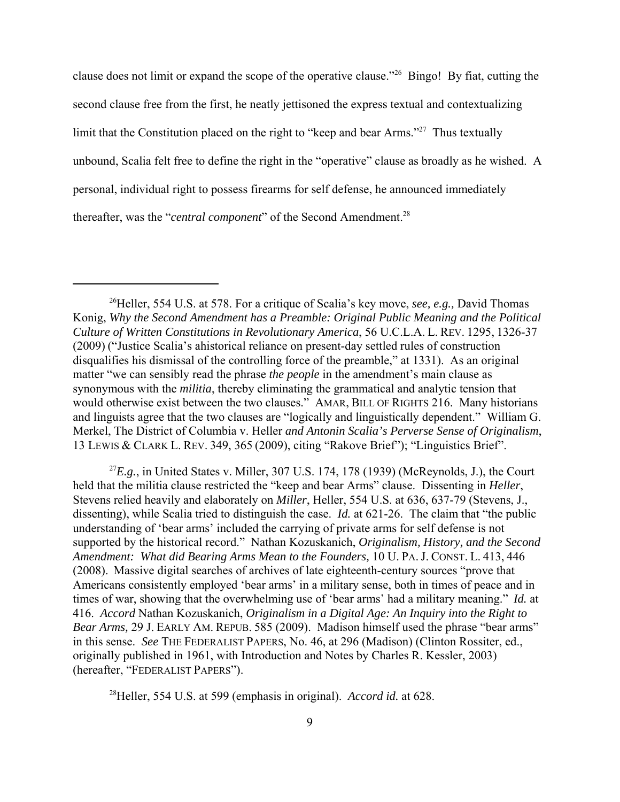clause does not limit or expand the scope of the operative clause."26 Bingo! By fiat, cutting the second clause free from the first, he neatly jettisoned the express textual and contextualizing limit that the Constitution placed on the right to "keep and bear Arms."<sup>27</sup> Thus textually unbound, Scalia felt free to define the right in the "operative" clause as broadly as he wished. A personal, individual right to possess firearms for self defense, he announced immediately thereafter, was the "*central component*" of the Second Amendment.<sup>28</sup>

 ${}^{27}E.g.,$  in United States v. Miller, 307 U.S. 174, 178 (1939) (McReynolds, J.), the Court held that the militia clause restricted the "keep and bear Arms" clause. Dissenting in *Heller*, Stevens relied heavily and elaborately on *Miller*, Heller, 554 U.S. at 636, 637-79 (Stevens, J., dissenting), while Scalia tried to distinguish the case. *Id.* at 621-26. The claim that "the public understanding of 'bear arms' included the carrying of private arms for self defense is not supported by the historical record." Nathan Kozuskanich, *Originalism, History, and the Second Amendment: What did Bearing Arms Mean to the Founders,* 10 U. PA. J. CONST. L. 413, 446 (2008). Massive digital searches of archives of late eighteenth-century sources "prove that Americans consistently employed 'bear arms' in a military sense, both in times of peace and in times of war, showing that the overwhelming use of 'bear arms' had a military meaning." *Id.* at 416. *Accord* Nathan Kozuskanich, *Originalism in a Digital Age: An Inquiry into the Right to Bear Arms,* 29 J. EARLY AM. REPUB. 585 (2009). Madison himself used the phrase "bear arms" in this sense. *See* THE FEDERALIST PAPERS, No. 46, at 296 (Madison) (Clinton Rossiter, ed., originally published in 1961, with Introduction and Notes by Charles R. Kessler, 2003) (hereafter, "FEDERALIST PAPERS").

28Heller, 554 U.S. at 599 (emphasis in original). *Accord id.* at 628.

<sup>&</sup>lt;sup>26</sup>Heller, 554 U.S. at 578. For a critique of Scalia's key move, *see, e.g.*, David Thomas Konig, *Why the Second Amendment has a Preamble: Original Public Meaning and the Political Culture of Written Constitutions in Revolutionary America*, 56 U.C.L.A. L. REV. 1295, 1326-37 (2009) ("Justice Scalia's ahistorical reliance on present-day settled rules of construction disqualifies his dismissal of the controlling force of the preamble," at 1331). As an original matter "we can sensibly read the phrase *the people* in the amendment's main clause as synonymous with the *militia*, thereby eliminating the grammatical and analytic tension that would otherwise exist between the two clauses." AMAR, BILL OF RIGHTS 216. Many historians and linguists agree that the two clauses are "logically and linguistically dependent." William G. Merkel, The District of Columbia v. Heller *and Antonin Scalia's Perverse Sense of Originalism*, 13 LEWIS & CLARK L. REV. 349, 365 (2009), citing "Rakove Brief"); "Linguistics Brief".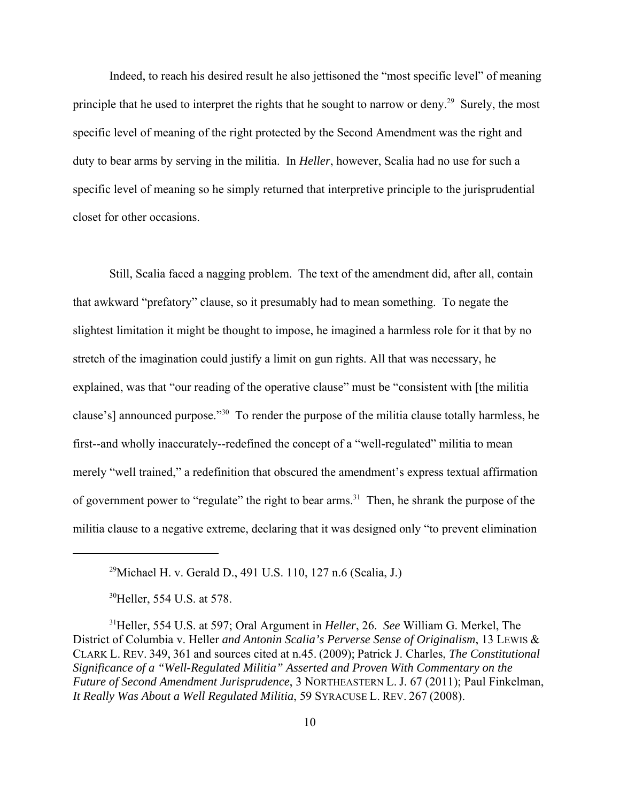Indeed, to reach his desired result he also jettisoned the "most specific level" of meaning principle that he used to interpret the rights that he sought to narrow or deny.<sup>29</sup> Surely, the most specific level of meaning of the right protected by the Second Amendment was the right and duty to bear arms by serving in the militia. In *Heller*, however, Scalia had no use for such a specific level of meaning so he simply returned that interpretive principle to the jurisprudential closet for other occasions.

Still, Scalia faced a nagging problem. The text of the amendment did, after all, contain that awkward "prefatory" clause, so it presumably had to mean something. To negate the slightest limitation it might be thought to impose, he imagined a harmless role for it that by no stretch of the imagination could justify a limit on gun rights. All that was necessary, he explained, was that "our reading of the operative clause" must be "consistent with [the militia clause's] announced purpose."30 To render the purpose of the militia clause totally harmless, he first--and wholly inaccurately--redefined the concept of a "well-regulated" militia to mean merely "well trained," a redefinition that obscured the amendment's express textual affirmation of government power to "regulate" the right to bear arms.<sup>31</sup> Then, he shrank the purpose of the militia clause to a negative extreme, declaring that it was designed only "to prevent elimination

<sup>30</sup>Heller, 554 U.S. at 578.

<sup>&</sup>lt;sup>29</sup>Michael H. v. Gerald D., 491 U.S. 110, 127 n.6 (Scalia, J.)

<sup>31</sup>Heller, 554 U.S. at 597; Oral Argument in *Heller*, 26. *See* William G. Merkel, The District of Columbia v. Heller *and Antonin Scalia's Perverse Sense of Originalism*, 13 LEWIS & CLARK L. REV. 349, 361 and sources cited at n.45. (2009); Patrick J. Charles, *The Constitutional Significance of a "Well-Regulated Militia" Asserted and Proven With Commentary on the Future of Second Amendment Jurisprudence*, 3 NORTHEASTERN L. J. 67 (2011); Paul Finkelman, *It Really Was About a Well Regulated Militia*, 59 SYRACUSE L. REV. 267 (2008).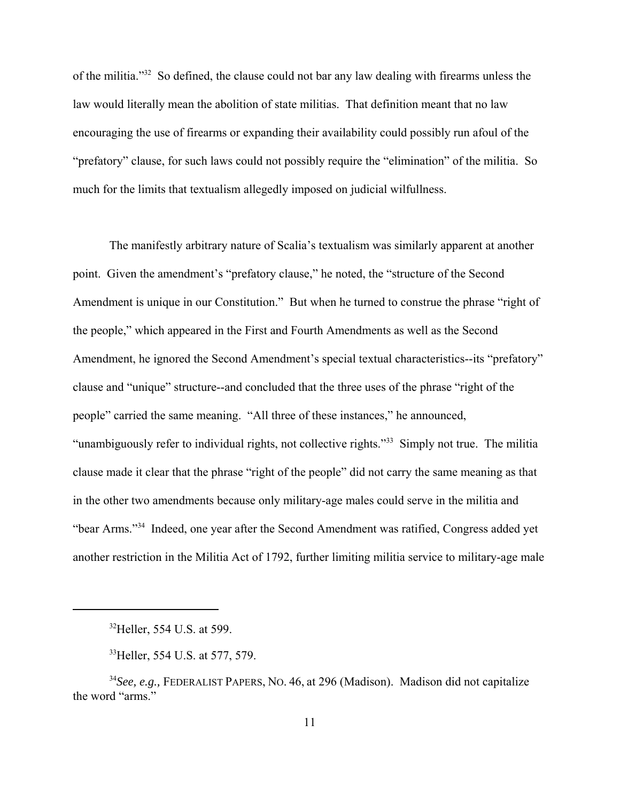of the militia."32 So defined, the clause could not bar any law dealing with firearms unless the law would literally mean the abolition of state militias. That definition meant that no law encouraging the use of firearms or expanding their availability could possibly run afoul of the "prefatory" clause, for such laws could not possibly require the "elimination" of the militia. So much for the limits that textualism allegedly imposed on judicial wilfullness.

The manifestly arbitrary nature of Scalia's textualism was similarly apparent at another point. Given the amendment's "prefatory clause," he noted, the "structure of the Second Amendment is unique in our Constitution." But when he turned to construe the phrase "right of the people," which appeared in the First and Fourth Amendments as well as the Second Amendment, he ignored the Second Amendment's special textual characteristics--its "prefatory" clause and "unique" structure--and concluded that the three uses of the phrase "right of the people" carried the same meaning. "All three of these instances," he announced, "unambiguously refer to individual rights, not collective rights."33 Simply not true. The militia clause made it clear that the phrase "right of the people" did not carry the same meaning as that in the other two amendments because only military-age males could serve in the militia and "bear Arms."34 Indeed, one year after the Second Amendment was ratified, Congress added yet another restriction in the Militia Act of 1792, further limiting militia service to military-age male

<sup>&</sup>lt;sup>32</sup>Heller, 554 U.S. at 599.

<sup>&</sup>lt;sup>33</sup>Heller, 554 U.S. at 577, 579.

<sup>34</sup>*See, e.g.,* FEDERALIST PAPERS, NO. 46, at 296 (Madison). Madison did not capitalize the word "arms."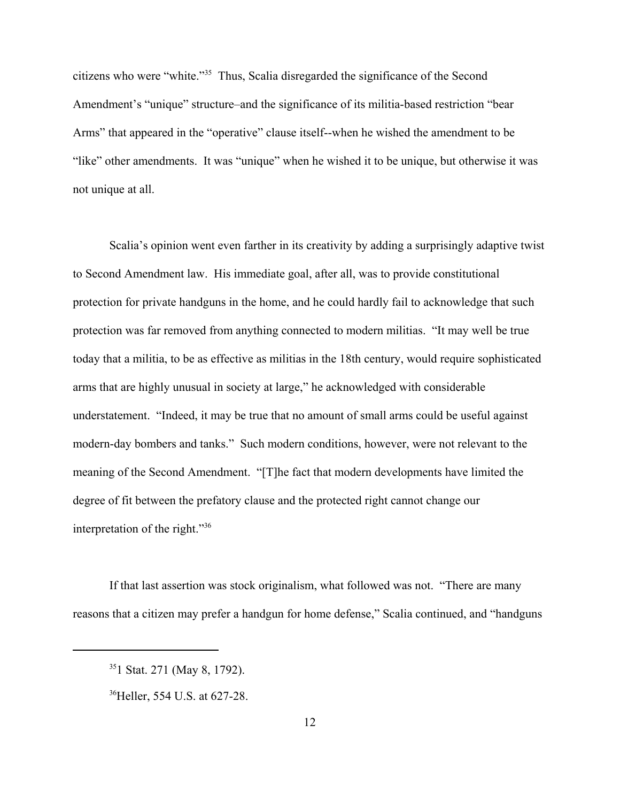citizens who were "white."35 Thus, Scalia disregarded the significance of the Second Amendment's "unique" structure–and the significance of its militia-based restriction "bear Arms" that appeared in the "operative" clause itself--when he wished the amendment to be "like" other amendments. It was "unique" when he wished it to be unique, but otherwise it was not unique at all.

Scalia's opinion went even farther in its creativity by adding a surprisingly adaptive twist to Second Amendment law. His immediate goal, after all, was to provide constitutional protection for private handguns in the home, and he could hardly fail to acknowledge that such protection was far removed from anything connected to modern militias. "It may well be true today that a militia, to be as effective as militias in the 18th century, would require sophisticated arms that are highly unusual in society at large," he acknowledged with considerable understatement. "Indeed, it may be true that no amount of small arms could be useful against modern-day bombers and tanks." Such modern conditions, however, were not relevant to the meaning of the Second Amendment. "[T]he fact that modern developments have limited the degree of fit between the prefatory clause and the protected right cannot change our interpretation of the right."36

If that last assertion was stock originalism, what followed was not. "There are many reasons that a citizen may prefer a handgun for home defense," Scalia continued, and "handguns

<sup>351</sup> Stat. 271 (May 8, 1792).

<sup>&</sup>lt;sup>36</sup>Heller, 554 U.S. at 627-28.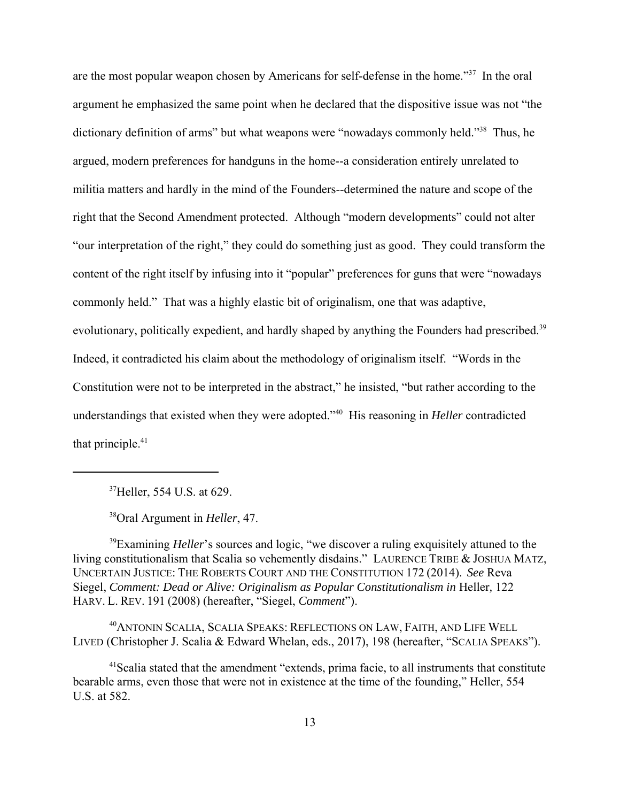are the most popular weapon chosen by Americans for self-defense in the home."37 In the oral argument he emphasized the same point when he declared that the dispositive issue was not "the dictionary definition of arms" but what weapons were "nowadays commonly held."<sup>38</sup> Thus, he argued, modern preferences for handguns in the home--a consideration entirely unrelated to militia matters and hardly in the mind of the Founders--determined the nature and scope of the right that the Second Amendment protected. Although "modern developments" could not alter "our interpretation of the right," they could do something just as good. They could transform the content of the right itself by infusing into it "popular" preferences for guns that were "nowadays commonly held." That was a highly elastic bit of originalism, one that was adaptive, evolutionary, politically expedient, and hardly shaped by anything the Founders had prescribed.<sup>39</sup> Indeed, it contradicted his claim about the methodology of originalism itself. "Words in the Constitution were not to be interpreted in the abstract," he insisted, "but rather according to the understandings that existed when they were adopted."40 His reasoning in *Heller* contradicted that principle.<sup>41</sup>

37Heller, 554 U.S. at 629.

38Oral Argument in *Heller*, 47.

<sup>39</sup>Examining *Heller*'s sources and logic, "we discover a ruling exquisitely attuned to the living constitutionalism that Scalia so vehemently disdains." LAURENCE TRIBE & JOSHUA MATZ, UNCERTAIN JUSTICE: THE ROBERTS COURT AND THE CONSTITUTION 172 (2014). *See* Reva Siegel, *Comment: Dead or Alive: Originalism as Popular Constitutionalism in Heller, 122* HARV. L. REV. 191 (2008) (hereafter, "Siegel, *Comment*").

40ANTONIN SCALIA, SCALIA SPEAKS: REFLECTIONS ON LAW, FAITH, AND LIFE WELL LIVED (Christopher J. Scalia & Edward Whelan, eds., 2017), 198 (hereafter, "SCALIA SPEAKS").

<sup>41</sup> Scalia stated that the amendment "extends, prima facie, to all instruments that constitute bearable arms, even those that were not in existence at the time of the founding," Heller, 554 U.S. at 582.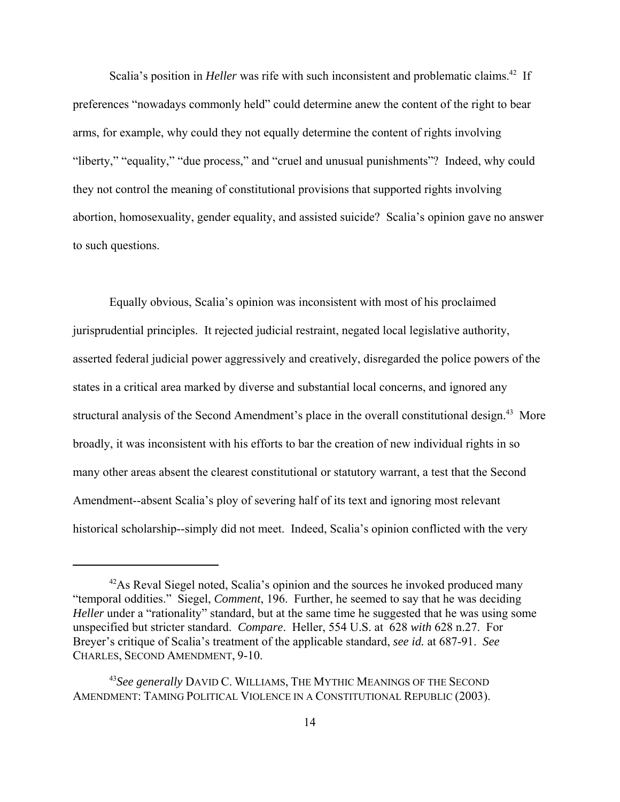Scalia's position in *Heller* was rife with such inconsistent and problematic claims.<sup>42</sup> If preferences "nowadays commonly held" could determine anew the content of the right to bear arms, for example, why could they not equally determine the content of rights involving "liberty," "equality," "due process," and "cruel and unusual punishments"? Indeed, why could they not control the meaning of constitutional provisions that supported rights involving abortion, homosexuality, gender equality, and assisted suicide? Scalia's opinion gave no answer to such questions.

Equally obvious, Scalia's opinion was inconsistent with most of his proclaimed jurisprudential principles. It rejected judicial restraint, negated local legislative authority, asserted federal judicial power aggressively and creatively, disregarded the police powers of the states in a critical area marked by diverse and substantial local concerns, and ignored any structural analysis of the Second Amendment's place in the overall constitutional design.<sup>43</sup> More broadly, it was inconsistent with his efforts to bar the creation of new individual rights in so many other areas absent the clearest constitutional or statutory warrant, a test that the Second Amendment--absent Scalia's ploy of severing half of its text and ignoring most relevant historical scholarship--simply did not meet. Indeed, Scalia's opinion conflicted with the very

 $42$ As Reval Siegel noted, Scalia's opinion and the sources he invoked produced many "temporal oddities." Siegel, *Comment*, 196. Further, he seemed to say that he was deciding *Heller* under a "rationality" standard, but at the same time he suggested that he was using some unspecified but stricter standard. *Compare*. Heller, 554 U.S. at 628 *with* 628 n.27. For Breyer's critique of Scalia's treatment of the applicable standard, *see id.* at 687-91. *See* CHARLES, SECOND AMENDMENT, 9-10.

<sup>43</sup>*See generally* DAVID C. WILLIAMS, THE MYTHIC MEANINGS OF THE SECOND AMENDMENT: TAMING POLITICAL VIOLENCE IN A CONSTITUTIONAL REPUBLIC (2003).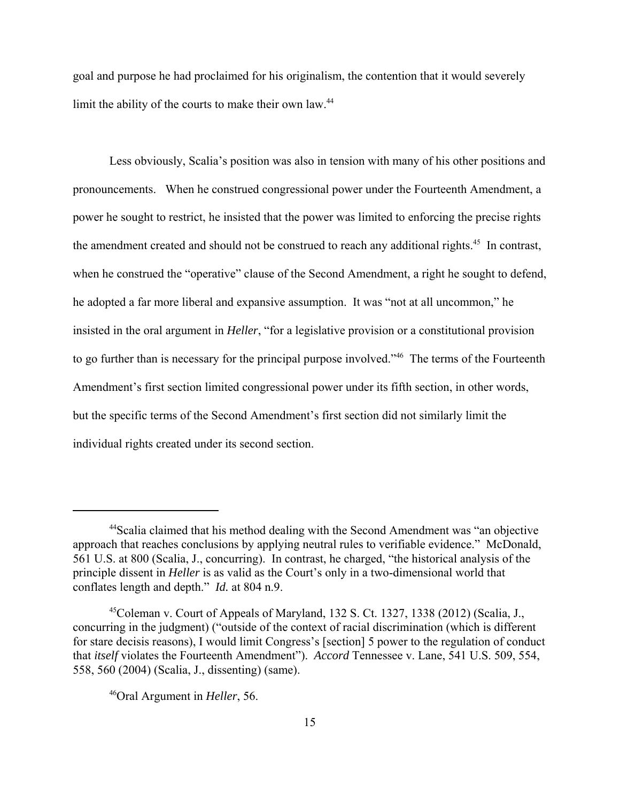goal and purpose he had proclaimed for his originalism, the contention that it would severely limit the ability of the courts to make their own law.<sup>44</sup>

Less obviously, Scalia's position was also in tension with many of his other positions and pronouncements. When he construed congressional power under the Fourteenth Amendment, a power he sought to restrict, he insisted that the power was limited to enforcing the precise rights the amendment created and should not be construed to reach any additional rights.<sup>45</sup> In contrast, when he construed the "operative" clause of the Second Amendment, a right he sought to defend, he adopted a far more liberal and expansive assumption. It was "not at all uncommon," he insisted in the oral argument in *Heller*, "for a legislative provision or a constitutional provision to go further than is necessary for the principal purpose involved."<sup>46</sup> The terms of the Fourteenth Amendment's first section limited congressional power under its fifth section, in other words, but the specific terms of the Second Amendment's first section did not similarly limit the individual rights created under its second section.

<sup>44</sup>Scalia claimed that his method dealing with the Second Amendment was "an objective approach that reaches conclusions by applying neutral rules to verifiable evidence." McDonald, 561 U.S. at 800 (Scalia, J., concurring). In contrast, he charged, "the historical analysis of the principle dissent in *Heller* is as valid as the Court's only in a two-dimensional world that conflates length and depth." *Id.* at 804 n.9.

 $45$ Coleman v. Court of Appeals of Maryland, 132 S. Ct. 1327, 1338 (2012) (Scalia, J., concurring in the judgment) ("outside of the context of racial discrimination (which is different for stare decisis reasons), I would limit Congress's [section] 5 power to the regulation of conduct that *itself* violates the Fourteenth Amendment"). *Accord* Tennessee v. Lane, 541 U.S. 509, 554, 558, 560 (2004) (Scalia, J., dissenting) (same).

<sup>46</sup>Oral Argument in *Heller*, 56.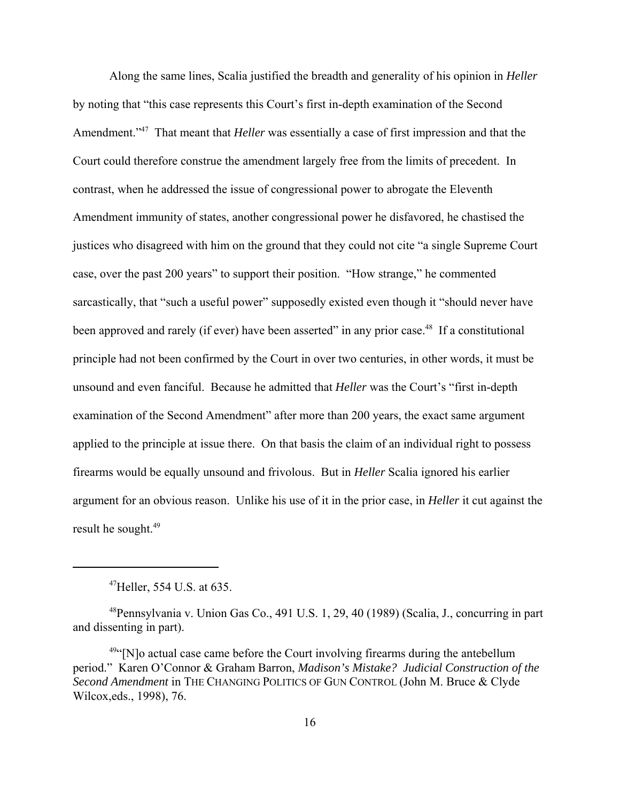Along the same lines, Scalia justified the breadth and generality of his opinion in *Heller* by noting that "this case represents this Court's first in-depth examination of the Second Amendment."47 That meant that *Heller* was essentially a case of first impression and that the Court could therefore construe the amendment largely free from the limits of precedent. In contrast, when he addressed the issue of congressional power to abrogate the Eleventh Amendment immunity of states, another congressional power he disfavored, he chastised the justices who disagreed with him on the ground that they could not cite "a single Supreme Court case, over the past 200 years" to support their position. "How strange," he commented sarcastically, that "such a useful power" supposedly existed even though it "should never have been approved and rarely (if ever) have been asserted" in any prior case.<sup>48</sup> If a constitutional principle had not been confirmed by the Court in over two centuries, in other words, it must be unsound and even fanciful. Because he admitted that *Heller* was the Court's "first in-depth examination of the Second Amendment" after more than 200 years, the exact same argument applied to the principle at issue there. On that basis the claim of an individual right to possess firearms would be equally unsound and frivolous. But in *Heller* Scalia ignored his earlier argument for an obvious reason. Unlike his use of it in the prior case, in *Heller* it cut against the result he sought.<sup>49</sup>

 $^{47}$ Heller, 554 U.S. at 635.

<sup>48</sup>Pennsylvania v. Union Gas Co., 491 U.S. 1, 29, 40 (1989) (Scalia, J., concurring in part and dissenting in part).

 $49$ "[N]o actual case came before the Court involving firearms during the antebellum period." Karen O'Connor & Graham Barron, *Madison's Mistake? Judicial Construction of the Second Amendment* in THE CHANGING POLITICS OF GUN CONTROL (John M. Bruce & Clyde Wilcox,eds., 1998), 76.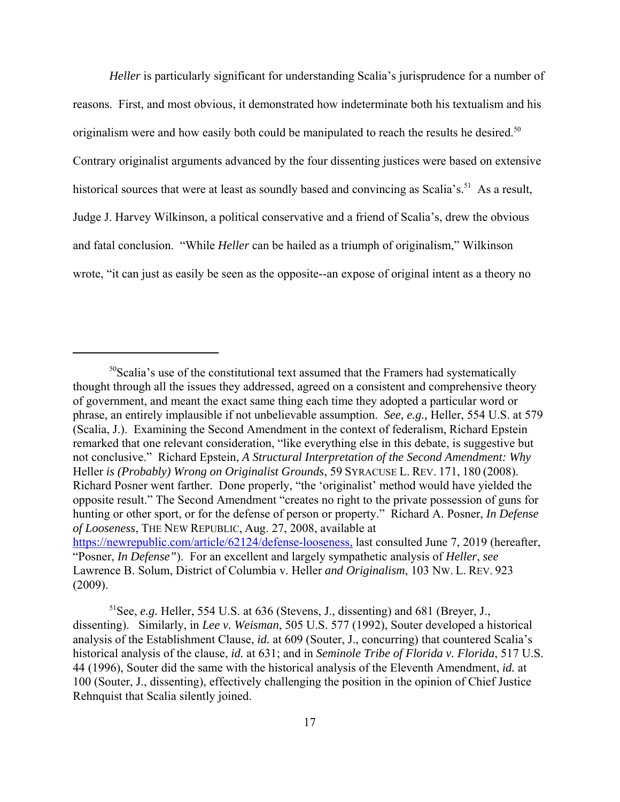*Heller* is particularly significant for understanding Scalia's jurisprudence for a number of reasons. First, and most obvious, it demonstrated how indeterminate both his textualism and his originalism were and how easily both could be manipulated to reach the results he desired.<sup>50</sup> Contrary originalist arguments advanced by the four dissenting justices were based on extensive historical sources that were at least as soundly based and convincing as Scalia's.<sup>51</sup> As a result, Judge J. Harvey Wilkinson, a political conservative and a friend of Scalia's, drew the obvious and fatal conclusion. "While *Heller* can be hailed as a triumph of originalism," Wilkinson wrote, "it can just as easily be seen as the opposite--an expose of original intent as a theory no

 $50$ Scalia's use of the constitutional text assumed that the Framers had systematically thought through all the issues they addressed, agreed on a consistent and comprehensive theory of government, and meant the exact same thing each time they adopted a particular word or phrase, an entirely implausible if not unbelievable assumption. *See, e.g.,* Heller, 554 U.S. at 579 (Scalia, J.). Examining the Second Amendment in the context of federalism, Richard Epstein remarked that one relevant consideration, "like everything else in this debate, is suggestive but not conclusive." Richard Epstein, *A Structural Interpretation of the Second Amendment: Why* Heller *is (Probably) Wrong on Originalist Grounds*, 59 SYRACUSE L. REV. 171, 180 (2008). Richard Posner went farther. Done properly, "the 'originalist' method would have yielded the opposite result." The Second Amendment "creates no right to the private possession of guns for hunting or other sport, or for the defense of person or property." Richard A. Posner, *In Defense of Looseness*, THE NEW REPUBLIC, Aug. 27, 2008, available at https://newrepublic.com/article/62124/defense-looseness, last consulted June 7, 2019 (hereafter, "Posner, *In Defense"*). For an excellent and largely sympathetic analysis of *Heller*, *see* Lawrence B. Solum, District of Columbia v. Heller *and Originalism*, 103 NW. L. REV. 923 (2009).

<sup>51</sup>See, *e.g.* Heller, 554 U.S. at 636 (Stevens, J., dissenting) and 681 (Breyer, J., dissenting). Similarly, in *Lee v. Weisman*, 505 U.S. 577 (1992), Souter developed a historical analysis of the Establishment Clause, *id.* at 609 (Souter, J., concurring) that countered Scalia's historical analysis of the clause, *id.* at 631; and in *Seminole Tribe of Florida v. Florida*, 517 U.S. 44 (1996), Souter did the same with the historical analysis of the Eleventh Amendment, *id.* at 100 (Souter, J., dissenting), effectively challenging the position in the opinion of Chief Justice Rehnquist that Scalia silently joined.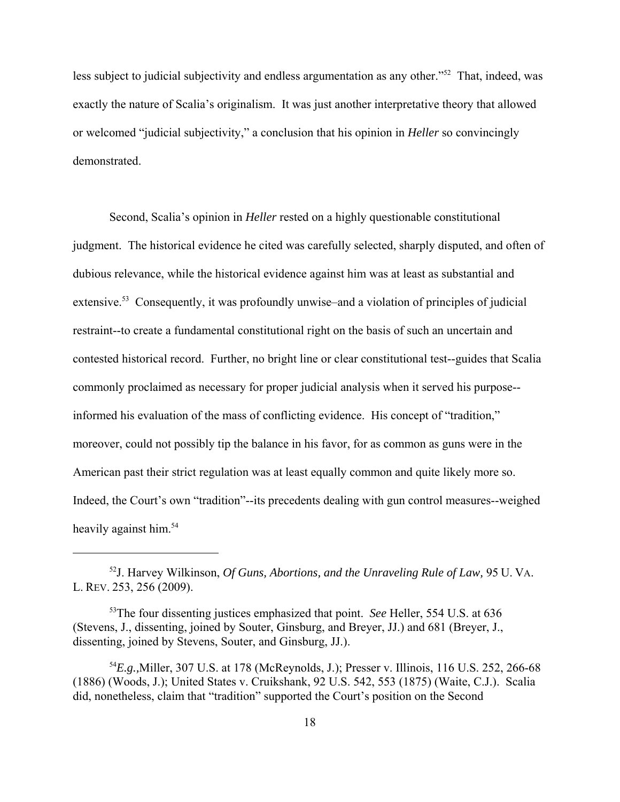less subject to judicial subjectivity and endless argumentation as any other."<sup>52</sup> That, indeed, was exactly the nature of Scalia's originalism. It was just another interpretative theory that allowed or welcomed "judicial subjectivity," a conclusion that his opinion in *Heller* so convincingly demonstrated.

Second, Scalia's opinion in *Heller* rested on a highly questionable constitutional judgment. The historical evidence he cited was carefully selected, sharply disputed, and often of dubious relevance, while the historical evidence against him was at least as substantial and extensive.<sup>53</sup> Consequently, it was profoundly unwise–and a violation of principles of judicial restraint--to create a fundamental constitutional right on the basis of such an uncertain and contested historical record. Further, no bright line or clear constitutional test--guides that Scalia commonly proclaimed as necessary for proper judicial analysis when it served his purpose- informed his evaluation of the mass of conflicting evidence. His concept of "tradition," moreover, could not possibly tip the balance in his favor, for as common as guns were in the American past their strict regulation was at least equally common and quite likely more so. Indeed, the Court's own "tradition"--its precedents dealing with gun control measures--weighed heavily against him.<sup>54</sup>

<sup>52</sup>J. Harvey Wilkinson, *Of Guns, Abortions, and the Unraveling Rule of Law,* 95 U. VA. L. REV. 253, 256 (2009).

<sup>53</sup>The four dissenting justices emphasized that point. *See* Heller, 554 U.S. at 636 (Stevens, J., dissenting, joined by Souter, Ginsburg, and Breyer, JJ.) and 681 (Breyer, J., dissenting, joined by Stevens, Souter, and Ginsburg, JJ.).

<sup>54</sup>*E.g.,*Miller, 307 U.S. at 178 (McReynolds, J.); Presser v. Illinois, 116 U.S. 252, 266-68 (1886) (Woods, J.); United States v. Cruikshank, 92 U.S. 542, 553 (1875) (Waite, C.J.). Scalia did, nonetheless, claim that "tradition" supported the Court's position on the Second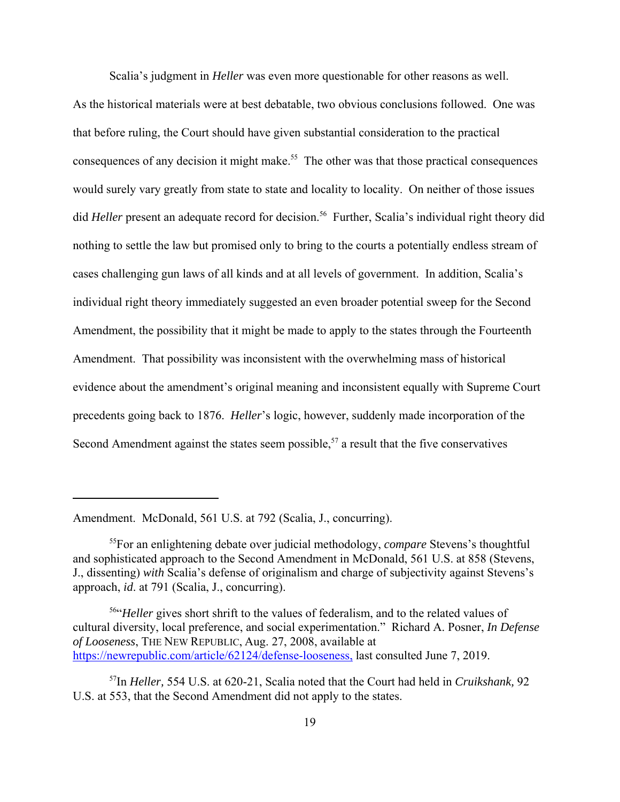Scalia's judgment in *Heller* was even more questionable for other reasons as well. As the historical materials were at best debatable, two obvious conclusions followed. One was that before ruling, the Court should have given substantial consideration to the practical consequences of any decision it might make.<sup>55</sup> The other was that those practical consequences would surely vary greatly from state to state and locality to locality. On neither of those issues did *Heller* present an adequate record for decision.<sup>56</sup> Further, Scalia's individual right theory did nothing to settle the law but promised only to bring to the courts a potentially endless stream of cases challenging gun laws of all kinds and at all levels of government. In addition, Scalia's individual right theory immediately suggested an even broader potential sweep for the Second Amendment, the possibility that it might be made to apply to the states through the Fourteenth Amendment. That possibility was inconsistent with the overwhelming mass of historical evidence about the amendment's original meaning and inconsistent equally with Supreme Court precedents going back to 1876. *Heller*'s logic, however, suddenly made incorporation of the Second Amendment against the states seem possible,<sup>57</sup> a result that the five conservatives

Amendment. McDonald, 561 U.S. at 792 (Scalia, J., concurring).

<sup>55</sup>For an enlightening debate over judicial methodology, *compare* Stevens's thoughtful and sophisticated approach to the Second Amendment in McDonald, 561 U.S. at 858 (Stevens, J., dissenting) *with* Scalia's defense of originalism and charge of subjectivity against Stevens's approach, *id*. at 791 (Scalia, J., concurring).

<sup>&</sup>lt;sup>56"</sup>Heller gives short shrift to the values of federalism, and to the related values of cultural diversity, local preference, and social experimentation." Richard A. Posner, *In Defense of Looseness*, THE NEW REPUBLIC, Aug. 27, 2008, available at https://newrepublic.com/article/62124/defense-looseness, last consulted June 7, 2019.

<sup>57</sup>In *Heller,* 554 U.S. at 620-21, Scalia noted that the Court had held in *Cruikshank,* 92 U.S. at 553, that the Second Amendment did not apply to the states.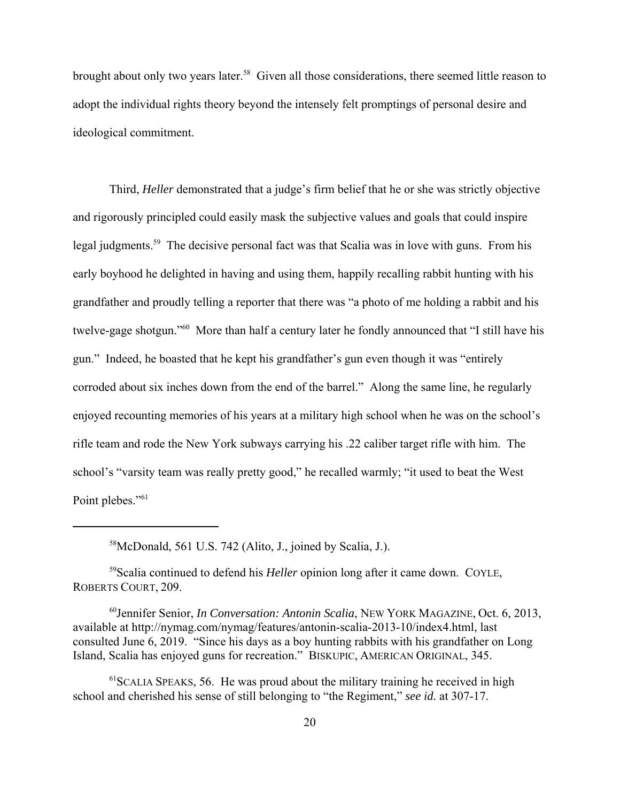brought about only two years later.<sup>58</sup> Given all those considerations, there seemed little reason to adopt the individual rights theory beyond the intensely felt promptings of personal desire and ideological commitment.

Third, *Heller* demonstrated that a judge's firm belief that he or she was strictly objective and rigorously principled could easily mask the subjective values and goals that could inspire legal judgments.59 The decisive personal fact was that Scalia was in love with guns. From his early boyhood he delighted in having and using them, happily recalling rabbit hunting with his grandfather and proudly telling a reporter that there was "a photo of me holding a rabbit and his twelve-gage shotgun."60 More than half a century later he fondly announced that "I still have his gun." Indeed, he boasted that he kept his grandfather's gun even though it was "entirely corroded about six inches down from the end of the barrel." Along the same line, he regularly enjoyed recounting memories of his years at a military high school when he was on the school's rifle team and rode the New York subways carrying his .22 caliber target rifle with him. The school's "varsity team was really pretty good," he recalled warmly; "it used to beat the West Point plebes."<sup>61</sup>

58McDonald, 561 U.S. 742 (Alito, J., joined by Scalia, J.).

59Scalia continued to defend his *Heller* opinion long after it came down. COYLE, ROBERTS COURT, 209.

60Jennifer Senior, *In Conversation: Antonin Scalia*, NEW YORK MAGAZINE, Oct. 6, 2013, available at http://nymag.com/nymag/features/antonin-scalia-2013-10/index4.html, last consulted June 6, 2019. "Since his days as a boy hunting rabbits with his grandfather on Long Island, Scalia has enjoyed guns for recreation." BISKUPIC, AMERICAN ORIGINAL, 345.

 $<sup>61</sup>$ SCALIA SPEAKS, 56. He was proud about the military training he received in high</sup> school and cherished his sense of still belonging to "the Regiment," *see id.* at 307-17.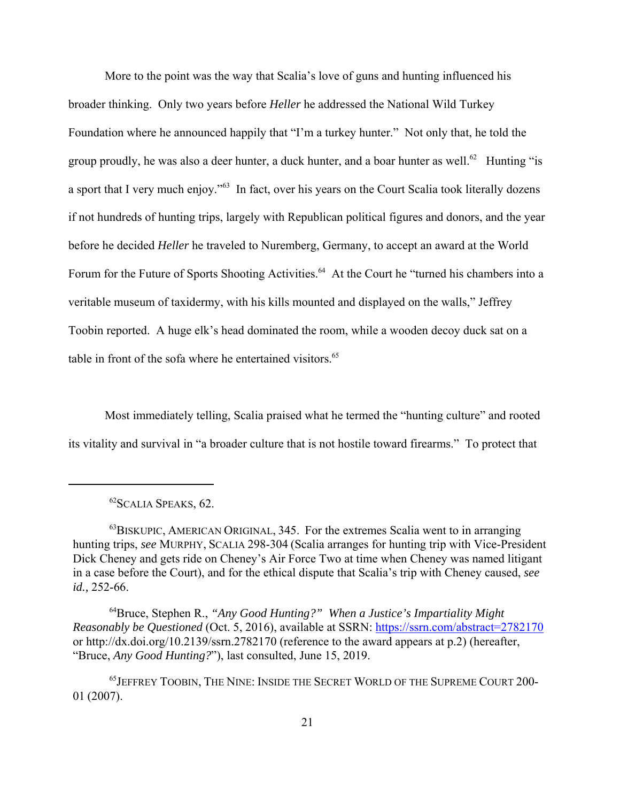More to the point was the way that Scalia's love of guns and hunting influenced his broader thinking. Only two years before *Heller* he addressed the National Wild Turkey Foundation where he announced happily that "I'm a turkey hunter." Not only that, he told the group proudly, he was also a deer hunter, a duck hunter, and a boar hunter as well.<sup>62</sup> Hunting "is a sport that I very much enjoy."<sup>63</sup> In fact, over his years on the Court Scalia took literally dozens if not hundreds of hunting trips, largely with Republican political figures and donors, and the year before he decided *Heller* he traveled to Nuremberg, Germany, to accept an award at the World Forum for the Future of Sports Shooting Activities.<sup>64</sup> At the Court he "turned his chambers into a veritable museum of taxidermy, with his kills mounted and displayed on the walls," Jeffrey Toobin reported. A huge elk's head dominated the room, while a wooden decoy duck sat on a table in front of the sofa where he entertained visitors.<sup>65</sup>

Most immediately telling, Scalia praised what he termed the "hunting culture" and rooted its vitality and survival in "a broader culture that is not hostile toward firearms." To protect that

64Bruce, Stephen R., *"Any Good Hunting?" When a Justice's Impartiality Might Reasonably be Questioned* (Oct. 5, 2016), available at SSRN: https://ssrn.com/abstract=2782170 or http://dx.doi.org/10.2139/ssrn.2782170 (reference to the award appears at p.2) (hereafter, "Bruce, *Any Good Hunting?*"), last consulted, June 15, 2019.

<sup>62</sup>SCALIA SPEAKS, 62.

 $^{63}$ BISKUPIC, AMERICAN ORIGINAL, 345. For the extremes Scalia went to in arranging hunting trips, *see* MURPHY, SCALIA 298-304 (Scalia arranges for hunting trip with Vice-President Dick Cheney and gets ride on Cheney's Air Force Two at time when Cheney was named litigant in a case before the Court), and for the ethical dispute that Scalia's trip with Cheney caused, *see id.,* 252-66.

<sup>65</sup>JEFFREY TOOBIN, THE NINE: INSIDE THE SECRET WORLD OF THE SUPREME COURT 200- 01 (2007).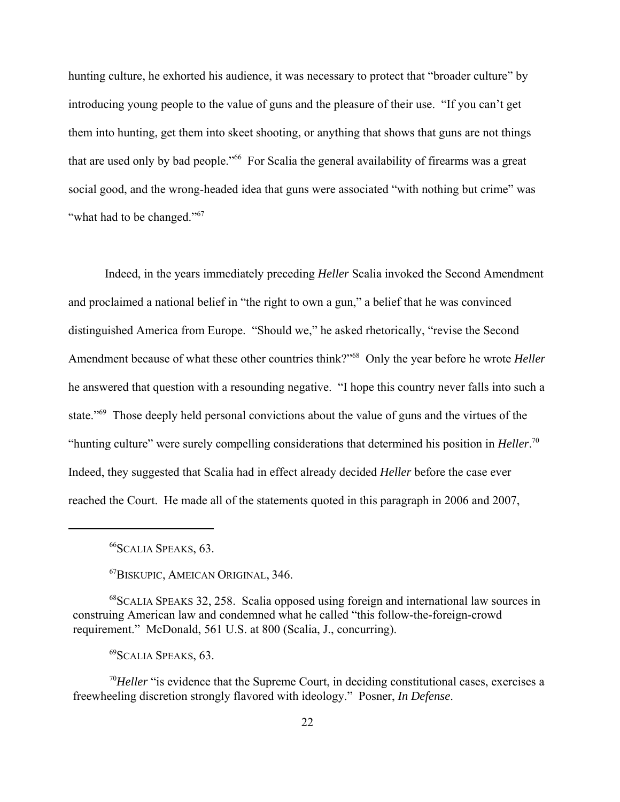hunting culture, he exhorted his audience, it was necessary to protect that "broader culture" by introducing young people to the value of guns and the pleasure of their use. "If you can't get them into hunting, get them into skeet shooting, or anything that shows that guns are not things that are used only by bad people."<sup>66</sup> For Scalia the general availability of firearms was a great social good, and the wrong-headed idea that guns were associated "with nothing but crime" was "what had to be changed."<sup>67</sup>

Indeed, in the years immediately preceding *Heller* Scalia invoked the Second Amendment and proclaimed a national belief in "the right to own a gun," a belief that he was convinced distinguished America from Europe. "Should we," he asked rhetorically, "revise the Second Amendment because of what these other countries think?"68 Only the year before he wrote *Heller* he answered that question with a resounding negative. "I hope this country never falls into such a state."<sup>69</sup> Those deeply held personal convictions about the value of guns and the virtues of the "hunting culture" were surely compelling considerations that determined his position in *Heller*. 70 Indeed, they suggested that Scalia had in effect already decided *Heller* before the case ever reached the Court. He made all of the statements quoted in this paragraph in 2006 and 2007,

67BISKUPIC, AMEICAN ORIGINAL, 346.

68SCALIA SPEAKS 32, 258. Scalia opposed using foreign and international law sources in construing American law and condemned what he called "this follow-the-foreign-crowd requirement." McDonald, 561 U.S. at 800 (Scalia, J., concurring).

69SCALIA SPEAKS, 63.

<sup>70</sup>Heller "is evidence that the Supreme Court, in deciding constitutional cases, exercises a freewheeling discretion strongly flavored with ideology." Posner, *In Defense*.

<sup>66</sup>SCALIA SPEAKS, 63.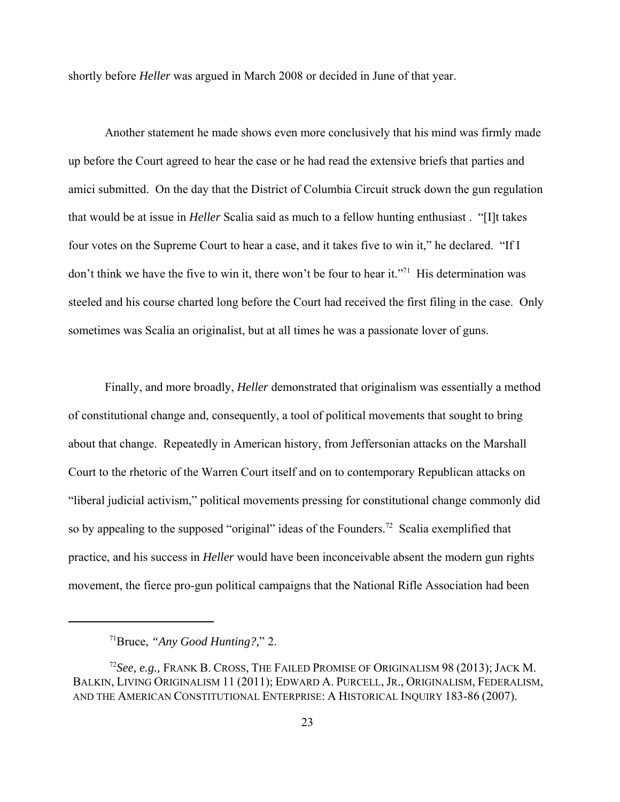shortly before *Heller* was argued in March 2008 or decided in June of that year.

Another statement he made shows even more conclusively that his mind was firmly made up before the Court agreed to hear the case or he had read the extensive briefs that parties and amici submitted. On the day that the District of Columbia Circuit struck down the gun regulation that would be at issue in *Heller* Scalia said as much to a fellow hunting enthusiast . "[I]t takes four votes on the Supreme Court to hear a case, and it takes five to win it," he declared. "If I don't think we have the five to win it, there won't be four to hear it."<sup>71</sup> His determination was steeled and his course charted long before the Court had received the first filing in the case. Only sometimes was Scalia an originalist, but at all times he was a passionate lover of guns.

Finally, and more broadly, *Heller* demonstrated that originalism was essentially a method of constitutional change and, consequently, a tool of political movements that sought to bring about that change. Repeatedly in American history, from Jeffersonian attacks on the Marshall Court to the rhetoric of the Warren Court itself and on to contemporary Republican attacks on "liberal judicial activism," political movements pressing for constitutional change commonly did so by appealing to the supposed "original" ideas of the Founders.<sup>72</sup> Scalia exemplified that practice, and his success in *Heller* would have been inconceivable absent the modern gun rights movement, the fierce pro-gun political campaigns that the National Rifle Association had been

<sup>71</sup>Bruce, *"Any Good Hunting?,*" 2.

<sup>72</sup>*See, e.g.,* FRANK B. CROSS, THE FAILED PROMISE OF ORIGINALISM 98 (2013); JACK M. BALKIN, LIVING ORIGINALISM 11 (2011); EDWARD A. PURCELL, JR., ORIGINALISM, FEDERALISM, AND THE AMERICAN CONSTITUTIONAL ENTERPRISE: A HISTORICAL INQUIRY 183-86 (2007).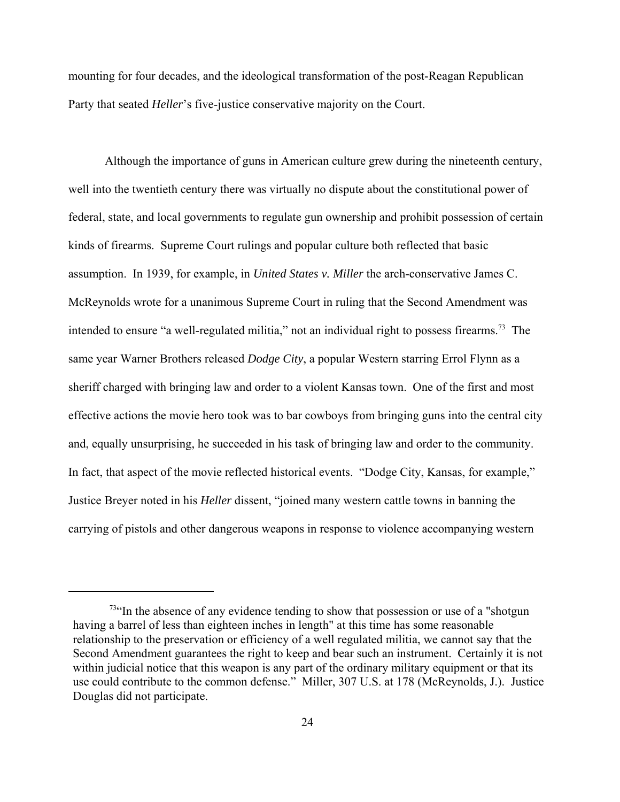mounting for four decades, and the ideological transformation of the post-Reagan Republican Party that seated *Heller*'s five-justice conservative majority on the Court.

Although the importance of guns in American culture grew during the nineteenth century, well into the twentieth century there was virtually no dispute about the constitutional power of federal, state, and local governments to regulate gun ownership and prohibit possession of certain kinds of firearms. Supreme Court rulings and popular culture both reflected that basic assumption. In 1939, for example, in *United States v. Miller* the arch-conservative James C. McReynolds wrote for a unanimous Supreme Court in ruling that the Second Amendment was intended to ensure "a well-regulated militia," not an individual right to possess firearms.<sup>73</sup> The same year Warner Brothers released *Dodge City*, a popular Western starring Errol Flynn as a sheriff charged with bringing law and order to a violent Kansas town. One of the first and most effective actions the movie hero took was to bar cowboys from bringing guns into the central city and, equally unsurprising, he succeeded in his task of bringing law and order to the community. In fact, that aspect of the movie reflected historical events. "Dodge City, Kansas, for example," Justice Breyer noted in his *Heller* dissent, "joined many western cattle towns in banning the carrying of pistols and other dangerous weapons in response to violence accompanying western

 $73$ "In the absence of any evidence tending to show that possession or use of a "shotgun" having a barrel of less than eighteen inches in length" at this time has some reasonable relationship to the preservation or efficiency of a well regulated militia, we cannot say that the Second Amendment guarantees the right to keep and bear such an instrument. Certainly it is not within judicial notice that this weapon is any part of the ordinary military equipment or that its use could contribute to the common defense." Miller, 307 U.S. at 178 (McReynolds, J.). Justice Douglas did not participate.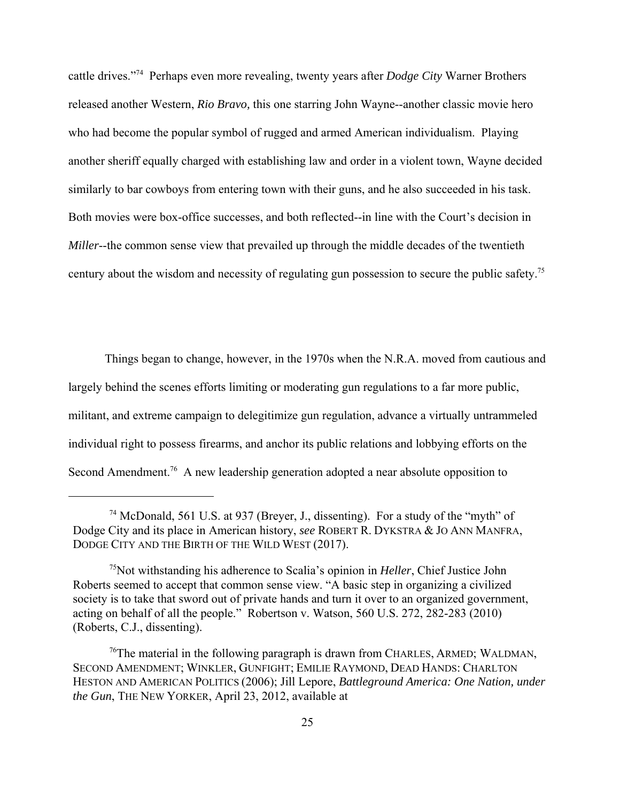cattle drives."74 Perhaps even more revealing, twenty years after *Dodge City* Warner Brothers released another Western, *Rio Bravo,* this one starring John Wayne--another classic movie hero who had become the popular symbol of rugged and armed American individualism. Playing another sheriff equally charged with establishing law and order in a violent town, Wayne decided similarly to bar cowboys from entering town with their guns, and he also succeeded in his task. Both movies were box-office successes, and both reflected--in line with the Court's decision in *Miller*--the common sense view that prevailed up through the middle decades of the twentieth century about the wisdom and necessity of regulating gun possession to secure the public safety.<sup>75</sup>

Things began to change, however, in the 1970s when the N.R.A. moved from cautious and largely behind the scenes efforts limiting or moderating gun regulations to a far more public, militant, and extreme campaign to delegitimize gun regulation, advance a virtually untrammeled individual right to possess firearms, and anchor its public relations and lobbying efforts on the Second Amendment.<sup>76</sup> A new leadership generation adopted a near absolute opposition to

<sup>74</sup> McDonald, 561 U.S. at 937 (Breyer, J., dissenting). For a study of the "myth" of Dodge City and its place in American history, *see* ROBERT R. DYKSTRA & JO ANN MANFRA, DODGE CITY AND THE BIRTH OF THE WILD WEST (2017).

<sup>75</sup>Not withstanding his adherence to Scalia's opinion in *Heller*, Chief Justice John Roberts seemed to accept that common sense view. "A basic step in organizing a civilized society is to take that sword out of private hands and turn it over to an organized government, acting on behalf of all the people." Robertson v. Watson, 560 U.S. 272, 282-283 (2010) (Roberts, C.J., dissenting).

 $\frac{76}{T}$  The material in the following paragraph is drawn from CHARLES, ARMED; WALDMAN, SECOND AMENDMENT; WINKLER, GUNFIGHT; EMILIE RAYMOND, DEAD HANDS: CHARLTON HESTON AND AMERICAN POLITICS (2006); Jill Lepore, *Battleground America: One Nation, under the Gun*, THE NEW YORKER, April 23, 2012, available at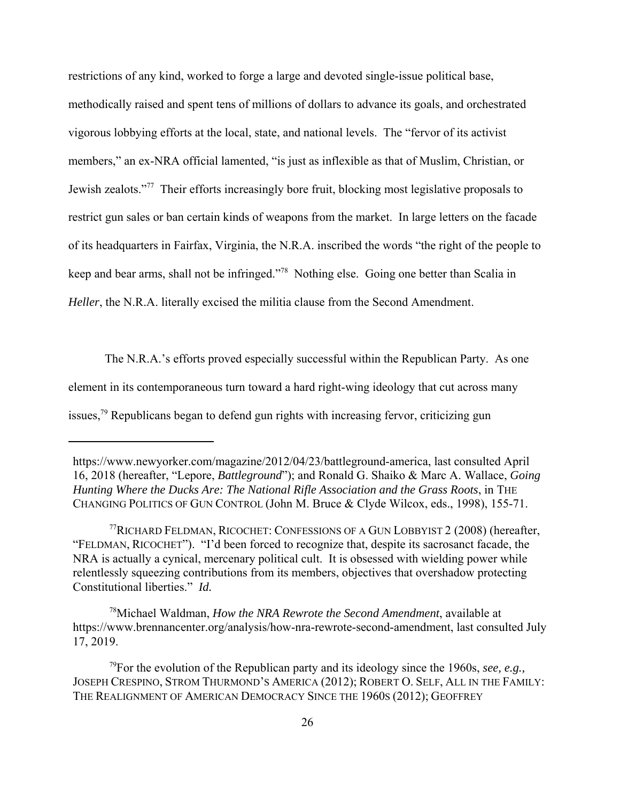restrictions of any kind, worked to forge a large and devoted single-issue political base, methodically raised and spent tens of millions of dollars to advance its goals, and orchestrated vigorous lobbying efforts at the local, state, and national levels. The "fervor of its activist members," an ex-NRA official lamented, "is just as inflexible as that of Muslim, Christian, or Jewish zealots."77 Their efforts increasingly bore fruit, blocking most legislative proposals to restrict gun sales or ban certain kinds of weapons from the market. In large letters on the facade of its headquarters in Fairfax, Virginia, the N.R.A. inscribed the words "the right of the people to keep and bear arms, shall not be infringed."78 Nothing else. Going one better than Scalia in *Heller*, the N.R.A. literally excised the militia clause from the Second Amendment.

The N.R.A.'s efforts proved especially successful within the Republican Party. As one element in its contemporaneous turn toward a hard right-wing ideology that cut across many issues,<sup>79</sup> Republicans began to defend gun rights with increasing fervor, criticizing gun

78Michael Waldman, *How the NRA Rewrote the Second Amendment*, available at https://www.brennancenter.org/analysis/how-nra-rewrote-second-amendment, last consulted July 17, 2019.

https://www.newyorker.com/magazine/2012/04/23/battleground-america, last consulted April 16, 2018 (hereafter, "Lepore, *Battleground*"); and Ronald G. Shaiko & Marc A. Wallace, *Going Hunting Where the Ducks Are: The National Rifle Association and the Grass Roots*, in THE CHANGING POLITICS OF GUN CONTROL (John M. Bruce & Clyde Wilcox, eds., 1998), 155-71.

<sup>77</sup>RICHARD FELDMAN, RICOCHET: CONFESSIONS OF A GUN LOBBYIST 2 (2008) (hereafter, "FELDMAN, RICOCHET"). "I'd been forced to recognize that, despite its sacrosanct facade, the NRA is actually a cynical, mercenary political cult. It is obsessed with wielding power while relentlessly squeezing contributions from its members, objectives that overshadow protecting Constitutional liberties." *Id.*

<sup>79</sup>For the evolution of the Republican party and its ideology since the 1960s, *see, e.g.,* JOSEPH CRESPINO, STROM THURMOND'S AMERICA (2012); ROBERT O. SELF, ALL IN THE FAMILY: THE REALIGNMENT OF AMERICAN DEMOCRACY SINCE THE 1960S (2012); GEOFFREY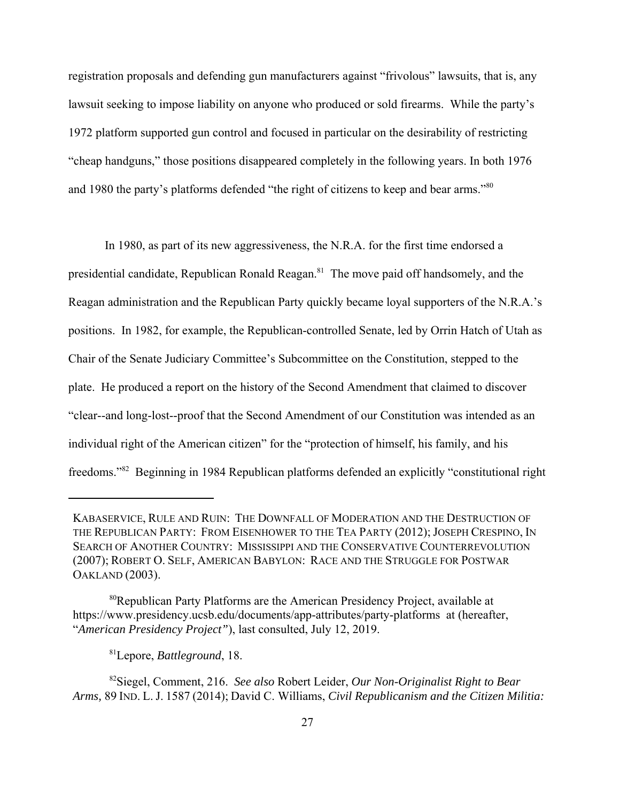registration proposals and defending gun manufacturers against "frivolous" lawsuits, that is, any lawsuit seeking to impose liability on anyone who produced or sold firearms. While the party's 1972 platform supported gun control and focused in particular on the desirability of restricting "cheap handguns," those positions disappeared completely in the following years. In both 1976 and 1980 the party's platforms defended "the right of citizens to keep and bear arms."<sup>80</sup>

In 1980, as part of its new aggressiveness, the N.R.A. for the first time endorsed a presidential candidate, Republican Ronald Reagan.<sup>81</sup> The move paid off handsomely, and the Reagan administration and the Republican Party quickly became loyal supporters of the N.R.A.'s positions. In 1982, for example, the Republican-controlled Senate, led by Orrin Hatch of Utah as Chair of the Senate Judiciary Committee's Subcommittee on the Constitution, stepped to the plate. He produced a report on the history of the Second Amendment that claimed to discover "clear--and long-lost--proof that the Second Amendment of our Constitution was intended as an individual right of the American citizen" for the "protection of himself, his family, and his freedoms."82 Beginning in 1984 Republican platforms defended an explicitly "constitutional right

81Lepore, *Battleground*, 18.

KABASERVICE, RULE AND RUIN: THE DOWNFALL OF MODERATION AND THE DESTRUCTION OF THE REPUBLICAN PARTY: FROM EISENHOWER TO THE TEA PARTY (2012); JOSEPH CRESPINO, IN SEARCH OF ANOTHER COUNTRY: MISSISSIPPI AND THE CONSERVATIVE COUNTERREVOLUTION (2007); ROBERT O. SELF, AMERICAN BABYLON: RACE AND THE STRUGGLE FOR POSTWAR OAKLAND (2003).

<sup>80</sup>Republican Party Platforms are the American Presidency Project, available at https://www.presidency.ucsb.edu/documents/app-attributes/party-platforms at (hereafter, "*American Presidency Project"*), last consulted, July 12, 2019.

<sup>82</sup>Siegel, Comment, 216. *See also* Robert Leider, *Our Non-Originalist Right to Bear Arms,* 89 IND. L. J. 1587 (2014); David C. Williams, *Civil Republicanism and the Citizen Militia:*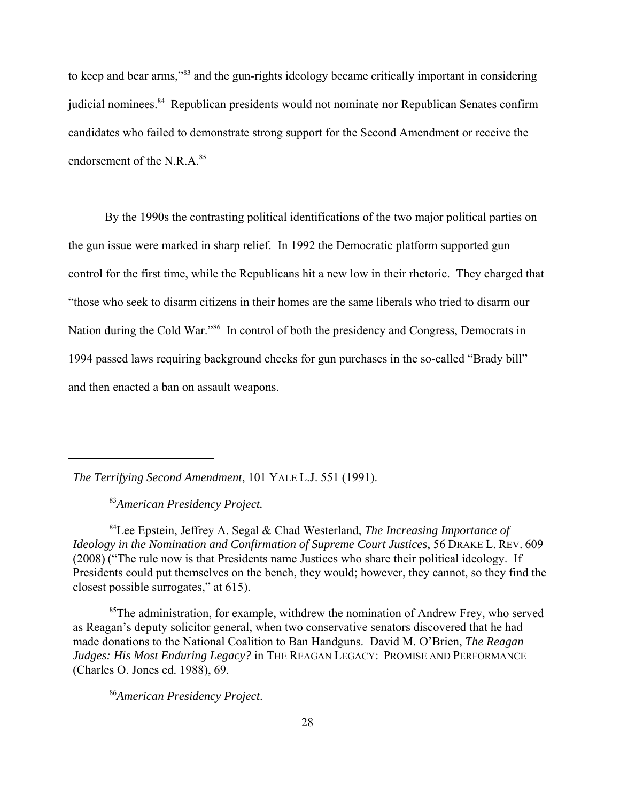to keep and bear arms,"83 and the gun-rights ideology became critically important in considering judicial nominees.<sup>84</sup> Republican presidents would not nominate nor Republican Senates confirm candidates who failed to demonstrate strong support for the Second Amendment or receive the endorsement of the N.R. $A$ <sup>85</sup>

By the 1990s the contrasting political identifications of the two major political parties on the gun issue were marked in sharp relief. In 1992 the Democratic platform supported gun control for the first time, while the Republicans hit a new low in their rhetoric. They charged that "those who seek to disarm citizens in their homes are the same liberals who tried to disarm our Nation during the Cold War."<sup>86</sup> In control of both the presidency and Congress, Democrats in 1994 passed laws requiring background checks for gun purchases in the so-called "Brady bill" and then enacted a ban on assault weapons.

*The Terrifying Second Amendment*, 101 YALE L.J. 551 (1991).

<sup>83</sup>*American Presidency Project.*

84Lee Epstein, Jeffrey A. Segal & Chad Westerland, *The Increasing Importance of Ideology in the Nomination and Confirmation of Supreme Court Justices*, 56 DRAKE L. REV. 609 (2008) ("The rule now is that Presidents name Justices who share their political ideology. If Presidents could put themselves on the bench, they would; however, they cannot, so they find the closest possible surrogates," at 615).

<sup>85</sup>The administration, for example, withdrew the nomination of Andrew Frey, who served as Reagan's deputy solicitor general, when two conservative senators discovered that he had made donations to the National Coalition to Ban Handguns. David M. O'Brien, *The Reagan Judges: His Most Enduring Legacy?* in THE REAGAN LEGACY: PROMISE AND PERFORMANCE (Charles O. Jones ed. 1988), 69.

<sup>86</sup>*American Presidency Project*.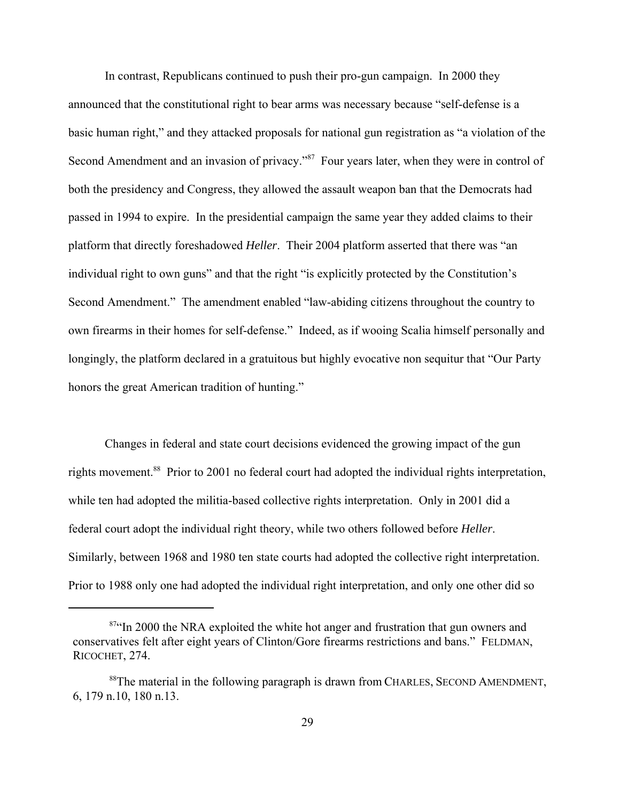In contrast, Republicans continued to push their pro-gun campaign. In 2000 they announced that the constitutional right to bear arms was necessary because "self-defense is a basic human right," and they attacked proposals for national gun registration as "a violation of the Second Amendment and an invasion of privacy."<sup>87</sup> Four years later, when they were in control of both the presidency and Congress, they allowed the assault weapon ban that the Democrats had passed in 1994 to expire. In the presidential campaign the same year they added claims to their platform that directly foreshadowed *Heller*. Their 2004 platform asserted that there was "an individual right to own guns" and that the right "is explicitly protected by the Constitution's Second Amendment." The amendment enabled "law-abiding citizens throughout the country to own firearms in their homes for self-defense." Indeed, as if wooing Scalia himself personally and longingly, the platform declared in a gratuitous but highly evocative non sequitur that "Our Party honors the great American tradition of hunting."

Changes in federal and state court decisions evidenced the growing impact of the gun rights movement.<sup>88</sup> Prior to 2001 no federal court had adopted the individual rights interpretation, while ten had adopted the militia-based collective rights interpretation. Only in 2001 did a federal court adopt the individual right theory, while two others followed before *Heller*. Similarly, between 1968 and 1980 ten state courts had adopted the collective right interpretation. Prior to 1988 only one had adopted the individual right interpretation, and only one other did so

<sup>&</sup>lt;sup>87"</sup>In 2000 the NRA exploited the white hot anger and frustration that gun owners and conservatives felt after eight years of Clinton/Gore firearms restrictions and bans." FELDMAN, RICOCHET, 274.

<sup>&</sup>lt;sup>88</sup>The material in the following paragraph is drawn from CHARLES, SECOND AMENDMENT, 6, 179 n.10, 180 n.13.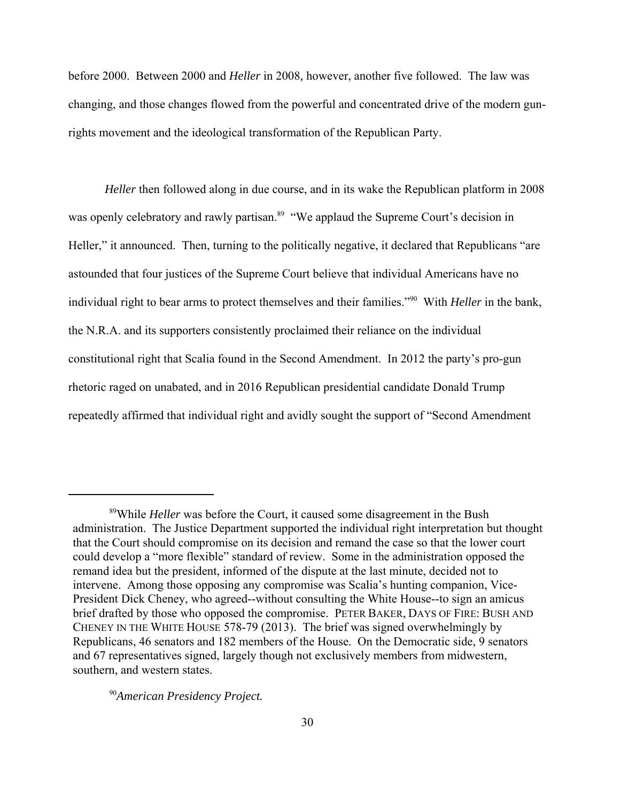before 2000. Between 2000 and *Heller* in 2008*,* however, another five followed. The law was changing, and those changes flowed from the powerful and concentrated drive of the modern gunrights movement and the ideological transformation of the Republican Party.

*Heller* then followed along in due course, and in its wake the Republican platform in 2008 was openly celebratory and rawly partisan.<sup>89</sup> "We applaud the Supreme Court's decision in Heller," it announced. Then, turning to the politically negative, it declared that Republicans "are astounded that four justices of the Supreme Court believe that individual Americans have no individual right to bear arms to protect themselves and their families."90 With *Heller* in the bank, the N.R.A. and its supporters consistently proclaimed their reliance on the individual constitutional right that Scalia found in the Second Amendment. In 2012 the party's pro-gun rhetoric raged on unabated, and in 2016 Republican presidential candidate Donald Trump repeatedly affirmed that individual right and avidly sought the support of "Second Amendment

<sup>89</sup>While *Heller* was before the Court, it caused some disagreement in the Bush administration. The Justice Department supported the individual right interpretation but thought that the Court should compromise on its decision and remand the case so that the lower court could develop a "more flexible" standard of review. Some in the administration opposed the remand idea but the president, informed of the dispute at the last minute, decided not to intervene. Among those opposing any compromise was Scalia's hunting companion, Vice-President Dick Cheney, who agreed--without consulting the White House--to sign an amicus brief drafted by those who opposed the compromise. PETER BAKER, DAYS OF FIRE: BUSH AND CHENEY IN THE WHITE HOUSE 578-79 (2013). The brief was signed overwhelmingly by Republicans, 46 senators and 182 members of the House. On the Democratic side, 9 senators and 67 representatives signed, largely though not exclusively members from midwestern, southern, and western states.

<sup>90</sup>*American Presidency Project.*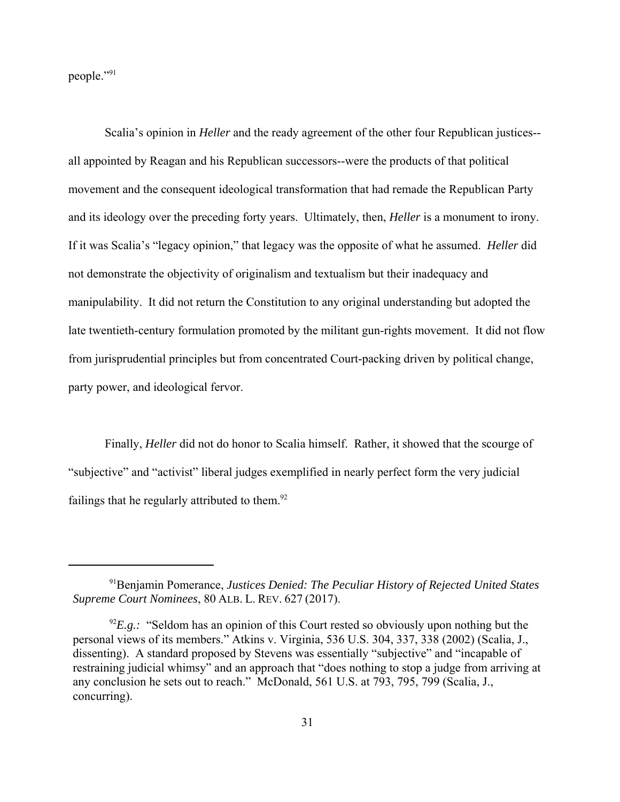people."91

Scalia's opinion in *Heller* and the ready agreement of the other four Republican justices- all appointed by Reagan and his Republican successors--were the products of that political movement and the consequent ideological transformation that had remade the Republican Party and its ideology over the preceding forty years. Ultimately, then, *Heller* is a monument to irony. If it was Scalia's "legacy opinion," that legacy was the opposite of what he assumed. *Heller* did not demonstrate the objectivity of originalism and textualism but their inadequacy and manipulability. It did not return the Constitution to any original understanding but adopted the late twentieth-century formulation promoted by the militant gun-rights movement. It did not flow from jurisprudential principles but from concentrated Court-packing driven by political change, party power, and ideological fervor.

Finally, *Heller* did not do honor to Scalia himself. Rather, it showed that the scourge of "subjective" and "activist" liberal judges exemplified in nearly perfect form the very judicial failings that he regularly attributed to them. $92$ 

<sup>91</sup>Benjamin Pomerance, *Justices Denied: The Peculiar History of Rejected United States Supreme Court Nominees*, 80 ALB. L. REV. 627 (2017).

 $^{92}E.g.:$  "Seldom has an opinion of this Court rested so obviously upon nothing but the personal views of its members." Atkins v. Virginia, 536 U.S. 304, 337, 338 (2002) (Scalia, J., dissenting). A standard proposed by Stevens was essentially "subjective" and "incapable of restraining judicial whimsy" and an approach that "does nothing to stop a judge from arriving at any conclusion he sets out to reach." McDonald, 561 U.S. at 793, 795, 799 (Scalia, J., concurring).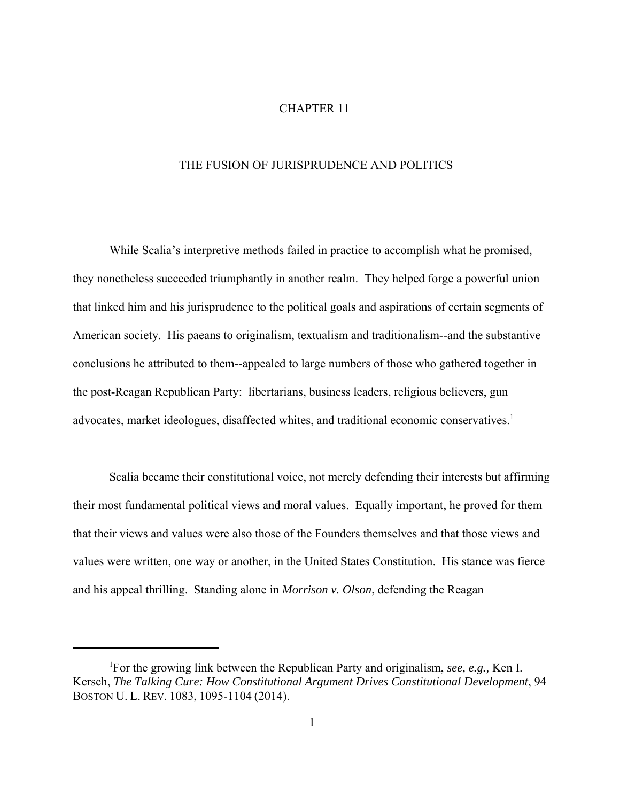## CHAPTER 11

## THE FUSION OF JURISPRUDENCE AND POLITICS

While Scalia's interpretive methods failed in practice to accomplish what he promised, they nonetheless succeeded triumphantly in another realm. They helped forge a powerful union that linked him and his jurisprudence to the political goals and aspirations of certain segments of American society. His paeans to originalism, textualism and traditionalism--and the substantive conclusions he attributed to them--appealed to large numbers of those who gathered together in the post-Reagan Republican Party: libertarians, business leaders, religious believers, gun advocates, market ideologues, disaffected whites, and traditional economic conservatives.<sup>1</sup>

Scalia became their constitutional voice, not merely defending their interests but affirming their most fundamental political views and moral values. Equally important, he proved for them that their views and values were also those of the Founders themselves and that those views and values were written, one way or another, in the United States Constitution. His stance was fierce and his appeal thrilling. Standing alone in *Morrison v. Olson*, defending the Reagan

<sup>1</sup> For the growing link between the Republican Party and originalism, *see, e.g.,* Ken I. Kersch, *The Talking Cure: How Constitutional Argument Drives Constitutional Development*, 94 BOSTON U. L. REV. 1083, 1095-1104 (2014).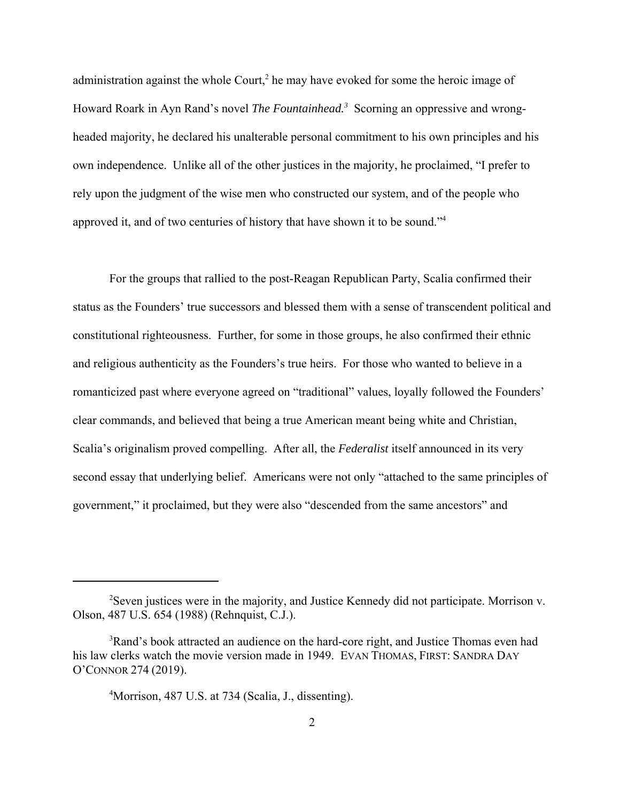administration against the whole Court,<sup>2</sup> he may have evoked for some the heroic image of Howard Roark in Ayn Rand's novel *The Fountainhead.3* Scorning an oppressive and wrongheaded majority, he declared his unalterable personal commitment to his own principles and his own independence. Unlike all of the other justices in the majority, he proclaimed, "I prefer to rely upon the judgment of the wise men who constructed our system, and of the people who approved it, and of two centuries of history that have shown it to be sound."<sup>4</sup>

For the groups that rallied to the post-Reagan Republican Party, Scalia confirmed their status as the Founders' true successors and blessed them with a sense of transcendent political and constitutional righteousness. Further, for some in those groups, he also confirmed their ethnic and religious authenticity as the Founders's true heirs. For those who wanted to believe in a romanticized past where everyone agreed on "traditional" values, loyally followed the Founders' clear commands, and believed that being a true American meant being white and Christian, Scalia's originalism proved compelling. After all, the *Federalist* itself announced in its very second essay that underlying belief. Americans were not only "attached to the same principles of government," it proclaimed, but they were also "descended from the same ancestors" and

<sup>&</sup>lt;sup>2</sup>Seven justices were in the majority, and Justice Kennedy did not participate. Morrison v. Olson, 487 U.S. 654 (1988) (Rehnquist, C.J.).

 $3$ Rand's book attracted an audience on the hard-core right, and Justice Thomas even had his law clerks watch the movie version made in 1949. EVAN THOMAS, FIRST: SANDRA DAY O'CONNOR 274 (2019).

<sup>4</sup> Morrison, 487 U.S. at 734 (Scalia, J., dissenting).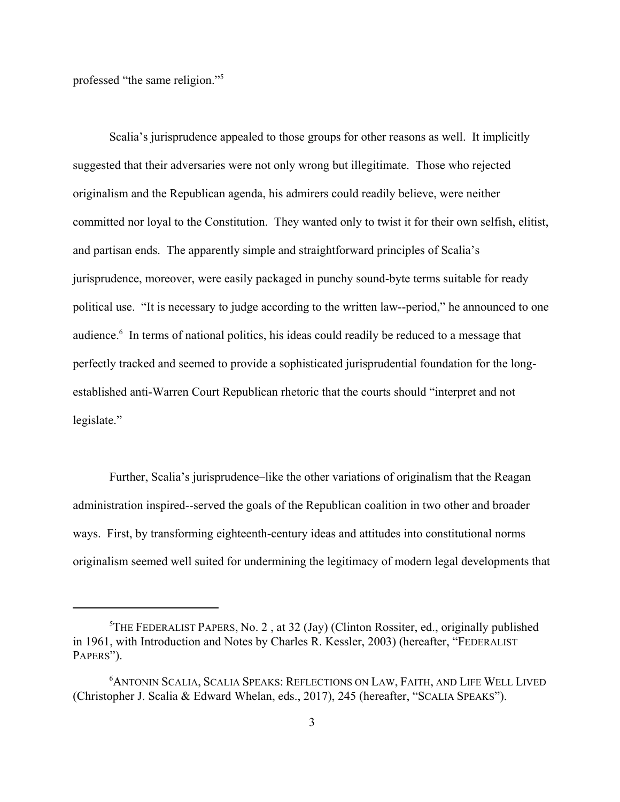professed "the same religion."5

Scalia's jurisprudence appealed to those groups for other reasons as well. It implicitly suggested that their adversaries were not only wrong but illegitimate. Those who rejected originalism and the Republican agenda, his admirers could readily believe, were neither committed nor loyal to the Constitution. They wanted only to twist it for their own selfish, elitist, and partisan ends. The apparently simple and straightforward principles of Scalia's jurisprudence, moreover, were easily packaged in punchy sound-byte terms suitable for ready political use. "It is necessary to judge according to the written law--period," he announced to one audience.<sup>6</sup> In terms of national politics, his ideas could readily be reduced to a message that perfectly tracked and seemed to provide a sophisticated jurisprudential foundation for the longestablished anti-Warren Court Republican rhetoric that the courts should "interpret and not legislate."

Further, Scalia's jurisprudence–like the other variations of originalism that the Reagan administration inspired--served the goals of the Republican coalition in two other and broader ways. First, by transforming eighteenth-century ideas and attitudes into constitutional norms originalism seemed well suited for undermining the legitimacy of modern legal developments that

<sup>&</sup>lt;sup>5</sup>THE FEDERALIST PAPERS, No. 2, at 32 (Jay) (Clinton Rossiter, ed., originally published in 1961, with Introduction and Notes by Charles R. Kessler, 2003) (hereafter, "FEDERALIST PAPERS").

<sup>6</sup> ANTONIN SCALIA, SCALIA SPEAKS: REFLECTIONS ON LAW, FAITH, AND LIFE WELL LIVED (Christopher J. Scalia & Edward Whelan, eds., 2017), 245 (hereafter, "SCALIA SPEAKS").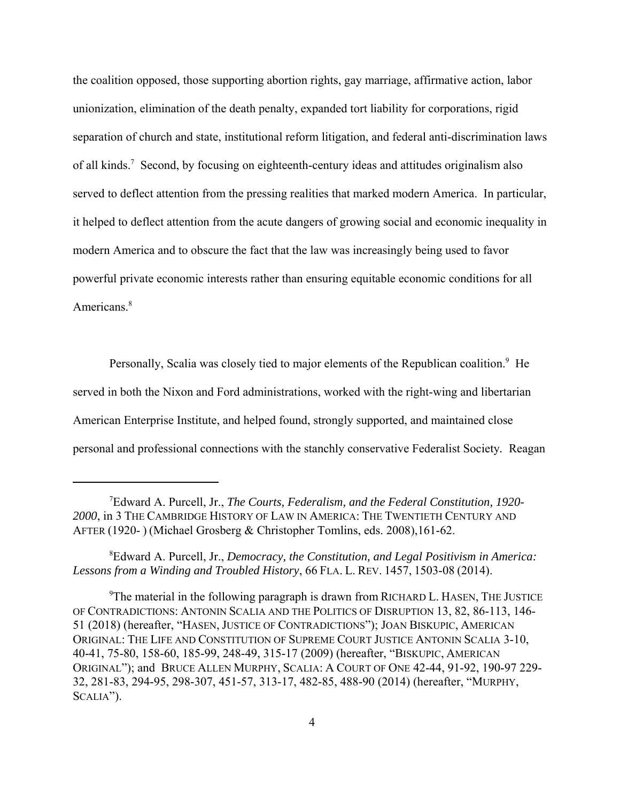the coalition opposed, those supporting abortion rights, gay marriage, affirmative action, labor unionization, elimination of the death penalty, expanded tort liability for corporations, rigid separation of church and state, institutional reform litigation, and federal anti-discrimination laws of all kinds.<sup>7</sup> Second, by focusing on eighteenth-century ideas and attitudes originalism also served to deflect attention from the pressing realities that marked modern America. In particular, it helped to deflect attention from the acute dangers of growing social and economic inequality in modern America and to obscure the fact that the law was increasingly being used to favor powerful private economic interests rather than ensuring equitable economic conditions for all Americans.<sup>8</sup>

Personally, Scalia was closely tied to major elements of the Republican coalition.<sup>9</sup> He served in both the Nixon and Ford administrations, worked with the right-wing and libertarian American Enterprise Institute, and helped found, strongly supported, and maintained close personal and professional connections with the stanchly conservative Federalist Society*.* Reagan

8 Edward A. Purcell, Jr., *Democracy, the Constitution, and Legal Positivism in America: Lessons from a Winding and Troubled History*, 66 FLA. L. REV. 1457, 1503-08 (2014).

<sup>9</sup>The material in the following paragraph is drawn from RICHARD L. HASEN, THE JUSTICE OF CONTRADICTIONS: ANTONIN SCALIA AND THE POLITICS OF DISRUPTION 13, 82, 86-113, 146- 51 (2018) (hereafter, "HASEN, JUSTICE OF CONTRADICTIONS"); JOAN BISKUPIC, AMERICAN ORIGINAL: THE LIFE AND CONSTITUTION OF SUPREME COURT JUSTICE ANTONIN SCALIA 3-10, 40-41, 75-80, 158-60, 185-99, 248-49, 315-17 (2009) (hereafter, "BISKUPIC, AMERICAN ORIGINAL"); and BRUCE ALLEN MURPHY, SCALIA: A COURT OF ONE 42-44, 91-92, 190-97 229- 32, 281-83, 294-95, 298-307, 451-57, 313-17, 482-85, 488-90 (2014) (hereafter, "MURPHY, SCALIA").

<sup>7</sup> Edward A. Purcell, Jr., *The Courts, Federalism, and the Federal Constitution, 1920- 2000*, in 3 THE CAMBRIDGE HISTORY OF LAW IN AMERICA: THE TWENTIETH CENTURY AND AFTER (1920- ) (Michael Grosberg & Christopher Tomlins, eds. 2008),161-62.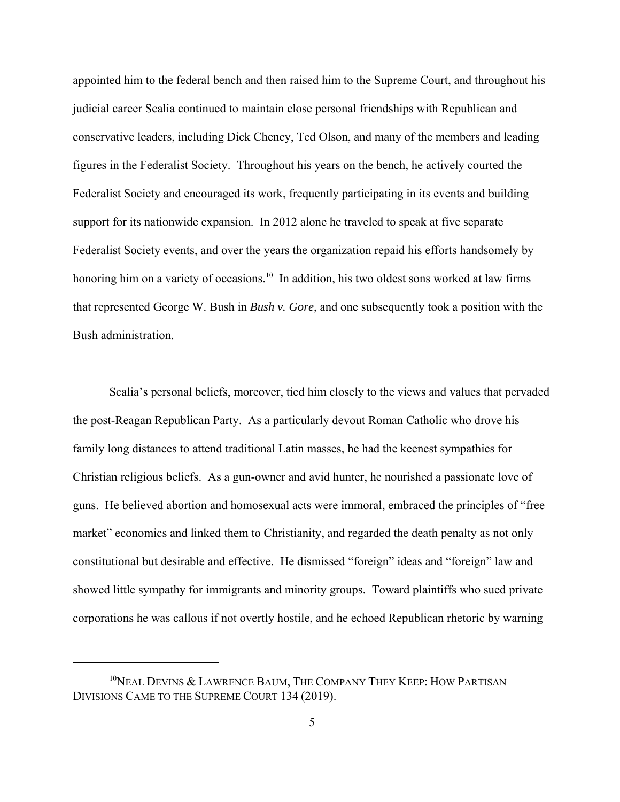appointed him to the federal bench and then raised him to the Supreme Court, and throughout his judicial career Scalia continued to maintain close personal friendships with Republican and conservative leaders, including Dick Cheney, Ted Olson, and many of the members and leading figures in the Federalist Society. Throughout his years on the bench, he actively courted the Federalist Society and encouraged its work, frequently participating in its events and building support for its nationwide expansion. In 2012 alone he traveled to speak at five separate Federalist Society events, and over the years the organization repaid his efforts handsomely by honoring him on a variety of occasions.<sup>10</sup> In addition, his two oldest sons worked at law firms that represented George W. Bush in *Bush v. Gore*, and one subsequently took a position with the Bush administration.

Scalia's personal beliefs, moreover, tied him closely to the views and values that pervaded the post-Reagan Republican Party. As a particularly devout Roman Catholic who drove his family long distances to attend traditional Latin masses, he had the keenest sympathies for Christian religious beliefs. As a gun-owner and avid hunter, he nourished a passionate love of guns. He believed abortion and homosexual acts were immoral, embraced the principles of "free market" economics and linked them to Christianity, and regarded the death penalty as not only constitutional but desirable and effective. He dismissed "foreign" ideas and "foreign" law and showed little sympathy for immigrants and minority groups. Toward plaintiffs who sued private corporations he was callous if not overtly hostile, and he echoed Republican rhetoric by warning

 $10$ NEAL DEVINS & LAWRENCE BAUM, THE COMPANY THEY KEEP: HOW PARTISAN DIVISIONS CAME TO THE SUPREME COURT 134 (2019).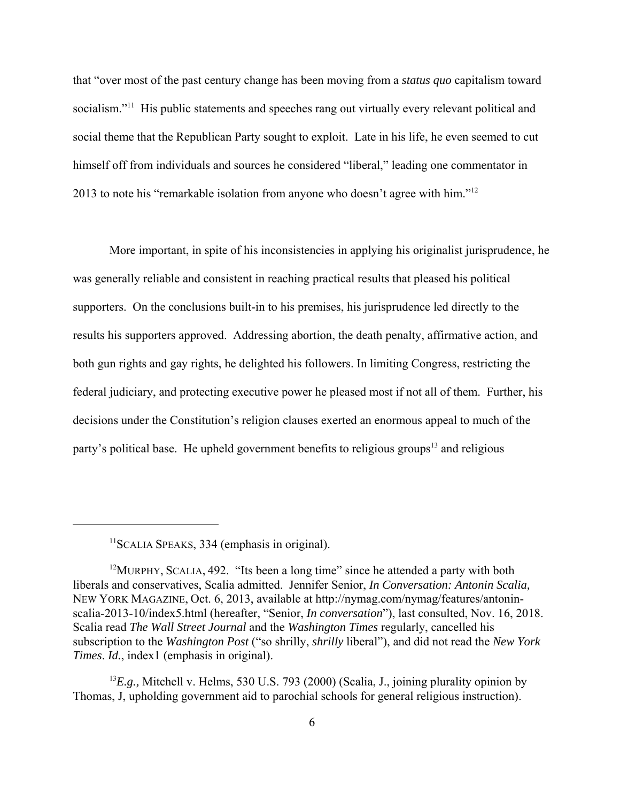that "over most of the past century change has been moving from a *status quo* capitalism toward socialism."<sup>11</sup> His public statements and speeches rang out virtually every relevant political and social theme that the Republican Party sought to exploit. Late in his life, he even seemed to cut himself off from individuals and sources he considered "liberal," leading one commentator in 2013 to note his "remarkable isolation from anyone who doesn't agree with him."12

More important, in spite of his inconsistencies in applying his originalist jurisprudence, he was generally reliable and consistent in reaching practical results that pleased his political supporters. On the conclusions built-in to his premises, his jurisprudence led directly to the results his supporters approved. Addressing abortion, the death penalty, affirmative action, and both gun rights and gay rights, he delighted his followers. In limiting Congress, restricting the federal judiciary, and protecting executive power he pleased most if not all of them. Further, his decisions under the Constitution's religion clauses exerted an enormous appeal to much of the party's political base. He upheld government benefits to religious groups<sup>13</sup> and religious

<sup>&</sup>lt;sup>11</sup>SCALIA SPEAKS, 334 (emphasis in original).

 $12$ MURPHY, SCALIA, 492. "Its been a long time" since he attended a party with both liberals and conservatives, Scalia admitted. Jennifer Senior, *In Conversation: Antonin Scalia,* NEW YORK MAGAZINE, Oct. 6, 2013, available at http://nymag.com/nymag/features/antoninscalia-2013-10/index5.html (hereafter, "Senior, *In conversation*"), last consulted, Nov. 16, 2018. Scalia read *The Wall Street Journal* and the *Washington Times* regularly, cancelled his subscription to the *Washington Post* ("so shrilly, *shrilly* liberal"), and did not read the *New York Times*. *Id.*, index1 (emphasis in original).

<sup>&</sup>lt;sup>13</sup>E.g., Mitchell v. Helms, 530 U.S. 793 (2000) (Scalia, J., joining plurality opinion by Thomas, J, upholding government aid to parochial schools for general religious instruction).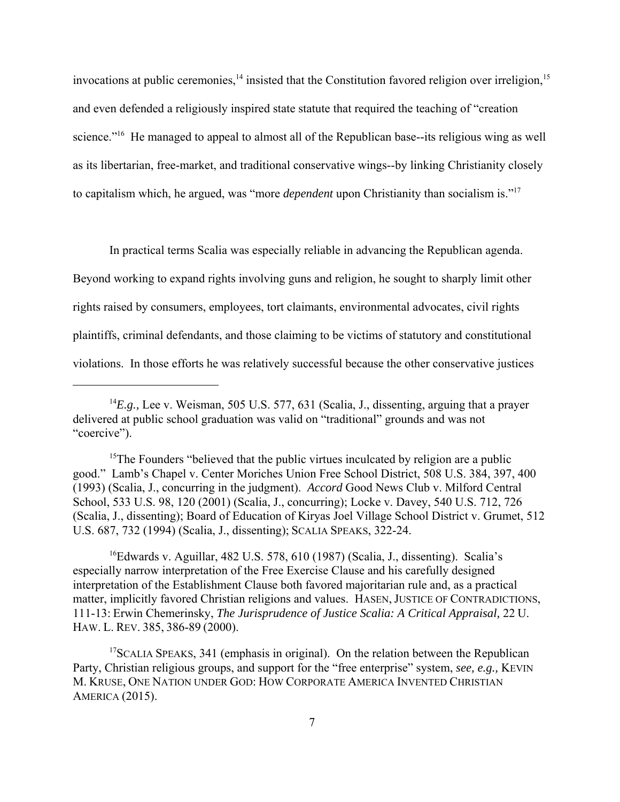invocations at public ceremonies, $<sup>14</sup>$  insisted that the Constitution favored religion over irreligion, $<sup>15</sup>$ </sup></sup> and even defended a religiously inspired state statute that required the teaching of "creation science."<sup>16</sup> He managed to appeal to almost all of the Republican base--its religious wing as well as its libertarian, free-market, and traditional conservative wings--by linking Christianity closely to capitalism which, he argued, was "more *dependent* upon Christianity than socialism is."17

In practical terms Scalia was especially reliable in advancing the Republican agenda. Beyond working to expand rights involving guns and religion, he sought to sharply limit other rights raised by consumers, employees, tort claimants, environmental advocates, civil rights plaintiffs, criminal defendants, and those claiming to be victims of statutory and constitutional violations. In those efforts he was relatively successful because the other conservative justices

<sup>15</sup>The Founders "believed that the public virtues inculcated by religion are a public good." Lamb's Chapel v. Center Moriches Union Free School District, 508 U.S. 384, 397, 400 (1993) (Scalia, J., concurring in the judgment). *Accord* Good News Club v. Milford Central School, 533 U.S. 98, 120 (2001) (Scalia, J., concurring); Locke v. Davey, 540 U.S. 712, 726 (Scalia, J., dissenting); Board of Education of Kiryas Joel Village School District v. Grumet, 512 U.S. 687, 732 (1994) (Scalia, J., dissenting); SCALIA SPEAKS, 322-24.

<sup>16</sup>Edwards v. Aguillar, 482 U.S. 578, 610 (1987) (Scalia, J., dissenting). Scalia's especially narrow interpretation of the Free Exercise Clause and his carefully designed interpretation of the Establishment Clause both favored majoritarian rule and, as a practical matter, implicitly favored Christian religions and values. HASEN, JUSTICE OF CONTRADICTIONS, 111-13: Erwin Chemerinsky, *The Jurisprudence of Justice Scalia: A Critical Appraisal,* 22 U. HAW. L. REV. 385, 386-89 (2000).

<sup>17</sup>SCALIA SPEAKS, 341 (emphasis in original). On the relation between the Republican Party, Christian religious groups, and support for the "free enterprise" system, *see, e.g.,* KEVIN M. KRUSE, ONE NATION UNDER GOD: HOW CORPORATE AMERICA INVENTED CHRISTIAN AMERICA (2015).

<sup>&</sup>lt;sup>14</sup>E.g., Lee v. Weisman, 505 U.S. 577, 631 (Scalia, J., dissenting, arguing that a prayer delivered at public school graduation was valid on "traditional" grounds and was not "coercive").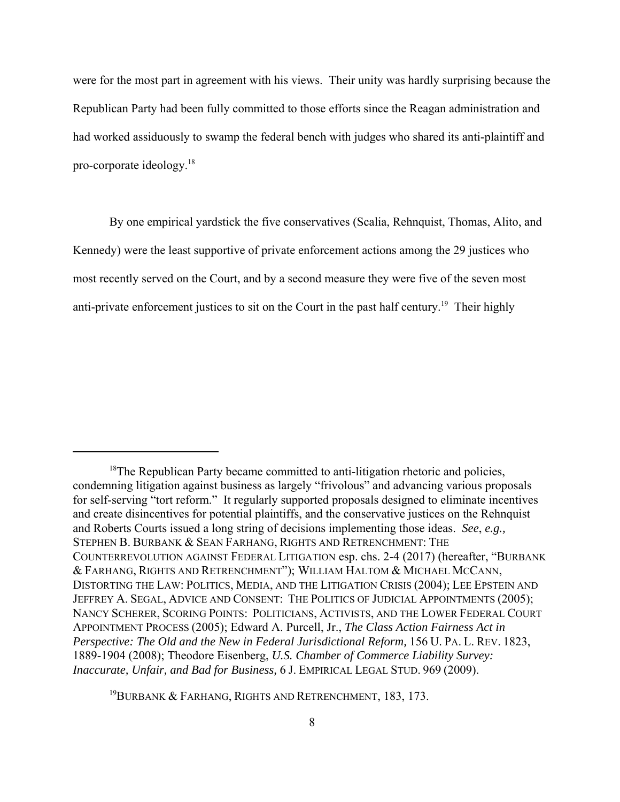were for the most part in agreement with his views. Their unity was hardly surprising because the Republican Party had been fully committed to those efforts since the Reagan administration and had worked assiduously to swamp the federal bench with judges who shared its anti-plaintiff and pro-corporate ideology.18

By one empirical yardstick the five conservatives (Scalia, Rehnquist, Thomas, Alito, and Kennedy) were the least supportive of private enforcement actions among the 29 justices who most recently served on the Court, and by a second measure they were five of the seven most anti-private enforcement justices to sit on the Court in the past half century.<sup>19</sup> Their highly

<sup>19</sup>BURBANK & FARHANG, RIGHTS AND RETRENCHMENT, 183, 173.

<sup>&</sup>lt;sup>18</sup>The Republican Party became committed to anti-litigation rhetoric and policies, condemning litigation against business as largely "frivolous" and advancing various proposals for self-serving "tort reform." It regularly supported proposals designed to eliminate incentives and create disincentives for potential plaintiffs, and the conservative justices on the Rehnquist and Roberts Courts issued a long string of decisions implementing those ideas. *See*, *e.g.,* STEPHEN B. BURBANK & SEAN FARHANG, RIGHTS AND RETRENCHMENT: THE COUNTERREVOLUTION AGAINST FEDERAL LITIGATION esp. chs. 2-4 (2017) (hereafter, "BURBANK & FARHANG, RIGHTS AND RETRENCHMENT"); WILLIAM HALTOM & MICHAEL MCCANN, DISTORTING THE LAW: POLITICS, MEDIA, AND THE LITIGATION CRISIS (2004); LEE EPSTEIN AND JEFFREY A. SEGAL, ADVICE AND CONSENT: THE POLITICS OF JUDICIAL APPOINTMENTS (2005); NANCY SCHERER, SCORING POINTS: POLITICIANS, ACTIVISTS, AND THE LOWER FEDERAL COURT APPOINTMENT PROCESS (2005); Edward A. Purcell, Jr., *The Class Action Fairness Act in Perspective: The Old and the New in Federal Jurisdictional Reform,* 156 U. PA. L. REV. 1823, 1889-1904 (2008); Theodore Eisenberg, *U.S. Chamber of Commerce Liability Survey: Inaccurate, Unfair, and Bad for Business,* 6 J. EMPIRICAL LEGAL STUD. 969 (2009).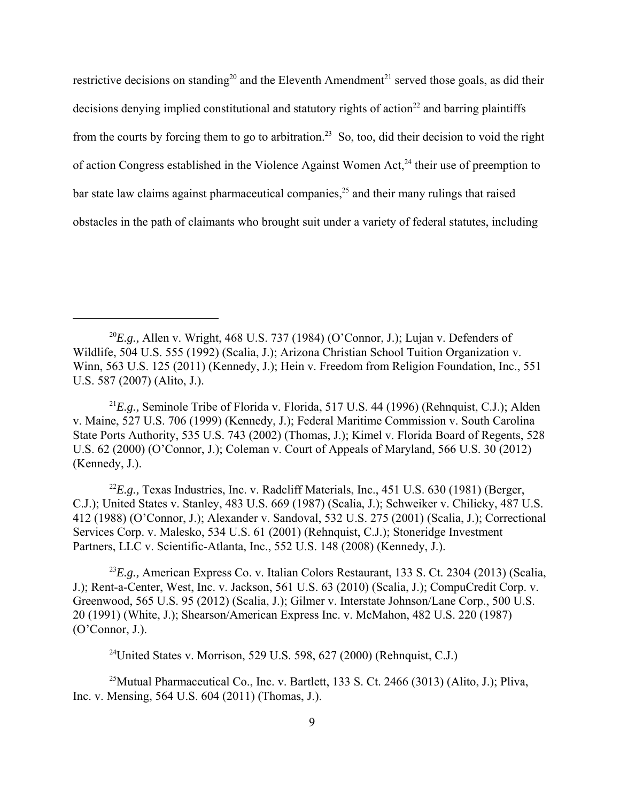restrictive decisions on standing<sup>20</sup> and the Eleventh Amendment<sup>21</sup> served those goals, as did their decisions denying implied constitutional and statutory rights of action<sup>22</sup> and barring plaintiffs from the courts by forcing them to go to arbitration.<sup>23</sup> So, too, did their decision to void the right of action Congress established in the Violence Against Women Act,<sup>24</sup> their use of preemption to bar state law claims against pharmaceutical companies, $2<sup>5</sup>$  and their many rulings that raised obstacles in the path of claimants who brought suit under a variety of federal statutes, including

<sup>21</sup>*E.g.,* Seminole Tribe of Florida v. Florida, 517 U.S. 44 (1996) (Rehnquist, C.J.); Alden v. Maine, 527 U.S. 706 (1999) (Kennedy, J.); Federal Maritime Commission v. South Carolina State Ports Authority, 535 U.S. 743 (2002) (Thomas, J.); Kimel v. Florida Board of Regents, 528 U.S. 62 (2000) (O'Connor, J.); Coleman v. Court of Appeals of Maryland, 566 U.S. 30 (2012) (Kennedy, J.).

<sup>22</sup>E.g., Texas Industries, Inc. v. Radcliff Materials, Inc., 451 U.S. 630 (1981) (Berger, C.J.); United States v. Stanley, 483 U.S. 669 (1987) (Scalia, J.); Schweiker v. Chilicky, 487 U.S. 412 (1988) (O'Connor, J.); Alexander v. Sandoval, 532 U.S. 275 (2001) (Scalia, J.); Correctional Services Corp. v. Malesko, 534 U.S. 61 (2001) (Rehnquist, C.J.); Stoneridge Investment Partners, LLC v. Scientific-Atlanta, Inc., 552 U.S. 148 (2008) (Kennedy, J.).

<sup>23</sup>*E.g.,* American Express Co. v. Italian Colors Restaurant, 133 S. Ct. 2304 (2013) (Scalia, J.); Rent-a-Center, West, Inc. v. Jackson, 561 U.S. 63 (2010) (Scalia, J.); CompuCredit Corp. v. Greenwood, 565 U.S. 95 (2012) (Scalia, J.); Gilmer v. Interstate Johnson/Lane Corp., 500 U.S. 20 (1991) (White, J.); Shearson/American Express Inc. v. McMahon, 482 U.S. 220 (1987) (O'Connor, J.).

<sup>24</sup>United States v. Morrison, 529 U.S. 598, 627 (2000) (Rehnquist, C.J.)

<sup>25</sup>Mutual Pharmaceutical Co., Inc. v. Bartlett, 133 S. Ct. 2466 (3013) (Alito, J.); Pliva, Inc. v. Mensing, 564 U.S. 604 (2011) (Thomas, J.).

<sup>&</sup>lt;sup>20</sup>E.g., Allen v. Wright, 468 U.S. 737 (1984) (O'Connor, J.); Lujan v. Defenders of Wildlife, 504 U.S. 555 (1992) (Scalia, J.); Arizona Christian School Tuition Organization v. Winn, 563 U.S. 125 (2011) (Kennedy, J.); Hein v. Freedom from Religion Foundation, Inc., 551 U.S. 587 (2007) (Alito, J.).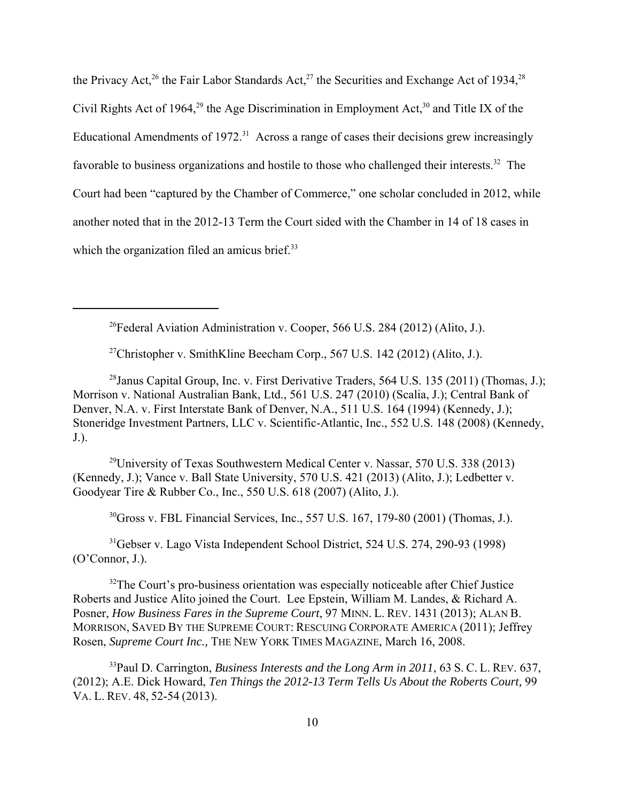the Privacy Act,<sup>26</sup> the Fair Labor Standards Act,<sup>27</sup> the Securities and Exchange Act of 1934,<sup>28</sup> Civil Rights Act of 1964,<sup>29</sup> the Age Discrimination in Employment Act,<sup>30</sup> and Title IX of the Educational Amendments of 1972.<sup>31</sup> Across a range of cases their decisions grew increasingly favorable to business organizations and hostile to those who challenged their interests.<sup>32</sup> The Court had been "captured by the Chamber of Commerce," one scholar concluded in 2012, while another noted that in the 2012-13 Term the Court sided with the Chamber in 14 of 18 cases in which the organization filed an amicus brief.<sup>33</sup>

<sup>26</sup>Federal Aviation Administration v. Cooper, 566 U.S. 284 (2012) (Alito, J.).

<sup>27</sup>Christopher v. SmithKline Beecham Corp., 567 U.S. 142 (2012) (Alito, J.).

<sup>28</sup> Janus Capital Group, Inc. v. First Derivative Traders, 564 U.S. 135 (2011) (Thomas, J.); Morrison v. National Australian Bank, Ltd., 561 U.S. 247 (2010) (Scalia, J.); Central Bank of Denver, N.A. v. First Interstate Bank of Denver, N.A., 511 U.S. 164 (1994) (Kennedy, J.); Stoneridge Investment Partners, LLC v. Scientific-Atlantic, Inc., 552 U.S. 148 (2008) (Kennedy, J.).

<sup>29</sup>University of Texas Southwestern Medical Center v. Nassar, 570 U.S. 338 (2013) (Kennedy, J.); Vance v. Ball State University, 570 U.S. 421 (2013) (Alito, J.); Ledbetter v. Goodyear Tire & Rubber Co., Inc., 550 U.S. 618 (2007) (Alito, J.).

 $30G$ ross v. FBL Financial Services, Inc., 557 U.S. 167, 179-80 (2001) (Thomas, J.).

31Gebser v. Lago Vista Independent School District, 524 U.S. 274, 290-93 (1998) (O'Connor, J.).

 $32$ The Court's pro-business orientation was especially noticeable after Chief Justice Roberts and Justice Alito joined the Court. Lee Epstein, William M. Landes, & Richard A. Posner, *How Business Fares in the Supreme Court*, 97 MINN. L. REV. 1431 (2013); ALAN B. MORRISON, SAVED BY THE SUPREME COURT: RESCUING CORPORATE AMERICA (2011); Jeffrey Rosen, *Supreme Court Inc.,* THE NEW YORK TIMES MAGAZINE, March 16, 2008.

33Paul D. Carrington, *Business Interests and the Long Arm in 2011*, 63 S. C. L. REV. 637, (2012); A.E. Dick Howard, *Ten Things the 2012-13 Term Tells Us About the Roberts Court,* 99 VA. L. REV. 48, 52-54 (2013).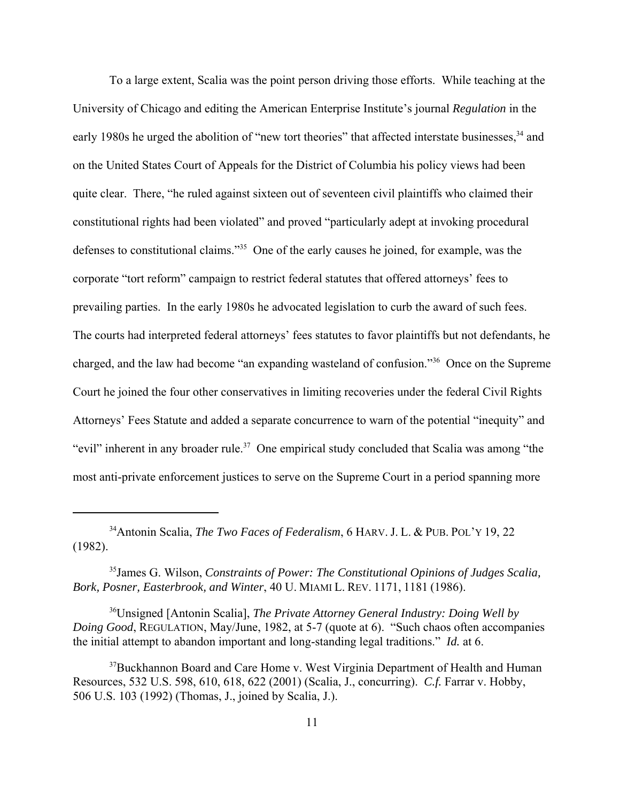To a large extent, Scalia was the point person driving those efforts. While teaching at the University of Chicago and editing the American Enterprise Institute's journal *Regulation* in the early 1980s he urged the abolition of "new tort theories" that affected interstate businesses,<sup>34</sup> and on the United States Court of Appeals for the District of Columbia his policy views had been quite clear. There, "he ruled against sixteen out of seventeen civil plaintiffs who claimed their constitutional rights had been violated" and proved "particularly adept at invoking procedural defenses to constitutional claims."35 One of the early causes he joined, for example, was the corporate "tort reform" campaign to restrict federal statutes that offered attorneys' fees to prevailing parties. In the early 1980s he advocated legislation to curb the award of such fees. The courts had interpreted federal attorneys' fees statutes to favor plaintiffs but not defendants, he charged, and the law had become "an expanding wasteland of confusion."36 Once on the Supreme Court he joined the four other conservatives in limiting recoveries under the federal Civil Rights Attorneys' Fees Statute and added a separate concurrence to warn of the potential "inequity" and "evil" inherent in any broader rule.<sup>37</sup> One empirical study concluded that Scalia was among "the most anti-private enforcement justices to serve on the Supreme Court in a period spanning more

36Unsigned [Antonin Scalia], *The Private Attorney General Industry: Doing Well by Doing Good*, REGULATION, May/June, 1982, at 5-7 (quote at 6). "Such chaos often accompanies the initial attempt to abandon important and long-standing legal traditions." *Id.* at 6.

<sup>34</sup>Antonin Scalia, *The Two Faces of Federalism*, 6 HARV. J. L. & PUB. POL'Y 19, 22 (1982).

<sup>35</sup>James G. Wilson, *Constraints of Power: The Constitutional Opinions of Judges Scalia, Bork, Posner, Easterbrook, and Winter*, 40 U. MIAMI L. REV. 1171, 1181 (1986).

<sup>&</sup>lt;sup>37</sup>Buckhannon Board and Care Home v. West Virginia Department of Health and Human Resources, 532 U.S. 598, 610, 618, 622 (2001) (Scalia, J., concurring). *C.f.* Farrar v. Hobby, 506 U.S. 103 (1992) (Thomas, J., joined by Scalia, J.).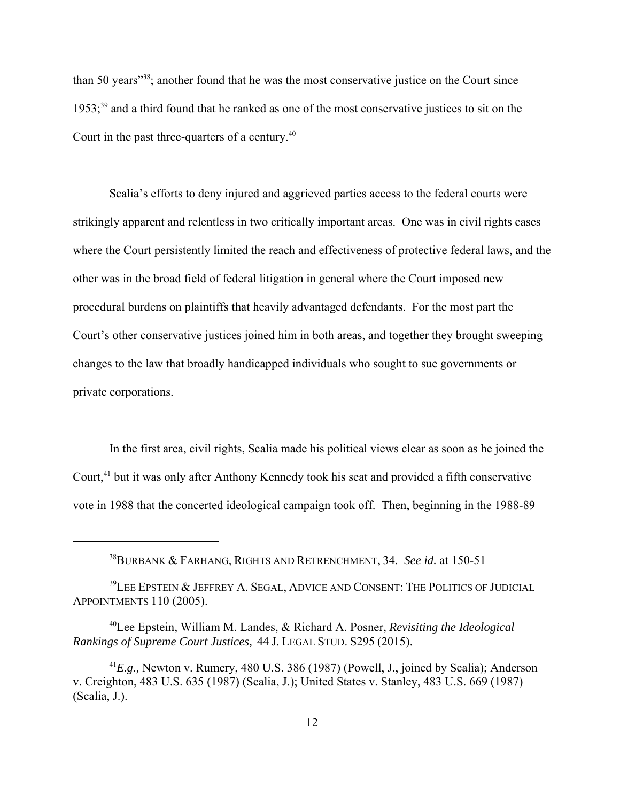than 50 years"38; another found that he was the most conservative justice on the Court since  $1953$ ;<sup>39</sup> and a third found that he ranked as one of the most conservative justices to sit on the Court in the past three-quarters of a century.40

Scalia's efforts to deny injured and aggrieved parties access to the federal courts were strikingly apparent and relentless in two critically important areas. One was in civil rights cases where the Court persistently limited the reach and effectiveness of protective federal laws, and the other was in the broad field of federal litigation in general where the Court imposed new procedural burdens on plaintiffs that heavily advantaged defendants. For the most part the Court's other conservative justices joined him in both areas, and together they brought sweeping changes to the law that broadly handicapped individuals who sought to sue governments or private corporations.

In the first area, civil rights, Scalia made his political views clear as soon as he joined the Court,<sup>41</sup> but it was only after Anthony Kennedy took his seat and provided a fifth conservative vote in 1988 that the concerted ideological campaign took off. Then, beginning in the 1988-89

<sup>38</sup>BURBANK & FARHANG, RIGHTS AND RETRENCHMENT, 34. *See id.* at 150-51

 $39$ LEE EPSTEIN  $\&$  JEFFREY A. SEGAL, ADVICE AND CONSENT: THE POLITICS OF JUDICIAL APPOINTMENTS 110 (2005).

<sup>40</sup>Lee Epstein, William M. Landes, & Richard A. Posner, *Revisiting the Ideological Rankings of Supreme Court Justices,* 44 J. LEGAL STUD. S295 (2015).

<sup>41</sup>*E.g.,* Newton v. Rumery, 480 U.S. 386 (1987) (Powell, J., joined by Scalia); Anderson v. Creighton, 483 U.S. 635 (1987) (Scalia, J.); United States v. Stanley, 483 U.S. 669 (1987) (Scalia, J.).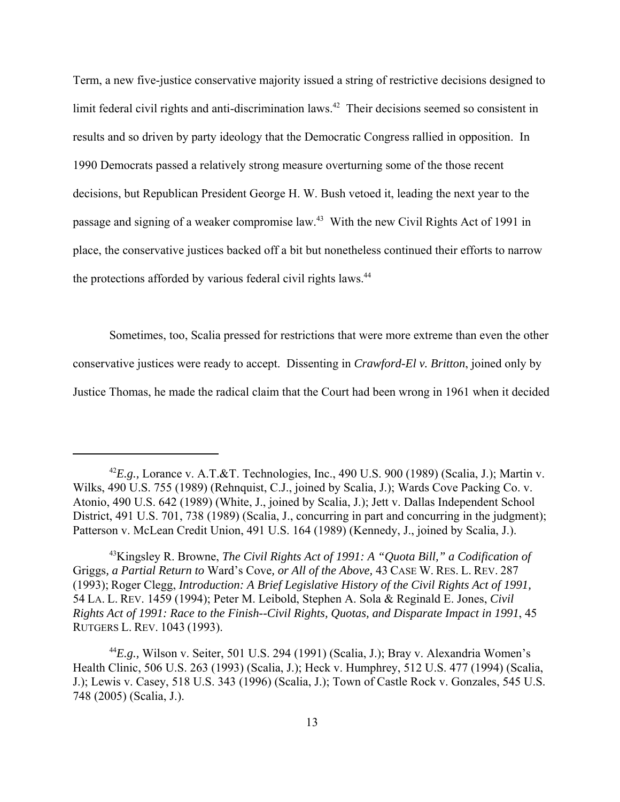Term, a new five-justice conservative majority issued a string of restrictive decisions designed to limit federal civil rights and anti-discrimination laws.<sup>42</sup> Their decisions seemed so consistent in results and so driven by party ideology that the Democratic Congress rallied in opposition. In 1990 Democrats passed a relatively strong measure overturning some of the those recent decisions, but Republican President George H. W. Bush vetoed it, leading the next year to the passage and signing of a weaker compromise law.43 With the new Civil Rights Act of 1991 in place, the conservative justices backed off a bit but nonetheless continued their efforts to narrow the protections afforded by various federal civil rights laws.<sup>44</sup>

Sometimes, too, Scalia pressed for restrictions that were more extreme than even the other conservative justices were ready to accept. Dissenting in *Crawford-El v. Britton*, joined only by Justice Thomas, he made the radical claim that the Court had been wrong in 1961 when it decided

 $^{42}E.g.,$  Lorance v. A.T.&T. Technologies, Inc., 490 U.S. 900 (1989) (Scalia, J.); Martin v. Wilks, 490 U.S. 755 (1989) (Rehnquist, C.J., joined by Scalia, J.); Wards Cove Packing Co. v. Atonio, 490 U.S. 642 (1989) (White, J., joined by Scalia, J.); Jett v. Dallas Independent School District, 491 U.S. 701, 738 (1989) (Scalia, J., concurring in part and concurring in the judgment); Patterson v. McLean Credit Union, 491 U.S. 164 (1989) (Kennedy, J., joined by Scalia, J.).

<sup>43</sup>Kingsley R. Browne, *The Civil Rights Act of 1991: A "Quota Bill," a Codification of* Griggs*, a Partial Return to* Ward's Cove*, or All of the Above,* 43 CASE W. RES. L. REV. 287 (1993); Roger Clegg, *Introduction: A Brief Legislative History of the Civil Rights Act of 1991,* 54 LA. L. REV. 1459 (1994); Peter M. Leibold, Stephen A. Sola & Reginald E. Jones, *Civil Rights Act of 1991: Race to the Finish--Civil Rights, Quotas, and Disparate Impact in 1991*, 45 RUTGERS L. REV. 1043 (1993).

<sup>44</sup>*E.g.,* Wilson v. Seiter, 501 U.S. 294 (1991) (Scalia, J.); Bray v. Alexandria Women's Health Clinic, 506 U.S. 263 (1993) (Scalia, J.); Heck v. Humphrey, 512 U.S. 477 (1994) (Scalia, J.); Lewis v. Casey, 518 U.S. 343 (1996) (Scalia, J.); Town of Castle Rock v. Gonzales, 545 U.S. 748 (2005) (Scalia, J.).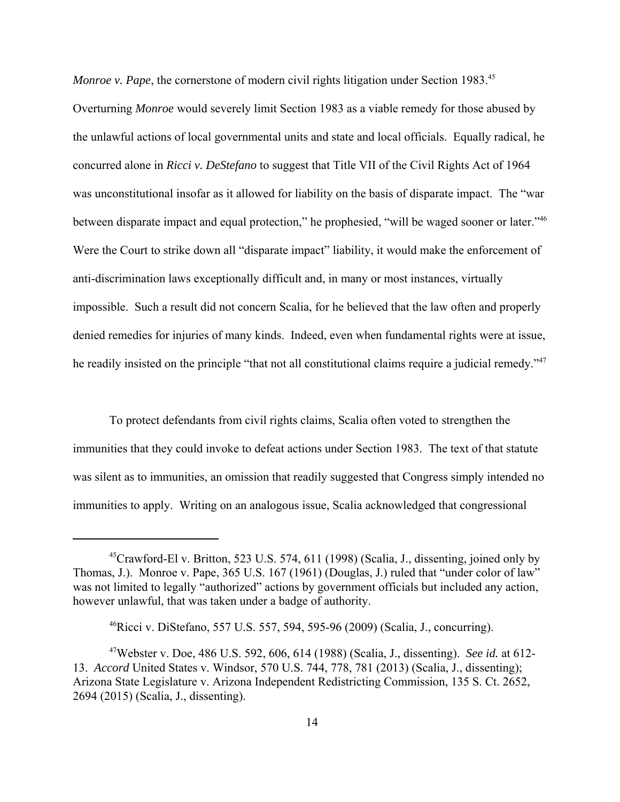*Monroe v. Pape*, the cornerstone of modern civil rights litigation under Section 1983.<sup>45</sup> Overturning *Monroe* would severely limit Section 1983 as a viable remedy for those abused by the unlawful actions of local governmental units and state and local officials. Equally radical, he concurred alone in *Ricci v. DeStefano* to suggest that Title VII of the Civil Rights Act of 1964 was unconstitutional insofar as it allowed for liability on the basis of disparate impact. The "war between disparate impact and equal protection," he prophesied, "will be waged sooner or later."46 Were the Court to strike down all "disparate impact" liability, it would make the enforcement of anti-discrimination laws exceptionally difficult and, in many or most instances, virtually impossible. Such a result did not concern Scalia, for he believed that the law often and properly denied remedies for injuries of many kinds. Indeed, even when fundamental rights were at issue, he readily insisted on the principle "that not all constitutional claims require a judicial remedy."<sup>47</sup>

To protect defendants from civil rights claims, Scalia often voted to strengthen the immunities that they could invoke to defeat actions under Section 1983. The text of that statute was silent as to immunities, an omission that readily suggested that Congress simply intended no immunities to apply. Writing on an analogous issue, Scalia acknowledged that congressional

<sup>&</sup>lt;sup>45</sup>Crawford-El v. Britton, 523 U.S. 574, 611 (1998) (Scalia, J., dissenting, joined only by Thomas, J.). Monroe v. Pape, 365 U.S. 167 (1961) (Douglas, J.) ruled that "under color of law" was not limited to legally "authorized" actions by government officials but included any action, however unlawful, that was taken under a badge of authority.

<sup>&</sup>lt;sup>46</sup>Ricci v. DiStefano, 557 U.S. 557, 594, 595-96 (2009) (Scalia, J., concurring).

<sup>47</sup>Webster v. Doe, 486 U.S. 592, 606, 614 (1988) (Scalia, J., dissenting). *See id.* at 612- 13. *Accord* United States v. Windsor, 570 U.S. 744, 778, 781 (2013) (Scalia, J., dissenting); Arizona State Legislature v. Arizona Independent Redistricting Commission, 135 S. Ct. 2652, 2694 (2015) (Scalia, J., dissenting).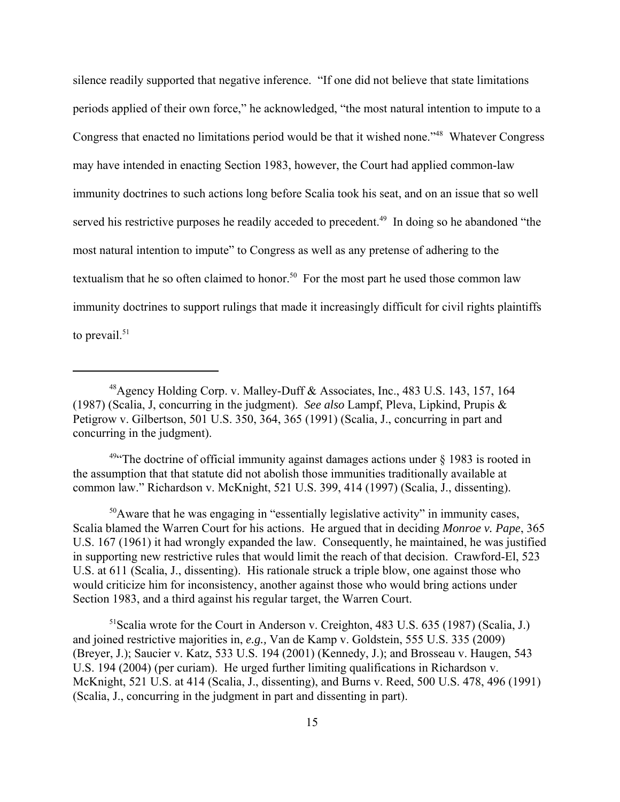silence readily supported that negative inference. "If one did not believe that state limitations periods applied of their own force," he acknowledged, "the most natural intention to impute to a Congress that enacted no limitations period would be that it wished none."48 Whatever Congress may have intended in enacting Section 1983, however, the Court had applied common-law immunity doctrines to such actions long before Scalia took his seat, and on an issue that so well served his restrictive purposes he readily acceded to precedent.<sup>49</sup> In doing so he abandoned "the most natural intention to impute" to Congress as well as any pretense of adhering to the textualism that he so often claimed to honor.<sup>50</sup> For the most part he used those common law immunity doctrines to support rulings that made it increasingly difficult for civil rights plaintiffs to prevail. $51$ 

 $49$  The doctrine of official immunity against damages actions under  $\frac{1}{2}$  1983 is rooted in the assumption that that statute did not abolish those immunities traditionally available at common law." Richardson v. McKnight, 521 U.S. 399, 414 (1997) (Scalia, J., dissenting).

 $50$ Aware that he was engaging in "essentially legislative activity" in immunity cases, Scalia blamed the Warren Court for his actions. He argued that in deciding *Monroe v. Pape*, 365 U.S. 167 (1961) it had wrongly expanded the law. Consequently, he maintained, he was justified in supporting new restrictive rules that would limit the reach of that decision. Crawford-El, 523 U.S. at 611 (Scalia, J., dissenting). His rationale struck a triple blow, one against those who would criticize him for inconsistency, another against those who would bring actions under Section 1983, and a third against his regular target, the Warren Court.

<sup>51</sup>Scalia wrote for the Court in Anderson v. Creighton, 483 U.S. 635 (1987) (Scalia, J.) and joined restrictive majorities in, *e.g.,* Van de Kamp v. Goldstein, 555 U.S. 335 (2009) (Breyer, J.); Saucier v. Katz, 533 U.S. 194 (2001) (Kennedy, J.); and Brosseau v. Haugen, 543 U.S. 194 (2004) (per curiam). He urged further limiting qualifications in Richardson v. McKnight, 521 U.S. at 414 (Scalia, J., dissenting), and Burns v. Reed, 500 U.S. 478, 496 (1991) (Scalia, J., concurring in the judgment in part and dissenting in part).

<sup>48</sup>Agency Holding Corp. v. Malley-Duff & Associates, Inc., 483 U.S. 143, 157, 164 (1987) (Scalia, J, concurring in the judgment). *See also* Lampf, Pleva, Lipkind, Prupis & Petigrow v. Gilbertson, 501 U.S. 350, 364, 365 (1991) (Scalia, J., concurring in part and concurring in the judgment).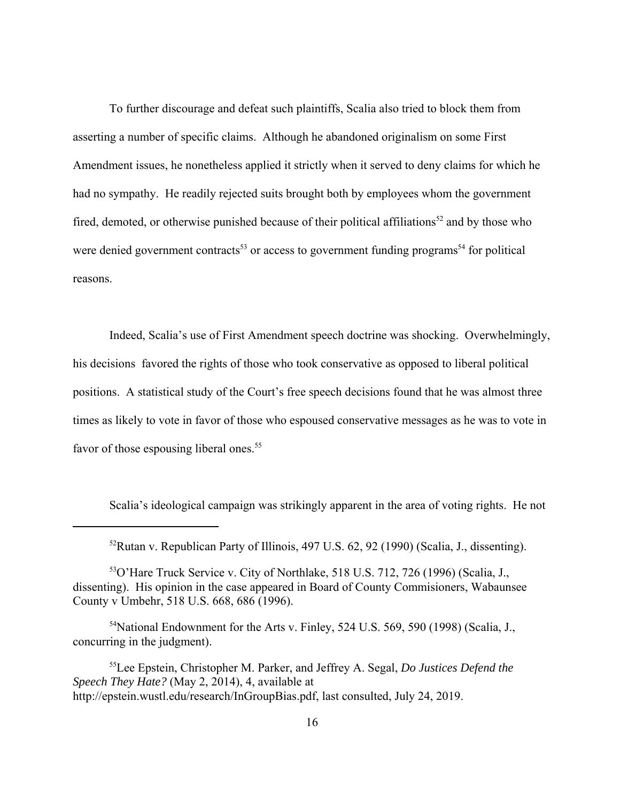To further discourage and defeat such plaintiffs, Scalia also tried to block them from asserting a number of specific claims. Although he abandoned originalism on some First Amendment issues, he nonetheless applied it strictly when it served to deny claims for which he had no sympathy. He readily rejected suits brought both by employees whom the government fired, demoted, or otherwise punished because of their political affiliations<sup>52</sup> and by those who were denied government contracts<sup>53</sup> or access to government funding programs<sup>54</sup> for political reasons.

Indeed, Scalia's use of First Amendment speech doctrine was shocking. Overwhelmingly, his decisions favored the rights of those who took conservative as opposed to liberal political positions. A statistical study of the Court's free speech decisions found that he was almost three times as likely to vote in favor of those who espoused conservative messages as he was to vote in favor of those espousing liberal ones.<sup>55</sup>

Scalia's ideological campaign was strikingly apparent in the area of voting rights. He not

<sup>52</sup>Rutan v. Republican Party of Illinois, 497 U.S. 62, 92 (1990) (Scalia, J., dissenting).

<sup>53</sup>O'Hare Truck Service v. City of Northlake, 518 U.S. 712, 726 (1996) (Scalia, J., dissenting). His opinion in the case appeared in Board of County Commisioners, Wabaunsee County v Umbehr, 518 U.S. 668, 686 (1996).

<sup>54</sup>National Endownment for the Arts v. Finley, 524 U.S. 569, 590 (1998) (Scalia, J., concurring in the judgment).

<sup>55</sup>Lee Epstein, Christopher M. Parker, and Jeffrey A. Segal, *Do Justices Defend the Speech They Hate?* (May 2, 2014), 4, available at http://epstein.wustl.edu/research/InGroupBias.pdf, last consulted, July 24, 2019.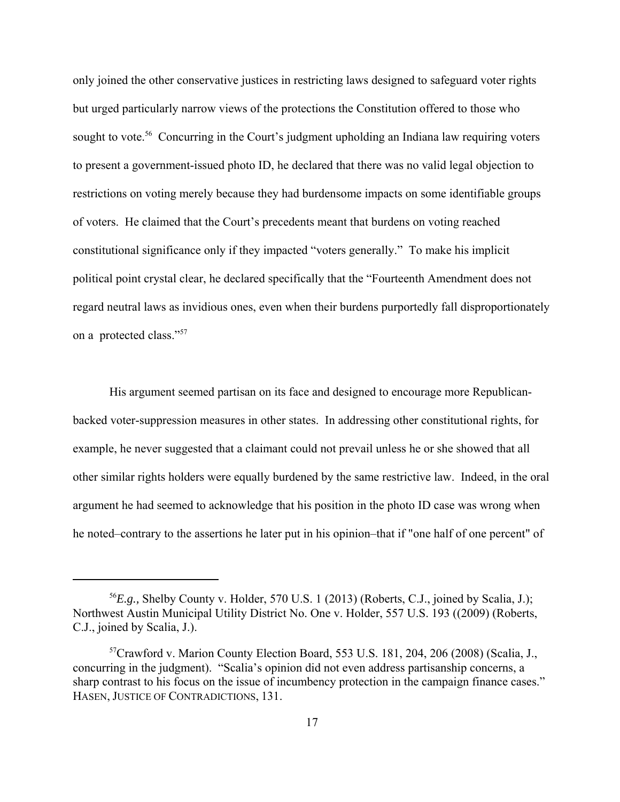only joined the other conservative justices in restricting laws designed to safeguard voter rights but urged particularly narrow views of the protections the Constitution offered to those who sought to vote.<sup>56</sup> Concurring in the Court's judgment upholding an Indiana law requiring voters to present a government-issued photo ID, he declared that there was no valid legal objection to restrictions on voting merely because they had burdensome impacts on some identifiable groups of voters. He claimed that the Court's precedents meant that burdens on voting reached constitutional significance only if they impacted "voters generally." To make his implicit political point crystal clear, he declared specifically that the "Fourteenth Amendment does not regard neutral laws as invidious ones, even when their burdens purportedly fall disproportionately on a protected class."57

His argument seemed partisan on its face and designed to encourage more Republicanbacked voter-suppression measures in other states. In addressing other constitutional rights, for example, he never suggested that a claimant could not prevail unless he or she showed that all other similar rights holders were equally burdened by the same restrictive law. Indeed, in the oral argument he had seemed to acknowledge that his position in the photo ID case was wrong when he noted–contrary to the assertions he later put in his opinion–that if "one half of one percent" of

<sup>56</sup>*E.g.,* Shelby County v. Holder, 570 U.S. 1 (2013) (Roberts, C.J., joined by Scalia, J.); Northwest Austin Municipal Utility District No. One v. Holder, 557 U.S. 193 ((2009) (Roberts, C.J., joined by Scalia, J.).

 $57$ Crawford v. Marion County Election Board, 553 U.S. 181, 204, 206 (2008) (Scalia, J., concurring in the judgment). "Scalia's opinion did not even address partisanship concerns, a sharp contrast to his focus on the issue of incumbency protection in the campaign finance cases." HASEN, JUSTICE OF CONTRADICTIONS, 131.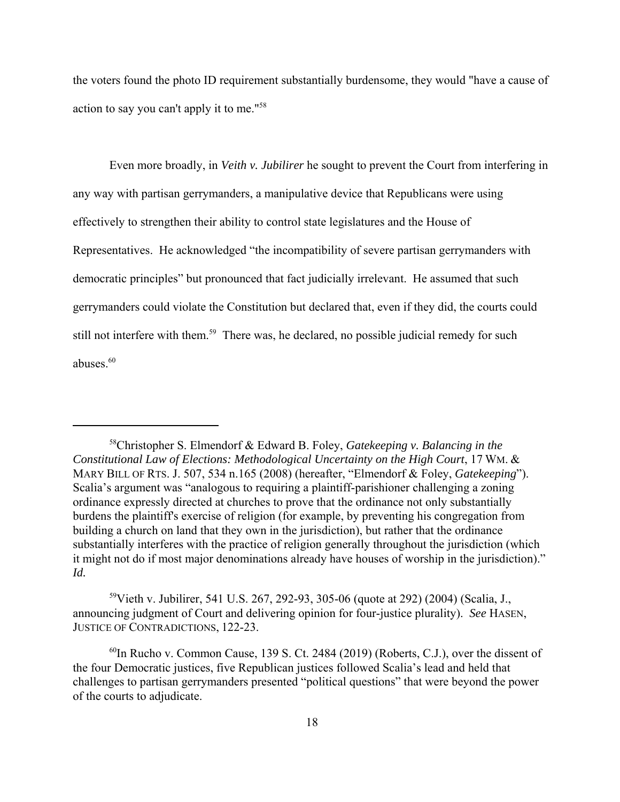the voters found the photo ID requirement substantially burdensome, they would "have a cause of action to say you can't apply it to me."58

Even more broadly, in *Veith v. Jubilirer* he sought to prevent the Court from interfering in any way with partisan gerrymanders, a manipulative device that Republicans were using effectively to strengthen their ability to control state legislatures and the House of Representatives. He acknowledged "the incompatibility of severe partisan gerrymanders with democratic principles" but pronounced that fact judicially irrelevant. He assumed that such gerrymanders could violate the Constitution but declared that, even if they did, the courts could still not interfere with them.<sup>59</sup> There was, he declared, no possible judicial remedy for such abuses. $60$ 

59Vieth v. Jubilirer, 541 U.S. 267, 292-93, 305-06 (quote at 292) (2004) (Scalia, J., announcing judgment of Court and delivering opinion for four-justice plurality). *See* HASEN, JUSTICE OF CONTRADICTIONS, 122-23.

 $^{60}$ In Rucho v. Common Cause, 139 S. Ct. 2484 (2019) (Roberts, C.J.), over the dissent of the four Democratic justices, five Republican justices followed Scalia's lead and held that challenges to partisan gerrymanders presented "political questions" that were beyond the power of the courts to adjudicate.

<sup>58</sup>Christopher S. Elmendorf & Edward B. Foley, *Gatekeeping v. Balancing in the Constitutional Law of Elections: Methodological Uncertainty on the High Court*, 17 WM. & MARY BILL OF RTS. J. 507, 534 n.165 (2008) (hereafter, "Elmendorf & Foley, *Gatekeeping*"). Scalia's argument was "analogous to requiring a plaintiff-parishioner challenging a zoning ordinance expressly directed at churches to prove that the ordinance not only substantially burdens the plaintiff's exercise of religion (for example, by preventing his congregation from building a church on land that they own in the jurisdiction), but rather that the ordinance substantially interferes with the practice of religion generally throughout the jurisdiction (which it might not do if most major denominations already have houses of worship in the jurisdiction)." *Id.*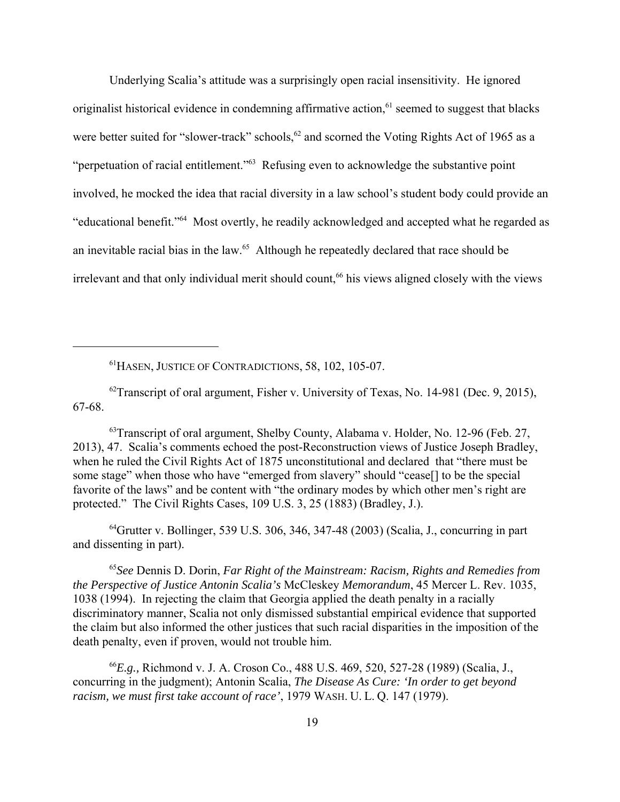Underlying Scalia's attitude was a surprisingly open racial insensitivity. He ignored originalist historical evidence in condemning affirmative action,<sup>61</sup> seemed to suggest that blacks were better suited for "slower-track" schools,<sup>62</sup> and scorned the Voting Rights Act of 1965 as a "perpetuation of racial entitlement."63 Refusing even to acknowledge the substantive point involved, he mocked the idea that racial diversity in a law school's student body could provide an "educational benefit."64 Most overtly, he readily acknowledged and accepted what he regarded as an inevitable racial bias in the law.65 Although he repeatedly declared that race should be irrelevant and that only individual merit should count,<sup>66</sup> his views aligned closely with the views

61HASEN, JUSTICE OF CONTRADICTIONS, 58, 102, 105-07.

 $^{62}$ Transcript of oral argument, Fisher v. University of Texas, No. 14-981 (Dec. 9, 2015), 67-68.

<sup>63</sup> Transcript of oral argument, Shelby County, Alabama v. Holder, No. 12-96 (Feb. 27, 2013), 47. Scalia's comments echoed the post-Reconstruction views of Justice Joseph Bradley, when he ruled the Civil Rights Act of 1875 unconstitutional and declared that "there must be some stage" when those who have "emerged from slavery" should "cease[] to be the special favorite of the laws" and be content with "the ordinary modes by which other men's right are protected." The Civil Rights Cases, 109 U.S. 3, 25 (1883) (Bradley, J.).

 $^{64}$ Grutter v. Bollinger, 539 U.S. 306, 346, 347-48 (2003) (Scalia, J., concurring in part and dissenting in part).

<sup>65</sup>*See* Dennis D. Dorin, *Far Right of the Mainstream: Racism, Rights and Remedies from the Perspective of Justice Antonin Scalia's* McCleskey *Memorandum*, 45 Mercer L. Rev. 1035, 1038 (1994). In rejecting the claim that Georgia applied the death penalty in a racially discriminatory manner, Scalia not only dismissed substantial empirical evidence that supported the claim but also informed the other justices that such racial disparities in the imposition of the death penalty, even if proven, would not trouble him.

<sup>66</sup>*E.g.,* Richmond v. J. A. Croson Co., 488 U.S. 469, 520, 527-28 (1989) (Scalia, J., concurring in the judgment); Antonin Scalia, *The Disease As Cure: 'In order to get beyond racism, we must first take account of race'*, 1979 WASH. U. L. Q. 147 (1979).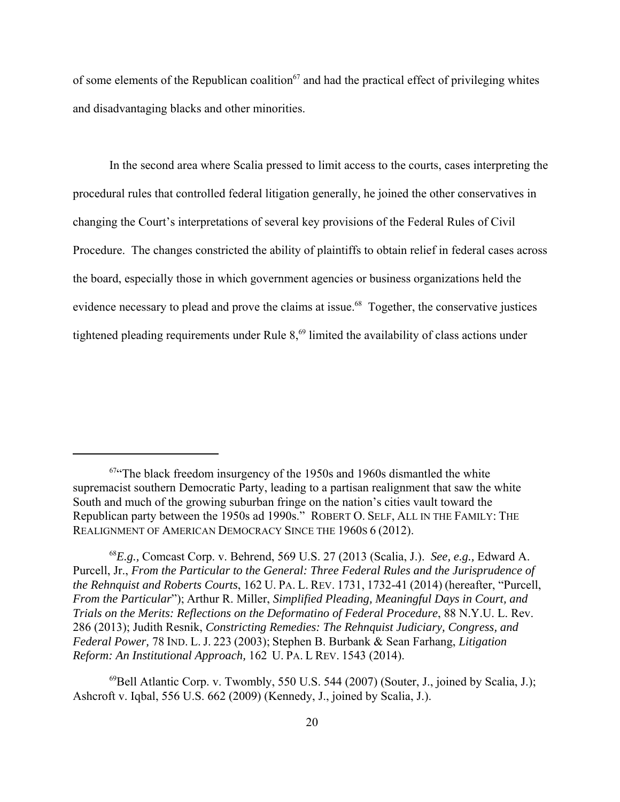of some elements of the Republican coalition<sup>67</sup> and had the practical effect of privileging whites and disadvantaging blacks and other minorities.

In the second area where Scalia pressed to limit access to the courts, cases interpreting the procedural rules that controlled federal litigation generally, he joined the other conservatives in changing the Court's interpretations of several key provisions of the Federal Rules of Civil Procedure. The changes constricted the ability of plaintiffs to obtain relief in federal cases across the board, especially those in which government agencies or business organizations held the evidence necessary to plead and prove the claims at issue.<sup>68</sup> Together, the conservative justices tightened pleading requirements under Rule  $8<sub>1</sub><sup>69</sup>$  limited the availability of class actions under

 $67$  The black freedom insurgency of the 1950s and 1960s dismantled the white supremacist southern Democratic Party, leading to a partisan realignment that saw the white South and much of the growing suburban fringe on the nation's cities vault toward the Republican party between the 1950s ad 1990s." ROBERT O. SELF, ALL IN THE FAMILY: THE REALIGNMENT OF AMERICAN DEMOCRACY SINCE THE 1960S 6 (2012).

<sup>68</sup>*E.g.,* Comcast Corp. v. Behrend, 569 U.S. 27 (2013 (Scalia, J.). *See, e.g.,* Edward A. Purcell, Jr., *From the Particular to the General: Three Federal Rules and the Jurisprudence of the Rehnquist and Roberts Courts*, 162 U. PA. L. REV. 1731, 1732-41 (2014) (hereafter, "Purcell, *From the Particular*"); Arthur R. Miller, *Simplified Pleading, Meaningful Days in Court, and Trials on the Merits: Reflections on the Deformatino of Federal Procedure*, 88 N.Y.U. L. Rev. 286 (2013); Judith Resnik, *Constricting Remedies: The Rehnquist Judiciary, Congress, and Federal Power,* 78 IND. L. J. 223 (2003); Stephen B. Burbank & Sean Farhang, *Litigation Reform: An Institutional Approach,* 162 U. PA. L REV. 1543 (2014).

 $^{69}$ Bell Atlantic Corp. v. Twombly, 550 U.S. 544 (2007) (Souter, J., joined by Scalia, J.); Ashcroft v. Iqbal, 556 U.S. 662 (2009) (Kennedy, J., joined by Scalia, J.).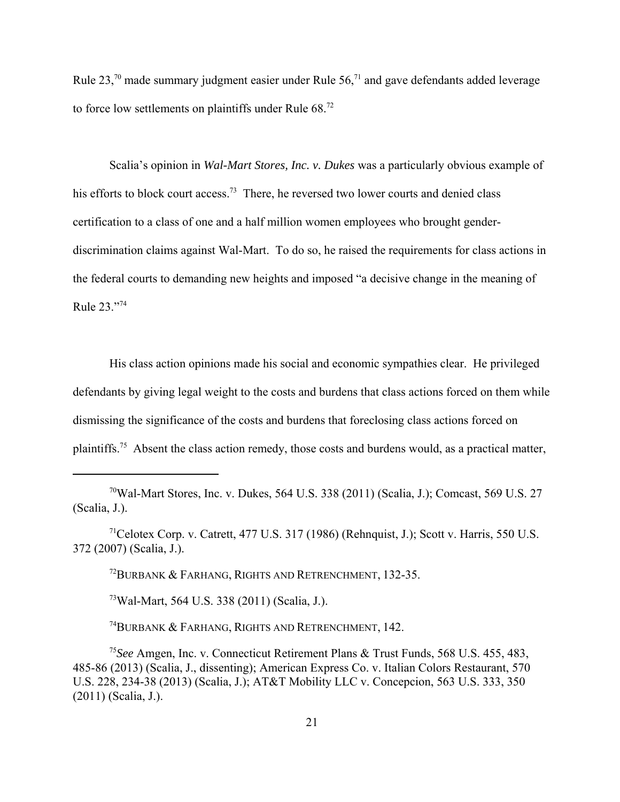Rule  $23$ ,<sup>70</sup> made summary judgment easier under Rule  $56$ ,<sup>71</sup> and gave defendants added leverage to force low settlements on plaintiffs under Rule 68.<sup>72</sup>

Scalia's opinion in *Wal-Mart Stores, Inc. v. Dukes* was a particularly obvious example of his efforts to block court access.<sup>73</sup> There, he reversed two lower courts and denied class certification to a class of one and a half million women employees who brought genderdiscrimination claims against Wal-Mart. To do so, he raised the requirements for class actions in the federal courts to demanding new heights and imposed "a decisive change in the meaning of Rule 23."74

His class action opinions made his social and economic sympathies clear. He privileged defendants by giving legal weight to the costs and burdens that class actions forced on them while dismissing the significance of the costs and burdens that foreclosing class actions forced on plaintiffs.75 Absent the class action remedy, those costs and burdens would, as a practical matter,

72BURBANK & FARHANG, RIGHTS AND RETRENCHMENT, 132-35.

73Wal-Mart, 564 U.S. 338 (2011) (Scalia, J.).

74BURBANK & FARHANG, RIGHTS AND RETRENCHMENT, 142.

<sup>75</sup>*See* Amgen, Inc. v. Connecticut Retirement Plans & Trust Funds, 568 U.S. 455, 483, 485-86 (2013) (Scalia, J., dissenting); American Express Co. v. Italian Colors Restaurant, 570 U.S. 228, 234-38 (2013) (Scalia, J.); AT&T Mobility LLC v. Concepcion, 563 U.S. 333, 350 (2011) (Scalia, J.).

<sup>70</sup>Wal-Mart Stores, Inc. v. Dukes, 564 U.S. 338 (2011) (Scalia, J.); Comcast, 569 U.S. 27 (Scalia, J.).

<sup>71</sup>Celotex Corp. v. Catrett, 477 U.S. 317 (1986) (Rehnquist, J.); Scott v. Harris, 550 U.S. 372 (2007) (Scalia, J.).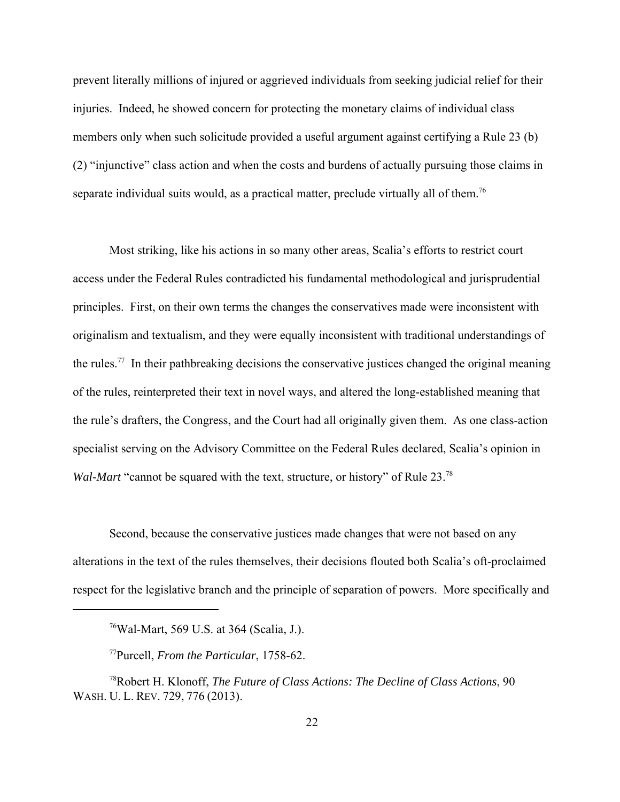prevent literally millions of injured or aggrieved individuals from seeking judicial relief for their injuries. Indeed, he showed concern for protecting the monetary claims of individual class members only when such solicitude provided a useful argument against certifying a Rule 23 (b) (2) "injunctive" class action and when the costs and burdens of actually pursuing those claims in separate individual suits would, as a practical matter, preclude virtually all of them.<sup>76</sup>

Most striking, like his actions in so many other areas, Scalia's efforts to restrict court access under the Federal Rules contradicted his fundamental methodological and jurisprudential principles. First, on their own terms the changes the conservatives made were inconsistent with originalism and textualism, and they were equally inconsistent with traditional understandings of the rules.<sup>77</sup> In their pathbreaking decisions the conservative justices changed the original meaning of the rules, reinterpreted their text in novel ways, and altered the long-established meaning that the rule's drafters, the Congress, and the Court had all originally given them. As one class-action specialist serving on the Advisory Committee on the Federal Rules declared, Scalia's opinion in *Wal-Mart* "cannot be squared with the text, structure, or history" of Rule 23.<sup>78</sup>

Second, because the conservative justices made changes that were not based on any alterations in the text of the rules themselves, their decisions flouted both Scalia's oft-proclaimed respect for the legislative branch and the principle of separation of powers. More specifically and

<sup>76</sup>Wal-Mart, 569 U.S. at 364 (Scalia, J.).

<sup>77</sup>Purcell, *From the Particular*, 1758-62.

<sup>78</sup>Robert H. Klonoff, *The Future of Class Actions: The Decline of Class Actions*, 90 WASH. U. L. REV. 729, 776 (2013).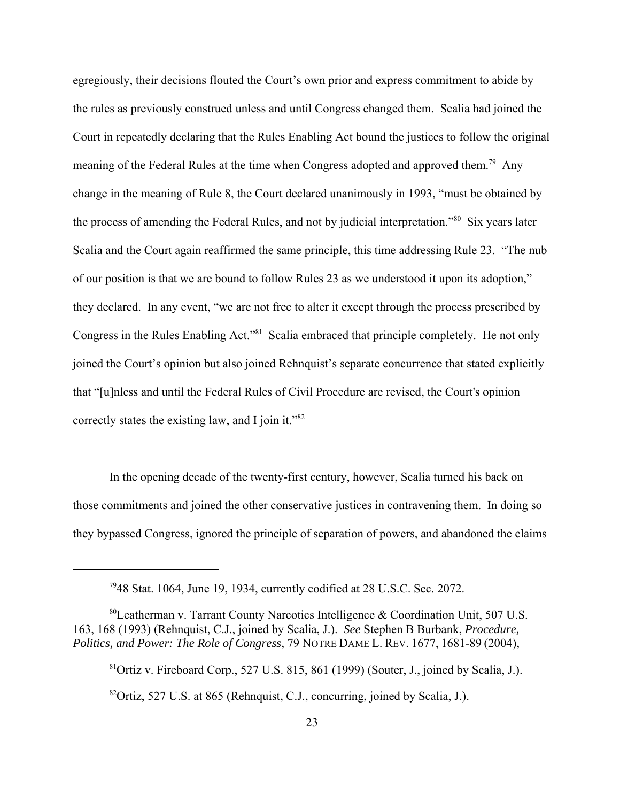egregiously, their decisions flouted the Court's own prior and express commitment to abide by the rules as previously construed unless and until Congress changed them. Scalia had joined the Court in repeatedly declaring that the Rules Enabling Act bound the justices to follow the original meaning of the Federal Rules at the time when Congress adopted and approved them.<sup>79</sup> Any change in the meaning of Rule 8, the Court declared unanimously in 1993, "must be obtained by the process of amending the Federal Rules, and not by judicial interpretation."80 Six years later Scalia and the Court again reaffirmed the same principle, this time addressing Rule 23. "The nub of our position is that we are bound to follow Rules 23 as we understood it upon its adoption," they declared. In any event, "we are not free to alter it except through the process prescribed by Congress in the Rules Enabling Act."<sup>81</sup> Scalia embraced that principle completely. He not only joined the Court's opinion but also joined Rehnquist's separate concurrence that stated explicitly that "[u]nless and until the Federal Rules of Civil Procedure are revised, the Court's opinion correctly states the existing law, and I join it." $82$ 

In the opening decade of the twenty-first century, however, Scalia turned his back on those commitments and joined the other conservative justices in contravening them. In doing so they bypassed Congress, ignored the principle of separation of powers, and abandoned the claims

<sup>7948</sup> Stat. 1064, June 19, 1934, currently codified at 28 U.S.C. Sec. 2072.

<sup>80</sup>Leatherman v. Tarrant County Narcotics Intelligence & Coordination Unit, 507 U.S. 163, 168 (1993) (Rehnquist, C.J., joined by Scalia, J.). *See* Stephen B Burbank, *Procedure, Politics, and Power: The Role of Congress*, 79 NOTRE DAME L. REV. 1677, 1681-89 (2004),

 ${}^{81}$ Ortiz v. Fireboard Corp., 527 U.S. 815, 861 (1999) (Souter, J., joined by Scalia, J.).

 $82$ Ortiz, 527 U.S. at 865 (Rehnquist, C.J., concurring, joined by Scalia, J.).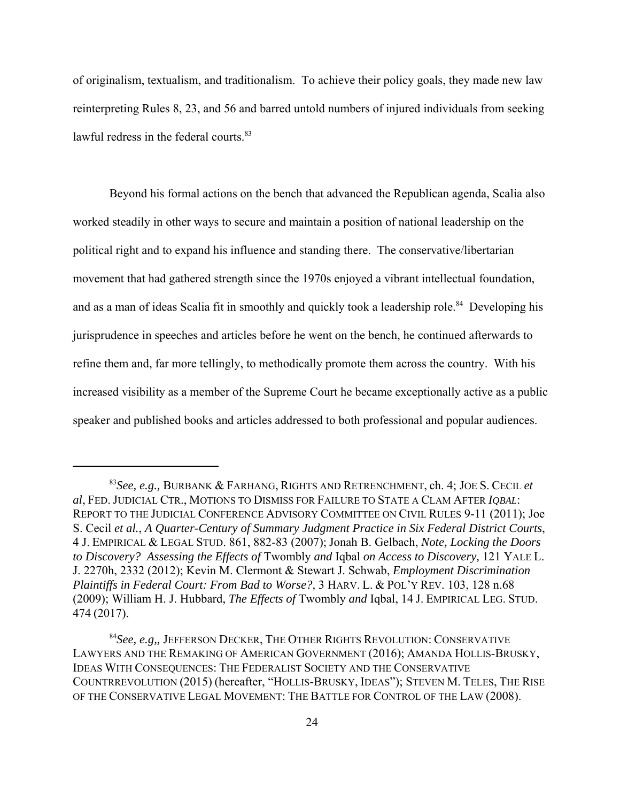of originalism, textualism, and traditionalism. To achieve their policy goals, they made new law reinterpreting Rules 8, 23, and 56 and barred untold numbers of injured individuals from seeking lawful redress in the federal courts.<sup>83</sup>

Beyond his formal actions on the bench that advanced the Republican agenda, Scalia also worked steadily in other ways to secure and maintain a position of national leadership on the political right and to expand his influence and standing there. The conservative/libertarian movement that had gathered strength since the 1970s enjoyed a vibrant intellectual foundation, and as a man of ideas Scalia fit in smoothly and quickly took a leadership role.<sup>84</sup> Developing his jurisprudence in speeches and articles before he went on the bench, he continued afterwards to refine them and, far more tellingly, to methodically promote them across the country. With his increased visibility as a member of the Supreme Court he became exceptionally active as a public speaker and published books and articles addressed to both professional and popular audiences.

<sup>83</sup>*See, e.g.,* BURBANK & FARHANG, RIGHTS AND RETRENCHMENT, ch. 4; JOE S. CECIL *et al*, FED. JUDICIAL CTR., MOTIONS TO DISMISS FOR FAILURE TO STATE A CLAM AFTER *IQBAL*: REPORT TO THE JUDICIAL CONFERENCE ADVISORY COMMITTEE ON CIVIL RULES 9-11 (2011); Joe S. Cecil *et al.*, *A Quarter-Century of Summary Judgment Practice in Six Federal District Courts*, 4 J. EMPIRICAL & LEGAL STUD. 861, 882-83 (2007); Jonah B. Gelbach, *Note, Locking the Doors to Discovery? Assessing the Effects of* Twombly *and* Iqbal *on Access to Discovery,* 121 YALE L. J. 2270h, 2332 (2012); Kevin M. Clermont & Stewart J. Schwab, *Employment Discrimination Plaintiffs in Federal Court: From Bad to Worse?,* 3 HARV. L. & POL'Y REV. 103, 128 n.68 (2009); William H. J. Hubbard, *The Effects of* Twombly *and* Iqbal, 14 J. EMPIRICAL LEG. STUD. 474 (2017).

<sup>84</sup>*See, e.g,,* JEFFERSON DECKER, THE OTHER RIGHTS REVOLUTION: CONSERVATIVE LAWYERS AND THE REMAKING OF AMERICAN GOVERNMENT (2016); AMANDA HOLLIS-BRUSKY, IDEAS WITH CONSEQUENCES: THE FEDERALIST SOCIETY AND THE CONSERVATIVE COUNTRREVOLUTION (2015) (hereafter, "HOLLIS-BRUSKY, IDEAS"); STEVEN M. TELES, THE RISE OF THE CONSERVATIVE LEGAL MOVEMENT: THE BATTLE FOR CONTROL OF THE LAW (2008).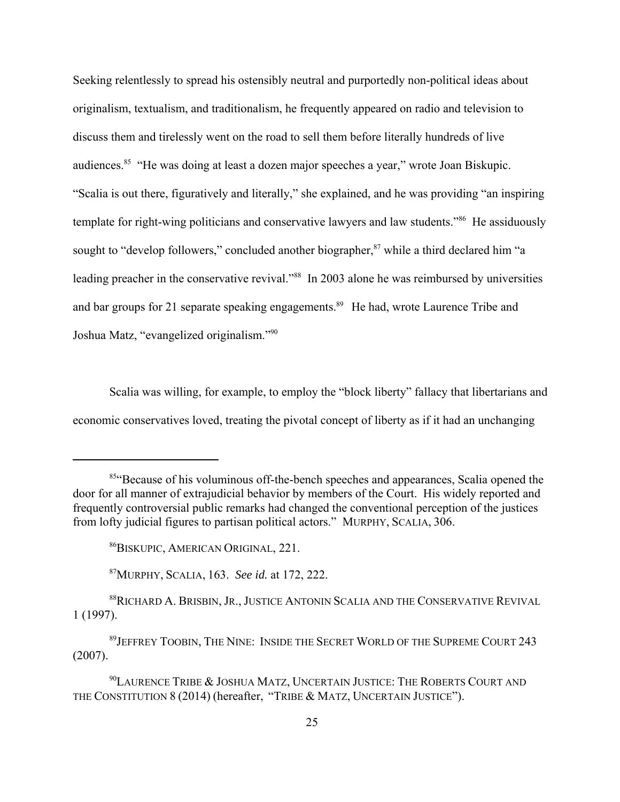Seeking relentlessly to spread his ostensibly neutral and purportedly non-political ideas about originalism, textualism, and traditionalism, he frequently appeared on radio and television to discuss them and tirelessly went on the road to sell them before literally hundreds of live audiences.85 "He was doing at least a dozen major speeches a year," wrote Joan Biskupic. "Scalia is out there, figuratively and literally," she explained, and he was providing "an inspiring template for right-wing politicians and conservative lawyers and law students."<sup>86</sup> He assiduously sought to "develop followers," concluded another biographer, $87$  while a third declared him "a leading preacher in the conservative revival."<sup>88</sup> In 2003 alone he was reimbursed by universities and bar groups for 21 separate speaking engagements.<sup>89</sup> He had, wrote Laurence Tribe and Joshua Matz, "evangelized originalism."90

Scalia was willing, for example, to employ the "block liberty" fallacy that libertarians and economic conservatives loved, treating the pivotal concept of liberty as if it had an unchanging

<sup>&</sup>lt;sup>85</sup>"Because of his voluminous off-the-bench speeches and appearances, Scalia opened the door for all manner of extrajudicial behavior by members of the Court. His widely reported and frequently controversial public remarks had changed the conventional perception of the justices from lofty judicial figures to partisan political actors." MURPHY, SCALIA, 306.

<sup>86</sup>BISKUPIC, AMERICAN ORIGINAL, 221.

<sup>87</sup>MURPHY, SCALIA, 163. *See id.* at 172, 222.

<sup>88</sup>RICHARD A. BRISBIN, JR., JUSTICE ANTONIN SCALIA AND THE CONSERVATIVE REVIVAL 1 (1997).

<sup>89</sup>JEFFREY TOOBIN, THE NINE: INSIDE THE SECRET WORLD OF THE SUPREME COURT 243 (2007).

<sup>&</sup>lt;sup>90</sup>LAURENCE TRIBE & JOSHUA MATZ, UNCERTAIN JUSTICE: THE ROBERTS COURT AND THE CONSTITUTION 8 (2014) (hereafter, "TRIBE & MATZ, UNCERTAIN JUSTICE").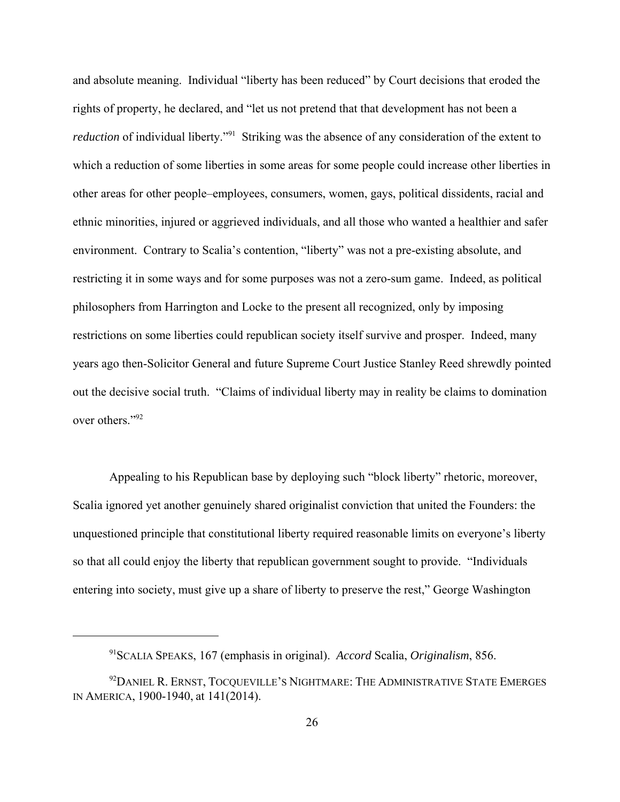and absolute meaning. Individual "liberty has been reduced" by Court decisions that eroded the rights of property, he declared, and "let us not pretend that that development has not been a *reduction* of individual liberty."<sup>91</sup> Striking was the absence of any consideration of the extent to which a reduction of some liberties in some areas for some people could increase other liberties in other areas for other people–employees, consumers, women, gays, political dissidents, racial and ethnic minorities, injured or aggrieved individuals, and all those who wanted a healthier and safer environment. Contrary to Scalia's contention, "liberty" was not a pre-existing absolute, and restricting it in some ways and for some purposes was not a zero-sum game. Indeed, as political philosophers from Harrington and Locke to the present all recognized, only by imposing restrictions on some liberties could republican society itself survive and prosper. Indeed, many years ago then-Solicitor General and future Supreme Court Justice Stanley Reed shrewdly pointed out the decisive social truth. "Claims of individual liberty may in reality be claims to domination over others."92

Appealing to his Republican base by deploying such "block liberty" rhetoric, moreover, Scalia ignored yet another genuinely shared originalist conviction that united the Founders: the unquestioned principle that constitutional liberty required reasonable limits on everyone's liberty so that all could enjoy the liberty that republican government sought to provide. "Individuals entering into society, must give up a share of liberty to preserve the rest," George Washington

<sup>91</sup>SCALIA SPEAKS, 167 (emphasis in original). *Accord* Scalia, *Originalism*, 856.

<sup>&</sup>lt;sup>92</sup>DANIEL R. ERNST, TOCQUEVILLE'S NIGHTMARE: THE ADMINISTRATIVE STATE EMERGES IN AMERICA, 1900-1940, at 141(2014).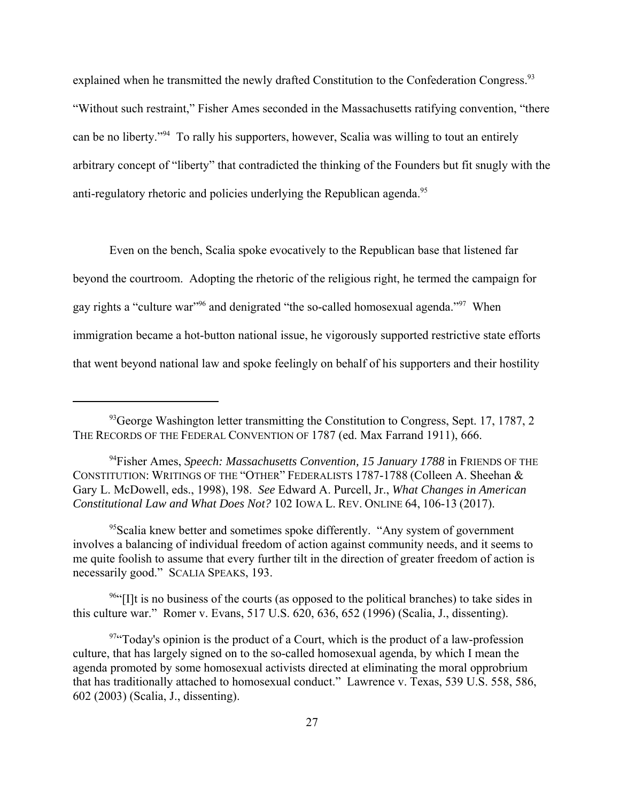explained when he transmitted the newly drafted Constitution to the Confederation Congress.<sup>93</sup> "Without such restraint," Fisher Ames seconded in the Massachusetts ratifying convention, "there can be no liberty."94 To rally his supporters, however, Scalia was willing to tout an entirely arbitrary concept of "liberty" that contradicted the thinking of the Founders but fit snugly with the anti-regulatory rhetoric and policies underlying the Republican agenda.<sup>95</sup>

Even on the bench, Scalia spoke evocatively to the Republican base that listened far beyond the courtroom. Adopting the rhetoric of the religious right, he termed the campaign for gay rights a "culture war"96 and denigrated "the so-called homosexual agenda."97 When immigration became a hot-button national issue, he vigorously supported restrictive state efforts that went beyond national law and spoke feelingly on behalf of his supporters and their hostility

 $96$ "[I]t is no business of the courts (as opposed to the political branches) to take sides in this culture war." Romer v. Evans, 517 U.S. 620, 636, 652 (1996) (Scalia, J., dissenting).

 $93$  George Washington letter transmitting the Constitution to Congress, Sept. 17, 1787, 2 THE RECORDS OF THE FEDERAL CONVENTION OF 1787 (ed. Max Farrand 1911), 666.

<sup>94</sup>Fisher Ames, *Speech: Massachusetts Convention, 15 January 1788* in FRIENDS OF THE CONSTITUTION: WRITINGS OF THE "OTHER" FEDERALISTS 1787-1788 (Colleen A. Sheehan & Gary L. McDowell, eds., 1998), 198. *See* Edward A. Purcell, Jr., *What Changes in American Constitutional Law and What Does Not?* 102 IOWA L. REV. ONLINE 64, 106-13 (2017).

 $<sup>95</sup>$ Scalia knew better and sometimes spoke differently. "Any system of government</sup> involves a balancing of individual freedom of action against community needs, and it seems to me quite foolish to assume that every further tilt in the direction of greater freedom of action is necessarily good." SCALIA SPEAKS, 193.

<sup>97&</sup>quot;Today's opinion is the product of a Court, which is the product of a law-profession culture, that has largely signed on to the so-called homosexual agenda, by which I mean the agenda promoted by some homosexual activists directed at eliminating the moral opprobrium that has traditionally attached to homosexual conduct." Lawrence v. Texas, 539 U.S. 558, 586, 602 (2003) (Scalia, J., dissenting).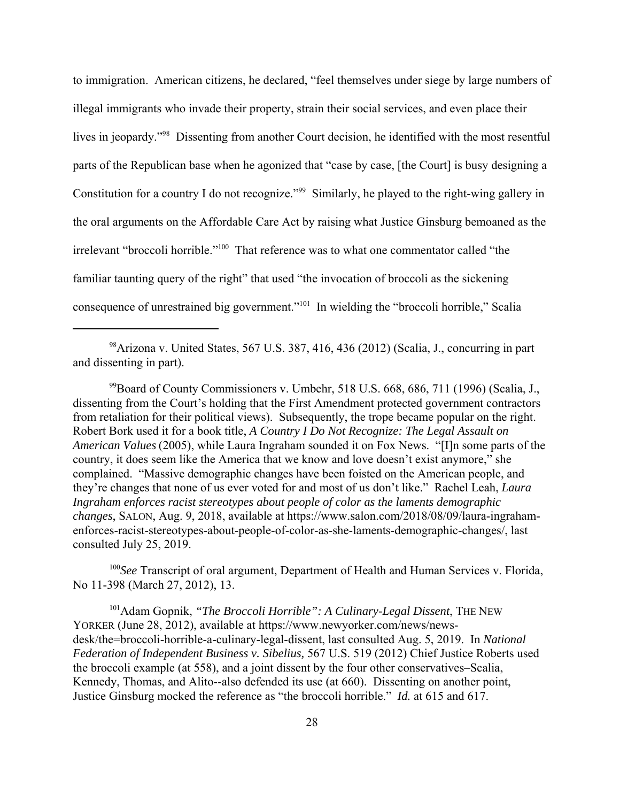to immigration. American citizens, he declared, "feel themselves under siege by large numbers of illegal immigrants who invade their property, strain their social services, and even place their lives in jeopardy."<sup>98</sup> Dissenting from another Court decision, he identified with the most resentful parts of the Republican base when he agonized that "case by case, [the Court] is busy designing a Constitution for a country I do not recognize."<sup>99</sup> Similarly, he played to the right-wing gallery in the oral arguments on the Affordable Care Act by raising what Justice Ginsburg bemoaned as the irrelevant "broccoli horrible."100 That reference was to what one commentator called "the familiar taunting query of the right" that used "the invocation of broccoli as the sickening consequence of unrestrained big government."101 In wielding the "broccoli horrible," Scalia

98Arizona v. United States, 567 U.S. 387, 416, 436 (2012) (Scalia, J., concurring in part and dissenting in part).

 $^{99}$ Board of County Commissioners v. Umbehr, 518 U.S. 668, 686, 711 (1996) (Scalia, J., dissenting from the Court's holding that the First Amendment protected government contractors from retaliation for their political views). Subsequently, the trope became popular on the right. Robert Bork used it for a book title, *A Country I Do Not Recognize: The Legal Assault on American Values* (2005), while Laura Ingraham sounded it on Fox News. "[I]n some parts of the country, it does seem like the America that we know and love doesn't exist anymore," she complained. "Massive demographic changes have been foisted on the American people, and they're changes that none of us ever voted for and most of us don't like." Rachel Leah, *Laura Ingraham enforces racist stereotypes about people of color as the laments demographic changes*, SALON, Aug. 9, 2018, available at https://www.salon.com/2018/08/09/laura-ingrahamenforces-racist-stereotypes-about-people-of-color-as-she-laments-demographic-changes/, last consulted July 25, 2019.

<sup>100</sup>*See* Transcript of oral argument, Department of Health and Human Services v. Florida, No 11-398 (March 27, 2012), 13.

101Adam Gopnik, *"The Broccoli Horrible": A Culinary-Legal Dissent*, THE NEW YORKER (June 28, 2012), available at https://www.newyorker.com/news/newsdesk/the=broccoli-horrible-a-culinary-legal-dissent, last consulted Aug. 5, 2019. In *National Federation of Independent Business v. Sibelius,* 567 U.S. 519 (2012) Chief Justice Roberts used the broccoli example (at 558), and a joint dissent by the four other conservatives–Scalia, Kennedy, Thomas, and Alito--also defended its use (at 660). Dissenting on another point, Justice Ginsburg mocked the reference as "the broccoli horrible." *Id.* at 615 and 617.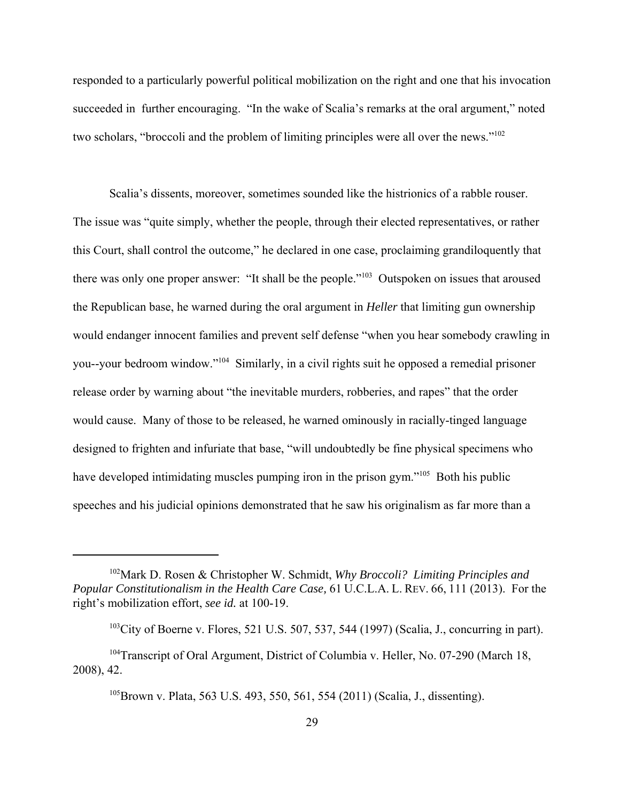responded to a particularly powerful political mobilization on the right and one that his invocation succeeded in further encouraging. "In the wake of Scalia's remarks at the oral argument," noted two scholars, "broccoli and the problem of limiting principles were all over the news."<sup>102</sup>

Scalia's dissents, moreover, sometimes sounded like the histrionics of a rabble rouser. The issue was "quite simply, whether the people, through their elected representatives, or rather this Court, shall control the outcome," he declared in one case, proclaiming grandiloquently that there was only one proper answer: "It shall be the people."<sup>103</sup> Outspoken on issues that aroused the Republican base, he warned during the oral argument in *Heller* that limiting gun ownership would endanger innocent families and prevent self defense "when you hear somebody crawling in you--your bedroom window."104 Similarly, in a civil rights suit he opposed a remedial prisoner release order by warning about "the inevitable murders, robberies, and rapes" that the order would cause. Many of those to be released, he warned ominously in racially-tinged language designed to frighten and infuriate that base, "will undoubtedly be fine physical specimens who have developed intimidating muscles pumping iron in the prison gym."<sup>105</sup> Both his public speeches and his judicial opinions demonstrated that he saw his originalism as far more than a

<sup>102</sup>Mark D. Rosen & Christopher W. Schmidt, *Why Broccoli? Limiting Principles and Popular Constitutionalism in the Health Care Case,* 61 U.C.L.A. L. REV. 66, 111 (2013). For the right's mobilization effort, *see id.* at 100-19.

 $103$ City of Boerne v. Flores, 521 U.S. 507, 537, 544 (1997) (Scalia, J., concurring in part).

<sup>&</sup>lt;sup>104</sup>Transcript of Oral Argument, District of Columbia v. Heller, No. 07-290 (March 18, 2008), 42.

<sup>&</sup>lt;sup>105</sup>Brown v. Plata, 563 U.S. 493, 550, 561, 554 (2011) (Scalia, J., dissenting).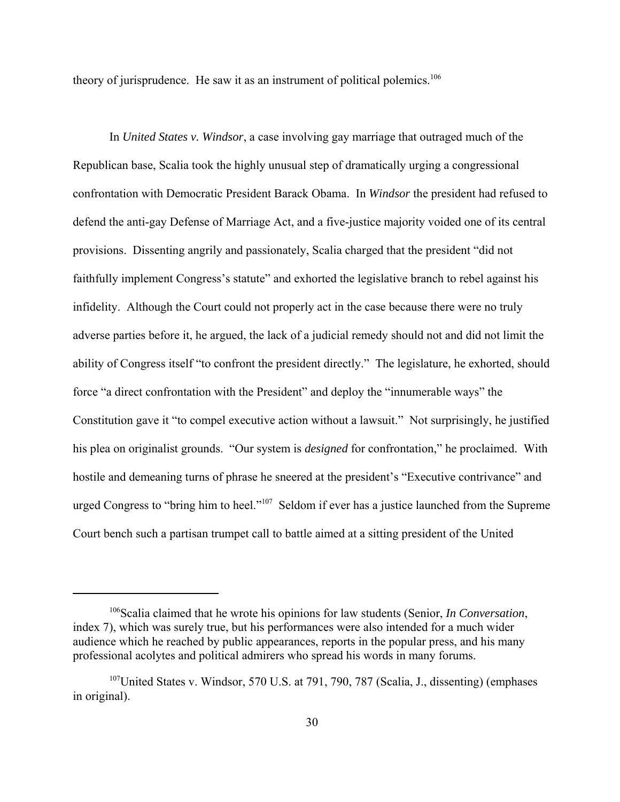theory of jurisprudence. He saw it as an instrument of political polemics.<sup>106</sup>

In *United States v. Windsor*, a case involving gay marriage that outraged much of the Republican base, Scalia took the highly unusual step of dramatically urging a congressional confrontation with Democratic President Barack Obama. In *Windsor* the president had refused to defend the anti-gay Defense of Marriage Act, and a five-justice majority voided one of its central provisions. Dissenting angrily and passionately, Scalia charged that the president "did not faithfully implement Congress's statute" and exhorted the legislative branch to rebel against his infidelity. Although the Court could not properly act in the case because there were no truly adverse parties before it, he argued, the lack of a judicial remedy should not and did not limit the ability of Congress itself "to confront the president directly." The legislature, he exhorted, should force "a direct confrontation with the President" and deploy the "innumerable ways" the Constitution gave it "to compel executive action without a lawsuit." Not surprisingly, he justified his plea on originalist grounds. "Our system is *designed* for confrontation," he proclaimed. With hostile and demeaning turns of phrase he sneered at the president's "Executive contrivance" and urged Congress to "bring him to heel."<sup>107</sup> Seldom if ever has a justice launched from the Supreme Court bench such a partisan trumpet call to battle aimed at a sitting president of the United

<sup>106</sup>Scalia claimed that he wrote his opinions for law students (Senior, *In Conversation*, index 7), which was surely true, but his performances were also intended for a much wider audience which he reached by public appearances, reports in the popular press, and his many professional acolytes and political admirers who spread his words in many forums.

<sup>&</sup>lt;sup>107</sup>United States v. Windsor, 570 U.S. at 791, 790, 787 (Scalia, J., dissenting) (emphases in original).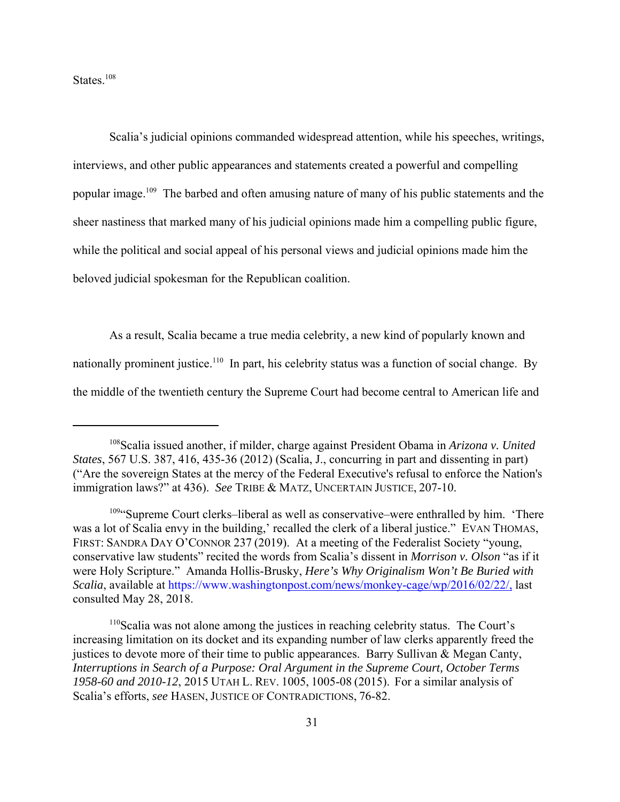States.<sup>108</sup>

Scalia's judicial opinions commanded widespread attention, while his speeches, writings, interviews, and other public appearances and statements created a powerful and compelling popular image.<sup>109</sup> The barbed and often amusing nature of many of his public statements and the sheer nastiness that marked many of his judicial opinions made him a compelling public figure, while the political and social appeal of his personal views and judicial opinions made him the beloved judicial spokesman for the Republican coalition.

As a result, Scalia became a true media celebrity, a new kind of popularly known and nationally prominent justice.<sup>110</sup> In part, his celebrity status was a function of social change. By the middle of the twentieth century the Supreme Court had become central to American life and

<sup>108</sup>Scalia issued another, if milder, charge against President Obama in *Arizona v. United States*, 567 U.S. 387, 416, 435-36 (2012) (Scalia, J., concurring in part and dissenting in part) ("Are the sovereign States at the mercy of the Federal Executive's refusal to enforce the Nation's immigration laws?" at 436). *See* TRIBE & MATZ, UNCERTAIN JUSTICE, 207-10.

<sup>&</sup>lt;sup>109</sup>"Supreme Court clerks–liberal as well as conservative–were enthralled by him. 'There was a lot of Scalia envy in the building,' recalled the clerk of a liberal justice." EVAN THOMAS, FIRST: SANDRA DAY O'CONNOR 237 (2019). At a meeting of the Federalist Society "young, conservative law students" recited the words from Scalia's dissent in *Morrison v. Olson* "as if it were Holy Scripture." Amanda Hollis-Brusky, *Here's Why Originalism Won't Be Buried with Scalia*, available at https://www.washingtonpost.com/news/monkey-cage/wp/2016/02/22/, last consulted May 28, 2018.

<sup>110</sup>Scalia was not alone among the justices in reaching celebrity status. The Court's increasing limitation on its docket and its expanding number of law clerks apparently freed the justices to devote more of their time to public appearances. Barry Sullivan & Megan Canty, *Interruptions in Search of a Purpose: Oral Argument in the Supreme Court, October Terms 1958-60 and 2010-12*, 2015 UTAH L. REV. 1005, 1005-08 (2015). For a similar analysis of Scalia's efforts, *see* HASEN, JUSTICE OF CONTRADICTIONS, 76-82.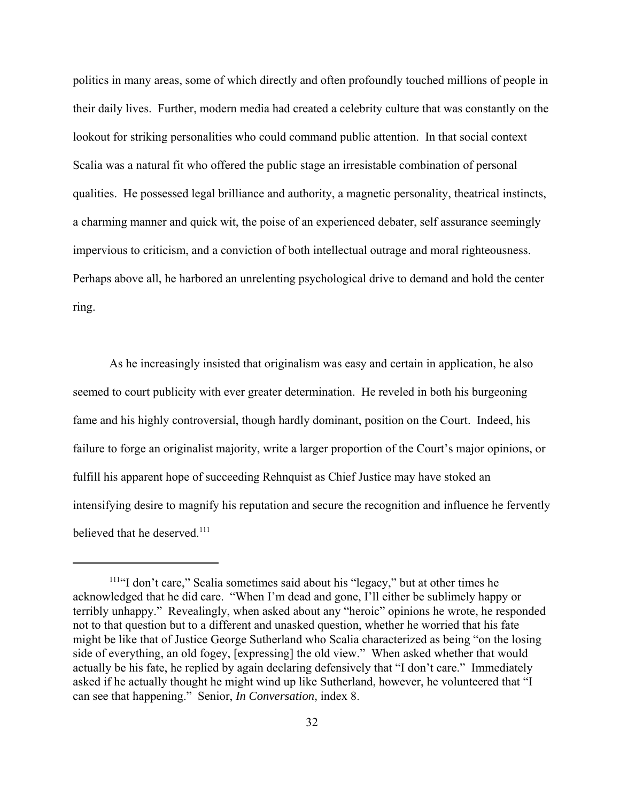politics in many areas, some of which directly and often profoundly touched millions of people in their daily lives. Further, modern media had created a celebrity culture that was constantly on the lookout for striking personalities who could command public attention. In that social context Scalia was a natural fit who offered the public stage an irresistable combination of personal qualities. He possessed legal brilliance and authority, a magnetic personality, theatrical instincts, a charming manner and quick wit, the poise of an experienced debater, self assurance seemingly impervious to criticism, and a conviction of both intellectual outrage and moral righteousness. Perhaps above all, he harbored an unrelenting psychological drive to demand and hold the center ring.

As he increasingly insisted that originalism was easy and certain in application, he also seemed to court publicity with ever greater determination. He reveled in both his burgeoning fame and his highly controversial, though hardly dominant, position on the Court. Indeed, his failure to forge an originalist majority, write a larger proportion of the Court's major opinions, or fulfill his apparent hope of succeeding Rehnquist as Chief Justice may have stoked an intensifying desire to magnify his reputation and secure the recognition and influence he fervently believed that he deserved.<sup>111</sup>

<sup>&</sup>lt;sup>111"</sup>I don't care," Scalia sometimes said about his "legacy," but at other times he acknowledged that he did care. "When I'm dead and gone, I'll either be sublimely happy or terribly unhappy." Revealingly, when asked about any "heroic" opinions he wrote, he responded not to that question but to a different and unasked question, whether he worried that his fate might be like that of Justice George Sutherland who Scalia characterized as being "on the losing side of everything, an old fogey, [expressing] the old view." When asked whether that would actually be his fate, he replied by again declaring defensively that "I don't care." Immediately asked if he actually thought he might wind up like Sutherland, however, he volunteered that "I can see that happening." Senior, *In Conversation,* index 8.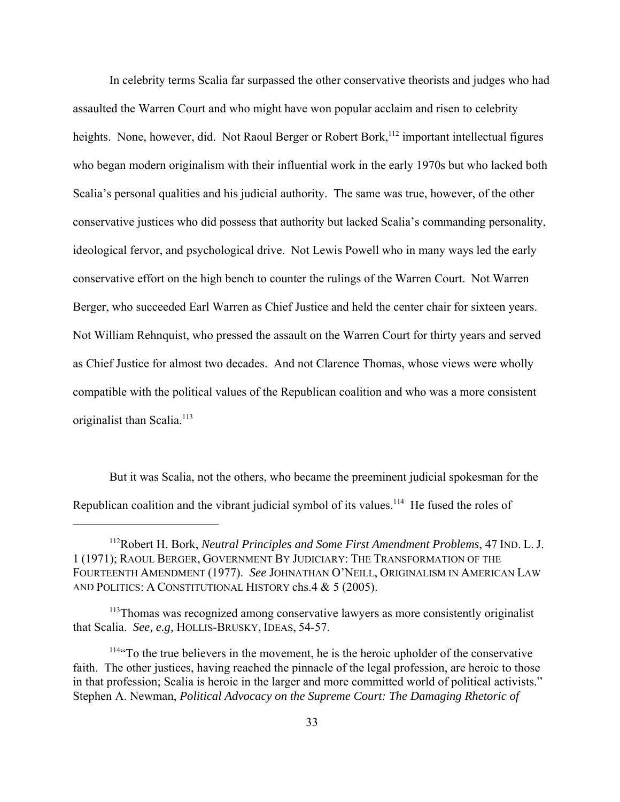In celebrity terms Scalia far surpassed the other conservative theorists and judges who had assaulted the Warren Court and who might have won popular acclaim and risen to celebrity heights. None, however, did. Not Raoul Berger or Robert Bork,<sup>112</sup> important intellectual figures who began modern originalism with their influential work in the early 1970s but who lacked both Scalia's personal qualities and his judicial authority. The same was true, however, of the other conservative justices who did possess that authority but lacked Scalia's commanding personality, ideological fervor, and psychological drive. Not Lewis Powell who in many ways led the early conservative effort on the high bench to counter the rulings of the Warren Court. Not Warren Berger, who succeeded Earl Warren as Chief Justice and held the center chair for sixteen years. Not William Rehnquist, who pressed the assault on the Warren Court for thirty years and served as Chief Justice for almost two decades. And not Clarence Thomas, whose views were wholly compatible with the political values of the Republican coalition and who was a more consistent originalist than Scalia.<sup>113</sup>

But it was Scalia, not the others, who became the preeminent judicial spokesman for the Republican coalition and the vibrant judicial symbol of its values.<sup>114</sup> He fused the roles of

<sup>112</sup>Robert H. Bork, *Neutral Principles and Some First Amendment Problems*, 47 IND. L. J. 1 (1971); RAOUL BERGER, GOVERNMENT BY JUDICIARY: THE TRANSFORMATION OF THE FOURTEENTH AMENDMENT (1977). *See* JOHNATHAN O'NEILL, ORIGINALISM IN AMERICAN LAW AND POLITICS: A CONSTITUTIONAL HISTORY chs.4 & 5 (2005).

<sup>&</sup>lt;sup>113</sup>Thomas was recognized among conservative lawyers as more consistently originalist that Scalia. *See, e.g,* HOLLIS-BRUSKY, IDEAS, 54-57.

<sup>&</sup>lt;sup>114"</sup>To the true believers in the movement, he is the heroic upholder of the conservative faith. The other justices, having reached the pinnacle of the legal profession, are heroic to those in that profession; Scalia is heroic in the larger and more committed world of political activists." Stephen A. Newman, *Political Advocacy on the Supreme Court: The Damaging Rhetoric of*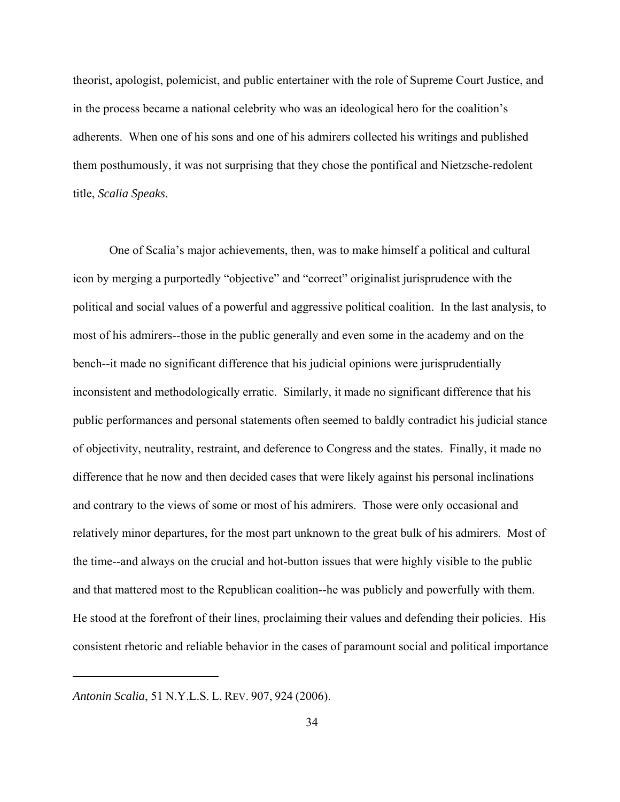theorist, apologist, polemicist, and public entertainer with the role of Supreme Court Justice, and in the process became a national celebrity who was an ideological hero for the coalition's adherents. When one of his sons and one of his admirers collected his writings and published them posthumously, it was not surprising that they chose the pontifical and Nietzsche-redolent title, *Scalia Speaks*.

One of Scalia's major achievements, then, was to make himself a political and cultural icon by merging a purportedly "objective" and "correct" originalist jurisprudence with the political and social values of a powerful and aggressive political coalition. In the last analysis, to most of his admirers--those in the public generally and even some in the academy and on the bench--it made no significant difference that his judicial opinions were jurisprudentially inconsistent and methodologically erratic. Similarly, it made no significant difference that his public performances and personal statements often seemed to baldly contradict his judicial stance of objectivity, neutrality, restraint, and deference to Congress and the states. Finally, it made no difference that he now and then decided cases that were likely against his personal inclinations and contrary to the views of some or most of his admirers. Those were only occasional and relatively minor departures, for the most part unknown to the great bulk of his admirers. Most of the time--and always on the crucial and hot-button issues that were highly visible to the public and that mattered most to the Republican coalition--he was publicly and powerfully with them. He stood at the forefront of their lines, proclaiming their values and defending their policies. His consistent rhetoric and reliable behavior in the cases of paramount social and political importance

*Antonin Scalia*, 51 N.Y.L.S. L. REV. 907, 924 (2006).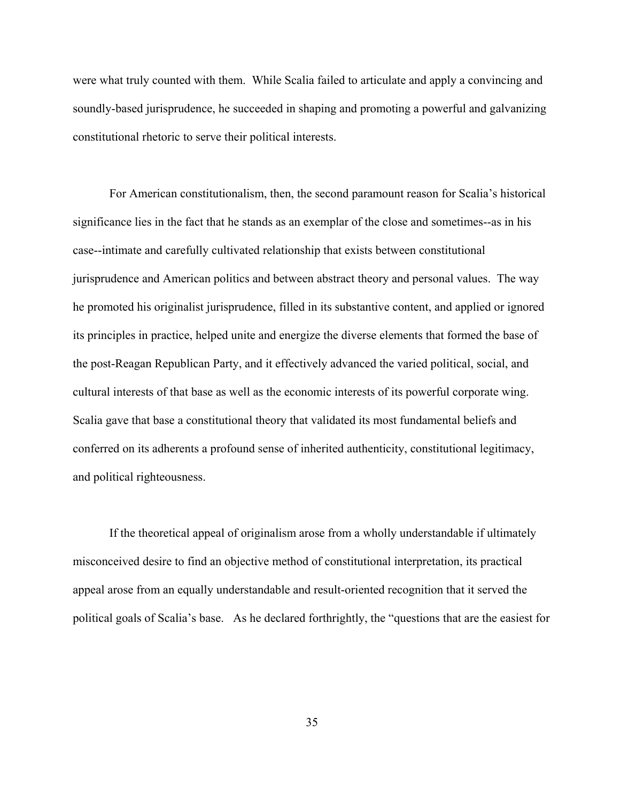were what truly counted with them. While Scalia failed to articulate and apply a convincing and soundly-based jurisprudence, he succeeded in shaping and promoting a powerful and galvanizing constitutional rhetoric to serve their political interests.

For American constitutionalism, then, the second paramount reason for Scalia's historical significance lies in the fact that he stands as an exemplar of the close and sometimes--as in his case--intimate and carefully cultivated relationship that exists between constitutional jurisprudence and American politics and between abstract theory and personal values. The way he promoted his originalist jurisprudence, filled in its substantive content, and applied or ignored its principles in practice, helped unite and energize the diverse elements that formed the base of the post-Reagan Republican Party, and it effectively advanced the varied political, social, and cultural interests of that base as well as the economic interests of its powerful corporate wing. Scalia gave that base a constitutional theory that validated its most fundamental beliefs and conferred on its adherents a profound sense of inherited authenticity, constitutional legitimacy, and political righteousness.

If the theoretical appeal of originalism arose from a wholly understandable if ultimately misconceived desire to find an objective method of constitutional interpretation, its practical appeal arose from an equally understandable and result-oriented recognition that it served the political goals of Scalia's base. As he declared forthrightly, the "questions that are the easiest for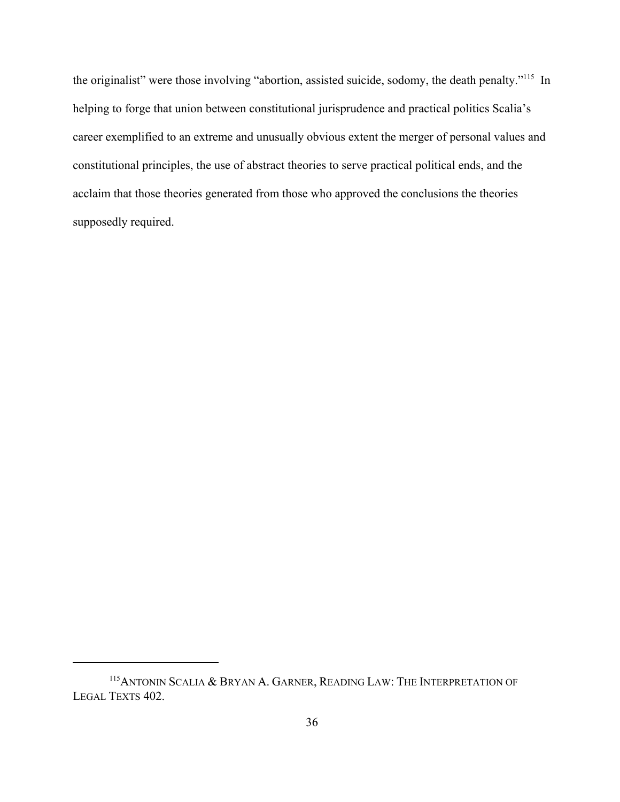the originalist" were those involving "abortion, assisted suicide, sodomy, the death penalty."<sup>115</sup> In helping to forge that union between constitutional jurisprudence and practical politics Scalia's career exemplified to an extreme and unusually obvious extent the merger of personal values and constitutional principles, the use of abstract theories to serve practical political ends, and the acclaim that those theories generated from those who approved the conclusions the theories supposedly required.

<sup>&</sup>lt;sup>115</sup> ANTONIN SCALIA & BRYAN A. GARNER, READING LAW: THE INTERPRETATION OF LEGAL TEXTS 402.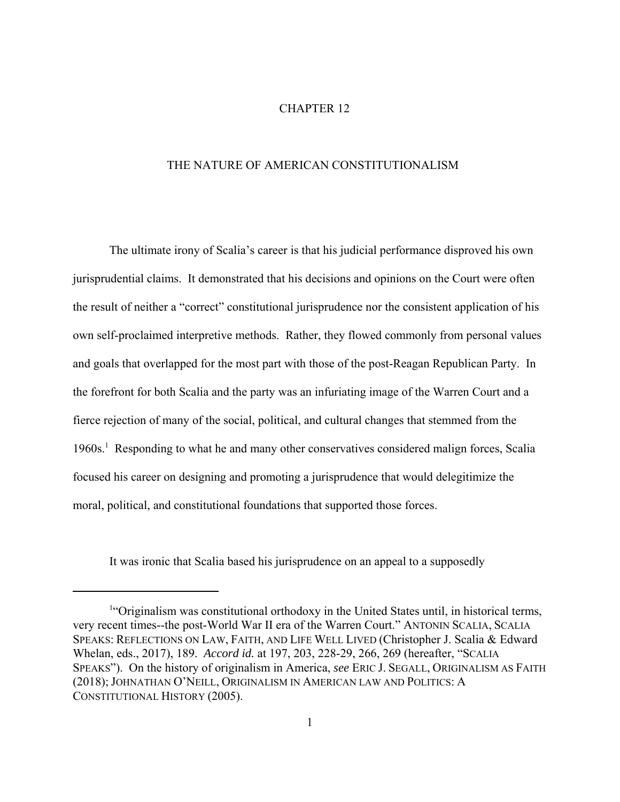## CHAPTER 12

## THE NATURE OF AMERICAN CONSTITUTIONALISM

The ultimate irony of Scalia's career is that his judicial performance disproved his own jurisprudential claims. It demonstrated that his decisions and opinions on the Court were often the result of neither a "correct" constitutional jurisprudence nor the consistent application of his own self-proclaimed interpretive methods. Rather, they flowed commonly from personal values and goals that overlapped for the most part with those of the post-Reagan Republican Party. In the forefront for both Scalia and the party was an infuriating image of the Warren Court and a fierce rejection of many of the social, political, and cultural changes that stemmed from the 1960s.<sup>1</sup> Responding to what he and many other conservatives considered malign forces, Scalia focused his career on designing and promoting a jurisprudence that would delegitimize the moral, political, and constitutional foundations that supported those forces.

It was ironic that Scalia based his jurisprudence on an appeal to a supposedly

<sup>&</sup>lt;sup>1</sup>"Originalism was constitutional orthodoxy in the United States until, in historical terms, very recent times--the post-World War II era of the Warren Court." ANTONIN SCALIA, SCALIA SPEAKS: REFLECTIONS ON LAW, FAITH, AND LIFE WELL LIVED (Christopher J. Scalia & Edward Whelan, eds., 2017), 189. *Accord id.* at 197, 203, 228-29, 266, 269 (hereafter, "SCALIA SPEAKS"). On the history of originalism in America, *see* ERIC J. SEGALL, ORIGINALISM AS FAITH (2018); JOHNATHAN O'NEILL, ORIGINALISM IN AMERICAN LAW AND POLITICS: A CONSTITUTIONAL HISTORY (2005).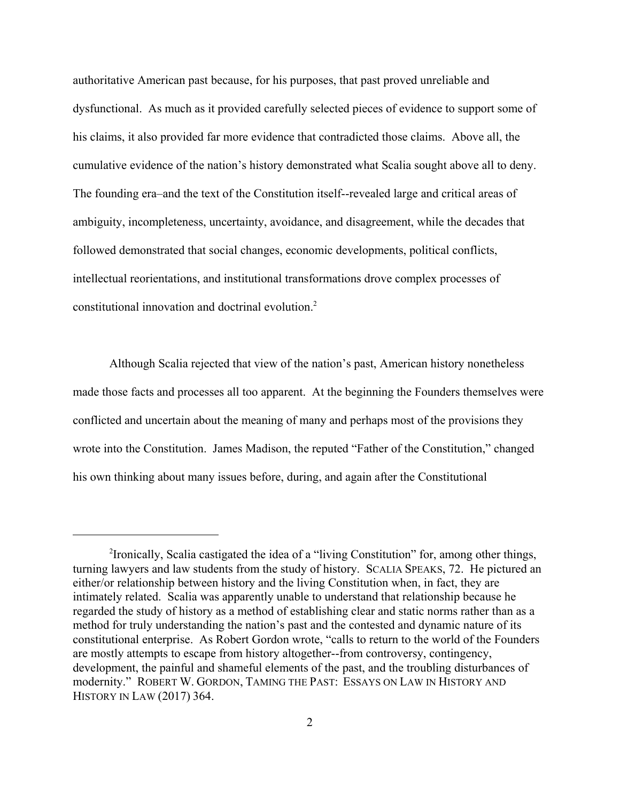authoritative American past because, for his purposes, that past proved unreliable and dysfunctional. As much as it provided carefully selected pieces of evidence to support some of his claims, it also provided far more evidence that contradicted those claims. Above all, the cumulative evidence of the nation's history demonstrated what Scalia sought above all to deny. The founding era–and the text of the Constitution itself--revealed large and critical areas of ambiguity, incompleteness, uncertainty, avoidance, and disagreement, while the decades that followed demonstrated that social changes, economic developments, political conflicts, intellectual reorientations, and institutional transformations drove complex processes of constitutional innovation and doctrinal evolution.2

Although Scalia rejected that view of the nation's past, American history nonetheless made those facts and processes all too apparent. At the beginning the Founders themselves were conflicted and uncertain about the meaning of many and perhaps most of the provisions they wrote into the Constitution. James Madison, the reputed "Father of the Constitution," changed his own thinking about many issues before, during, and again after the Constitutional

<sup>&</sup>lt;sup>2</sup> Ironically, Scalia castigated the idea of a "living Constitution" for, among other things, turning lawyers and law students from the study of history. SCALIA SPEAKS, 72. He pictured an either/or relationship between history and the living Constitution when, in fact, they are intimately related. Scalia was apparently unable to understand that relationship because he regarded the study of history as a method of establishing clear and static norms rather than as a method for truly understanding the nation's past and the contested and dynamic nature of its constitutional enterprise. As Robert Gordon wrote, "calls to return to the world of the Founders are mostly attempts to escape from history altogether--from controversy, contingency, development, the painful and shameful elements of the past, and the troubling disturbances of modernity." ROBERT W. GORDON, TAMING THE PAST: ESSAYS ON LAW IN HISTORY AND HISTORY IN LAW (2017) 364.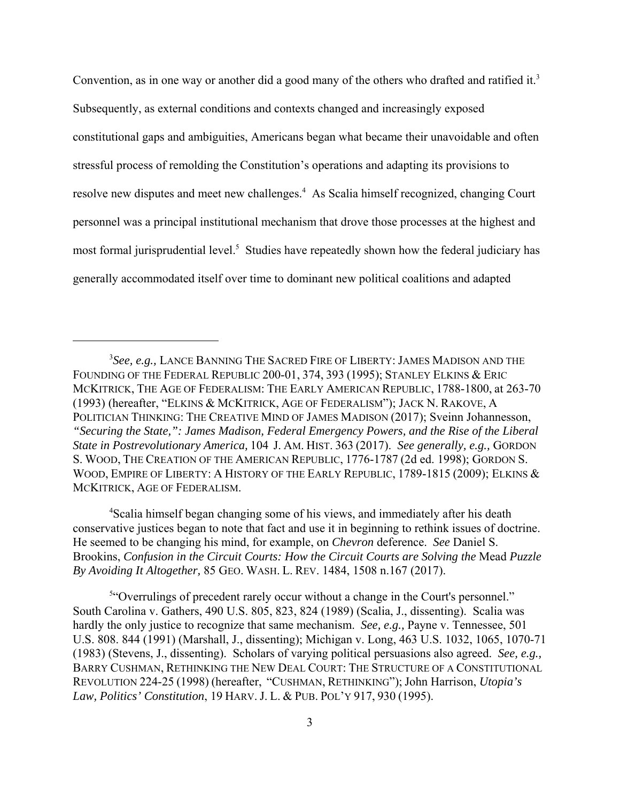Convention, as in one way or another did a good many of the others who drafted and ratified it.<sup>3</sup> Subsequently, as external conditions and contexts changed and increasingly exposed constitutional gaps and ambiguities, Americans began what became their unavoidable and often stressful process of remolding the Constitution's operations and adapting its provisions to resolve new disputes and meet new challenges.<sup>4</sup> As Scalia himself recognized, changing Court personnel was a principal institutional mechanism that drove those processes at the highest and most formal jurisprudential level.<sup>5</sup> Studies have repeatedly shown how the federal judiciary has generally accommodated itself over time to dominant new political coalitions and adapted

<sup>4</sup>Scalia himself began changing some of his views, and immediately after his death conservative justices began to note that fact and use it in beginning to rethink issues of doctrine. He seemed to be changing his mind, for example, on *Chevron* deference. *See* Daniel S. Brookins, *Confusion in the Circuit Courts: How the Circuit Courts are Solving the* Mead *Puzzle By Avoiding It Altogether,* 85 GEO. WASH. L. REV. 1484, 1508 n.167 (2017).

<sup>5"</sup>Overrulings of precedent rarely occur without a change in the Court's personnel." South Carolina v. Gathers, 490 U.S. 805, 823, 824 (1989) (Scalia, J., dissenting). Scalia was hardly the only justice to recognize that same mechanism. *See, e.g.,* Payne v. Tennessee, 501 U.S. 808. 844 (1991) (Marshall, J., dissenting); Michigan v. Long, 463 U.S. 1032, 1065, 1070-71 (1983) (Stevens, J., dissenting). Scholars of varying political persuasions also agreed. *See, e.g.,* BARRY CUSHMAN, RETHINKING THE NEW DEAL COURT: THE STRUCTURE OF A CONSTITUTIONAL REVOLUTION 224-25 (1998) (hereafter, "CUSHMAN, RETHINKING"); John Harrison, *Utopia's Law, Politics' Constitution*, 19 HARV. J. L. & PUB. POL'Y 917, 930 (1995).

<sup>3</sup> *See, e.g.,* LANCE BANNING THE SACRED FIRE OF LIBERTY: JAMES MADISON AND THE FOUNDING OF THE FEDERAL REPUBLIC 200-01, 374, 393 (1995); STANLEY ELKINS & ERIC MCKITRICK, THE AGE OF FEDERALISM: THE EARLY AMERICAN REPUBLIC, 1788-1800, at 263-70 (1993) (hereafter, "ELKINS & MCKITRICK, AGE OF FEDERALISM"); JACK N. RAKOVE, A POLITICIAN THINKING: THE CREATIVE MIND OF JAMES MADISON (2017); Sveinn Johannesson, *"Securing the State,": James Madison, Federal Emergency Powers, and the Rise of the Liberal State in Postrevolutionary America,* 104 J. AM. HIST. 363 (2017). *See generally, e.g.,* GORDON S. WOOD, THE CREATION OF THE AMERICAN REPUBLIC, 1776-1787 (2d ed. 1998); GORDON S. WOOD, EMPIRE OF LIBERTY: A HISTORY OF THE EARLY REPUBLIC, 1789-1815 (2009); ELKINS & MCKITRICK, AGE OF FEDERALISM.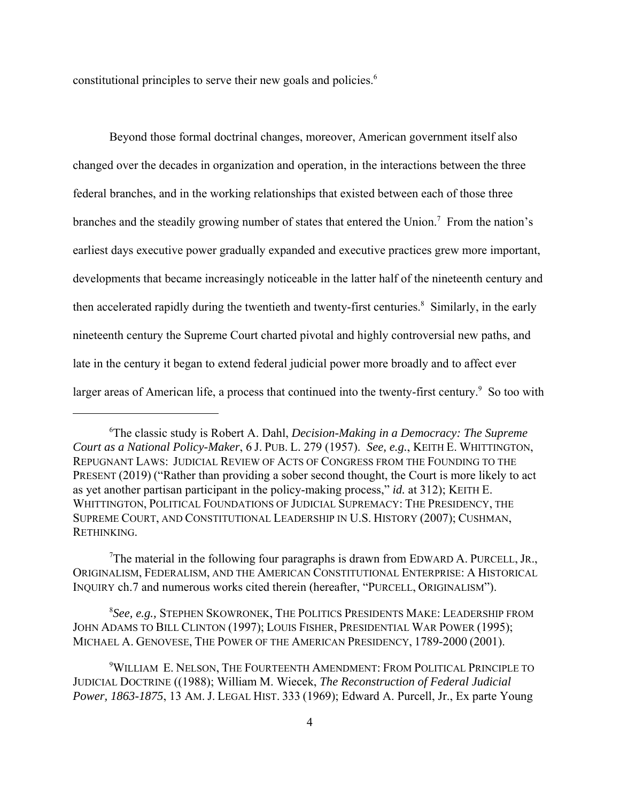constitutional principles to serve their new goals and policies. 6

Beyond those formal doctrinal changes, moreover, American government itself also changed over the decades in organization and operation, in the interactions between the three federal branches, and in the working relationships that existed between each of those three branches and the steadily growing number of states that entered the Union.<sup>7</sup> From the nation's earliest days executive power gradually expanded and executive practices grew more important, developments that became increasingly noticeable in the latter half of the nineteenth century and then accelerated rapidly during the twentieth and twenty-first centuries.<sup>8</sup> Similarly, in the early nineteenth century the Supreme Court charted pivotal and highly controversial new paths, and late in the century it began to extend federal judicial power more broadly and to affect ever larger areas of American life, a process that continued into the twenty-first century.<sup>9</sup> So too with

<sup>7</sup>The material in the following four paragraphs is drawn from EDWARD A. PURCELL, JR., ORIGINALISM, FEDERALISM, AND THE AMERICAN CONSTITUTIONAL ENTERPRISE: A HISTORICAL INQUIRY ch.7 and numerous works cited therein (hereafter, "PURCELL, ORIGINALISM").

8 *See, e.g.,* STEPHEN SKOWRONEK, THE POLITICS PRESIDENTS MAKE: LEADERSHIP FROM JOHN ADAMS TO BILL CLINTON (1997); LOUIS FISHER, PRESIDENTIAL WAR POWER (1995); MICHAEL A. GENOVESE, THE POWER OF THE AMERICAN PRESIDENCY, 1789-2000 (2001).

<sup>6</sup> The classic study is Robert A. Dahl, *Decision-Making in a Democracy: The Supreme Court as a National Policy-Maker*, 6 J. PUB. L. 279 (1957). *See, e.g.*, KEITH E. WHITTINGTON, REPUGNANT LAWS: JUDICIAL REVIEW OF ACTS OF CONGRESS FROM THE FOUNDING TO THE PRESENT (2019) ("Rather than providing a sober second thought, the Court is more likely to act as yet another partisan participant in the policy-making process," *id.* at 312); KEITH E. WHITTINGTON, POLITICAL FOUNDATIONS OF JUDICIAL SUPREMACY: THE PRESIDENCY, THE SUPREME COURT, AND CONSTITUTIONAL LEADERSHIP IN U.S. HISTORY (2007); CUSHMAN, RETHINKING.

<sup>9</sup> WILLIAM E. NELSON, THE FOURTEENTH AMENDMENT: FROM POLITICAL PRINCIPLE TO JUDICIAL DOCTRINE ((1988); William M. Wiecek, *The Reconstruction of Federal Judicial Power, 1863-1875*, 13 AM. J. LEGAL HIST. 333 (1969); Edward A. Purcell, Jr., Ex parte Young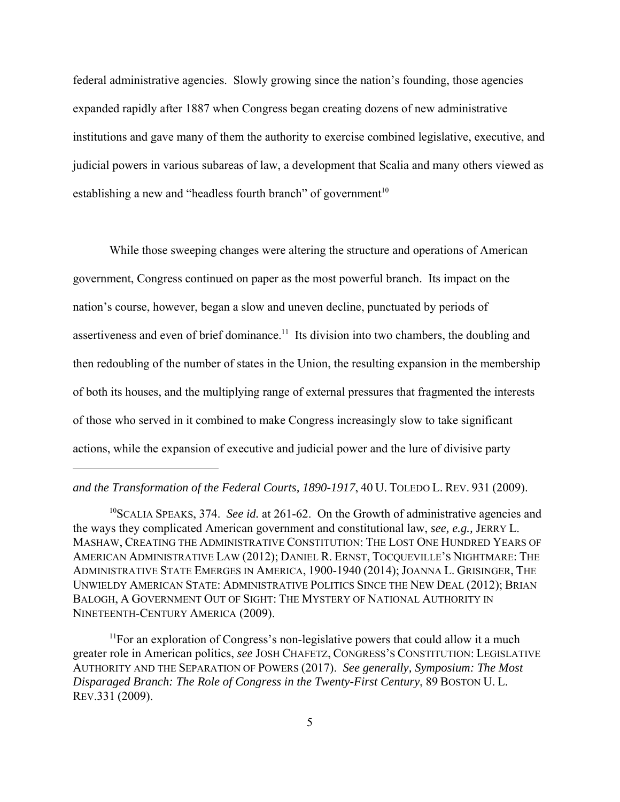federal administrative agencies. Slowly growing since the nation's founding, those agencies expanded rapidly after 1887 when Congress began creating dozens of new administrative institutions and gave many of them the authority to exercise combined legislative, executive, and judicial powers in various subareas of law, a development that Scalia and many others viewed as establishing a new and "headless fourth branch" of government $10$ 

While those sweeping changes were altering the structure and operations of American government, Congress continued on paper as the most powerful branch. Its impact on the nation's course, however, began a slow and uneven decline, punctuated by periods of assertiveness and even of brief dominance.<sup>11</sup> Its division into two chambers, the doubling and then redoubling of the number of states in the Union, the resulting expansion in the membership of both its houses, and the multiplying range of external pressures that fragmented the interests of those who served in it combined to make Congress increasingly slow to take significant actions, while the expansion of executive and judicial power and the lure of divisive party

## *and the Transformation of the Federal Courts, 1890-1917*, 40 U. TOLEDO L. REV. 931 (2009).

<sup>10</sup>SCALIA SPEAKS, 374. *See id.* at 261-62. On the Growth of administrative agencies and the ways they complicated American government and constitutional law, *see, e.g.,* JERRY L. MASHAW, CREATING THE ADMINISTRATIVE CONSTITUTION: THE LOST ONE HUNDRED YEARS OF AMERICAN ADMINISTRATIVE LAW (2012); DANIEL R. ERNST, TOCQUEVILLE'S NIGHTMARE: THE ADMINISTRATIVE STATE EMERGES IN AMERICA, 1900-1940 (2014); JOANNA L. GRISINGER, THE UNWIELDY AMERICAN STATE: ADMINISTRATIVE POLITICS SINCE THE NEW DEAL (2012); BRIAN BALOGH, A GOVERNMENT OUT OF SIGHT: THE MYSTERY OF NATIONAL AUTHORITY IN NINETEENTH-CENTURY AMERICA (2009).

 $11$  For an exploration of Congress's non-legislative powers that could allow it a much greater role in American politics, *see* JOSH CHAFETZ, CONGRESS'S CONSTITUTION: LEGISLATIVE AUTHORITY AND THE SEPARATION OF POWERS (2017). *See generally, Symposium: The Most Disparaged Branch: The Role of Congress in the Twenty-First Century*, 89 BOSTON U. L. REV.331 (2009).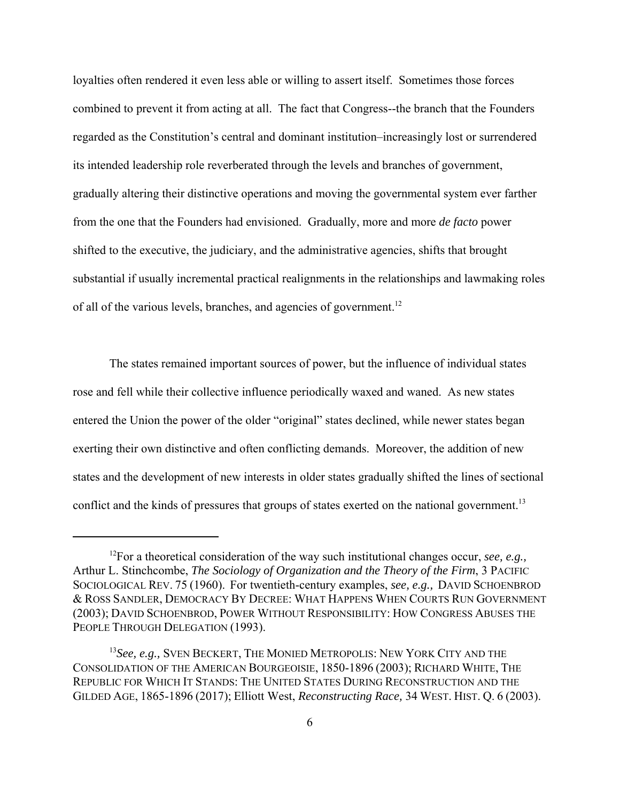loyalties often rendered it even less able or willing to assert itself. Sometimes those forces combined to prevent it from acting at all. The fact that Congress--the branch that the Founders regarded as the Constitution's central and dominant institution–increasingly lost or surrendered its intended leadership role reverberated through the levels and branches of government, gradually altering their distinctive operations and moving the governmental system ever farther from the one that the Founders had envisioned. Gradually, more and more *de facto* power shifted to the executive, the judiciary, and the administrative agencies, shifts that brought substantial if usually incremental practical realignments in the relationships and lawmaking roles of all of the various levels, branches, and agencies of government.<sup>12</sup>

The states remained important sources of power, but the influence of individual states rose and fell while their collective influence periodically waxed and waned. As new states entered the Union the power of the older "original" states declined, while newer states began exerting their own distinctive and often conflicting demands. Moreover, the addition of new states and the development of new interests in older states gradually shifted the lines of sectional conflict and the kinds of pressures that groups of states exerted on the national government.<sup>13</sup>

<sup>12</sup>For a theoretical consideration of the way such institutional changes occur, *see, e.g.,* Arthur L. Stinchcombe, *The Sociology of Organization and the Theory of the Firm*, 3 PACIFIC SOCIOLOGICAL REV. 75 (1960). For twentieth-century examples, *see, e.g.,* DAVID SCHOENBROD & ROSS SANDLER, DEMOCRACY BY DECREE: WHAT HAPPENS WHEN COURTS RUN GOVERNMENT (2003); DAVID SCHOENBROD, POWER WITHOUT RESPONSIBILITY: HOW CONGRESS ABUSES THE PEOPLE THROUGH DELEGATION (1993).

<sup>13</sup>*See, e.g.,* SVEN BECKERT, THE MONIED METROPOLIS: NEW YORK CITY AND THE CONSOLIDATION OF THE AMERICAN BOURGEOISIE, 1850-1896 (2003); RICHARD WHITE, THE REPUBLIC FOR WHICH IT STANDS: THE UNITED STATES DURING RECONSTRUCTION AND THE GILDED AGE, 1865-1896 (2017); Elliott West, *Reconstructing Race,* 34 WEST. HIST. Q. 6 (2003).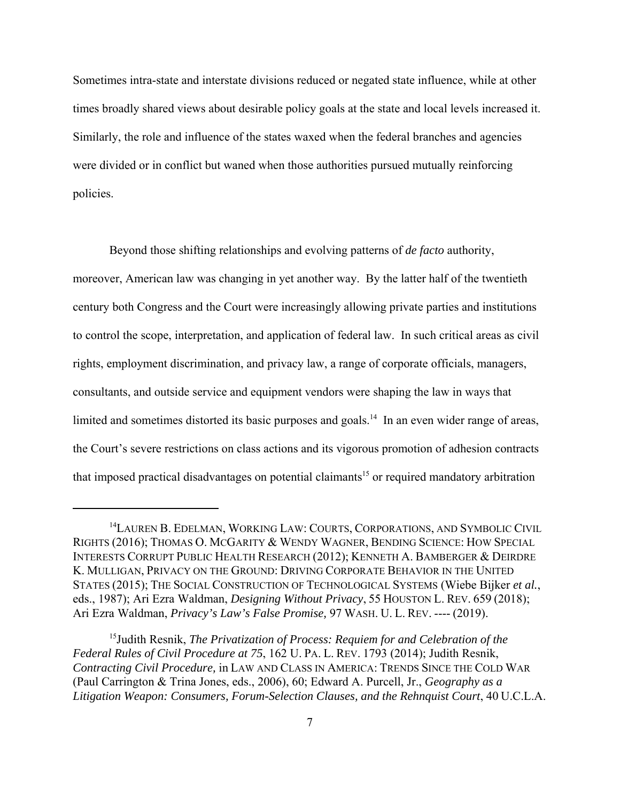Sometimes intra-state and interstate divisions reduced or negated state influence, while at other times broadly shared views about desirable policy goals at the state and local levels increased it. Similarly, the role and influence of the states waxed when the federal branches and agencies were divided or in conflict but waned when those authorities pursued mutually reinforcing policies.

Beyond those shifting relationships and evolving patterns of *de facto* authority, moreover, American law was changing in yet another way. By the latter half of the twentieth century both Congress and the Court were increasingly allowing private parties and institutions to control the scope, interpretation, and application of federal law. In such critical areas as civil rights, employment discrimination, and privacy law, a range of corporate officials, managers, consultants, and outside service and equipment vendors were shaping the law in ways that limited and sometimes distorted its basic purposes and goals.<sup>14</sup> In an even wider range of areas, the Court's severe restrictions on class actions and its vigorous promotion of adhesion contracts that imposed practical disadvantages on potential claimants<sup>15</sup> or required mandatory arbitration

<sup>&</sup>lt;sup>14</sup>LAUREN B. EDELMAN, WORKING LAW: COURTS, CORPORATIONS, AND SYMBOLIC CIVIL RIGHTS (2016); THOMAS O. MCGARITY & WENDY WAGNER, BENDING SCIENCE: HOW SPECIAL INTERESTS CORRUPT PUBLIC HEALTH RESEARCH (2012); KENNETH A. BAMBERGER & DEIRDRE K. MULLIGAN, PRIVACY ON THE GROUND: DRIVING CORPORATE BEHAVIOR IN THE UNITED STATES (2015); THE SOCIAL CONSTRUCTION OF TECHNOLOGICAL SYSTEMS (Wiebe Bijker *et al.*, eds., 1987); Ari Ezra Waldman, *Designing Without Privacy*, 55 HOUSTON L. REV. 659 (2018); Ari Ezra Waldman, *Privacy's Law's False Promise,* 97 WASH. U. L. REV. ---- (2019).

<sup>15</sup>Judith Resnik, *The Privatization of Process: Requiem for and Celebration of the Federal Rules of Civil Procedure at 75*, 162 U. PA. L. REV. 1793 (2014); Judith Resnik, *Contracting Civil Procedure,* in LAW AND CLASS IN AMERICA: TRENDS SINCE THE COLD WAR (Paul Carrington & Trina Jones, eds., 2006), 60; Edward A. Purcell, Jr., *Geography as a Litigation Weapon: Consumers, Forum-Selection Clauses, and the Rehnquist Court*, 40 U.C.L.A.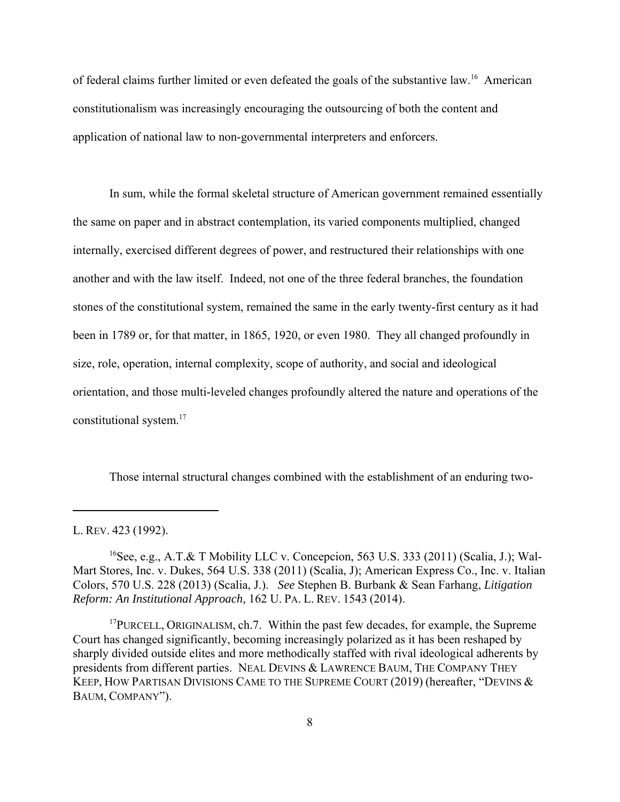of federal claims further limited or even defeated the goals of the substantive law.16 American constitutionalism was increasingly encouraging the outsourcing of both the content and application of national law to non-governmental interpreters and enforcers.

In sum, while the formal skeletal structure of American government remained essentially the same on paper and in abstract contemplation, its varied components multiplied, changed internally, exercised different degrees of power, and restructured their relationships with one another and with the law itself. Indeed, not one of the three federal branches, the foundation stones of the constitutional system, remained the same in the early twenty-first century as it had been in 1789 or, for that matter, in 1865, 1920, or even 1980. They all changed profoundly in size, role, operation, internal complexity, scope of authority, and social and ideological orientation, and those multi-leveled changes profoundly altered the nature and operations of the constitutional system.17

Those internal structural changes combined with the establishment of an enduring two-

L. REV. 423 (1992).

<sup>&</sup>lt;sup>16</sup>See, e.g., A.T.& T Mobility LLC v. Concepcion, 563 U.S. 333 (2011) (Scalia, J.); Wal-Mart Stores, Inc. v. Dukes, 564 U.S. 338 (2011) (Scalia, J); American Express Co., Inc. v. Italian Colors, 570 U.S. 228 (2013) (Scalia, J.). *See* Stephen B. Burbank & Sean Farhang, *Litigation Reform: An Institutional Approach,* 162 U. PA. L. REV. 1543 (2014).

 $17$ PURCELL, ORIGINALISM, ch.7. Within the past few decades, for example, the Supreme Court has changed significantly, becoming increasingly polarized as it has been reshaped by sharply divided outside elites and more methodically staffed with rival ideological adherents by presidents from different parties. NEAL DEVINS & LAWRENCE BAUM, THE COMPANY THEY KEEP, HOW PARTISAN DIVISIONS CAME TO THE SUPREME COURT (2019) (hereafter, "DEVINS & BAUM, COMPANY").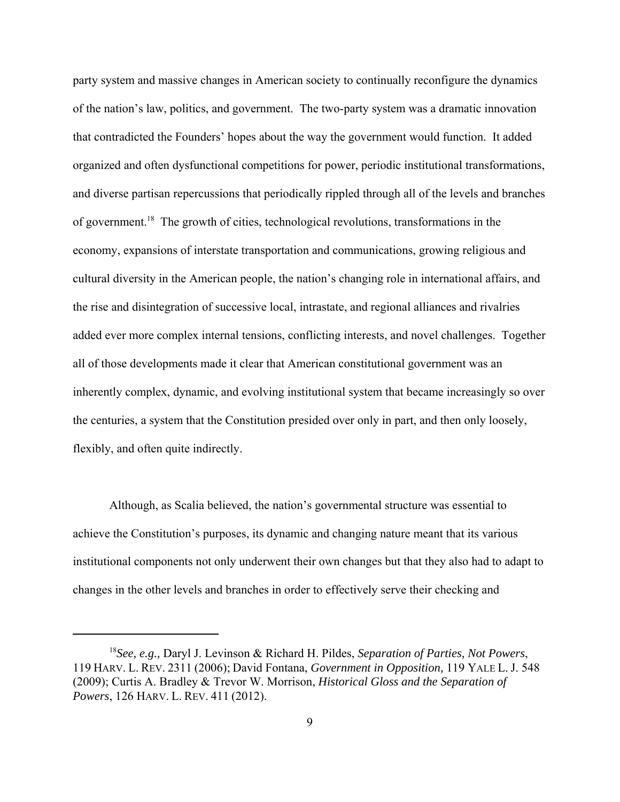party system and massive changes in American society to continually reconfigure the dynamics of the nation's law, politics, and government. The two-party system was a dramatic innovation that contradicted the Founders' hopes about the way the government would function. It added organized and often dysfunctional competitions for power, periodic institutional transformations, and diverse partisan repercussions that periodically rippled through all of the levels and branches of government.18 The growth of cities, technological revolutions, transformations in the economy, expansions of interstate transportation and communications, growing religious and cultural diversity in the American people, the nation's changing role in international affairs, and the rise and disintegration of successive local, intrastate, and regional alliances and rivalries added ever more complex internal tensions, conflicting interests, and novel challenges. Together all of those developments made it clear that American constitutional government was an inherently complex, dynamic, and evolving institutional system that became increasingly so over the centuries, a system that the Constitution presided over only in part, and then only loosely, flexibly, and often quite indirectly.

Although, as Scalia believed, the nation's governmental structure was essential to achieve the Constitution's purposes, its dynamic and changing nature meant that its various institutional components not only underwent their own changes but that they also had to adapt to changes in the other levels and branches in order to effectively serve their checking and

<sup>18</sup>*See, e.g.,* Daryl J. Levinson & Richard H. Pildes, *Separation of Parties, Not Powers*, 119 HARV. L. REV. 2311 (2006); David Fontana, *Government in Opposition,* 119 YALE L. J. 548 (2009); Curtis A. Bradley & Trevor W. Morrison, *Historical Gloss and the Separation of Powers*, 126 HARV. L. REV. 411 (2012).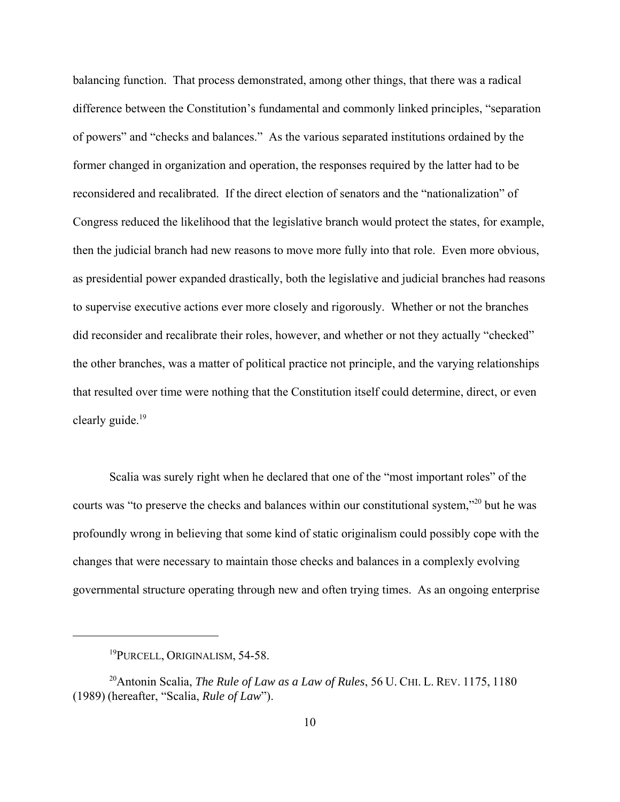balancing function. That process demonstrated, among other things, that there was a radical difference between the Constitution's fundamental and commonly linked principles, "separation of powers" and "checks and balances." As the various separated institutions ordained by the former changed in organization and operation, the responses required by the latter had to be reconsidered and recalibrated. If the direct election of senators and the "nationalization" of Congress reduced the likelihood that the legislative branch would protect the states, for example, then the judicial branch had new reasons to move more fully into that role. Even more obvious, as presidential power expanded drastically, both the legislative and judicial branches had reasons to supervise executive actions ever more closely and rigorously. Whether or not the branches did reconsider and recalibrate their roles, however, and whether or not they actually "checked" the other branches, was a matter of political practice not principle, and the varying relationships that resulted over time were nothing that the Constitution itself could determine, direct, or even clearly guide.<sup>19</sup>

Scalia was surely right when he declared that one of the "most important roles" of the courts was "to preserve the checks and balances within our constitutional system,"20 but he was profoundly wrong in believing that some kind of static originalism could possibly cope with the changes that were necessary to maintain those checks and balances in a complexly evolving governmental structure operating through new and often trying times. As an ongoing enterprise

<sup>&</sup>lt;sup>19</sup>PURCELL, ORIGINALISM, 54-58.

<sup>20</sup>Antonin Scalia, *The Rule of Law as a Law of Rules*, 56 U. CHI. L. REV. 1175, 1180 (1989) (hereafter, "Scalia, *Rule of Law*").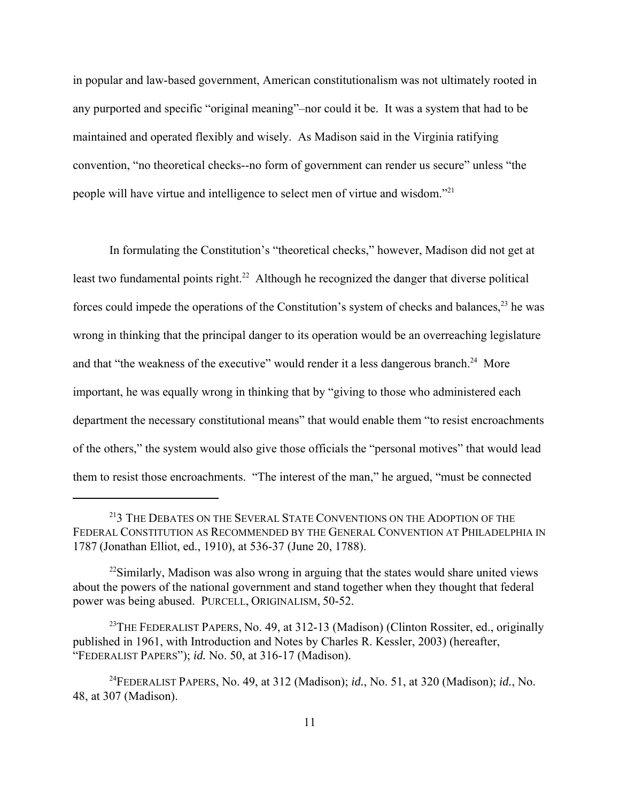in popular and law-based government, American constitutionalism was not ultimately rooted in any purported and specific "original meaning"–nor could it be. It was a system that had to be maintained and operated flexibly and wisely. As Madison said in the Virginia ratifying convention, "no theoretical checks--no form of government can render us secure" unless "the people will have virtue and intelligence to select men of virtue and wisdom."21

In formulating the Constitution's "theoretical checks," however, Madison did not get at least two fundamental points right.<sup>22</sup> Although he recognized the danger that diverse political forces could impede the operations of the Constitution's system of checks and balances,  $^{23}$  he was wrong in thinking that the principal danger to its operation would be an overreaching legislature and that "the weakness of the executive" would render it a less dangerous branch.<sup>24</sup> More important, he was equally wrong in thinking that by "giving to those who administered each department the necessary constitutional means" that would enable them "to resist encroachments of the others," the system would also give those officials the "personal motives" that would lead them to resist those encroachments. "The interest of the man," he argued, "must be connected

<sup>&</sup>lt;sup>21</sup>3 THE DEBATES ON THE SEVERAL STATE CONVENTIONS ON THE ADOPTION OF THE FEDERAL CONSTITUTION AS RECOMMENDED BY THE GENERAL CONVENTION AT PHILADELPHIA IN 1787 (Jonathan Elliot, ed., 1910), at 536-37 (June 20, 1788).

 $^{22}$ Similarly, Madison was also wrong in arguing that the states would share united views about the powers of the national government and stand together when they thought that federal power was being abused. PURCELL, ORIGINALISM, 50-52.

<sup>&</sup>lt;sup>23</sup>THE FEDERALIST PAPERS, No. 49, at 312-13 (Madison) (Clinton Rossiter, ed., originally published in 1961, with Introduction and Notes by Charles R. Kessler, 2003) (hereafter, "FEDERALIST PAPERS"); *id.* No. 50, at 316-17 (Madison).

<sup>24</sup>FEDERALIST PAPERS, No. 49, at 312 (Madison); *id.*, No. 51, at 320 (Madison); *id.*, No. 48, at 307 (Madison).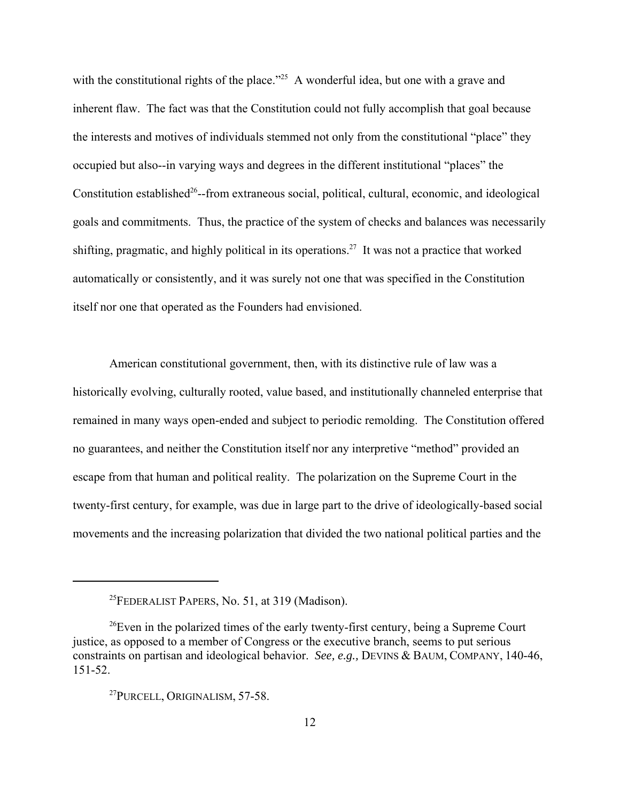with the constitutional rights of the place."<sup>25</sup> A wonderful idea, but one with a grave and inherent flaw. The fact was that the Constitution could not fully accomplish that goal because the interests and motives of individuals stemmed not only from the constitutional "place" they occupied but also--in varying ways and degrees in the different institutional "places" the Constitution established<sup>26</sup>--from extraneous social, political, cultural, economic, and ideological goals and commitments. Thus, the practice of the system of checks and balances was necessarily shifting, pragmatic, and highly political in its operations.27 It was not a practice that worked automatically or consistently, and it was surely not one that was specified in the Constitution itself nor one that operated as the Founders had envisioned.

American constitutional government, then, with its distinctive rule of law was a historically evolving, culturally rooted, value based, and institutionally channeled enterprise that remained in many ways open-ended and subject to periodic remolding. The Constitution offered no guarantees, and neither the Constitution itself nor any interpretive "method" provided an escape from that human and political reality. The polarization on the Supreme Court in the twenty-first century, for example, was due in large part to the drive of ideologically-based social movements and the increasing polarization that divided the two national political parties and the

<sup>&</sup>lt;sup>25</sup>FEDERALIST PAPERS, No. 51, at 319 (Madison).

 $26$ Even in the polarized times of the early twenty-first century, being a Supreme Court justice, as opposed to a member of Congress or the executive branch, seems to put serious constraints on partisan and ideological behavior. *See, e.g.,* DEVINS & BAUM, COMPANY, 140-46, 151-52.

<sup>&</sup>lt;sup>27</sup>PURCELL, ORIGINALISM, 57-58.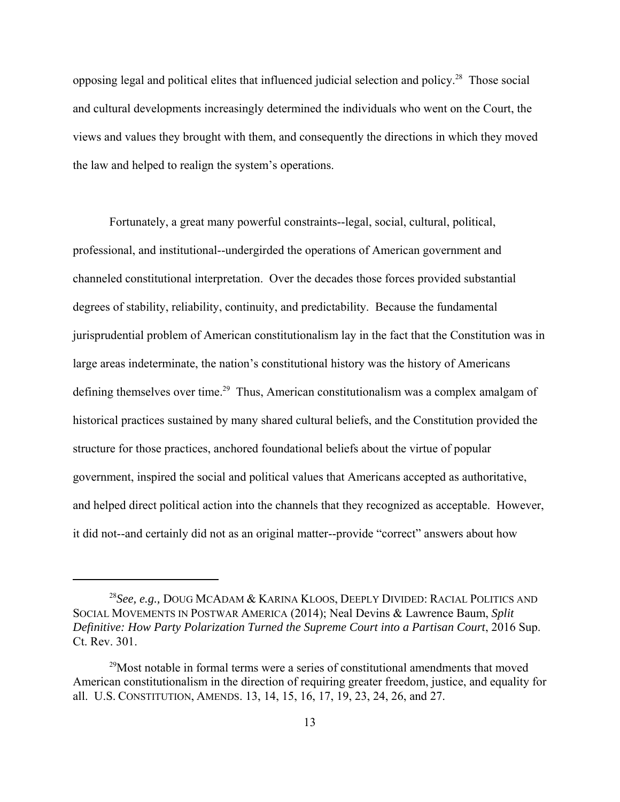opposing legal and political elites that influenced judicial selection and policy.28 Those social and cultural developments increasingly determined the individuals who went on the Court, the views and values they brought with them, and consequently the directions in which they moved the law and helped to realign the system's operations.

Fortunately, a great many powerful constraints--legal, social, cultural, political, professional, and institutional--undergirded the operations of American government and channeled constitutional interpretation. Over the decades those forces provided substantial degrees of stability, reliability, continuity, and predictability. Because the fundamental jurisprudential problem of American constitutionalism lay in the fact that the Constitution was in large areas indeterminate, the nation's constitutional history was the history of Americans defining themselves over time.<sup>29</sup> Thus, American constitutionalism was a complex amalgam of historical practices sustained by many shared cultural beliefs, and the Constitution provided the structure for those practices, anchored foundational beliefs about the virtue of popular government, inspired the social and political values that Americans accepted as authoritative, and helped direct political action into the channels that they recognized as acceptable. However, it did not--and certainly did not as an original matter--provide "correct" answers about how

<sup>28</sup>*See, e.g.,* DOUG MCADAM & KARINA KLOOS, DEEPLY DIVIDED: RACIAL POLITICS AND SOCIAL MOVEMENTS IN POSTWAR AMERICA (2014); Neal Devins & Lawrence Baum, *Split Definitive: How Party Polarization Turned the Supreme Court into a Partisan Court*, 2016 Sup. Ct. Rev. 301.

 $29$ Most notable in formal terms were a series of constitutional amendments that moved American constitutionalism in the direction of requiring greater freedom, justice, and equality for all. U.S. CONSTITUTION, AMENDS. 13, 14, 15, 16, 17, 19, 23, 24, 26, and 27.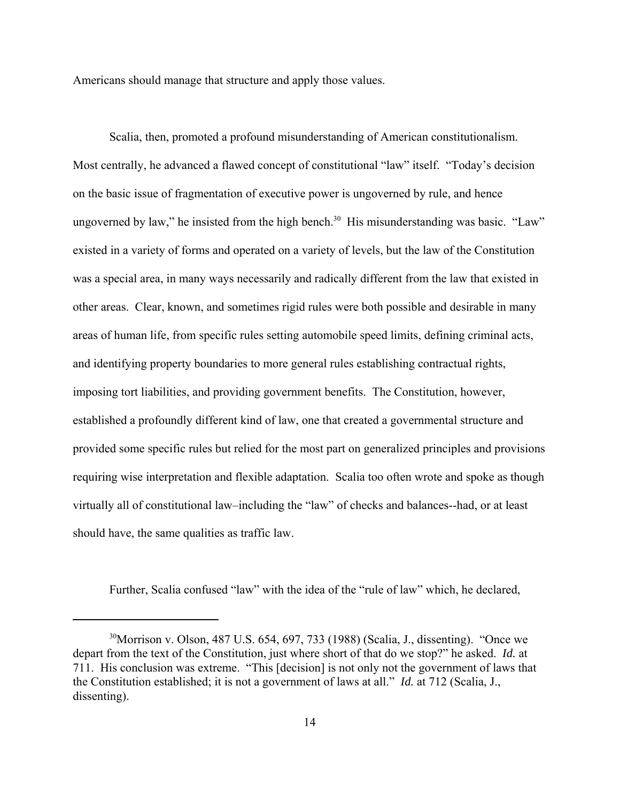Americans should manage that structure and apply those values.

Scalia, then, promoted a profound misunderstanding of American constitutionalism. Most centrally, he advanced a flawed concept of constitutional "law" itself. "Today's decision on the basic issue of fragmentation of executive power is ungoverned by rule, and hence ungoverned by law," he insisted from the high bench. $30\,$  His misunderstanding was basic. "Law" existed in a variety of forms and operated on a variety of levels, but the law of the Constitution was a special area, in many ways necessarily and radically different from the law that existed in other areas. Clear, known, and sometimes rigid rules were both possible and desirable in many areas of human life, from specific rules setting automobile speed limits, defining criminal acts, and identifying property boundaries to more general rules establishing contractual rights, imposing tort liabilities, and providing government benefits. The Constitution, however, established a profoundly different kind of law, one that created a governmental structure and provided some specific rules but relied for the most part on generalized principles and provisions requiring wise interpretation and flexible adaptation. Scalia too often wrote and spoke as though virtually all of constitutional law–including the "law" of checks and balances--had, or at least should have, the same qualities as traffic law.

Further, Scalia confused "law" with the idea of the "rule of law" which, he declared,

<sup>&</sup>lt;sup>30</sup>Morrison v. Olson, 487 U.S. 654, 697, 733 (1988) (Scalia, J., dissenting). "Once we depart from the text of the Constitution, just where short of that do we stop?" he asked. *Id.* at 711. His conclusion was extreme. "This [decision] is not only not the government of laws that the Constitution established; it is not a government of laws at all." *Id.* at 712 (Scalia, J., dissenting).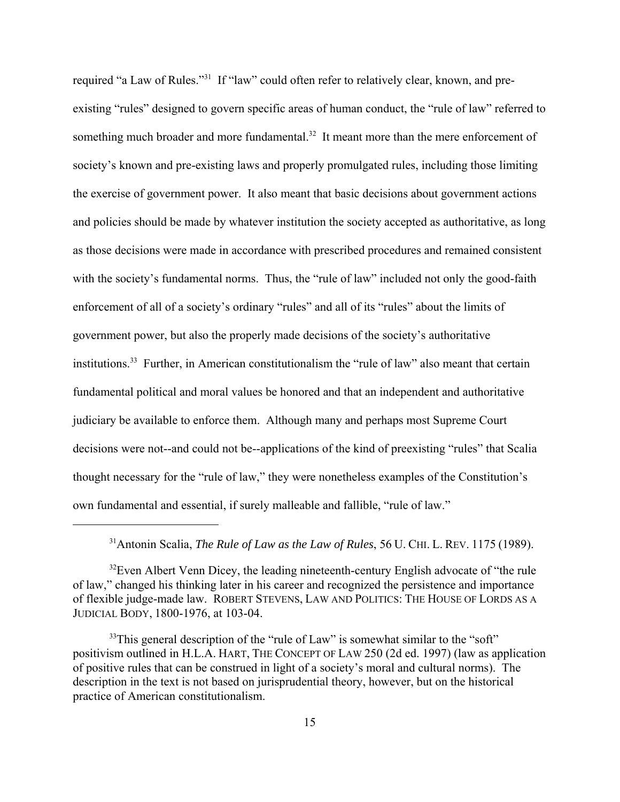required "a Law of Rules."31 If "law" could often refer to relatively clear, known, and preexisting "rules" designed to govern specific areas of human conduct, the "rule of law" referred to something much broader and more fundamental.<sup>32</sup> It meant more than the mere enforcement of society's known and pre-existing laws and properly promulgated rules, including those limiting the exercise of government power. It also meant that basic decisions about government actions and policies should be made by whatever institution the society accepted as authoritative, as long as those decisions were made in accordance with prescribed procedures and remained consistent with the society's fundamental norms. Thus, the "rule of law" included not only the good-faith enforcement of all of a society's ordinary "rules" and all of its "rules" about the limits of government power, but also the properly made decisions of the society's authoritative institutions.<sup>33</sup> Further, in American constitutionalism the "rule of law" also meant that certain fundamental political and moral values be honored and that an independent and authoritative judiciary be available to enforce them. Although many and perhaps most Supreme Court decisions were not--and could not be--applications of the kind of preexisting "rules" that Scalia thought necessary for the "rule of law," they were nonetheless examples of the Constitution's own fundamental and essential, if surely malleable and fallible, "rule of law."

<sup>&</sup>lt;sup>31</sup>Antonin Scalia, *The Rule of Law as the Law of Rules*, 56 U. CHI. L. REV. 1175 (1989).

 $32$ Even Albert Venn Dicey, the leading nineteenth-century English advocate of "the rule" of law," changed his thinking later in his career and recognized the persistence and importance of flexible judge-made law. ROBERT STEVENS, LAW AND POLITICS: THE HOUSE OF LORDS AS A JUDICIAL BODY, 1800-1976, at 103-04.

 $33$ This general description of the "rule of Law" is somewhat similar to the "soft" positivism outlined in H.L.A. HART, THE CONCEPT OF LAW 250 (2d ed. 1997) (law as application of positive rules that can be construed in light of a society's moral and cultural norms). The description in the text is not based on jurisprudential theory, however, but on the historical practice of American constitutionalism.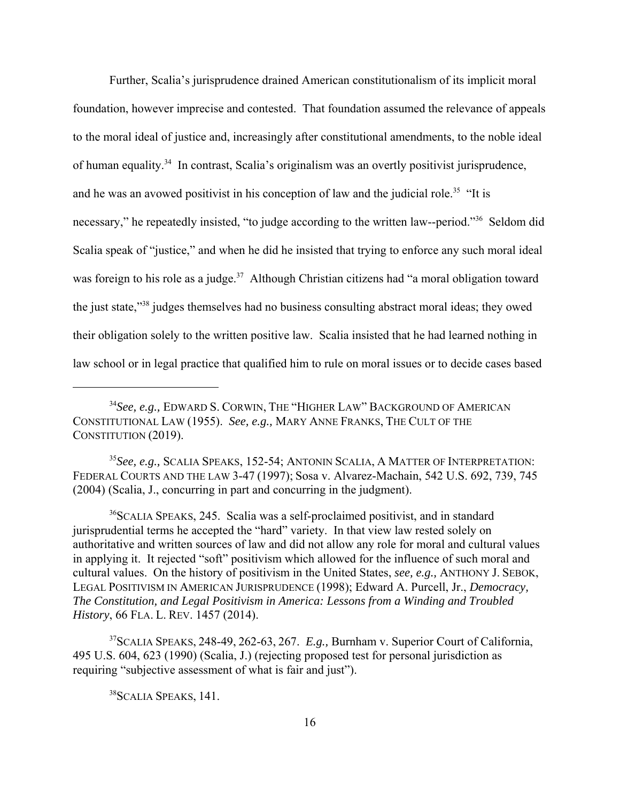Further, Scalia's jurisprudence drained American constitutionalism of its implicit moral foundation, however imprecise and contested. That foundation assumed the relevance of appeals to the moral ideal of justice and, increasingly after constitutional amendments, to the noble ideal of human equality.34 In contrast, Scalia's originalism was an overtly positivist jurisprudence, and he was an avowed positivist in his conception of law and the judicial role.<sup>35</sup> "It is necessary," he repeatedly insisted, "to judge according to the written law--period."<sup>36</sup> Seldom did Scalia speak of "justice," and when he did he insisted that trying to enforce any such moral ideal was foreign to his role as a judge.<sup>37</sup> Although Christian citizens had "a moral obligation toward the just state,"38 judges themselves had no business consulting abstract moral ideas; they owed their obligation solely to the written positive law. Scalia insisted that he had learned nothing in law school or in legal practice that qualified him to rule on moral issues or to decide cases based

<sup>35</sup>*See, e.g.,* SCALIA SPEAKS, 152-54; ANTONIN SCALIA, A MATTER OF INTERPRETATION: FEDERAL COURTS AND THE LAW 3-47 (1997); Sosa v. Alvarez-Machain, 542 U.S. 692, 739, 745 (2004) (Scalia, J., concurring in part and concurring in the judgment).

<sup>36</sup>SCALIA SPEAKS, 245. Scalia was a self-proclaimed positivist, and in standard jurisprudential terms he accepted the "hard" variety. In that view law rested solely on authoritative and written sources of law and did not allow any role for moral and cultural values in applying it. It rejected "soft" positivism which allowed for the influence of such moral and cultural values. On the history of positivism in the United States, *see, e.g.,* ANTHONY J. SEBOK, LEGAL POSITIVISM IN AMERICAN JURISPRUDENCE (1998); Edward A. Purcell, Jr., *Democracy, The Constitution, and Legal Positivism in America: Lessons from a Winding and Troubled History*, 66 FLA. L. REV. 1457 (2014).

37SCALIA SPEAKS, 248-49, 262-63, 267. *E.g.,* Burnham v. Superior Court of California, 495 U.S. 604, 623 (1990) (Scalia, J.) (rejecting proposed test for personal jurisdiction as requiring "subjective assessment of what is fair and just").

<sup>38</sup>SCALIA SPEAKS, 141.

<sup>34</sup>*See, e.g.,* EDWARD S. CORWIN, THE "HIGHER LAW" BACKGROUND OF AMERICAN CONSTITUTIONAL LAW (1955). *See, e.g.,* MARY ANNE FRANKS, THE CULT OF THE CONSTITUTION (2019).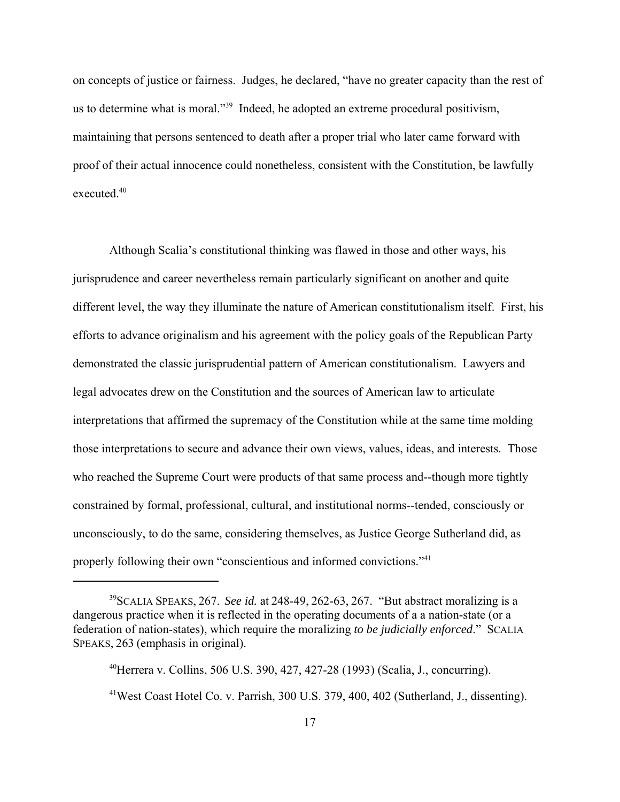on concepts of justice or fairness. Judges, he declared, "have no greater capacity than the rest of us to determine what is moral."39 Indeed, he adopted an extreme procedural positivism, maintaining that persons sentenced to death after a proper trial who later came forward with proof of their actual innocence could nonetheless, consistent with the Constitution, be lawfully executed.40

Although Scalia's constitutional thinking was flawed in those and other ways, his jurisprudence and career nevertheless remain particularly significant on another and quite different level, the way they illuminate the nature of American constitutionalism itself. First, his efforts to advance originalism and his agreement with the policy goals of the Republican Party demonstrated the classic jurisprudential pattern of American constitutionalism. Lawyers and legal advocates drew on the Constitution and the sources of American law to articulate interpretations that affirmed the supremacy of the Constitution while at the same time molding those interpretations to secure and advance their own views, values, ideas, and interests. Those who reached the Supreme Court were products of that same process and--though more tightly constrained by formal, professional, cultural, and institutional norms--tended, consciously or unconsciously, to do the same, considering themselves, as Justice George Sutherland did, as properly following their own "conscientious and informed convictions."41

<sup>39</sup>SCALIA SPEAKS, 267. *See id.* at 248-49, 262-63, 267. "But abstract moralizing is a dangerous practice when it is reflected in the operating documents of a a nation-state (or a federation of nation-states), which require the moralizing *to be judicially enforced*." SCALIA SPEAKS, 263 (emphasis in original).

<sup>40</sup>Herrera v. Collins, 506 U.S. 390, 427, 427-28 (1993) (Scalia, J., concurring).

<sup>&</sup>lt;sup>41</sup>West Coast Hotel Co. v. Parrish, 300 U.S. 379, 400, 402 (Sutherland, J., dissenting).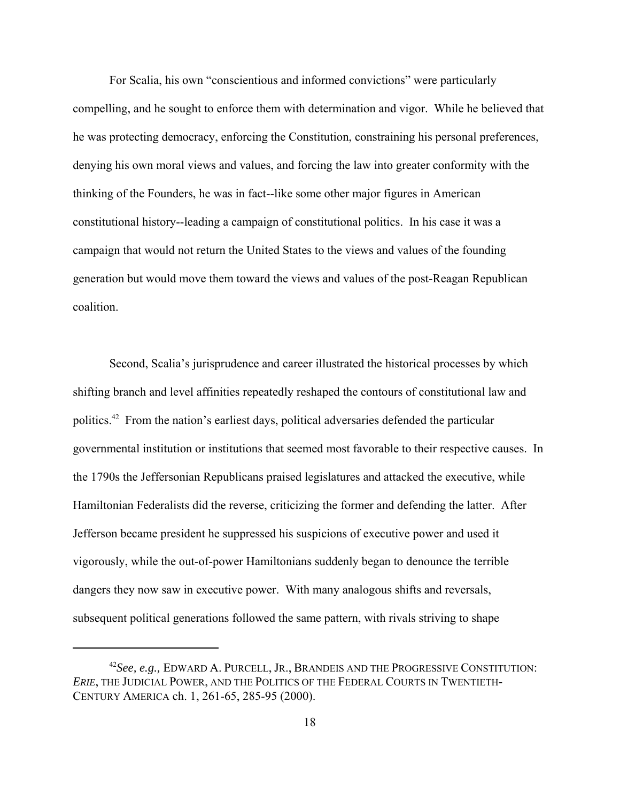For Scalia, his own "conscientious and informed convictions" were particularly compelling, and he sought to enforce them with determination and vigor. While he believed that he was protecting democracy, enforcing the Constitution, constraining his personal preferences, denying his own moral views and values, and forcing the law into greater conformity with the thinking of the Founders, he was in fact--like some other major figures in American constitutional history--leading a campaign of constitutional politics. In his case it was a campaign that would not return the United States to the views and values of the founding generation but would move them toward the views and values of the post-Reagan Republican coalition.

Second, Scalia's jurisprudence and career illustrated the historical processes by which shifting branch and level affinities repeatedly reshaped the contours of constitutional law and politics.42 From the nation's earliest days, political adversaries defended the particular governmental institution or institutions that seemed most favorable to their respective causes. In the 1790s the Jeffersonian Republicans praised legislatures and attacked the executive, while Hamiltonian Federalists did the reverse, criticizing the former and defending the latter. After Jefferson became president he suppressed his suspicions of executive power and used it vigorously, while the out-of-power Hamiltonians suddenly began to denounce the terrible dangers they now saw in executive power. With many analogous shifts and reversals, subsequent political generations followed the same pattern, with rivals striving to shape

<sup>42</sup>*See, e.g.,* EDWARD A. PURCELL, JR., BRANDEIS AND THE PROGRESSIVE CONSTITUTION: *ERIE*, THE JUDICIAL POWER, AND THE POLITICS OF THE FEDERAL COURTS IN TWENTIETH-CENTURY AMERICA ch. 1, 261-65, 285-95 (2000).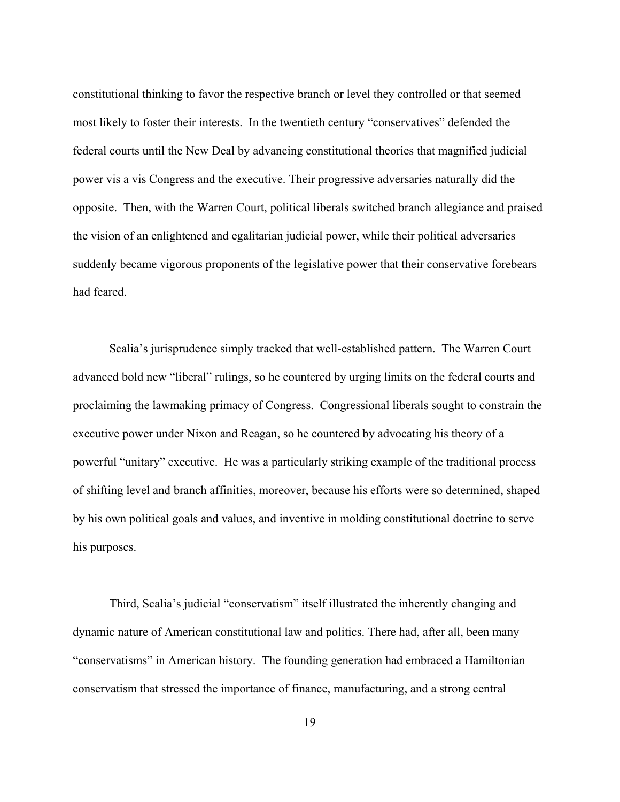constitutional thinking to favor the respective branch or level they controlled or that seemed most likely to foster their interests. In the twentieth century "conservatives" defended the federal courts until the New Deal by advancing constitutional theories that magnified judicial power vis a vis Congress and the executive. Their progressive adversaries naturally did the opposite. Then, with the Warren Court, political liberals switched branch allegiance and praised the vision of an enlightened and egalitarian judicial power, while their political adversaries suddenly became vigorous proponents of the legislative power that their conservative forebears had feared.

Scalia's jurisprudence simply tracked that well-established pattern. The Warren Court advanced bold new "liberal" rulings, so he countered by urging limits on the federal courts and proclaiming the lawmaking primacy of Congress. Congressional liberals sought to constrain the executive power under Nixon and Reagan, so he countered by advocating his theory of a powerful "unitary" executive. He was a particularly striking example of the traditional process of shifting level and branch affinities, moreover, because his efforts were so determined, shaped by his own political goals and values, and inventive in molding constitutional doctrine to serve his purposes.

Third, Scalia's judicial "conservatism" itself illustrated the inherently changing and dynamic nature of American constitutional law and politics. There had, after all, been many "conservatisms" in American history. The founding generation had embraced a Hamiltonian conservatism that stressed the importance of finance, manufacturing, and a strong central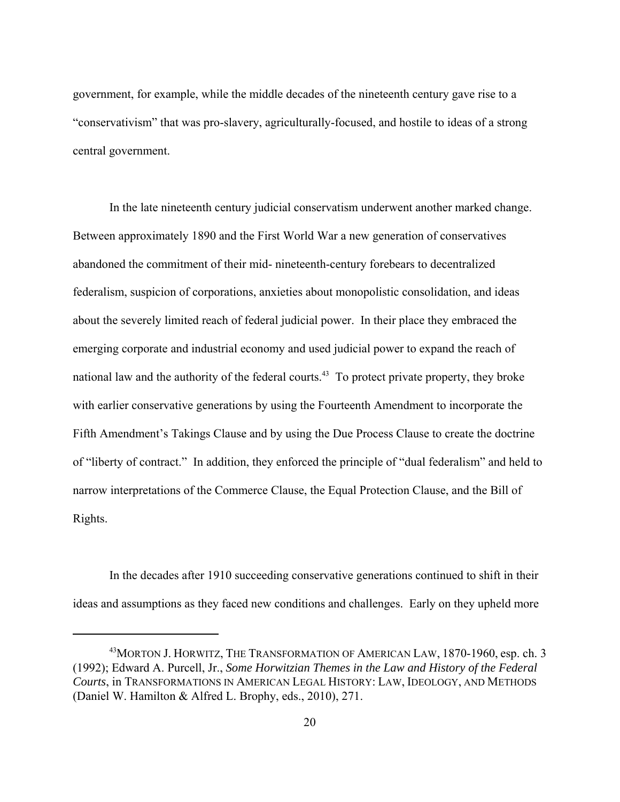government, for example, while the middle decades of the nineteenth century gave rise to a "conservativism" that was pro-slavery, agriculturally-focused, and hostile to ideas of a strong central government.

In the late nineteenth century judicial conservatism underwent another marked change. Between approximately 1890 and the First World War a new generation of conservatives abandoned the commitment of their mid- nineteenth-century forebears to decentralized federalism, suspicion of corporations, anxieties about monopolistic consolidation, and ideas about the severely limited reach of federal judicial power. In their place they embraced the emerging corporate and industrial economy and used judicial power to expand the reach of national law and the authority of the federal courts.<sup>43</sup> To protect private property, they broke with earlier conservative generations by using the Fourteenth Amendment to incorporate the Fifth Amendment's Takings Clause and by using the Due Process Clause to create the doctrine of "liberty of contract." In addition, they enforced the principle of "dual federalism" and held to narrow interpretations of the Commerce Clause, the Equal Protection Clause, and the Bill of Rights.

In the decades after 1910 succeeding conservative generations continued to shift in their ideas and assumptions as they faced new conditions and challenges. Early on they upheld more

<sup>&</sup>lt;sup>43</sup> MORTON J. HORWITZ, THE TRANSFORMATION OF AMERICAN LAW, 1870-1960, esp. ch. 3 (1992); Edward A. Purcell, Jr., *Some Horwitzian Themes in the Law and History of the Federal Courts*, in TRANSFORMATIONS IN AMERICAN LEGAL HISTORY: LAW, IDEOLOGY, AND METHODS (Daniel W. Hamilton & Alfred L. Brophy, eds., 2010), 271.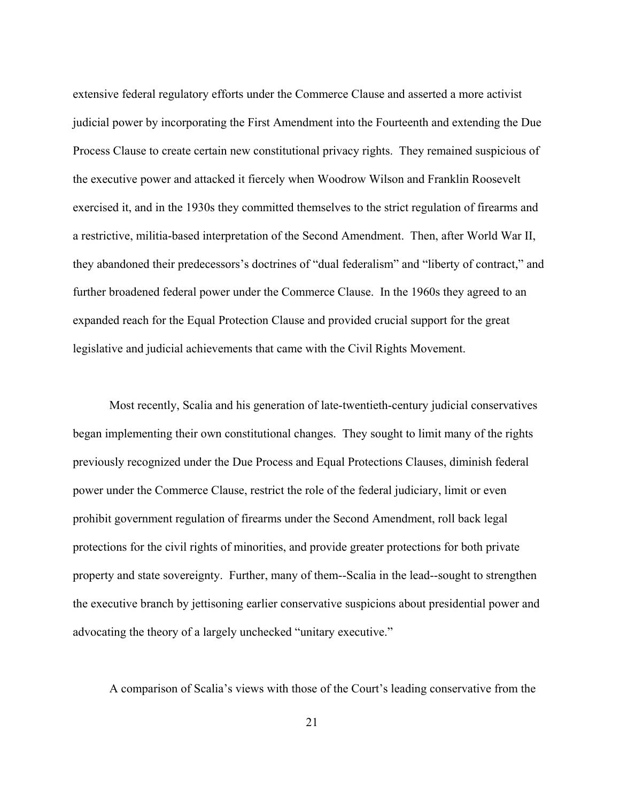extensive federal regulatory efforts under the Commerce Clause and asserted a more activist judicial power by incorporating the First Amendment into the Fourteenth and extending the Due Process Clause to create certain new constitutional privacy rights. They remained suspicious of the executive power and attacked it fiercely when Woodrow Wilson and Franklin Roosevelt exercised it, and in the 1930s they committed themselves to the strict regulation of firearms and a restrictive, militia-based interpretation of the Second Amendment. Then, after World War II, they abandoned their predecessors's doctrines of "dual federalism" and "liberty of contract," and further broadened federal power under the Commerce Clause. In the 1960s they agreed to an expanded reach for the Equal Protection Clause and provided crucial support for the great legislative and judicial achievements that came with the Civil Rights Movement.

Most recently, Scalia and his generation of late-twentieth-century judicial conservatives began implementing their own constitutional changes. They sought to limit many of the rights previously recognized under the Due Process and Equal Protections Clauses, diminish federal power under the Commerce Clause, restrict the role of the federal judiciary, limit or even prohibit government regulation of firearms under the Second Amendment, roll back legal protections for the civil rights of minorities, and provide greater protections for both private property and state sovereignty. Further, many of them--Scalia in the lead--sought to strengthen the executive branch by jettisoning earlier conservative suspicions about presidential power and advocating the theory of a largely unchecked "unitary executive."

A comparison of Scalia's views with those of the Court's leading conservative from the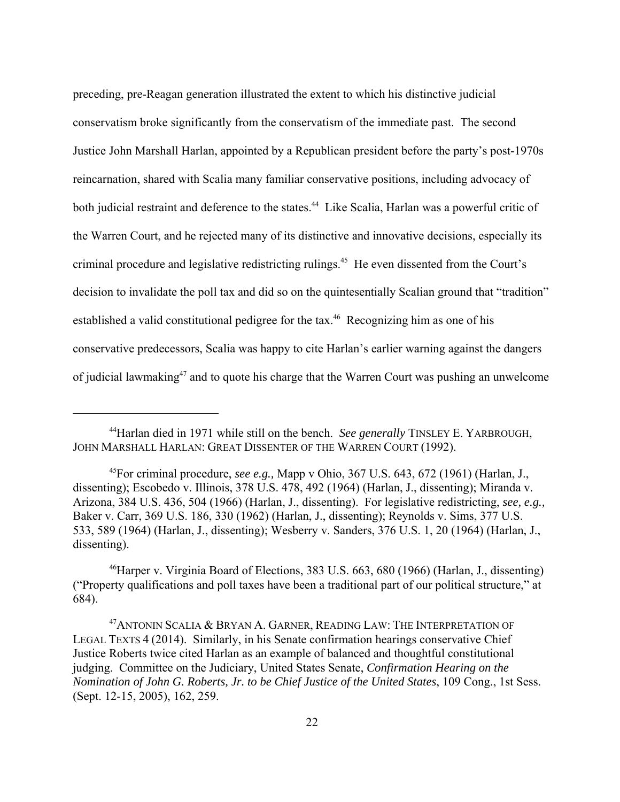preceding, pre-Reagan generation illustrated the extent to which his distinctive judicial conservatism broke significantly from the conservatism of the immediate past. The second Justice John Marshall Harlan, appointed by a Republican president before the party's post-1970s reincarnation, shared with Scalia many familiar conservative positions, including advocacy of both judicial restraint and deference to the states.<sup>44</sup> Like Scalia, Harlan was a powerful critic of the Warren Court, and he rejected many of its distinctive and innovative decisions, especially its criminal procedure and legislative redistricting rulings.45 He even dissented from the Court's decision to invalidate the poll tax and did so on the quintesentially Scalian ground that "tradition" established a valid constitutional pedigree for the tax.<sup>46</sup> Recognizing him as one of his conservative predecessors, Scalia was happy to cite Harlan's earlier warning against the dangers of judicial lawmaking<sup>47</sup> and to quote his charge that the Warren Court was pushing an unwelcome

<sup>44</sup>Harlan died in 1971 while still on the bench. *See generally* TINSLEY E. YARBROUGH, JOHN MARSHALL HARLAN: GREAT DISSENTER OF THE WARREN COURT (1992).

<sup>45</sup>For criminal procedure, *see e.g.,* Mapp v Ohio, 367 U.S. 643, 672 (1961) (Harlan, J., dissenting); Escobedo v. Illinois, 378 U.S. 478, 492 (1964) (Harlan, J., dissenting); Miranda v. Arizona, 384 U.S. 436, 504 (1966) (Harlan, J., dissenting). For legislative redistricting, *see, e.g.,* Baker v. Carr, 369 U.S. 186, 330 (1962) (Harlan, J., dissenting); Reynolds v. Sims, 377 U.S. 533, 589 (1964) (Harlan, J., dissenting); Wesberry v. Sanders, 376 U.S. 1, 20 (1964) (Harlan, J., dissenting).

<sup>46</sup>Harper v. Virginia Board of Elections, 383 U.S. 663, 680 (1966) (Harlan, J., dissenting) ("Property qualifications and poll taxes have been a traditional part of our political structure," at 684).

<sup>&</sup>lt;sup>47</sup> ANTONIN SCALIA & BRYAN A. GARNER, READING LAW: THE INTERPRETATION OF LEGAL TEXTS 4 (2014). Similarly, in his Senate confirmation hearings conservative Chief Justice Roberts twice cited Harlan as an example of balanced and thoughtful constitutional judging. Committee on the Judiciary, United States Senate, *Confirmation Hearing on the Nomination of John G. Roberts, Jr. to be Chief Justice of the United States*, 109 Cong., 1st Sess. (Sept. 12-15, 2005), 162, 259.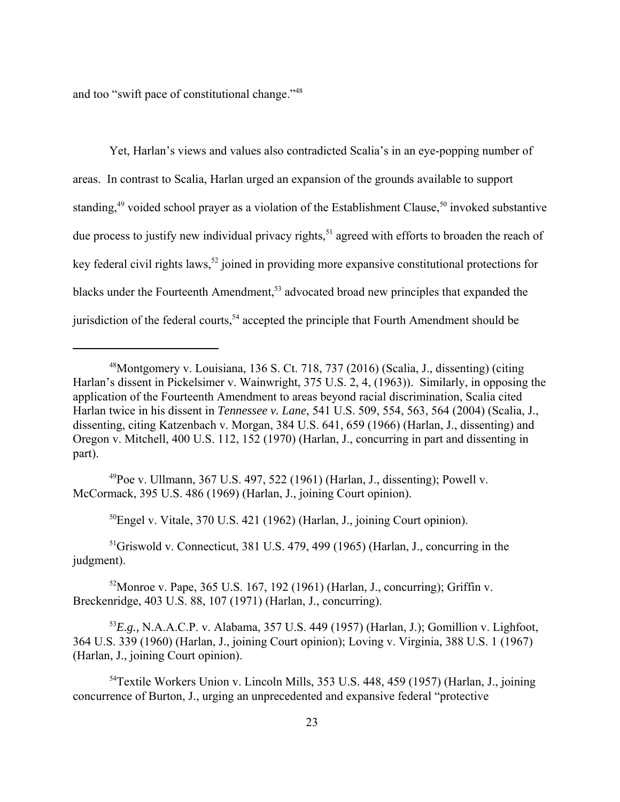and too "swift pace of constitutional change."<sup>48</sup>

Yet, Harlan's views and values also contradicted Scalia's in an eye-popping number of areas. In contrast to Scalia, Harlan urged an expansion of the grounds available to support standing,<sup>49</sup> voided school prayer as a violation of the Establishment Clause,<sup>50</sup> invoked substantive due process to justify new individual privacy rights,<sup>51</sup> agreed with efforts to broaden the reach of key federal civil rights laws,<sup>52</sup> joined in providing more expansive constitutional protections for blacks under the Fourteenth Amendment,<sup>53</sup> advocated broad new principles that expanded the jurisdiction of the federal courts,<sup>54</sup> accepted the principle that Fourth Amendment should be

 $^{49}$ Poe v. Ullmann, 367 U.S. 497, 522 (1961) (Harlan, J., dissenting); Powell v. McCormack, 395 U.S. 486 (1969) (Harlan, J., joining Court opinion).

50Engel v. Vitale, 370 U.S. 421 (1962) (Harlan, J., joining Court opinion).

51Griswold v. Connecticut, 381 U.S. 479, 499 (1965) (Harlan, J., concurring in the judgment).

 $52$ Monroe v. Pape, 365 U.S. 167, 192 (1961) (Harlan, J., concurring); Griffin v. Breckenridge, 403 U.S. 88, 107 (1971) (Harlan, J., concurring).

<sup>53</sup>*E.g.,* N.A.A.C.P. v. Alabama, 357 U.S. 449 (1957) (Harlan, J.); Gomillion v. Lighfoot, 364 U.S. 339 (1960) (Harlan, J., joining Court opinion); Loving v. Virginia, 388 U.S. 1 (1967) (Harlan, J., joining Court opinion).

<sup>54</sup>Textile Workers Union v. Lincoln Mills, 353 U.S. 448, 459 (1957) (Harlan, J., joining concurrence of Burton, J., urging an unprecedented and expansive federal "protective

<sup>48</sup>Montgomery v. Louisiana, 136 S. Ct. 718, 737 (2016) (Scalia, J., dissenting) (citing Harlan's dissent in Pickelsimer v. Wainwright, 375 U.S. 2, 4, (1963)). Similarly, in opposing the application of the Fourteenth Amendment to areas beyond racial discrimination, Scalia cited Harlan twice in his dissent in *Tennessee v. Lane*, 541 U.S. 509, 554, 563, 564 (2004) (Scalia, J., dissenting, citing Katzenbach v. Morgan, 384 U.S. 641, 659 (1966) (Harlan, J., dissenting) and Oregon v. Mitchell, 400 U.S. 112, 152 (1970) (Harlan, J., concurring in part and dissenting in part).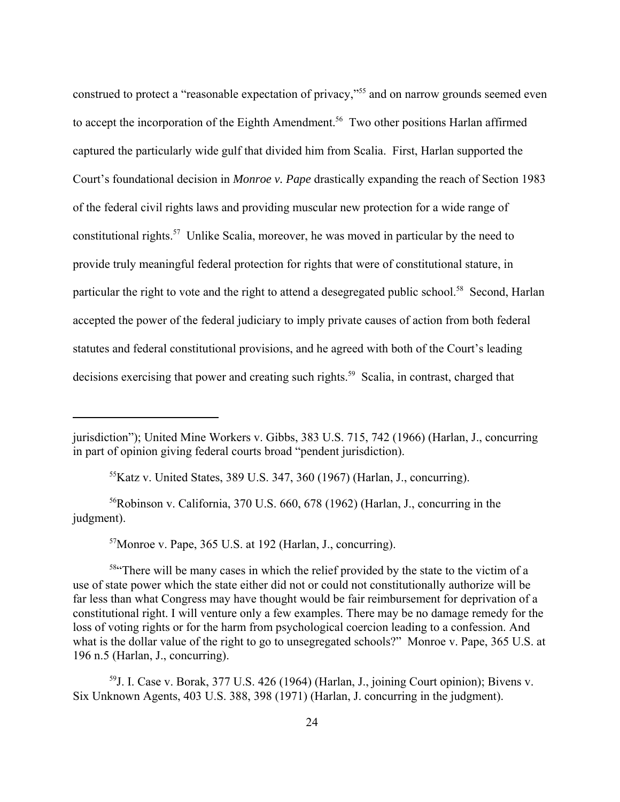construed to protect a "reasonable expectation of privacy,"55 and on narrow grounds seemed even to accept the incorporation of the Eighth Amendment.<sup>56</sup> Two other positions Harlan affirmed captured the particularly wide gulf that divided him from Scalia. First, Harlan supported the Court's foundational decision in *Monroe v. Pape* drastically expanding the reach of Section 1983 of the federal civil rights laws and providing muscular new protection for a wide range of constitutional rights.57 Unlike Scalia, moreover, he was moved in particular by the need to provide truly meaningful federal protection for rights that were of constitutional stature, in particular the right to vote and the right to attend a desegregated public school.<sup>58</sup> Second, Harlan accepted the power of the federal judiciary to imply private causes of action from both federal statutes and federal constitutional provisions, and he agreed with both of the Court's leading decisions exercising that power and creating such rights.<sup>59</sup> Scalia, in contrast, charged that

 $55K$ atz v. United States, 389 U.S. 347, 360 (1967) (Harlan, J., concurring).

 $56Robinson$  v. California, 370 U.S. 660, 678 (1962) (Harlan, J., concurring in the judgment).

 $57$ Monroe v. Pape, 365 U.S. at 192 (Harlan, J., concurring).

<sup>58"</sup>There will be many cases in which the relief provided by the state to the victim of a use of state power which the state either did not or could not constitutionally authorize will be far less than what Congress may have thought would be fair reimbursement for deprivation of a constitutional right. I will venture only a few examples. There may be no damage remedy for the loss of voting rights or for the harm from psychological coercion leading to a confession. And what is the dollar value of the right to go to unsegregated schools?" Monroe v. Pape, 365 U.S. at 196 n.5 (Harlan, J., concurring).

59J. I. Case v. Borak, 377 U.S. 426 (1964) (Harlan, J., joining Court opinion); Bivens v. Six Unknown Agents, 403 U.S. 388, 398 (1971) (Harlan, J. concurring in the judgment).

jurisdiction"); United Mine Workers v. Gibbs, 383 U.S. 715, 742 (1966) (Harlan, J., concurring in part of opinion giving federal courts broad "pendent jurisdiction).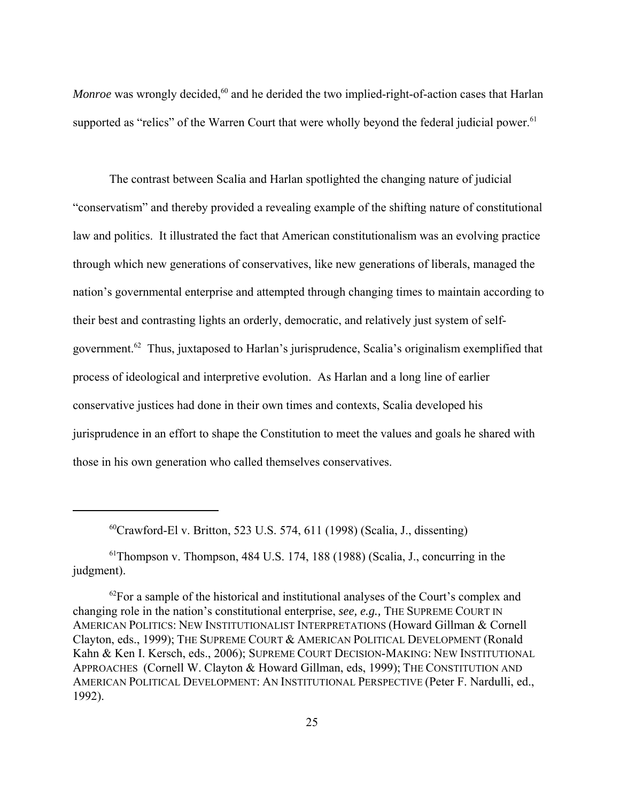*Monroe* was wrongly decided,<sup>60</sup> and he derided the two implied-right-of-action cases that Harlan supported as "relics" of the Warren Court that were wholly beyond the federal judicial power.<sup>61</sup>

The contrast between Scalia and Harlan spotlighted the changing nature of judicial "conservatism" and thereby provided a revealing example of the shifting nature of constitutional law and politics. It illustrated the fact that American constitutionalism was an evolving practice through which new generations of conservatives, like new generations of liberals, managed the nation's governmental enterprise and attempted through changing times to maintain according to their best and contrasting lights an orderly, democratic, and relatively just system of selfgovernment.62 Thus, juxtaposed to Harlan's jurisprudence, Scalia's originalism exemplified that process of ideological and interpretive evolution. As Harlan and a long line of earlier conservative justices had done in their own times and contexts, Scalia developed his jurisprudence in an effort to shape the Constitution to meet the values and goals he shared with those in his own generation who called themselves conservatives.

 $^{60}$ Crawford-El v. Britton, 523 U.S. 574, 611 (1998) (Scalia, J., dissenting)

 $61$ Thompson v. Thompson, 484 U.S. 174, 188 (1988) (Scalia, J., concurring in the judgment).

 $62$ For a sample of the historical and institutional analyses of the Court's complex and changing role in the nation's constitutional enterprise, *see, e.g.,* THE SUPREME COURT IN AMERICAN POLITICS: NEW INSTITUTIONALIST INTERPRETATIONS (Howard Gillman & Cornell Clayton, eds., 1999); THE SUPREME COURT & AMERICAN POLITICAL DEVELOPMENT (Ronald Kahn & Ken I. Kersch, eds., 2006); SUPREME COURT DECISION-MAKING: NEW INSTITUTIONAL APPROACHES (Cornell W. Clayton & Howard Gillman, eds, 1999); THE CONSTITUTION AND AMERICAN POLITICAL DEVELOPMENT: AN INSTITUTIONAL PERSPECTIVE (Peter F. Nardulli, ed., 1992).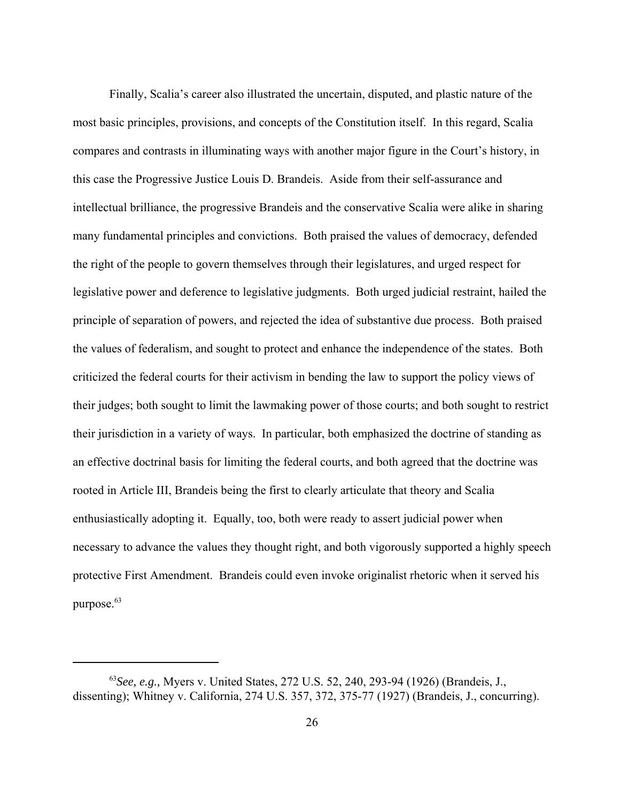Finally, Scalia's career also illustrated the uncertain, disputed, and plastic nature of the most basic principles, provisions, and concepts of the Constitution itself. In this regard, Scalia compares and contrasts in illuminating ways with another major figure in the Court's history, in this case the Progressive Justice Louis D. Brandeis. Aside from their self-assurance and intellectual brilliance, the progressive Brandeis and the conservative Scalia were alike in sharing many fundamental principles and convictions. Both praised the values of democracy, defended the right of the people to govern themselves through their legislatures, and urged respect for legislative power and deference to legislative judgments. Both urged judicial restraint, hailed the principle of separation of powers, and rejected the idea of substantive due process. Both praised the values of federalism, and sought to protect and enhance the independence of the states. Both criticized the federal courts for their activism in bending the law to support the policy views of their judges; both sought to limit the lawmaking power of those courts; and both sought to restrict their jurisdiction in a variety of ways. In particular, both emphasized the doctrine of standing as an effective doctrinal basis for limiting the federal courts, and both agreed that the doctrine was rooted in Article III, Brandeis being the first to clearly articulate that theory and Scalia enthusiastically adopting it. Equally, too, both were ready to assert judicial power when necessary to advance the values they thought right, and both vigorously supported a highly speech protective First Amendment. Brandeis could even invoke originalist rhetoric when it served his purpose.<sup>63</sup>

<sup>63</sup>*See, e.g.,* Myers v. United States, 272 U.S. 52, 240, 293-94 (1926) (Brandeis, J., dissenting); Whitney v. California, 274 U.S. 357, 372, 375-77 (1927) (Brandeis, J., concurring).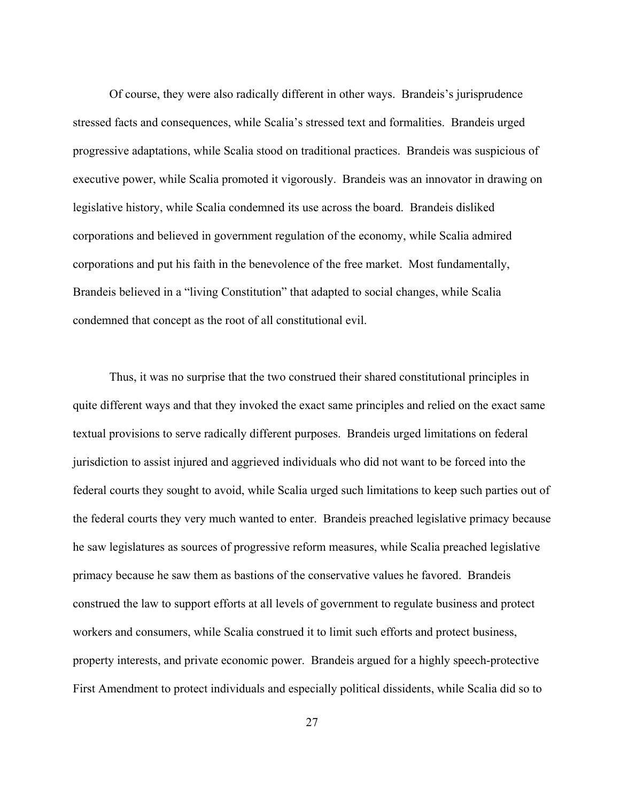Of course, they were also radically different in other ways. Brandeis's jurisprudence stressed facts and consequences, while Scalia's stressed text and formalities. Brandeis urged progressive adaptations, while Scalia stood on traditional practices. Brandeis was suspicious of executive power, while Scalia promoted it vigorously. Brandeis was an innovator in drawing on legislative history, while Scalia condemned its use across the board. Brandeis disliked corporations and believed in government regulation of the economy, while Scalia admired corporations and put his faith in the benevolence of the free market. Most fundamentally, Brandeis believed in a "living Constitution" that adapted to social changes, while Scalia condemned that concept as the root of all constitutional evil.

Thus, it was no surprise that the two construed their shared constitutional principles in quite different ways and that they invoked the exact same principles and relied on the exact same textual provisions to serve radically different purposes. Brandeis urged limitations on federal jurisdiction to assist injured and aggrieved individuals who did not want to be forced into the federal courts they sought to avoid, while Scalia urged such limitations to keep such parties out of the federal courts they very much wanted to enter. Brandeis preached legislative primacy because he saw legislatures as sources of progressive reform measures, while Scalia preached legislative primacy because he saw them as bastions of the conservative values he favored. Brandeis construed the law to support efforts at all levels of government to regulate business and protect workers and consumers, while Scalia construed it to limit such efforts and protect business, property interests, and private economic power. Brandeis argued for a highly speech-protective First Amendment to protect individuals and especially political dissidents, while Scalia did so to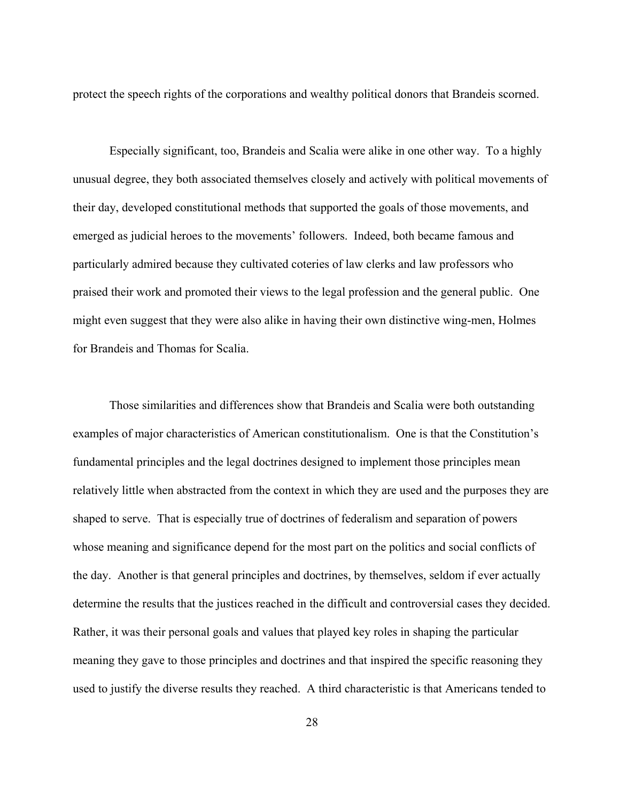protect the speech rights of the corporations and wealthy political donors that Brandeis scorned.

Especially significant, too, Brandeis and Scalia were alike in one other way. To a highly unusual degree, they both associated themselves closely and actively with political movements of their day, developed constitutional methods that supported the goals of those movements, and emerged as judicial heroes to the movements' followers. Indeed, both became famous and particularly admired because they cultivated coteries of law clerks and law professors who praised their work and promoted their views to the legal profession and the general public. One might even suggest that they were also alike in having their own distinctive wing-men, Holmes for Brandeis and Thomas for Scalia.

Those similarities and differences show that Brandeis and Scalia were both outstanding examples of major characteristics of American constitutionalism. One is that the Constitution's fundamental principles and the legal doctrines designed to implement those principles mean relatively little when abstracted from the context in which they are used and the purposes they are shaped to serve. That is especially true of doctrines of federalism and separation of powers whose meaning and significance depend for the most part on the politics and social conflicts of the day. Another is that general principles and doctrines, by themselves, seldom if ever actually determine the results that the justices reached in the difficult and controversial cases they decided. Rather, it was their personal goals and values that played key roles in shaping the particular meaning they gave to those principles and doctrines and that inspired the specific reasoning they used to justify the diverse results they reached. A third characteristic is that Americans tended to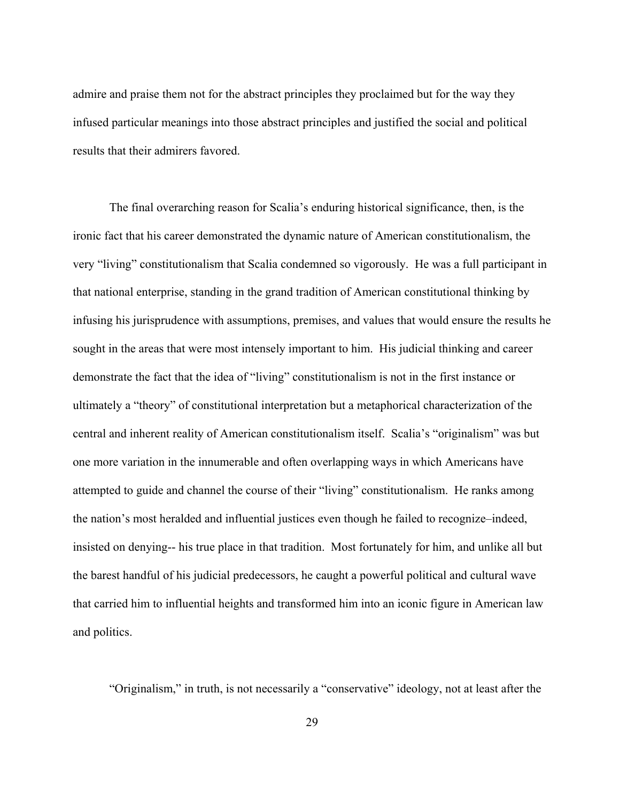admire and praise them not for the abstract principles they proclaimed but for the way they infused particular meanings into those abstract principles and justified the social and political results that their admirers favored.

The final overarching reason for Scalia's enduring historical significance, then, is the ironic fact that his career demonstrated the dynamic nature of American constitutionalism, the very "living" constitutionalism that Scalia condemned so vigorously. He was a full participant in that national enterprise, standing in the grand tradition of American constitutional thinking by infusing his jurisprudence with assumptions, premises, and values that would ensure the results he sought in the areas that were most intensely important to him. His judicial thinking and career demonstrate the fact that the idea of "living" constitutionalism is not in the first instance or ultimately a "theory" of constitutional interpretation but a metaphorical characterization of the central and inherent reality of American constitutionalism itself. Scalia's "originalism" was but one more variation in the innumerable and often overlapping ways in which Americans have attempted to guide and channel the course of their "living" constitutionalism. He ranks among the nation's most heralded and influential justices even though he failed to recognize–indeed, insisted on denying-- his true place in that tradition. Most fortunately for him, and unlike all but the barest handful of his judicial predecessors, he caught a powerful political and cultural wave that carried him to influential heights and transformed him into an iconic figure in American law and politics.

"Originalism," in truth, is not necessarily a "conservative" ideology, not at least after the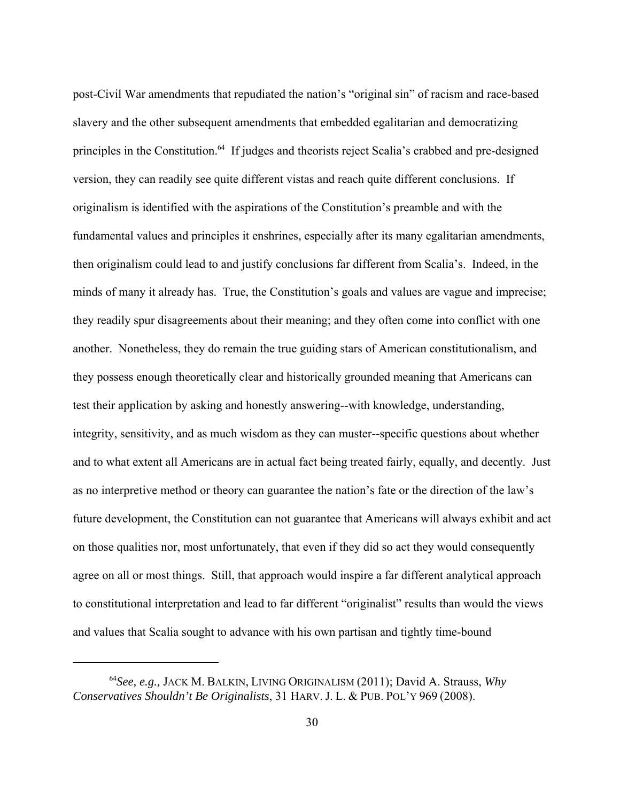post-Civil War amendments that repudiated the nation's "original sin" of racism and race-based slavery and the other subsequent amendments that embedded egalitarian and democratizing principles in the Constitution.<sup>64</sup> If judges and theorists reject Scalia's crabbed and pre-designed version, they can readily see quite different vistas and reach quite different conclusions. If originalism is identified with the aspirations of the Constitution's preamble and with the fundamental values and principles it enshrines, especially after its many egalitarian amendments, then originalism could lead to and justify conclusions far different from Scalia's. Indeed, in the minds of many it already has. True, the Constitution's goals and values are vague and imprecise; they readily spur disagreements about their meaning; and they often come into conflict with one another. Nonetheless, they do remain the true guiding stars of American constitutionalism, and they possess enough theoretically clear and historically grounded meaning that Americans can test their application by asking and honestly answering--with knowledge, understanding, integrity, sensitivity, and as much wisdom as they can muster--specific questions about whether and to what extent all Americans are in actual fact being treated fairly, equally, and decently. Just as no interpretive method or theory can guarantee the nation's fate or the direction of the law's future development, the Constitution can not guarantee that Americans will always exhibit and act on those qualities nor, most unfortunately, that even if they did so act they would consequently agree on all or most things. Still, that approach would inspire a far different analytical approach to constitutional interpretation and lead to far different "originalist" results than would the views and values that Scalia sought to advance with his own partisan and tightly time-bound

<sup>64</sup>*See, e.g.,* JACK M. BALKIN, LIVING ORIGINALISM (2011); David A. Strauss, *Why Conservatives Shouldn't Be Originalists*, 31 HARV. J. L. & PUB. POL'Y 969 (2008).